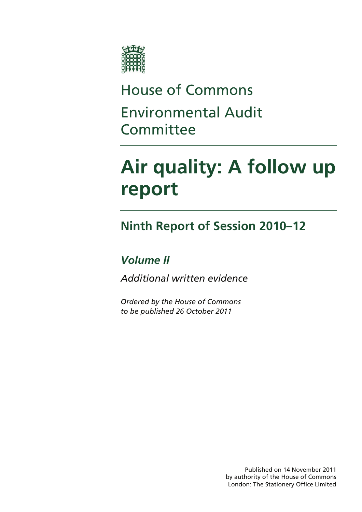

# House of Commons Environmental Audit Committee

# **Air quality: A follow up report**

# **Ninth Report of Session 2010–12**

# *Volume II*

*Additional written evidence* 

*Ordered by the House of Commons to be published 26 October 2011* 

> Published on 14 November 2011 by authority of the House of Commons London: The Stationery Office Limited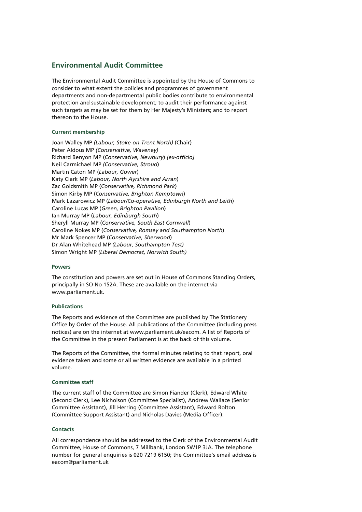### **Environmental Audit Committee**

The Environmental Audit Committee is appointed by the House of Commons to consider to what extent the policies and programmes of government departments and non-departmental public bodies contribute to environmental protection and sustainable development; to audit their performance against such targets as may be set for them by Her Majesty's Ministers; and to report thereon to the House.

### **Current membership**

Joan Walley MP *(Labour, Stoke-on-Trent North)* (Chair) Peter Aldous MP *(Conservative, Waveney)*  Richard Benyon MP (*Conservative, Newbury*) *[ex-officio]*  Neil Carmichael MP *(Conservative, Stroud*) Martin Caton MP (*Labour, Gower*) Katy Clark MP (*Labour, North Ayrshire and Arran*) Zac Goldsmith MP (*Conservative, Richmond Park*) Simon Kirby MP (*Conservative, Brighton Kemptown*) Mark Lazarowicz MP (*Labour/Co-operative, Edinburgh North and Leith*) Caroline Lucas MP (*Green, Brighton Pavilion*) Ian Murray MP (*Labour, Edinburgh South*) Sheryll Murray MP (*Conservative, South East Cornwall*) Caroline Nokes MP (*Conservative, Romsey and Southampton North*) Mr Mark Spencer MP (*Conservative, Sherwood*) Dr Alan Whitehead MP *(Labour, Southampton Test)*  Simon Wright MP *(Liberal Democrat, Norwich South)* 

### **Powers**

The constitution and powers are set out in House of Commons Standing Orders, principally in SO No 152A. These are available on the internet via www.parliament.uk.

### **Publications**

The Reports and evidence of the Committee are published by The Stationery Office by Order of the House. All publications of the Committee (including press notices) are on the internet at www.parliament.uk/eacom. A list of Reports of the Committee in the present Parliament is at the back of this volume.

The Reports of the Committee, the formal minutes relating to that report, oral evidence taken and some or all written evidence are available in a printed volume.

### **Committee staff**

The current staff of the Committee are Simon Fiander (Clerk), Edward White (Second Clerk), Lee Nicholson (Committee Specialist), Andrew Wallace (Senior Committee Assistant), Jill Herring (Committee Assistant), Edward Bolton (Committee Support Assistant) and Nicholas Davies (Media Officer).

### **Contacts**

All correspondence should be addressed to the Clerk of the Environmental Audit Committee, House of Commons, 7 Millbank, London SW1P 3JA. The telephone number for general enquiries is 020 7219 6150; the Committee's email address is eacom@parliament.uk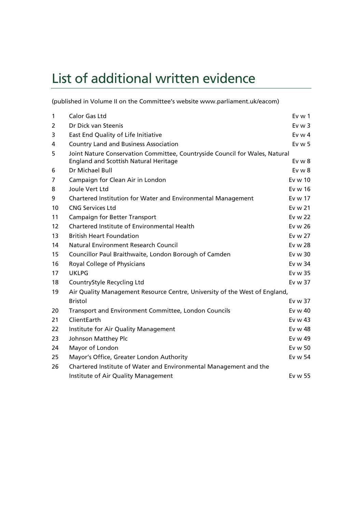# List of additional written evidence

(published in Volume II on the Committee's website www.parliament.uk/eacom)

| $\mathbf{1}$ | Calor Gas Ltd                                                               | $Ev$ w 1   |
|--------------|-----------------------------------------------------------------------------|------------|
| 2            | Dr Dick van Steenis                                                         | $Ev$ w 3   |
| 3            | East End Quality of Life Initiative                                         | Ev w $4$   |
| 4            | <b>Country Land and Business Association</b>                                | $Ev$ w 5   |
| 5            | Joint Nature Conservation Committee, Countryside Council for Wales, Natural |            |
|              | <b>England and Scottish Natural Heritage</b>                                | $Ev$ w $8$ |
| 6            | Dr Michael Bull                                                             | $Ev$ w $8$ |
| 7            | Campaign for Clean Air in London                                            | Ev w 10    |
| 8            | Joule Vert Ltd                                                              | Ev w 16    |
| 9            | Chartered Institution for Water and Environmental Management                | Ev w 17    |
| 10           | <b>CNG Services Ltd</b>                                                     | Ev w 21    |
| 11           | <b>Campaign for Better Transport</b>                                        | Ev w 22    |
| 12           | Chartered Institute of Environmental Health                                 | Ev w 26    |
| 13           | <b>British Heart Foundation</b>                                             | Ev w 27    |
| 14           | <b>Natural Environment Research Council</b>                                 | Ev w 28    |
| 15           | Councillor Paul Braithwaite, London Borough of Camden                       | Ev w 30    |
| 16           | Royal College of Physicians                                                 | Ev w 34    |
| 17           | <b>UKLPG</b>                                                                | Ev w 35    |
| 18           | CountryStyle Recycling Ltd                                                  | Ev w 37    |
| 19           | Air Quality Management Resource Centre, University of the West of England,  |            |
|              | <b>Bristol</b>                                                              | Ev w 37    |
| 20           | Transport and Environment Committee, London Councils                        | Ev w 40    |
| 21           | ClientEarth                                                                 | Ev $w$ 43  |
| 22           | Institute for Air Quality Management                                        | Ev w 48    |
| 23           | Johnson Matthey Plc                                                         | Ev w 49    |
| 24           | Mayor of London                                                             | Ev w 50    |
| 25           | Mayor's Office, Greater London Authority                                    | Ev w 54    |
| 26           | Chartered Institute of Water and Environmental Management and the           |            |
|              | Institute of Air Quality Management                                         | Ev w 55    |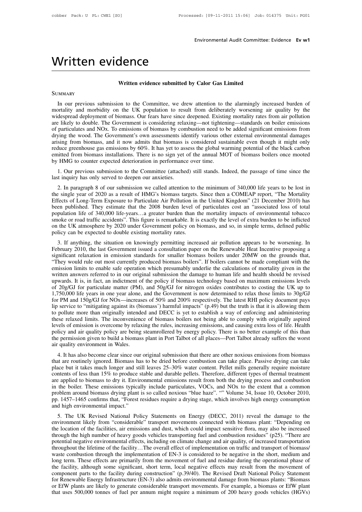# eed: [09-11-2011 15:06] Job: 014375 Unit: PG01<br>**Environmental Audit Committee: Evidence <b>Ev w1**

# CODDET Pack: U PL: CWE1 [SO]<br>Enviror<br>**Written evidence**<br>Written evidence submitted by Calor

# **Written evidence submitted by Calor Gas Limited**

### **SUMMARY**

Written evidence<br>
Written evidence submitted by Calor Gas Limited<br>
SUMMARY<br>
In our previous submission to the Committee, we drew attention to the alarmingly increased burden of<br>
mortality and morbidity on the UK population Written evidence submitted by Calor Gas Limited<br>SUMMARY<br>In our previous submission to the Committee, we drew attention to the alarmingly increased burden of<br>mortality and morbidity on the UK population to result from delib Written evidence submitted by Calor Gas Limited<br>SUMMARY<br>In our previous submission to the Committee, we drew attention to the alarmingly increased burden of<br>mortality and morbidity on the UK population to result from delib **SUMMARY**<br>
In our previous submission to the Committee, we drew attention to the alarmingly increased burden of<br>
mortality and morbidity on the UK population to result from deliberately worsening air quality by the<br>
widesp SUMMARY<br>In our previous submission to the Committee, we drew attention to the alarmingly increased burden of<br>mortality and morbidity on the UK population to result from deliberately worsening air quality by the<br>widespread SUMMARY<br>In our previous submission to the Committee, we drew attention to the alarmingly increased burden of<br>mortality and morbidity on the UK population to result from deliberately worsening air quality by the<br>widespread In our previous submission to the Committee, we drew attention to the alarmingly increased burden of mortality and morbidity on the UK population to result from deliberately worsening air quality by the widespread deployme mortality and morbidity on the UK population to result from deliberately worsening air quality by the widespread deployment of biomass. Our fears have since deepened. Existing mortality rates from air pollution are likely widespread deployment of biomass. Our fears have since deepened. Existing mortality rates from air pollution<br>are likely to double. The Government is considering relaxing—not tightening—standards on boiler emissions<br>of part are likely to double. The Government is considering relaxing—not tighten<br>of particulates and NOx. To emissions of biomass by combustion need to l<br>drying the wood. The Government's own assessments identify various oth<br>arisi particulates and NOX. To emissions of biomass by combustion need to be added significant emissions from<br>sing from biomass, and it now admits that biomass is considered sustainable even though it might only<br>luce greenhouse drying the wood. The Government's own assessments identify various other external environmental damages<br>arising from biomass, and it now admits that biomass is considered sustainable even though it might only<br>reduce greenh

duce greenhouse gas emissions by 60%. It has yet to assess the global warming potential of the black carbon<br>itted from biomass installations. There is no sign yet of the annual MOT of biomass boilers once mooted<br>HMG to cou emitted from biomass installations. There is no sign yet of the annual MOT of biomass boilers once mooted<br>by HMG to counter expected deterioration in performance over time.<br>1. Our previous submission to the Committee (atta by HMG to counter expected deterioration in performance over time.<br>
1. Our previous submission to the Committee (attached) still stands. Indeed, the passage of time since the<br>
last inquiry has only served to deepen our anx 1. Our previous submission to the Committee (attached) still stands. Indeed, the passage of time since the last inquiry has only served to deepen our anxieties.<br>
2. In paragraph 8 of our submission we called attention to t 1. Our previous submission to the Committee (attactieu) sun stants. Indeed, the passage of thre since the last inquiry has only served to deepen our anxieties.<br>
2. In paragraph 8 of our submission we called attention to th ast migury mas omy served to deepen our anxieties.<br>
2. In paragraph 8 of our submission we called attention to the minimum of 340,000 life years to be lost in<br>
the single year of 2020 as a result of HMG's biomass targets. 2. In paragraph 8 of our submission we called attention to the minimum of 340,000 life years to be lost in the single year of 2020 as a result of HMG's biomass targets. Since then a COMEAP report, "The Mortality Effects of the single year of 2020 as a result of HMG's biomass targets.<br>Effects of Long-Term Exposure to Particulate Air Pollution in<br>been published. They estimate that the 2008 burden level of<br>population life of 340,000 life-years. 3. If anything, the situation on knowingly permitting increased air pollution appears to be worsening. In philished. They estimate that the 2008 burden level of particulates cost an "associated loss of total pulation life been published. They estimate that the 2006 butten level of particulates cost an associated loss of total<br>population life of 340,000 life-years...a greater burden than the mortality impacts of environmental tobacco<br>smoke o

significant relaxation in emission standards for smaller biomass, and so, in simple terms, defined public on the UK atmosphere by 2020 under Government policy on biomass, and so, in simple terms, defined public policy can Sinote of foad traffic accidents. This figure is remarkable. It is exactly the fever of extra buiterint to be infircted<br>on the UK atmosphere by 2020 under Government policy on biomass, and so, in simple terms, defined publ of the UK amosphere by 2020 under Government pointy on biomass, and so, in simple terms, defined public<br>policy can be expected to double existing mortality rates.<br>3. If anything, the situation on knowingly permitting incre boncy can be expected to dodote existing inortanty rates.<br>3. If anything, the situation on knowingly permitting increased air pollution appears to be worsening. In<br>February 2010, the last Government issued a consultation p 3. If anything, the situation on knowingly permitting increased air pollution appears to be worsening. In February 2010, the last Government issued a consultation paper on the Renewable Heat Incentive proposing a signific February 2010, the last Government issued a consultation paper on the Renewable Heat Incentive proposing a significant relaxation in emission standards for smaller biomass boilers under 20MW on the grounds that, "They woul significant relaxation in emission standards for smaller biomass boilers under 20MW on the grounds that,<br>"They would rule out most currently produced biomass boilers". If boilers cannot be made compliant with the<br>emission "They would rule out most currently produced biomass boilers". If boilers cannot be made compliant with the emission limits to enable safe operation which presumably underlie the calculations of mortality given in the writ emission limits to enable safe operation which presumably underlie the calculations of mortality given in the written answers referred to in our original submission the damage to human life and health should be revised upw written answers referred to in our original submission the damage to human life and health should be revised<br>upwards. It is, in fact, an indictment of the policy if biomass technology based on maximum emissions levels<br>of 2 upwards. It is, in fact, an indictment of the policy if biomass technology based on maximum emissions levels<br>of 20g/GJ for particulate matter (PM), and 50g/GJ for nitrogen oxides contributes to costing the UK up to<br>1,750,0 of 20g/GJ for particulate matter (PM), and 50g/GJ for nitrogen oxides contributes to costing the UK up to 1,750,000 life years in one year alone, and the Government is now determined to relax those limits to 30g/GJ for PM 1,750,000 life years in one year alone, and the Government is now determined to relax those limits to 30g/GJ for PM and 150g/GJ for NOx—increases of 50% and 200% respectively. The latest RHI policy document pays lip servic for PM and 150g/GJ for NOx—increases of 50% and 200% respectively. The latest RHI policy document pays<br>lip service to "mitigating against its (biomass') harmful impacts" (p.49) but the truth is that it is allowing them<br>to lip service to "mitigating against its (bi<br>to pollute more than originally intende<br>these relaxed limits. The inconvenienc<br>levels of emission is overcome by relax<br>policy and air quality policy are being<br>the permission given become the unan originally interlued and DECC is yet to establish a way of emoleting and administering<br>see relaxed limits. The inconvenience of biomass boilers not being able to comply with originally aspired<br>related the v that are routinely ignore by relaxing the rules, increasing emissions, and causing extra loss of life. Health policy and air quality policy are being steamrollered by energy policy. There is no better example of this than

place but it takes much longer and still leaves 25–30% water content. There is no better example of this than the permission given to build a biomass plant in Port Talbot of all places—Port Talbot already suffers the worst policy and an quanty policy are being steamfoliered by energy policy. There is no better example of this than<br>the permission given to build a biomass plant in Port Talbot of all places—Port Talbot already suffers the worst are permission given to bund a biomass plant in Fort Tabot of an places—Fort Tabot aneady surfers the worst<br>air quality environment in Wales.<br>4. It has also become clear since our original submission that there are other n an quanty environment in wates.<br>
4. It has also become clear since our original submission that there are other noxious emissions from biomass<br>
that are routinely ignored. Biomass has to be dried before combustion can take 4. It has also become clear since our original submission that there are other noxious emissions from biomass that are routinely ignored. Biomass has to be dried before combustion can take place. Passive drying can take pl that are routinely ignored. Biomass has to be dried before combustion can take place. Passive drying can take place but it takes much longer and still leaves 25–30% water content. Pellet mills generally require moisture co place but it takes much longer and still lest contents of less than 15% to produce stable are applied to biomass to dry it. Environm<br>in the boiler. These emissions typically in problem around biomass drying plant is so<br>pp. So the UK Revised National Policy Statements on Energy (DECC, 2011) reveal the damage to the virtual measure in the boiler. These emissions typically include particulates, VOCs, and NOx to the extent that a common oblem ar are applied to biomass to dry it. Environmental emissions result from boun the drying process and combustion<br>in the boiler. These emissions typically include particulates, VOCs, and NOx to the extent that a common<br>problem

In the bonet. These emissions typically include particulates, VOCs, and NOX to the extent that a common problem around biomass drying plant is so called noxious "blue haze". "" Volume 34, Issue 10, October 2010, pp. 1457–1 problem around biomass urying plant is so cancel noxious blue haze. The volume 34, issue 10, October 2010, pp. 1457–1465 confirms that, "Forest residues require a drying stage, which involves high energy consumption and hi pp. 1437–1405 commiss unat, Totest restaures require a urying stage, winch involves high energy consumption<br>and high environmental impact."<br>5. The UK Revised National Policy Statements on Energy (DECC, 2011) reveal the dam 5. The UK Revised National Policy Statements on Energy (DECC, 2011) reveal the damage to the environment likely from "considerable" transport movements connected with biomass plant: "Depending on the location of the facili 5. The UK Revised National Policy Statements on Energy (DECC, 2011) reveal the damage to the environment likely from "considerable" transport movements connected with biomass plant: "Depending on the location of the facili environment likely from "considerable" transport movements connected with biomass plant: "Depending on<br>the location of the facilities, air emissions and dust, which could impact sensitive flora, may also be increased<br>throu the location of the facilities, air emissions and dust, which could impact sensitive flora, may also be increased<br>through the high number of heavy goods vehicles transporting fuel and combustion residues" (p25). "There ar through the high number of heavy goods vehicles transporting fuel and combustion residues" (p25). "There are potential negative environmental effects, including on climate change and air quality, of increased transportatio potential negative environmental effects, including on climate change and air quality, of increased transportation<br>throughout the lifetime of the facility...The overall effect of implementation on traffic and transport of throughout the lifetime of the facility...The overall effect of implementation on traffic and transport of biomass/<br>waste combustion through the implementation of EN-3 is considered to be negative in the short, medium and<br> waste combustion through the implementation of EN-3 is considered to be negative in the short, medium and<br>long term. These effects are primarily from the movement of fuel and residue during the operational phase of<br>the fac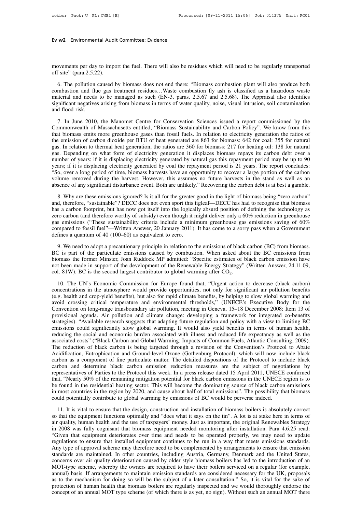# **Ev w2** Environmental Audit Committee: Evidence

**Ev w2** Environmental Audit Committee: Evidence<br> **Evaluate**<br>
movements per day to import the fuel. There will also be residues which will need to be regularly transported<br>
off site" (para.2.5.22). **Ev w2** Environmental Audin<br>movements per day to import site" (para.2.5.22).<br>6. The pollution caused b

by ements per day to import the fuel. There will also be residues which will need to be regularly transported<br>
f site" (para.2.5.22).<br>
6. The pollution caused by biomass does not end there: "Biomass combustion plant will a movements per day to import the fuel. There will also be residues which will need to be regularly transported<br>off site" (para.2.5.22).<br>6. The pollution caused by biomass does not end there: "Biomass combustion plant will a movements per day to import the fuel. There will also be residues which will need to be regularly transported<br>off site" (para.2.5.22).<br>6. The pollution caused by biomass does not end there: "Biomass combustion plant will a movements per day to import the fuel. There will also be residues which will need to be regularly transported<br>off site" (para.2.5.22).<br>6. The pollution caused by biomass does not end there: "Biomass combustion plant will a movements per day to import the fuel. There will also be residues which will need to be regularly transported<br>off site" (para.2.5.22).<br>6. The pollution caused by biomass does not end there: "Biomass combustion plant will a 6. The pollution caused by biomass does not end there: "Biomass combustion plant will also produce both mbustion and flue gas treatment residues...Waste combustion fly ash is classified as a hazardous waste terial and need Combustion and flue gas treatment residues...Waste combustion fly ash is classified as a hazardous wasted material and needs to be managed as such (EN-3, paras. 2.5.67 and 2.5.68). The Appraisal also identifies significant

External and needs to be managed as such (EN-3, paras. 2.5.67 and 2.5.68). The Appraisal also identifies significant negatives arising from biomass in terms of water quality, noise, visual intrusion, soil contamination an the emission of carbon dioxide per BTU of heat generation is the emission, soil contamination and flood risk.<br>The emission of carbon dioxide per BTU of the Conservation Sciences issued a report commissioned by the Commonwe gas. In Figure 2010, the Manomet Centre for Conservation Sciences issued a report commissioned by the Commonwealth of Massachusetts entitled, "Biomass Sustainability and Carbon Policy". We know from this that biomass emits 7. In June 2010, the Manomet Centre for Conservation Sciences issued a report commissioned by the Commonwealth of Massachusetts entitled, "Biomass Sustainability and Carbon Policy". We know from this that biomass emits mor 7. In June 2010, the Manomet Centre for Conservation Sciences issued a report commissioned by the Commonwealth of Massachusetts entitled, "Biomass Sustainability and Carbon Policy". We know from this that biomass emits mor Commonwealth of Massachusetts entitled, "Biomass Sustainability and Carbon Policy". We know from this that biomass emits more greenhouse gases than fossil fuels. In relation to electricity generation the ratios of the emis that biomass emits more greenhouse gases than fossil fuels. In relation to electricity generation the ratios of<br>the emission of carbon dioxide per BTU of heat generated are 863 for biomass: 642 for coal: 355 for natural<br>ga the emission of carbon dioxide per BTU of heat generated are 863 for biomass: 642 for coal: 355 for natural gas. In relation to thermal heat generation, the ratios are 360 for biomass: 217 for heating oil: 138 for natural gas. In relation to thermal heat generation, the ratios are 360 for biomass: 217 for heating oil: 138 for natural gas. Depending on what form of electricity generation it displaces biomass repays its carbon debt over a num 8. Why are these emissions ignored? Is it all for the greater good in the light of biomass is if it is displacing electricity generated by natural gas this repayment period may be up to 90 ars; if it is displacing electric wears; if it is displacing electricity generated by coal the repayment period is 21 years. The report concludes:<br>"So, over a long period of time, biomass harvests have an opportunity to recover a large portion of the carbo

Fast, i.e. a carbon footprint, but has now got itself into the logically absurded in the stand as well as an absence of any significant disturbance event. Both are unlikely." Recovering the carbon debt is at best a gamble zero carbon (and therefore worthy of subsidy) even though it might deliver only a 60% reduction is a subsence of any significant disturbance event. Both are unlikely." Recovering the carbon debt is at best a gamble.<br>
8. Wh because of any significant disturbance event. Both are unlikely." Recovering the carbon debt is at best a gamble.<br>
8. Why are these emissions ignored? Is it all for the greater good in the light of biomass being "zero car 8. Why are these emissions ignored? Is it all for the greater good in the light of biomass being "zero carbon"<br>and, therefore, "sustainable"? DECC does not even sport this figleaf—DECC has had to recognise that biomass<br>ha 8. Why are these emissions ignored? Is it all for the greater and, therefore, "sustainable"? DECC does not even sport this f has a carbon footprint, but has now got itself into the logical zero carbon (and therefore worthy 9. We need to adopt a precautionary principle in relation to the emissions of defining the technology as en carbon (and therefore worthy of subsidy) even though it might deliver only a 60% reduction in greenhouse s emissio Scarb and the particulate worthy of subsidy) even though it might deliver only a 60% reduction in greenhouse gas emissions ("These sustainability criteria include a minimum greenhouse gas emissions saving of 60% compared t

Examples the former Minster, Joan Ruddock MP admitted: "Specific estimates of black carbon and Government defines a quantum of 40 (100–60) as equivalent to zero.<br>
9. We need to adopt a precautionary principle in relation not been made in support of the development of the Renewable Energy Strategy" (Written Answer, 20 January 2011). It has come to a sorry pass when a Government defines a quantum of 40 (100–60) as equivalent to zero.<br>9. We n compared to fossil fuel"—Written Answer, 20 January 2011). It has come to a sorry pass when a Government<br>defines a quantum of 40 (100–60) as equivalent to zero.<br>9. We need to adopt a precautionary principle in relation to 9. We need to adopt a precautionary principle in relation to the emissions of black carbon (BC) from biomass.<br>
C is part of the particulate emissions caused by combustion. When asked about the BC emissions from<br>
Domass th BC is part of the particulate emissions caused by combustion. When asked about the BC emissions from<br>biomass the former Minster, Joan Ruddock MP admitted: "Specific estimates of black carbon emission have<br>not been made in

biomass the former Minster, Joan Ruddock MP admitted: "Specific estimates of black carbon emission have<br>not been made in support of the development of the Renewable Energy Strategy" (Written Answer, 24.11.09,<br>col. 81W). B not been made in support of the development of the Renewable Energy Strategy" (Written Answer, 24.11.09, col. 81W). BC is the second largest contributor to global warming after CO<sub>2</sub>.<br>10. The UN's Economic Commission for E col. 81W). BC is the second largest contributor to global warming after  $CO_2$ .<br>10. The UN's Economic Commission for Europe found that, "Urgent action to decrease (black carbon)<br>concentrations in the atmosphere would provi bein error) is the sevention angles contributed to grocal manimig after  $60\frac{1}{2}$ .<br>
10. The UN's Economic Commission for Europe found that, "Urgent action to decrease (black carbon)<br>
concentrations in the atmosphere woul 10. The UN's Economic Commission for Europe found that, "Urgent action to decrease (black carbon) concentrations in the atmosphere would provide opportunities, not only for significant air pollution benefits (e.g. health a concentrations in the atmosphere would provide opportunities, not only for significant air pollution benefits (e.g. health and crop-yield benefits), but also for rapid climate benefits, by helping to slow global warming an (e.g. health and crop-yield benefits), but also for rapid climate benefits, by helping to slow global warming and avoid crossing critical temperature and environmental thresholds," (UNECE's Executive Body for the Conventio avoid crossing critical temperature and environmental thresholds," (UNECE's Executive Body for the Convention on long-range transboundary air pollution, meeting in Geneva, 15–18 December 2008: Item 13 of provisional agenda Convention on long-range transboundary air pollution, meeting in Geneva, 15–18 December 2008: Item 13 of<br>provisional agenda. Air pollution and climate change: developing a framework for integrated co-benefits<br>strategies). provisional agenda. Air pollution and climate change: developing a framework for integrated co-benefits strategies). "Available research suggests that adapting future regulation and policy with a view to limiting BC emissi strategies). "Available research suggests that adapting future regulation and policy with a view to limiting BC<br>emissions could significantly slow global warming. It would also yield benefits in terms of human health,<br>redu emissions could significantly slow global warming. It would also yield benefits in terms of human health,<br>reducing the social and economic burden associated with illness and reduced life expectancy as well as the<br>associate reducing the social and economic burden associated with illness and reduced life expectancy as well as the associated costs" ("Black Carbon and Global Warming: Impacts of Common Fuels, Atlantic Consulting, 2009). The reduc associated costs" ("Black Carbon and Global Warming: Impacts of Common Fuels, Atlantic Consulting, 2009).<br>The reduction of black carbon is being targeted through a revision of the Convention's Protocol to Abate<br>Acidificati The reduction of black carbon is being targeted through a revision of the Convention's Protocol to Abate Acidification, Eutrophication and Ground-level Ozone (Gothenburg Protocol), which will now include black carbon as a Acidification, Eutrophication and Ground-level Ozone (Gothenburg Protocol), which will now include black<br>carbon as a component of fine particulate matter. The detailed dispositions of the Protocol to include black<br>carbon a carbon as a component of fine particulate matter. The detailed dispositions of the Protocol to inc<br>carbon and determine black carbon emission reduction measures are the subject of negot<br>representatives of Parties to the Pr 11. It is vital to ensure that the design, construction and installation of biomass boilers is absolutely solve of the remaining mitigation potential for black carbon emissions in the UNECE confirmed that, "Nearly 50% of t so that the equipment functions optimally and "does what it are experienced be found in the residential heating sector. This will become the dominating source of black carbon emissions in the UNECE region is to be found in

and, "cound in the residential heating suctor. This will become the dominating source of black carbon emissions in most countries in the region by 2020, and cause about half of total emissions". The possibility that biomas in most countries in the region by 2020, and cause about half of total emissions". The possibility that biomass could potentially contribute to global warming by emissions of BC would be perverse indeed.<br>
11. It is vital t mum of been tially contribute to global warming by emissions of BC would be perverse indeed.<br>
11. It is vital to ensure that the design, construction and installation of biomass boilers is absolutely correct<br>
so that the e For the equipment functions of the design, construction and installation of biomass boilers is absolutely correct<br>so that the equipment functions optimally and "does what it says on the tin". A lot is at stake here in term 11. It is vital to ensure that the design, construction and installation of biomass boilers is absolutely correct<br>so that the equipment functions optimally and "does what it says on the tin". A lot is at stake here in term so that the equipment functions optimally and "does what it says on the tin". A lot is at stake here in terms of air quality, human health and the use of taxpayers' money. Just as important, the original Renewables Strateg air quality, human health and the use of taxpayers' money. Just as important, the original Renewables Strategy<br>in 2008 was fully cognisant that biomass equipment needed monitoring after installation. Para 4.6.25 read:<br>"Giv in 2008 was fully cognisant that biomass equipment needed monitoring after installation. Para 4.6.25 read:<br>
"Given that equipment deteriorates over time and needs to be operated properly, we may need to update<br>
regulations "Given that equipment deteriorates over time and needs to be operated properly, we may need to update regulations to ensure that installed equipment continues to be run in a way that meets emissions standards. Any type of regulations to ensure that installed equipment continues to be run in a way that meets emissions standards.<br>Any type of approval scheme may therefore need to be complemented by arrangements to ensure that emission<br>standard Any type of approval scheme may therefore need to be complemented by arrangements to ensure that emission standards are maintained. In other countries, including Austria, Germany, Denmark and the United States, concerns ov Any type of approval scheme may therefore need to be complemented by arrangements to ensure that emission standards are maintained. In other countries, including Austria, Germany, Denmark and the United States, concerns ov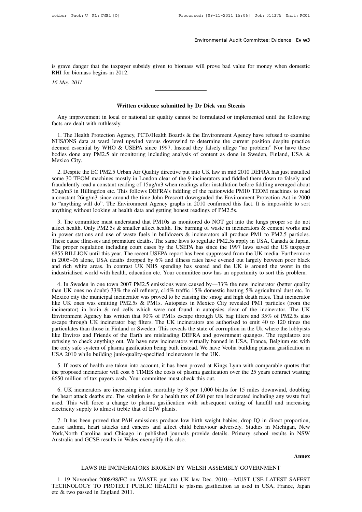Environmental Audit Committee: Evidence Ev w3<br>is grave danger that the taxpayer subsidy given to biomass will prove bad value for money when domestic<br>RHI for biomass begins in 2012. is grave danger that the taxpayer subs<br>RHI for biomass begins in 2012.<br>16 May 2011 *16* and *16 16 may 16 May 2011* Expayer subsidy given to biomass will prove bad value for more contract to the contract of the contract of the Written evidence submitted by Dr Dick van Steenis al or national air quality cannot be formulated or implemente

May 2011<br>Written evidence submitted by Dr Dick van Steenis<br>Any improvement in local or national air quality cannot be formulated or implemented until the following<br>ts are dealt with ruthlessly. Factor May 2011<br> **Kritter**<br>
Any improvement in local or nat<br>
facts are dealt with ruthlessly.<br>
1. The Health Protection Agency.

**1.** Written evidence submitted by Dr Dick van Steenis<br>
Any improvement in local or national air quality cannot be formulated or implemented until the following<br>
1. The Health Protection Agency, PCTs/Health Boards & the En **Solution Written evidence submitted by Dr Dick van Steenis**<br>Any improvement in local or national air quality cannot be formulated or implemented until the following<br>facts are dealt with ruthlessly.<br>1. The Health Protectio Any improvement in local or national air quality cannot be formulated or implemented until the following<br>facts are dealt with ruthlessly.<br>1. The Health Protection Agency, PCTs/Health Boards & the Environment Agency have re Any improvement in local or national air quality cannot be formulated or implemented until the following<br>facts are dealt with ruthlessly.<br>1. The Health Protection Agency, PCTs/Health Boards & the Environment Agency have re The Health Prince Case of the Health Prince Case and deemed essential prince City.<br>NHS/ONS data at deemed essential prince City.<br>2. Despite the Equation 1. The Health Protection Agency, PCTs/Health Boards & the Environment Agency have refused to examine HS/ONS data at ward level upwind versus downwind to determine the current position despite practice emed essential by WHO Some 30 TEOM machines mostly in Undergraphy and the current position despite practice<br>deemed essential by WHO & USEPA since 1997. Instead they falsely allege "no problem" Nor have these<br>bodies done any PM2.5 air monitoring

France is denoted assertial by WHO & USEPA since 1997. Instead they falsely allege "no problem" Nor have these bodies done any PM2.5 air monitoring including analysis of content as done in Sweden, Finland, USA & Mexico Ci bodies done any PM2.5 air monitoring including analysis of content as done in Sweden, Finland, USA &<br>Mexico City.<br>2. Despite the EC PM2.5 Urban Air Quality directive put into UK law in mid 2010 DEFRA has just installed<br>som between the EC PM2.5 Urban Air Quality directive put into UK law in mid 2010 DEFRA has just installed some 30 TEOM machines mostly in London clear of the 9 incinerators and fiddled them down to falsely and fraudulently rea 2. Despite the EC PM2.5 Urban Air Quality directive put into UK law in mid 2010 DEFRA has just installed some 30 TEOM machines mostly in London clear of the 9 incinerators and fiddled them down to falsely and fraudulently 2. Despite the EC PM2.5 Urban Air Quality directive put into UK law in mid 2010 some 30 TEOM machines mostly in London clear of the 9 incinerators and fiddled if raudulently read a constant reading of 15ug/m3 when readings 3. The committee must understand that PM10s as monitored do NOT get into the lungs proper so do not even withing without looking at health data and getting honest readings of PM10 TEOM machines to read constant  $26\frac{1}{2}$ Folug/m3 in Hillingdon etc. This follows DEFRA's fiddling of the nationwide PM10 TEOM machines to read a constant 26ug/m3 since around the time John Prescott downgraded the Environment Protection Act in 2000 to "anything

Example in Fining to the time John Prescott downgraded the Environment Protection Act in 2000 to "anything will do". The Environment Agency graphs in 2010 confirmed this fact. It is impossible to sort anything without loo These cause illnesses and premature deaths. The same lower convertises are the USEPA in proposition of "anything will do". The Environment Agency graphs in 2010 confirmed this fact. It is impossible to sort anything withou The proper regulation including court cases by the USEPA has since the USEPA method including and the USEPA has since the 1997 laws saved the US taxpayer and the USEPA has since the 1997 laws saved the US taxpayer and in p any anny write contring at reader and and goining noncer readings or a reader.<br>
3. The committee must understand that PM10s as monitored do NOT get into the lungs proper so do not<br>
affect health. Only PM2.5s & smaller affe 3. The committee must understand that PM10s as monitored do NOT get into the lungs proper so do not affect health. Only PM2.5s & smaller affect health. The burning of waste in incinerators & cement works and in power stati affect health. Only PM2.5s & smaller affect health. The burning of waste in incinerators & cement works and<br>in power stations and use of waste fuels in bulldozers & incinerators all produce PM1 to PM2.5 particles.<br>These ca in power stations and use of waste fuels in bulldozers & incinerators all produce PM1 to PM2.5 particles.<br>These cause illnesses and premature deaths. The same laws to regulate PM2.5s apply in USA, Canada & Japan.<br>The prope the proper regulation including court cases by the USEPA has since the 1997 laws saved the US taxpayer<br>55 BILLION until this year. The recent USEPA report has been suppressed from the UK media. Furthermore<br>2005–06 alone, 1.6 States Than UK ones no doubt) 33% the oil refinery, c14% traffic 15% domestic heating 5% agricultural dust etc. In the industrialised world with health, education etc. Your committee now has an opportunity to sort this

Access 2012 and the municipal incinerator was proved to be causing the smogle pressure and rich white areas. In contrast UK NHS spending has soared and the UK is around the worst in the industrialised world with health, e and rich white areas. In contrast UK NHS spending has soared and the UK is around the worst in the<br>industrialised world with health, education etc. Your committee now has an opportunity to sort this problem.<br>4. In Sweden industrialised world with health, education etc. Your committee now has an opportunity to sort this problem.<br>
4. In Sweden in one town 2007 PM2.5 emissions were caused by—33% the new incinerator (better quality<br>
than UK on Environment Agency has written that 90% of PM1s escape through UK bag filters and 35% of PM2.5s also 4. In Sweden in one town 2007 PM2.5 emissions were caused by—33% the new incinerator (better quality than UK ones no doubt) 33% the oil refinery, c14% traffic 15% domestic heating 5% agricultural dust etc. In Mexico city than UK ones no doubt) 33% the oil refinery, c14% traffic 15% domestic heating 5% agricultural dust etc. In Mexico city the municipal incinerator was proved to be causing the smog and high death rates. That incinerator lik Mexico city the municipal incinerator was proved to be causing the smog and high death rates. That incinerator like UK ones was emitting PM2.5s & PM1s. Autopsies in Mexico City revealed PM1 particles (from the incinerator) like UK ones was emitting PM2.5s & PM1s. Autopsies in Mexico City revealed PM1 particles (from the incinerator) in brain & red cells which were not found in autopsies clear of the incinerator. The UK Environment Agency has incinerator) in brain & red cells which were not found in autopsies clear of the incinerator. The UK<br>Environment Agency has written that 90% of PM1s escape through UK bag filters and 35% of PM2.5s also<br>escape through UK in Environment Agency has written that 90% of PM1s escape through UK bagescape through UK incinerator bag filters. The UK incinerators are authoritive particulates than those in Finland or Sweden. This reveals the state of co particulates than those in Finland or Sweden. This reveals the state of corruption in the Uk where the lobbyists like Enviros and Friends of the Earth are misleading DEFRA and government quangos. The regulators are refusin like Enviros and Friends of the Earth are misleading DEFRA and government quangos. The regulators are

6. UK incinerators are increasing infant mortality by 8 per 1,000 births for 15 miles downwind, doubling 6. If costs of health are taken into account, it has been proved at Kings Lynn with comparable quotes that the proposed incinerator will cost 6 TIMES the costs of plasma gasification over the 25 years contract wasting 50 m 5. If costs of health are taken into account, it has been proved at Kings Lynn with comparable quotes that the proposed incinerator will cost 6 TIMES the costs of plasma gasification over the 25 years contract wasting £65 5. If costs of health are taken into account, it has been proved at Kings Lynn with comparable quotes that the proposed incinerator will cost 6 TIMES the costs of plasma gasification over the 25 years contract wasting £650 electricity supply to almost treble that of EfW plants.<br>This wise and affect child behaviour always and affect child behaviour density supply to almost treble that of EfW plants.<br>This will force a change to plasma gasifica 3. It is incinerators are increasing infant mortality by 8 per 1,000 births for 15 miles downwind, doubling the eart attack deaths etc. The solution is for a health tax of £60 per ton incinerated including any waste fuel e 6. UK incinerators are increasing infant mortality by 8 per 1,000 births for 15 miles downwind, doubling<br>the heart attack deaths etc. The solution is for a health tax of £60 per ton incinerated including any waste fuel<br>use

The heart attack deaths etc. The solution is for a health tax of £60 per ton incinerated including any waste fuel<br>used. This will force a change to plasma gasification with subsequent cutting of landfill and increasing<br>ele used. This will force a change to plasma gasification with subsequent cutting of landfill and increasing<br>electricity supply to almost treble that of EfW plants.<br>7. It has been proved that PAH emissions produce low birth we a, neart attacks and cancers and attect child behaviour adversely. Studies in Michigan, New<br>Carolina and Chicago in published journals provide details. Primary school results in NSW<br>1 GCSE results in Wales exemplify this a

**Annex**

1. 19 November 2008/98/EC on WASTE put into UK law Dec. 2010.—MUST USE LATEST SAFEST<br>1. 19 November 2008/98/EC on WASTE put into UK law Dec. 2010.—MUST USE LATEST SAFEST<br>1. 19 November 2008/98/EC on WASTE put into UK law D Annex<br>LAWS RE INCINERATORS BROKEN BY WELSH ASSEMBLY GOVERNMENT<br>1. 19 November 2008/98/EC on WASTE put into UK law Dec. 2010.—MUST USE LATEST SAFEST<br>TECHNOLOGY TO PROTECT PUBLIC HEALTH ie plasma gasification as used in USA, LAWS RE INCINERATORS BROKEN BY WELSH ASSEMBLY GOVERNMENT<br>1. 19 November 2008/98/EC on WASTE put into UK law Dec. 2010.—MUST USE LATEST SAFEST<br>TECHNOLOGY TO PROTECT PUBLIC HEALTH ie plasma gasification as used in USA, Franc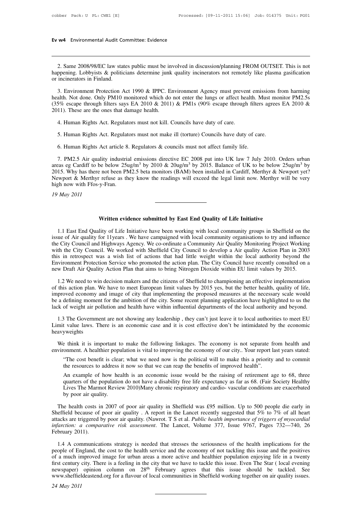# **Ev w4** Environmental Audit Committee: Evidence

2. Same 2008/98/EC law states public must be involved in discussion/planning FROM OUTSET. This is not<br>ppening. Lobbyists & politicians determine junk quality incinerators not remotely like plasma gasification<br>incinerators happening. Lobbyists & politicians determine junk quality incinerators not remotely like plasma gasification<br>or incinerators in Finland. Ev w4 Environmental Audit Co.<br>
2. Same 2008/98/EC law state<br>
happening. Lobbyists & politic<br>
or incinerators in Finland.<br>
3. Environment Protection A

2. Same 2008/98/EC law states public must be involved in discussion/planning FROM OUTSET. This is not ppening. Lobbyists & politicians determine junk quality incinerators not remotely like plasma gasification incinerators 2. Same 2008/98/EC law states public must be involved in discussion/planning FROM OUTSET. This is not happening. Lobbyists & politicians determine junk quality incinerators not remotely like plasma gasification or inciner 2. Same 2008/98/EC law states public must be involved in discussion/planning FROM OUTSET. This is not happening. Lobbyists & politicians determine junk quality incinerators not remotely like plasma gasification or inciner happening. Lobbyists & politicians determine junk<br>or incinerators in Finland.<br>3. Environment Protection Act 1990 & IPPC. Ei<br>health. Not done. Only PM10 monitored which do<br>(35% escape through filters says EA 2010 & 2011<br>201 4. Human Rights Act. Regulators must not make ill (torture) Councils have duty 3. Human Rights Act. Regulators must not kill. Councils have duty of care.<br>5. Human Rights Act. Regulators must not kill. Councils have duty of 5. Human Rights Act. Regulators must not make ill (torture) Councils have duty of care.<br>5. Human Rights Act. Regulators must not kill. Councils have duty of care.<br>5. Human Rights Act. Regulators must not kill. Councils ha 6. Human Rights Act. Regulators must not kill. Councils have duty of care.<br>
5. Human Rights Act. Regulators must not kill. Councils have duty of care.<br>
5. Human Rights Act. Regulators must not make ill (torture) Councils

1. Human Rights Act. Regulators must not kill. Councils have duty of care.<br>
5. Human Rights Act. Regulators must not make ill (torture) Councils have duty of care.<br>
6. Human Rights Act article 8. Regulators & councils must 3. Human Rights Act. Regulators must not make ill (torture) Councils have duty of care.<br>
6. Human Rights Act article 8. Regulators & councils must not affect family life.<br>
7. PM2.5 Air quality industrial emissions directi 5. Human Rights Act. Regulators must not make ill (torture) Councils have duty of care.<br>6. Human Rights Act article 8. Regulators & councils must not affect family life.<br>7. PM2.5 Air quality industrial emissions directive 6. Human Rights Act article 8. Regulators & councils must not affect family life.<br>
7. PM2.5 Air quality industrial emissions directive EC 2008 put into UK law 7 July 2010. Orders urban<br>
areas eg Cardiff to be below  $25\mu g$ 6. Human Rights Act article 8.<br>7. PM2.5 Air quality industria<br>areas eg Cardiff to be below 25u<br>2015. Why has there not been PN<br>Newport & Merthyr refuse as the<br>high now with Ffos-y-Fran.<br>19 May 2011 7. PM2.5 Air quality areas eg Cardiff to be b<br>2015. Why has there not<br>Newport & Merthyr ref<br>high now with Ffos-y-Fi<br>19 May 2011 **We New poor 8. Merthyr refuse as they know the readings will exceed the legal limit now. Merthyr will be very high now with Ffos-y-Fran.<br>
19 May 2011<br>
<b>Written evidence submitted by East End Quality of Life Initiative**<br>
1

1.1 East End Quality of Life Initiative<br>
1.1 East End Quality of Life Initiative<br>
1.1 East End Quality of Life Initiative have been working with local community groups in Sheffield on the<br>
1.1 East End Quality for 11 years **issue of Air quality of Life Initiative**<br>1.1 East End Quality of Life Initiative have been working with local community groups in Sheffield on the<br>1.1 East End Quality for 11years . We have campaigned with local community Written evidence submitted by East End Quality of Life Initiative<br>1.1 East End Quality of Life Initiative have been working with local community groups in Sheffield on the<br>1.1 East End Quality for 11 years . We have campai Written evidence submitted by East End Quality of Life Initiative<br>1.1 East End Quality of Life Initiative have been working with local community groups in Sheffield on the<br>issue of Air quality for 11 years . We have campai **Written evidence submitted by East End Quality of Life Initiative**<br>1.1 East End Quality of Life Initiative have been working with local community groups in Sheffield on the<br>issue of Air quality for 11years . We have campa 1.1 East End Quality of Life Initiative have been working with local community groups in Sheffield on the issue of Air quality for 11 years . We have campaigned with local community organisations to try and influence the C 1.1 East End Quality of Life Initiative have been working with local community groups in Sheffield on the issue of Air quality for 11years. We have campaigned with local community organisations to try and influence the Cit 1.2 We need to win decision makers and the citizens of Sheffield to championism and the city Council. We worked with Sheffield City Council to develop a Air quality Action Plan in 2003<br>
1.2 We need to was a wish list of ac with the City Council. We worked with Sheffield City Council to develop a Air quality Action Plan in 2003<br>this in retrospect was a wish list of actions that had little weight within the local authority beyond the<br>Environme

this in retrospect was a wish list of actions that had little weight within the local authority beyond the Environment Protection Service who promoted the action plan. The City Council have recently consulted on a new Draf Environment Protection Service who promoted the action plan. The City Council have recently consulted on a new Draft Air Quality Action Plan that aims to bring Nitrogen Dioxide within EU limit values by 2015.<br>1.2 We need t new Draft Air Quality Action Plan that aims to bring Nitrogen Dioxide within EU limit values by 2015.<br>1.2 We need to win decision makers and the citizens of Sheffield to championing an effective implementation<br>of this acti 1.2 We need to win decision makers and the citizens of Sheffield to championing an effective implementation<br>this action plan. We have to meet European limit values by 2015 yes, but the better health, quality of life,<br>prove 1.2 We need to win decision makers and the citizens of Sheffield to championing an effective implementation of this action plan. We have to meet European limit values by 2015 yes, but the better health, quality of life, im

heavyweights We think it is important to make the following linkages. The economy is not separate from health and wiroment are not showing any leadership, they can't just leave it to local authorities to meet EU mit value laws. There i Figure 2013.<br>
1.3 The Government are not showing any leadership, they can't just leave it to local authorities to meet EU<br>
Limit value laws. There is an economic case and it is cost effective don't be intimidated by the ec The Government are not showing any leadership, they can't just leave it to local authorities to meet EU t value laws. There is an economic case and it is cost effective don't be intimidated by the economic yweights<br>
E thin

We think it is important to make the following linkages. The economy is not separate from health and environment. A healthier population is vital to improving the economy of our city. Your report last years stated: "The co

be think it is important to make the following linkages. The economy is not separate from health and<br>conment. A healthier population is vital to improving the economy of our city.. Your report last years stated:<br>"The cost Exercise think it is important to make the following linkages. The economy is not separate from health and<br>conment. A healthier population is vital to improving the economy of our city. Your report last years stated:<br>"The onment. A healthier population is vital to improving the economy of our city.. Your report last years stated:<br>"The cost benefit is clear; what we need now is the political will to make this a priority and to commit<br>the res "The cost benefit is clear<br>the resources to address<br>An example of how hea<br>quarters of the population<br>Lives The Marmot Revie<br>by poor air quality.<br>le health costs in 2007 c the resources to address it now so that we can reap the benefits of improved health".<br>An example of how health is an economic issue would be the raising of retirement age to 68, three<br>quarters of the population do not have

An example of how health is an economic issue would be the raising of retirement age to 68, three quarters of the population do not have a disability free life expectancy as far as 68. (Fair Society Healthy Lives The Marmo atters of the population do not have a disability free life expectancy as far as 68. (Fair Society Healthy Lives The Marmot Review 2010)Many chronic respiratory and cardio-vascular conditions are exacerbated by poor air qu *Lives* The Marmot Review 2010)Many chronic respiratory and cardio-vascular conditions are exacerbated by poor air quality.<br>
The health costs in 2007 of poor air quality in Sheffield was £95 million. Up to 500 people die e by poor air quali<br>The health costs in<br>Sheffield because of<br>attacks are triggered b<br>infarction: a compain-<br>February 2011).<br>1.4 A communicat The health costs in 2007 of poor air quality in Sheffield was £95 million. Up to 500 people die early in effield because of poor air quality. A report in the Lancet recently suggested that 5% to 7% of all heart acks are tr Sheffield because of poor air quality. A report in the Lancet recently suggested that 5% to 7% of all heart attacks are triggered by poor air quality. (Nawrot. T S et al. *Public health importance of triggers of myocardia* 

attacks are triggered by poor air quality. (Nawrot. T S et al. *Public health importance of triggers of myocardial*<br>infarction: a comparative risk assessment. The Lancet, Volume 377, Issue 9767, Pages 732—740, 26<br>February *infarction: a comparative risk assessment*. The Lancet, Volume 377, Issue 9767, Pages 732—740, 26<br>February 2011).<br>1.4 A communications strategy is needed that stresses the seriousness of the health implications for the<br>p February 2011).<br>1.4 A communications strategy is needed that stresses the seriousness of the health implications for the people of England, the cost to the health service and the economy of not tackling this issue and the 1.4 A communications strategy is needed that stresses the seriousness of the health implications for the people of England, the cost to the health service and the economy of not tackling this issue and the positives of a <sup>1.4</sup> A com<br>
people of Eng<br>
of a much in<br>
first century<br>
newspaper)<br>
www.sheffiel<br>
24 May 2011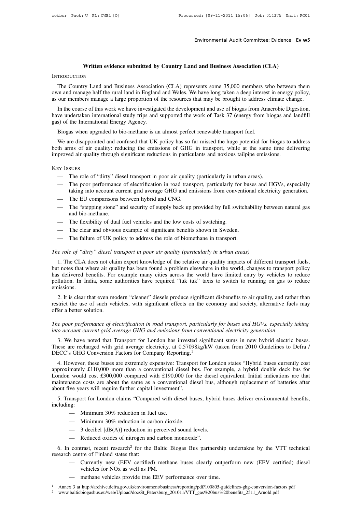# Environmental Audit Committee: Evidence Ev w5<br>
Written evidence submitted by Country Land and Business Association (CLA)

### **INTRODUCTION**

Written evidence submitted by Country Land and Business Association (CLA)<br>TRODUCTION<br>The Country Land and Business Association (CLA) represents some 35,000 members who between them<br>our mand manage half the rural land in En **SEARCH SEARCH SEARCH SEARCH SEARCH SEARCH SEARCH SEARCH SEARCH SEARCH SEARCH SEARCH SEARCH SEARCH SEARCH SEARCH SEARCH SEARCH SEARCH SEARCH SEARCH SEARCH SEARCH SEARCH SEARCH SEARCH SEARCH SEARCH SEARCH SEARCH SEARCH SEAR** The Country Land and Business Association (CLA) represents some 35,000 members who between them<br>own and manage half the rural land in England and Wales. We have long taken a deep interest in energy policy,<br>as our members m

TRODUCTION<br>
The Country Land and Business Association (CLA) represents some 35,000 members who between them<br>
The Country Land and Business Association (CLA) represents some 35,000 members who between them<br>
The anange half INTRODUCTION<br>
The Country Land and Business Association (CLA) represents some 35,000 members who between them<br>
own and manage half the rural land in England and Wales. We have long taken a deep interest in energy policy,<br> The Country Land and Business Association<br>
own and manage half the rural land in England<br>
as our members manage a large proportion of<br>
In the course of this work we have investigat<br>
have undertaken international study trip In and manage half the rural land in England and Wales. We have long taken a deep interes<br>our members manage a large proportion of the resources that may be brought to address of<br>In the course of this work we have investig

out members manage a range proportion of the resources that may be brought to address emate entinge.<br>In the course of this work we have investigated the development and use of biogas from Anaerobic Digestion,<br>we undertaken In the course of this work we have investigated the development and use of biogas from Anaerobic Digestion,<br>have undertaken international study trips and supported the work of Task 37 (energy from biogas and landfill<br>gas) have undertaken international study trips and supported the work of Task 37 (energy from biogas and<br>gas) of the International Energy Agency.<br>Biogas when upgraded to bio-methane is an almost perfect renewable transport fuel We are disappointed and confused that UK policy has so far missed the huge potential for bic<br>th arms of air quality: reducing the emissions of GHG in transport, while at the same ti<br>proved air quality through significant r metrical and conduct that on policy has so the mission at hage potential for ologias to didness<br>th arms of air quality: reducing the emissions of GHG in transport, while at the same time delivering<br>proved air quality throu

### Key Issues

- 
- the state into account current grid average GHG and emissions from conventions.<br>The role of "dirty" diesel transport in poor air quality (particularly in urban areas).<br>The poor performance of electrification in road transp EX ISSUES<br>
— The role of "dirty" diesel transport in poor air quality<br>
— The poor performance of electrification in road trans<br>
taking into account current grid average GHG and en<br>
— The EU comparisons between hybrid and C
- 
- Ex Issues<br>
 The role of "dirty" diesel transport in poor air quality (particularly in urban areas).<br>
 The poor performance of electrification in road transport, particularly for buses and HGVs, especially<br>
taking into ac The role of "dirty" die<br>The poor performance<br>taking into account cur<br>The EU comparisons b<br>The "stepping stone" a<br>and bio-methane.<br>The flexibility of dual — The poor performance of electrification in road transport, particularly fo<br>taking into account current grid average GHG and emissions from conve<br>— The EU comparisons between hybrid and CNG.<br>— The "stepping stone" and sec taking into account current grid average GHG and emissions from convention<br>
— The EU comparisons between hybrid and CNG.<br>
— The "stepping stone" and security of supply back up provided by full switchat<br>
and bio-methane.<br>
— — The EU comparisons between hybrid and CNG.<br>
— The "stepping stone" and security of supply back up provided by full switchal<br>
and bio-methane.<br>
— The flexibility of dual fuel vehicles and the low costs of switching.<br>
— Th *The flexibility of dual fuel vehicles and the low costs of switching.*<br> *The clear and obvious example of significant benefits shown in Sweden.*<br> *The failure of UK policy to address the role of biomethane in transport.*<br>
	-
	-
	-

1. The flexibility of dual fuel vehicles and the low costs of switching.<br>
2. The clear and obvious example of significant benefits shown in Sweden.<br>
2. The failure of UK policy to address the role of biomethane in transpor - The clear and obvious example of significant benefits shown in Sweden.<br>
- The failure of UK policy to address the role of biomethane in transport.<br>
The role of "dirty" diesel transport in poor air quality (particularly i — The failure of UK policy to address the role of biomethane in transport.<br>
The role of "dirty" diesel transport in poor air quality (particularly in urban areas)<br>
1. The CLA does not claim expert knowledge of the relative The role of "dirty" diesel transport in poor air quality (particularly in urban areas)<br>1. The CLA does not claim expert knowledge of the relative air quality impacts of different transport fuels,<br>but notes that where air q emissions. 1. The CLA does not claim expert knowledge of the relative air quality impacts of different transport fuels, t notes that where air quality has been found a problem elsewhere in the world, changes to transport policy s del F. The CLA does not claim expert knowledge of the relative an quanty impacts of unrerent transport rues, but notes that where air quality has been found a problem elsewhere in the world, changes to transport policy has del but notes that where an qua<br>has delivered benefits. For<br>pollution. In India, some a<br>emissions.<br>2. It is clear that even mo<br>restrict the use of such vel-<br>offer a better solution.<br>The poor performance of el.

*The poor performance of electrification in road transport, particularly for buses and HGVs, especially taking The poor performance of electrification in road transport, particularly for buses and HGVs, especially taking* 2. It is clear that even modern "cleaner" diesels produce significant disbenefits to air quality, and rather t<br>restrict the use of such vehicles, with significant effects on the economy and society, alternative fuels if<br>of

2. It is clear that even modern eleaner diesels produce significant disochers to an quanty, and rather than<br>tirrict the use of such vehicles, with significant effects on the economy and society, alternative fuels may<br>fer a The poor performance of electrification in road transport, particularly for buses and HGVs, especially taking<br>The poor performance of electrification in road transport, particularly for buses and HGVs, especially taking<br>in The poor performance of electrification in road transport, particularly for buses and HGVs, especially taking<br>into account current grid average GHG and emissions from conventional electricity generation<br>3. We have noted th

into account current grid average GHG and emissions from conventional electricity generation<br>
3. We have noted that Transport for London has invested significant sums in new hybrid electric buses.<br>
These are recharged with 3. We have noted that Transport for London has invested significant sums in new hybrid electric buses.<br>These are recharged with grid average electricity, at 0.57098kg/kW (taken from 2010 Guidelines to Defra /<br>DECC's GHG Co 3. We have holed that Transport for London has invested significant sums in hew hybrid electric buses.<br>These are recharged with grid average electricity, at 0.57098kg/kW (taken from 2010 Guidelines to Defra /<br>DECC's GHG C These are recharged with gird average electricity, at 0.57098<br>DECC's GHG Conversion Factors for Company Reporting.<sup>1</sup><br>4. However, these buses are extremely expensive: Transpor<br>approximately £110,000 more than a conventiona 4. However, these buses are extremely expensive: Transport for London states "Hybrid buses currently cost<br>proximately £110,000 more than a conventional diesel bus. For example, a hybrid double deck bus for<br>noton would cost mould cost £300,000 compared with £190,00<br>annee costs are about the same as a conventio<br>we years will require further capital investment<br>ansport for London claims "Compared with die<br>ng:<br>— Minimum 30% reduction in fuel use. maintenance costs are about the same as a conventional diesel bus, although replacement of batteries after<br>about five years will require further capital investment".<br>5. Transport for London claims "Compared with diesel bus

including: ve years will require further capital investment".<br>
ansport for London claims "Compared with diesel buses, hybrid<br>
19:<br>
— Minimum 30% reduction in fuel use.<br>
— Minimum 30% reduction in carbon dioxide.<br>
— 3 decibel [dB(A)] ansport for London claims "Compared with diesel buses, hyb<br>
19:<br>
— Minimum 30% reduction in fuel use.<br>
— Minimum 30% reduction in carbon dioxide.<br>
— 3 decibel [dB(A)] reduction in perceived sound levels.<br>
— Reduced oxides

- 
- 
- 
- 

6. In contrast, recent research<sup>2</sup> for the Baltic Biogas Bus partnership undertakne by the VTT technical<br>
6. In contrast, recent research<sup>2</sup> for the Baltic Biogas Bus partnership undertakne by the VTT technical<br>
6. In cont — Minimum 30% reduction in rue<br>
— Minimum 30% reduction in car<br>
— 3 decibel [dB(A)] reduction in<br>
— Reduced oxides of nitrogen and<br>
6. In contrast, recent research<sup>2</sup> for the<br>
research centre of Finland states that:<br>
— Cur 3 decibel [dB(A)] reduction in perceiv<br>Reduced oxides of nitrogen and carbor<br>trast, recent research<sup>2</sup> for the Baltic<br>tre of Finland states that:<br>Currently new (EEV certified) meth<br>vehicles for NOx as well as PM.<br>methane v — Reduced oxides of nitrogen and carbon monoxide".<br>
6. In contrast, recent research<sup>2</sup> for the Baltic Biogas Bus partnership undertakne by the VTT technical<br>
research centre of Finland states that:<br>
— Currently new (EEV ce

- Minimum 30% reduction in carbon dioxide.<br>
 3 decibel [dB(A)] reduction in perceived sound levels.<br>
 Reduced oxides of nitrogen and carbon monoxide".<br>
contrast, recent research<sup>2</sup> for the Baltic Biogas Bus partnership u
- 

<sup>2</sup> www.balticbiogasbus.eu/web/Upload/doc/St\_Petersburg\_201011/VTT\_gas%20bus%20benefits\_2511\_Arnold.pdf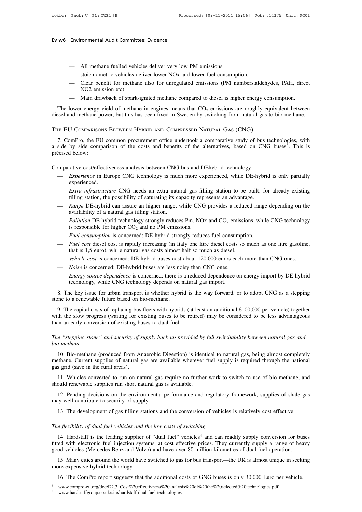# **Ev w6** Environmental Audit Committee: Evidence

- 
- Environmental Audit Committee: Evidence<br>
 All methane fuelled vehicles deliver very low PM emissions.<br>
 stoichiometric vehicles deliver lower NOx and lower fuel consump
- Environmental Audit Committee: Evidence<br>
 All methane fuelled vehicles deliver very low PM emissions.<br>
 stoichiometric vehicles deliver lower NOx and lower fuel consumption.<br>
 Clear benefit for methane also for unregula Manuschina Adak Committee: Entacheenter<br>
— All methane fuelled vehicles deliver very low PM emissions.<br>
— stoichiometric vehicles deliver lower NOx and lower fuel consumption.<br>
— Clear benefit for methane also for unregula All methane fuelled vehi<br>stoichiometric vehicles d<br>Clear benefit for methar<br>NO2 emission etc).<br>Main drawback of spark-— All methane fuelled vehicles deliver very low PM emissions.<br>
— stoichiometric vehicles deliver lower NOx and lower fuel consumption.<br>
— Clear benefit for methane also for unregulated emissions (PM numbers, aldehydes, PAH
- 

- An ineutane identic ventices deriver very fow FM emissions.<br>
- stoichiometric vehicles deliver lower NOx and lower fuel consumption.<br>
- Clear benefit for methane also for unregulated emissions (PM numbers,aldehydes, PAH, - stoichiometric vehicles deliver lower NOx and lower fuel consumption.<br>
- Clear benefit for methane also for unregulated emissions (PM numbers, aldehydes, PAH, direct<br>
NO2 emission etc).<br>
- Main drawback of spark-ignited

The lower energy yield of methane in engines means that  $CO_2$  emissions are roughly equivalent between<br>ssel and methane power, but this has been fixed in Sweden by switching from natural gas to bio-methane.<br>IE EU COMPARISO The lower energy yield of methane in engines means that  $CO_2$  emissions are roughly equivalent betweediesel and methane power, but this has been fixed in Sweden by switching from natural gas to bio-methane.<br>THE EU COMPARI between<br>ethane.<br>gies, with<br>This is diesel and methane po<br>THE EU COMPARISON<br>7. ComPro, the EU<br>a side by side comp<br>précised below:<br>Comparative cost/effe THE EU COMPARISONS BETWEEN HYBRID AND COMPRESSED NATURAL GAS (CNG)<br>
7. ComPro, the EU common procurement office undertook a comparative study of bus technologies, with<br>
a side by side comparison of the costs and benefits o

- experienced. Extra infrastructure CNG needs an extra natural gas filling station to be built; for already existing<br>
The *Extra infrastructure* CNG needs an extra natural gas filling station to be built; for already existing<br>
Extra infr filling station, the possibility of saturating its much more experienced, while DE-hybrid is only partially<br>
experienced.<br>
— *Range* DE-hybrid can assure an higher range, while CNG provides a reduced range depending on the Experience in Europe CNG technology is much more experienced, while DE-hybrid is only partially<br>
experienced.<br>
— *Extra infrastructure* CNG needs an extra natural gas filling station to be built; for already existing<br>
fill
- *Extra infrastructure* CNG needs an extra natural gas filling station to be built; for already existing<br>filling station, the possibility of saturating its capacity represents an advantage.<br>- *Range* DE-hybrid can assure
- 
- availability of a natural gas filling station.<br>
 Pollution DE-hybrid technology strongly reduces Pm, NOx and CO<sub>2</sub> emissions, while CNG technology<br>
is responsible for higher CO<sub>2</sub> and no PM emissions.<br>
 Fuel consumption
- 
- Fuel cost diesel cost is rapidly increasing (in Italy one litre diesel costs that is 1,5 euro), while natural gas costs almost half so much as diesel.<br>Vehicle cost is concerned: DE-hybrid buses cost about 120.000 euros ear
- 
- 
- Which exists and the key issue for urban transport is whether hybrid is the way forward, or to adopt CNG as a stepping<br>
and is 1,5 curb, while ENG technology depends are less noisy than CNG ones.<br>
A *Energy source dependen* - Vehicle cost is concerned: DE-hybrid buses cost<br>- Noise is concerned: DE-hybrid buses are less no<br>- Energy source dependence is concerned: there is<br>technology, while CNG technology depends on r<br>8. The key issue for urban

9. The capital costs of replacing bus fleets with hybrids (at least an additional £100,000 per vehicle) together<br>
9. The key issue for urban transport is whether hybrid is the way forward, or to adopt CNG as a stepping<br>
9. — *Energy source dependence* is concerned: there is a reduced dependence on energy import by DE-hybrid technology, while CNG technology depends on natural gas import.<br>
8. The key issue for urban transport is whether hybrid technology, while CNG technology depends on natur<br>8. The key issue for urban transport is whether hybrid is<br>stone to a renewable future based on bio-methane.<br>9. The capital costs of replacing bus fleets with hybrids (at<br>wi stone to a renewable future based on bio-methane.<br>
9. The capital costs of replacing bus fleets with hybrids (at least an additional £100,000 per vehicle) together<br>
with the slow progress (waiting for existing buses to be

### *bio-methane*

th the slow progress (waiting for existing buses to be retired) may be considered to be less advantageous<br>an an early conversion of existing buses to dual fuel.<br>*e* "stepping stone" and security of supply back up provided than an early conversion of existing buses to dual fuel.<br>
The "stepping stone" and security of supply back up provided by full switchability between natural gas and<br>
bio-methane<br>
10. Bio-methane (produced from Anaerobic Di than an early conversion of existing buses to dual fuel.<br>
The "stepping stone" and security of supply back up provided by full switchability between natural gas and<br>
bio-methane<br>
10. Bio-methane (produced from Anaerobic Di The "stepping stone" and security of supply back up provided by full switchability between natural gas and<br>
10. Bio-methane (produced from Anaerobic Digestion) is identical to natural gas, being almost completely<br>
11. Vehi methane. Current supplies of natural gas are available wherever fuel supply is required through the national<br>gas grid (save in the rural areas).<br>11. Vehicles converted to run on natural gas require no further work to switc 10. Bio-methane (produced from Anaerobic Digestion) is identical to natural gas, being almost completely ethane. Current supplies of natural gas are available wherever fuel supply is required through the national s grid (s

methane. Current supplies of natural gas are a<br>gas grid (save in the rural areas).<br>11. Vehicles converted to run on natural gas<br>should renewable supplies run short natural gas<br>12. Pending decisions on the environmental<br>may 11. Vehicles converted to run on natural gas require no further work to switch to use of bio-methane, and should renewable supplies run short natural gas is available.<br>
12. Pending decisions on the environmental performanc

Finding Finding decisions on the environmental performance and regulatory<br> *The flexibility of dual fuel vehicles and the low costs of switching*<br> *The flexibility of dual fuel vehicles and the low costs of switching*<br>
14.

12. Femally decisions of the environmental performance and regulatory framework, supplies of shate gas<br>ay well contribute to security of supply.<br>13. The development of gas filling stations and the conversion of vehicles is Fitter metallicity of supply.<br>
13. The development of gas filling stations and the conversion of vehicles is relatively cost effective.<br>
The flexibility of dual fuel vehicles and the low costs of switching<br>
14. Hardstaff 13. The development of gas filling stations and the conversion of vehicles is relatively cost effective.<br>
The flexibility of dual fuel vehicles and the low costs of switching<br>
14. Hardstaff is the leading supplier of "dual e flexibility of dual fuel vehicles and the low costs of switching<br>
14. Hardstaff is the leading supplier of "dual fuel" vehicles<sup>4</sup> and can readily supply conversion for buses<br>
ied with electronic fuel injection systems, The flexibility of dual fuel vehicles and t<br>14. Hardstaff is the leading supplier of<br>fitted with electronic fuel injection syste<br>good vehicles (Mercedes Benz and Volv<br>15. Many cities around the world have<br>more expensive hy 14. Hardstaff is the leading supplier of "dual fuel" vehicles<sup>4</sup> and can readily supply conversion for buses<br>fitted with electronic fuel injection systems, at cost effective prices. They currently supply a range of heavy<br>

<sup>4</sup> www.hardstaffgroup.co.uk/site/hardstaff-dual-fuel-technologies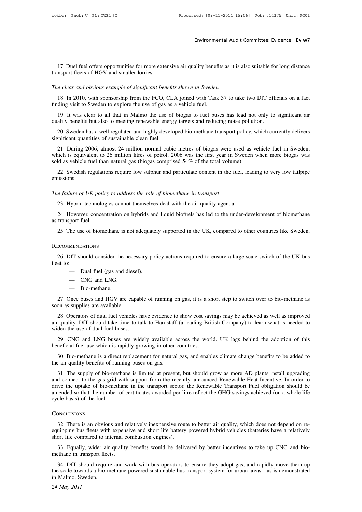Environmental Audit Committee: Evidence Ev w7<br>17. Duel fuel offers opportunities for more extensive air quality benefits as it is also suitable for long distance<br>nsport fleets of HGV and smaller lorries. 17. Duel fuel offers opportunities for more externasport fleets of HGV and smaller lorries.<br>The clear and obvious example of significant ben *The clear and obvious example of significant benefits shown in Sweden*<br>*The clear and obvious example of significant benefits shown in Sweden*<br>18. In 2010, with sponsorship from the FCO, CLA joined with Task 37 to take 17. Duel fuel offers opportunities for more extensive air quality benefits as it is also suitable for long distance ansport fleets of HGV and smaller lorries.<br> *e clear and obvious example of significant benefits shown in* 17. Duel fuel offers opportunities for more extensive air quality benefit transport fleets of HGV and smaller lorries.<br>The clear and obvious example of significant benefits shown in Sweden<br>18. In 2010, with sponsorship fro

19. It was clear and obvious example of significant benefits shown in Sweden<br>
18. In 2010, with sponsorship from the FCO, CLA joined with Task 37 to take two DfT officials on a fact<br>
19. It was clear to all that in Malmo t The clear and obvious example of significant benefits shown in Sweden<br>
18. In 2010, with sponsorship from the FCO, CLA joined with Task 37 to take two DfT officials on a fact<br>
finding visit to Sweden to explore the use of 20. Sweden has a well regulated and highly developed bio-methane transport policy, which currently delivers and reducing the sweden has a well regulated and highly developed bio-methane transport policy, which currently de inding visit to Sweden to explore the use of gas as a vehicle fuel.<br>
19. It was clear to all that in Malmo the use of biogas to fuel buses has lead not only to significant air<br>
quality benefits but also to meeting renewabl

21. During 2006, almost 24 million normal cubic metres of biogas were used as vehicle fuel in Sweden,<br>20. Sweden has a well regulated and highly developed bio-methane transport policy, which currently delivers<br>20. Sweden h 19. It was clear to all that in Malmo the use of biogas to fuel buses has lead not only to significant air quality benefits but also to meeting renewable energy targets and reducing noise pollution.<br>
20. Sweden has a well 21. During 2006, almost 24 million normal cubic metres of biogas were used as vehicle fuel in Sweden, which is equivalent to 26 million litres of petrol. 2006 was the first year in Sweden when more biogas was sold as vehic 20. Sweden has a well regulated and highly developed bio-methane transport policy, which currently delivers enificant quantities of sustainable clean fuel.<br>
21. During 2006, almost 24 million normal cubic metres of biogas *The failure of UK policy to address the role of petrol.* 2006 was the first year in sold as vehicle fuel than natural gas (biogas comprised 54% of the total volum 22. Swedish regulations require low sulphur and particulat

emissions. 22. Swedish regulations require low sulphur and particulate content in the fuel, leads<br>22. Swedish regulations require low sulphur and particulate content in the fuel, leads<br>3. Hybrid technologies cannot themselves deal wi

22. Swedish regulations require low surphur and particulate content in the ruer, leading to very low tamppe issions.<br>
24. Hybrid technologies cannot themselves deal with the air quality agenda.<br>
24. However, concentration The failure of UK policy to address the role of biomethane in transport<br>
23. Hybrid technologies cannot themselves deal with the air quality agenda.<br>
24. However, concentration on hybrids and liquid biofuels has led to the *e failure of UK policy to address the role of biomethane in transport*<br>
23. Hybrid technologies cannot themselves deal with the air quality agenda.<br>
24. However, concentration on hybrids and liquid biofuels has led to the

### **RECOMMENDATIONS**

24. However, concentration on hybrids and higher bronces has fed to the under-development of biomethanic transport fuel.<br>25. The use of biomethane is not adequately supported in the UK, compared to other countries like Swe  $25$ . The use<br>RECOMMENDA<br> $26$ . DfT shafteet to:<br> $\overline{a}$ The use of biomethane is not adequate<br>
MENDATIONS<br>
DIT should consider the necessary po<br>
— Dual fuel (gas and diesel).<br>
— CNG and LNG. MENDATIONS<br>
DfT should consider the ne<br>
— Dual fuel (gas and die<br>
— CNG and LNG.<br>
— Bio-methane. 26. DfT should consider the necessary policy actions required to ensure a large scale switch of the UK bus<br>fleet to:<br>— Dual fuel (gas and diesel).<br>— CNG and LNG.<br>— Bio-methane.<br>27. Once buses and HGV are capable of running

- 
- 
- 

27. Once buses and HGV are capable of running on gas, it is a short step to switch over to bio-methane as<br>
27. Once buses and HGV are capable of running on gas, it is a short step to switch over to bio-methane as<br>
28.  $\frac{$ -- Dual fuel (gas and diese<br>-- CNG and LNG.<br>-- Bio-methane.<br>27. Once buses and HGV are cap<br>soon as supplies are available.<br>28. Operators of dual fuel vehicle

- CNG and LNG.<br>
- Bio-methane.<br>
27. Once buses and HGV are capable of running on gas, it is a short step to switch over to bio-methane as<br>
28. Operators of dual fuel vehicles have evidence to show cost savings may be achie and EVG.<br>
27. Once buses and HGV are capable of running on gas, it is a short step to switch over to bio-methane as<br>
soon as supplies are available.<br>
28. Operators of dual fuel vehicles have evidence to show cost savings m - Bio-methane.<br>
27. Once buses and HGV are capab<br>
soon as supplies are available.<br>
28. Operators of dual fuel vehicles h<br>
air quality. DfT should take time to ta<br>
widen the use of dual fuel buses.<br>
29. CNG and LNG buses ar 27. Once buses and HGV are capable of running on gas, it is a short step to switch over to bio-methane as<br>on as supplies are available.<br>28. Operators of dual fuel vehicles have evidence to show cost savings may be achieved soon as supplies are available.<br>
28. Operators of dual fuel vehicles have evidence to show cost sav<br>
air quality. DfT should take time to talk to Hardstaff (a leading Brit<br>
widen the use of dual fuel buses.<br>
29. CNG and LN 28. Operators of dual fuel vehicles have evidence to show cost savings may be achieved as well as improved quality. DfT should take time to talk to Hardstaff (a leading British Company) to learn what is needed to den the u

air quality. DfT should take time to talk to Hardstaff<br>widen the use of dual fuel buses.<br>29. CNG and LNG buses are widely available a<br>beneficial fuel use which is rapidly growing in other<br>30. Bio-methane is a direct replac

29. CNG and LNG buses are widely available across the world. UK lags behind the adoption of this meficial fuel use which is rapidly growing in other countries.<br>30. Bio-methane is a direct replacement for natural gas, and e 29. CNG and LNG buses are widely available across the world. UK lags behind the adoption of this<br>beneficial fuel use which is rapidly growing in other countries.<br>30. Bio-methane is a direct replacement for natural gas, and beneficial fuel use which is rapidly growing in other countries.<br>
30. Bio-methane is a direct replacement for natural gas, and enables climate change benefits to be added to<br>
the air quality benefits of running buses on ga 30. Bio-methane is a direct replacement for natural gas, and enables climate change benefits to be added to the air quality benefits of running buses on gas.<br>31. The supply of bio-methane is limited at present, but should 30. Bio-methane is a direct replacement for natural gas, and enables climate change benefits to be added to the air quality benefits of running buses on gas.<br>
31. The supply of bio-methane is limited at present, but should 32. There is an obvious and relatively inexpensive route to better air quality, which does not depend on re-<br>32. There is an obvious and relatively inexpensive route to better air quality, which does not depend on re-<br>42.

### **CONCLUSIONS**

experience of certificates awarded per litre reflect the GHG savings achieved (on a whole life cycle basis) of the fuel<br>cycle basis) of the fuel<br>CONCLUSIONS<br>32. There is an obvious and relatively inexpensive route to bette short life compared to internal compared to internal combustion engineers.<br>Short life compared to internal combustion engines).<br>Short life compared to internal combustion engines).<br>33. Equally, wider air quality benefits w Solutions<br>32. There is an obvious and relatively inexpensive route to better air quality, which does not depend on re-<br>uipping bus fleets with expensive and short life battery powered hybrid vehicles (batteries have a rela CONCLUSIONS<br>32. There is an obvious and requipping bus fleets with expens<br>short life compared to internal compared to internal compared to internal<br>33. Equally, wider air quality<br>methane in transport fleets.<br>34. DfT should

32. There is an obvious and relatively inexpensive route to better air quality, which does not depend on re-<br>uipping bus fleets with expensive and short life battery powered hybrid vehicles (batteries have a relatively<br>ort equipping bus fleets with expensive and short life battery powered hybrid vehicles (batteries have a relatively<br>short life compared to internal combustion engines).<br>33. Equally, wider air quality benefits would be delivere short life compared to int<br>33. Equally, wider air<br>methane in transport flee<br>34. DfT should require<br>the scale towards a bio-m<br>in Malmo, Sweden.<br>24 May 2011 33. Equall<br>methane in tr<br>34. DfT sh<br>the scale tow<br>in Malmo, Sv<br>24 *May* 2011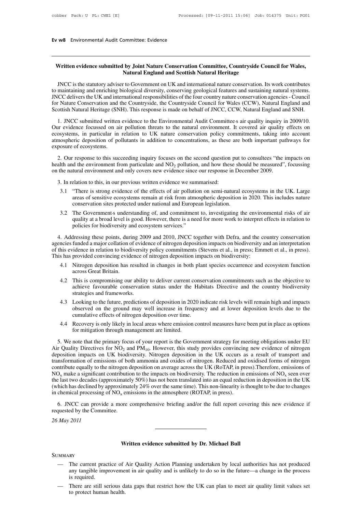**Ev w8** Environmental Audit Committee: Evidence

### **Written evidence submitted by Joint Nature Conservation Committee, Countryside Council for Wales, Natural England and Scottish Natural Heritage**

JNCC is the statutory adviser to Government on UK and international nature conservation. Its work contributes to maintaining and enriching biological diversity, conserving geological features and sustaining natural systems. JNCC deliversthe UK and international responsibilities of the four country nature conservation agencies- Council for Nature Conservation and the Countryside, the Countryside Council for Wales (CCW), Natural England and Scottish Natural Heritage (SNH). This response is made on behalf of JNCC, CCW, Natural England and SNH. INCC is the statutory adviser to Government on UK and international nature conservation. Its work contributes<br>to maintaining and enriching biological diversity, conserving geological features and sustaining natural systems

Our evidence focussed on air pollution threats to the natural environment. It covered air quality effects on atmospheric deposition of pollutants in addition to concentrations, as these are both important pathways for exposure of ecosystems. 1. JNCC submitted written evidence to the Environmental Audit Committees air quality inquiry in 2009/10.<br>In evidence focussed on air pollution threats to the natural environment. It covered air quality effects on<br>osystems,

health and the environment from particulate and  $NO<sub>2</sub>$  pollution, and how these should be measured", focussing on the natural environment and only covers new evidence since our response in December 2009. 3. In relation to this succeeding inquiry focuses on the second question particulate and  $NO<sub>2</sub>$  pollution, and how these the natural environment from particulate and  $NO<sub>2</sub>$  pollution, and how these the natural env

- 3.1 "There is strong evidence of the effects of air pollution on semi-natural ecosystems in the UK. Large areas of sensitive ecosystems remain at risk from atmospheric deposition in 2020. This includes nature conservation sites protected under national and European legislation.
- 3.2 The Government's understanding of, and commitment to, investigating the environmental risks of air quality at a broad level is good. However, there is a need for more work to interpret effects in relation to policies for biodiversity and ecosystem services."

areas of sensitive ecosystems remain at risk from atmospheric deposition in 2020. This includes nature<br>conservation sites protected under national and European legislation.<br>3.2 The Governments understanding of, and commitm agencies funded a major collation of evidence of nitrogen deposition impacts on biodiversity and an interpretation This has provided convincing evidence of nitrogen deposition impacts on biodiversity:

- 4.1 Nitrogen deposition has resulted in changes in both plant species occurrence and ecosystem function across Great Britain.
- 4.2 This is compromising our ability to deliver current conservation commitments such as the objective to achieve favourable conservation status under the Habitats Directive and the country biodiversity strategies and frameworks.
- 4.3 Looking to the future, predictions of deposition in 2020 indicate risk levels will remain high and impacts observed on the ground may well increase in frequency and at lower deposition levels due to the cumulative effects of nitrogen deposition over time.
- 4.4 Recovery is only likely in local areas where emission control measures have been put in place as options for mitigation through management are limited.

4.3 Looking to the future, predictions of deposition in 2020 indicate risk levels will remain high and impacts<br>observed on the ground may well increase in frequency and at lower deposition levels due to the<br>cumulative eff Air Quality Directives for  $NO<sub>2</sub>$  and  $PM<sub>10</sub>$ . However, this study provides convincing new evidence of nitrogen deposition impacts on UK biodiversity. Nitrogen deposition in the UK occurs as a result of transport and transformation of emissions of both ammonia and oxides of nitrogen. Reduced and oxidised forms of nitrogen contribute equally to the nitrogen deposition on average across the UK (RoTAP, in press).Therefore, emissions of  $NO<sub>x</sub>$  make a significant contribution to the impacts on biodiversity. The reduction in emissions of  $NO<sub>x</sub>$  seen over the last two decades (approximately 50%) has not been translated into an equal reduction in deposition in the UK (which has declined by approximately 24% over the same time). This non-linearity is thought to be due to changes in chemical processing of  $NO<sub>x</sub>$  emissions in the atmosphere (ROTAP, in press). Intribute equally to the nitrogen deposition on average across the UK (RoTAP, in press). Therefore, emissions of  $D_x$  make a significant contribution to the impacts on biodiversity. The reduction in emissions of  $NO_x$  seen

requested by the Committee. ore comprehensive briefing and/or the full report coverir<br> **Written evidence submitted by Dr. Michael Bull** 

*26 May 2011*

**SUMMARY** 

- Written evidence submitted by Dr. Michael Bull<br>
 The current practice of Air Quality Action Planning undertaken by local authorities has not produced<br>
any tangible improvement in air quality and is unlikely to do so in th Written evidence submitted by Dr. Michael Bull<br>The current practice of Air Quality Action Planning undertaken by local authorities has not produced<br>any tangible improvement in air quality and is unlikely to do so in the fu RY<br>The current prace<br>any tangible imp<br>is required.<br>There are still se MMARY<br>
— The current practice of Air Quality Action Planning undertaken by local authorities has not produced<br>
any tangible improvement in air quality and is unlikely to do so in the future—a change in the process<br>
is requ - The current practice of Air Quality Action Planning undertaken by local authorities has not produced any tangible improvement in air quality and is unlikely to do so in the future—a change in the process is required.<br>- T
-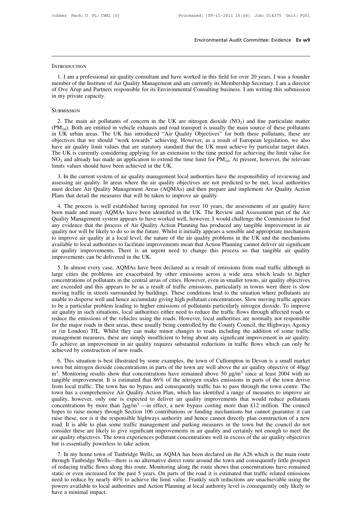### **INTRODUCTION**

1. I am a professional air quality consultant and have worked in this field for over 20 years. I was a founder<br>1. I am a professional air quality consultant and have worked in this field for over 20 years. I was a founder<br> INTRODUCTION<br>
1. I am a professional air quality consultant and have worked in this field for over 20 years. I was a founder<br>
member of the Institute of Air Quality Management and am currently its Membership Secretary. I a INTRODUCTION<br>1. I am a professional air quality consultant and have worked in this field for over 20 years. I was a founder<br>member of the Institute of Air Quality Management and am currently its Membership Secretary. I am INTRODUCTION<br>
1. I am a professional air<br>
member of the Institute of A<br>
of Ove Arup and Partners re<br>
in my private capacity.<br>
SURMISSION EXTERT EXERCT: The main air pollutants of concern in the UK are nitrogen dioxide (NO<sub>2</sub>) and fine particulate matter<br>
2. The main air pollutants of concern in the UK are nitrogen dioxide (NO<sub>2</sub>) and fine particulate matte

### **SUBMISSION**

(PM<sub>10</sub>). Both are emitted in vehicle exhausts and road transport is usually the main source of these pollutants (PM<sub>10</sub>). Both are emitted in vehicle exhausts and road transport is usually the main source of these pollut SUBMISSION<br>2. The main air pollutants of concern in the UK are nitrogen dioxide  $(NO<sub>2</sub>)$  and fine particulate matter<br>( $PM<sub>10</sub>$ ). Both are emitted in vehicle exhausts and road transport is usually the main source of SUBMISSION<br>2. The main air pollutants of concern in the UK are nitrogen dioxide (NO<sub>2</sub>) and fine particulate matter<br>(PM<sub>10</sub>). Both are emitted in vehicle exhausts and road transport is usually the main source of these pol SUBMISSION<br>2. The main air pollutants of concern in the UK are nitrogen dioxide (NO<sub>2</sub>) and fine particulate matter<br>(PM<sub>10</sub>). Both are emitted in vehicle exhausts and road transport is usually the main source of these pol 2. The main air pollutants of concern in the UK are nitrogen dioxide (NO<sub>2</sub>) and fine particulate matter (PM<sub>10</sub>). Both are emitted in vehicle exhausts and road transport is usually the main source of these pollutants in 2. The main air pollutants of concern in the UK are nitrogen dioxide ( $NO<sub>2</sub>$ ) and fine particulate matter ( $PM<sub>10</sub>$ ). Both are emitted in vehicle exhausts and road transport is usually the main source of these poll (PM<sub>10</sub>). Both are emitted in vehicle exhausts and road train UK urban areas. The UK has introduced "Air Qual objectives that we should "work towards" achieving. Holder air quality limit values that are statutory standard 3. In the current system of air quality management local authorities have the responsibility of reviewing the limit value for eV is currently considering applying for an extension to the time period for achieving the limi bave air quality limit values that are statutory standard that the UK must achieve by particular target dates.<br>The UK is currently considering applying for an extension to the time period for achieving the limit value for

must declare Air Quality Management Areas (AQMAs) and then the period for achieving the limit value for NO<sub>2</sub> and already has made an application to extend the time limit for PM<sub>10</sub>. At present, however, the relevant limi Fine OK is cancing considering applying for an extension to the time period  $NO<sub>2</sub>$  and already has made an application to extend the time limit for  $PM<sub>10</sub>$ .<br>
Imits values should have been achieved in the UK.<br>
3. I its values should have been achieved in the UK.<br>
3. In the current system of air quality management local authorities have the responsibility of reviewing and<br>
sessing air quality. In areas where the air quality objectives

3. In the current system of air quality management local authorities have the responsibility of reviewing and<br>assessing air quality. In areas where the air quality objectives are not predicted to be met, local authorities<br> 3. In the curical system of an quanty management local authorities have the responsionity of reviewing and assessing air quality. In areas where the air quality objectives are not predicted to be met, local authorities mus assessing an quany. In areas where the air quanty objectives are not predicted to be firet, focar additioned must declare Air Quality Management Areas (AQMAs) and then prepare and implement Air Quality Action Plans that de must acciate Air Quality Management Areas (AQMAs) and then prepare and implement Air Quality Action<br>Plans that detail the measures that will be taken to improve air quality.<br>4. The process is well established having operat The process is well established having operated for over 10 years, the assessments of air quality have been made and many AQMAs have been identified in the UK. The Review and Assessment part of the Air Quality Management s 4. The process is well established having operated for over 10 years, the assessments of air quality have been made and many AQMAs have been identified in the UK. The Review and Assessment part of the Air Quality Managemen been made and many AQMAs have been identified in the UK. The Review and Assessment part of the Air Quality Management system appears to have worked well, however, I would challenge the Commission to find any evidence that Quality Management system appears to have wo<br>any evidence that the process of Air Quality A<br>quality nor will be likely to do so in the future. V<br>to improve air quality at a local level, the natur<br>available to local authori S. In almost every case, AQMAs have been declared as a result of emissions from road traffic although in a sensible and appropriate mechanism improve air quality at a local level, the nature of the air quality problems in quanty not with oc inctry to the soles in the ruther. Whilst it initially appears a sensione and appropriate incentants in<br>to improve air quality at a local level, the nature of the air quality problems in the UK and the m

comprove an quality at a local level, the hadite of the an quality problems in the extendent increasing a available to local authorities to facilitate improvements mean that Action Planning cannot deliver air significant a avanaoic to local autorities to racinate improvements incar take Action Framing callibe cerver an significant<br>air quality improvements. There is an urgent need to change this process so that tangible air quality<br>improvemen and quarity improvements. There is an urgent need to enarge this process so that tangible an quarity improvements can be delivered in the UK.<br>5. In almost every case, AQMAs have been declared as a result of emissions from In almost every case, AQMAs have been declared as a result of emissions from road traffic although in large cities the problems are exacerbated by other emissions across a wide area which leads to higher concentrations of 5. In almost every case, AQMAs have been declared as a result of emissions from road traffic although in large cities the problems are exacerbated by other emissions across a wide area which leads to higher concentrations large cities the problems are exacerbated by other emissions across a wide area which leads to higher concentrations of pollutants in the central areas of cities. However, even in smaller towns, air quality objectives are concentrations of pollutants in the central areas of cities. However, even in smaller towns, air quality objectives<br>are exceeded and this appears to be as a result of traffic emissions, particularly in towns were there is are exceeded and this appears to be as a result of traffic emissions, particularly in towns were there is slow<br>moving traffic in streets surrounded by buildings. These conditions lead to the situation where pollutants are<br> moving traffic in streets surrounded by buildings. These conditions lead to the situation where pollutants are<br>unable to disperse well and hence accumulate giving high pollutant concentrations. Slow moving traffic appears<br> unable to disperse well and hence accumulate giving high pollutant concentrations. Slow moving traffic appears<br>to be a particular problem leading to higher emissions of pollutants particularly nitrogen dioxide. To improve<br> to be a particular problem leading to higher emissions of pollutants particularly nitrogen dioxide. To improve air quality in such situations, local authorities either need to reduce the traffic flows through affected road to be a particular problem leading to higher emissions of pollutants particularly nitrogen dioxide. To improve<br>air quality in such situations, local authorities either need to reduce the traffic flows through affected roa For the major roads in their areas, these usually being controlled by the County Council, the Highways Agency (in London) TfL. Whilst they can make minor changes to roads including the addition of some traffic anagement m town but nitrogen dioxide concentrations in parts of the town are well above the air quality of the town but nitrogen dioxide concentrations in parts of the town of Cullompton in Devon is a small market form but nitrogen

The magnitude of the same in the show that concentrations in the show that in the show that concentrations in traffic flows which can only be inveved by construction of new roads.<br>
S. This situation is best illustrated by To achieve an improvement in air quality requires substantial reductions in traffic flows which can only be achieved by construction of new roads.<br>
6. This situation is best illustrated by some examples, the town of Cullo from local traffic. The town has no bypass and consequently traffic has to pass through the town of Cullompton in Devon is a small market town but nitrogen dioxide concentrations in parts of the town are well above the ai m<sup>3</sup>. Monitoring results show that concentrations have remained above 50  $\mu g/m^3$  since at least 2004 with no tangible improvement. It is estimated that 86% of the nitrogen oxides emissions in parts of the town derive fro 6. This situation is best illustrated by some examples, the town of Cullompton in Devon is a small market town but nitrogen dioxide concentrations in parts of the town are well above the air quality objective of 40µg/ m<sup>3</sup> town but nitrogen dioxide concentrations in parts of the town are well above the air quality objective of 40µg/<br>m<sup>3</sup>. Monitoring results show that concentrations have remained above 50 µg/m<sup>3</sup> since at least 2004 with no<br>t m<sup>3</sup>. Monitoring results show that concentrations have remained above 50  $\mu g/m^3$  since at least 2004 with no tangible improvement. It is estimated that 86% of the nitrogen oxides emissions in parts of the town derive fro tangible improvement. It is estimated that 86% of the nitrogen oxides emissions in parts of the town derive<br>from local traffic. The town has no bypass and consequently traffic has to pass through the town centre. The<br>town from local traffic. The town has no bypass and consequently traffic has to pass through the town centre. The town has a comprehensive Air Quality Action Plan, which has identified a range of measures to improve air quality town has a comprehensive Air Quality Action Plan, which has identified a range of measures to improve air quality, however, only one is expected to deliver air quality improvements that would reduce pollutants concentratio quality, however, only one is expected to deliver air quality improvements that would reduce pollutants concentrations by more than  $2\mu g/m^3$  —in effect, a new bypass costing more than £12 million. The council hopes to ra concentrations by more than  $2\mu g/m^3$  —in effections to raise money through Section 106 con raise these, nor is it the responsible highways a road. It is able to plan some traffic manageme consider these are likely to giv best to raise inoncy unough section 100 contributions of runding incentantsins out cannot guarantee it can<br>se these, nor is it the responsible highways authority and hence cannot directly plan construction of a new<br>ad. It The through Tunbridge Wells—there is no alternative direct route shows that concentration of a new road. It is able to plan some traffic management and parking measures in the town but the council do not consider these are

Fraction and the state of pair solid traffic management and parking incasties in the town out the collective flows<br>consider these are likely to give significant improvements in air quality and certainly not enough to meet static different increased for the past 5 years. On parts of the road in educating increases of the air quality objectives but is essentially powerless to take action.<br>T. In my home town of Tunbridge Wells, an AQMA has bee and quanty objectives. The town experiences pointinant concentrations wen in excess of the and quanty objectives<br>but is essentially powerless to take action.<br>7. In my home town of Tunbridge Wells, an AQMA has been declared but is essentially powertess to take action.<br>
7. In my home town of Tunbridge Wells, an AQMA has been declared on the A26 which is the main route<br>
through Tunbridge Wells—there is no alternative direct route around the tow 7. In my home town of Tunbridge Wells, an AQMA has been declared on the A26 which is the main route through Tunbridge Wells—there is no alternative direct route around the town and consequently little prospect of reducing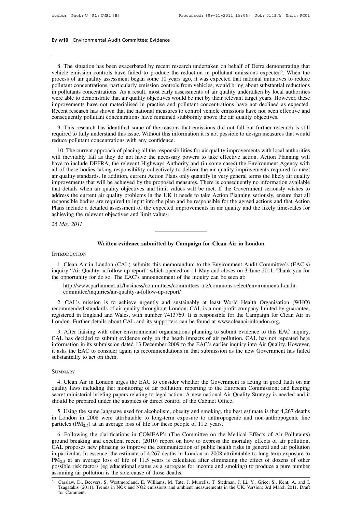# **Ev w10** Environmental Audit Committee: Evidence

8. The situation has been exacerbated by recent research undertaken on behalf of Defra demonstrating that<br>hicle emission controls have failed to produce the reduction in pollutant emissions expected<sup>5</sup>. When the<br>ocess of a **Ev w10** Environmental Audit Committee: Evidence<br>
8. The situation has been exacerbated by recent research undertaken on behalf of Defra demonstrating that<br>
vehicle emission controls have failed to produce the reduction in strating that<br>
. When the<br>
es to reduce<br>
I reductions **EV W10** Environmental Audit Committee: Evidence<br>
8. The situation has been exacerbated by recent research undertaken on behalf of Defra demonstrating that<br>
vehicle emission controls have failed to produce the reduction in 8. The situation has been exacerbated by recent research undertaken on behalf of Defra demonstrating that vehicle emission controls have failed to produce the reduction in pollutant emissions expected<sup>5</sup>. When the process 8. The situation has been exacerbated by recent research undertaken on behalf of Defra demonstrating that vehicle emission controls have failed to produce the reduction in pollutant emissions expected<sup>5</sup>. When the process 8. The situation has been exacerbated by recent research undertaken on behalf of Defra demonstrating that vehicle emission controls have failed to produce the reduction in pollutant emissions expected<sup>5</sup>. When the process 8. The situation has been exacerbated by recent research undertaken on behalf of Defra demonstrating that vehicle emission controls have failed to produce the reduction in pollutant emissions expected<sup>5</sup>. When the process vehicle emission controls have failed to produce the reduction in pollutant emissions expected<sup>5</sup>. When the process of air quality assessment began some 10 years ago, it was expected that national initiatives to reduce pol were able to demonstrate that air quality objectives would be met by their relevant target years. However, these improvements have not materialised in practise and pollutant concentrations have not declined as expected.<br>Re Final concentrations, particularly emission collibris from venticles, would bing about substantial reductions<br>pollutants concentrations. As a result, most early assessments of air quality undertaken by local authorities<br>re required to fully understand this issue. Without this information it is not possible to design measures that would be methand the metricial of the metricial shave not declined as expected.<br>Recent research has shown that th reduced to demonstrate that an quarity objectives would<br>improvements have not materialised in practise and pollu-<br>Recent research has shown that the national measures to consequently pollutant concentrations have remained

10. This research has shown that the national measures to control vehicle emissions have not been effective and<br>
10. This research has identified some of the reasons that emissions did not fall but further research is stil consequently pollutant concentrations have remained stubbornly above the air quality objectives.<br>
9. This research has identified some of the reasons that emissions did not fall but further research is still<br>
required to f 9. This research has identified some of the reasons that emissions did not fall but further research is still<br>required to fully understand this issue. Without this information it is not possible to design measures that wou From the search these bodies taking responsibility collectively to deliver the air quality improvements with local authorities will neutral responsibilities for air quality improvements with local authorities will inevitab required to runy understand this issue. Without this information it is not possible to design measures that would<br>reduce pollutant concentrations with any confidence.<br>10. The current approach of placing all the responsibil Fraction Controllations with any connective.<br>
10. The current approach of placing all the responsibilities for air quality improvements with local authorities<br>
will inevitably fail as they do not have the necessary powers 10. The current approach of placing all the responsibilities for air quality improvements with local authorities will inevitably fail as they do not have the necessary powers to take effective action. Action Planning will will inevitably fail as they do not have the necessary powers to take effective action. Action Planning will have to include DEFRA, the relevant Highways Authority and (in some cases) the Environment Agency with all of the have to include DEFRA, the relevant Highways Authority and (in some cases) the Environment Agency with all of these bodies taking responsibility collectively to deliver the air quality improvements required to meet air qua all of these bodies taking responsibility collectively to deliver the air quality improvements required to meet<br>air quality standards. In addition, current Action Plans only quantify in very general terms the likely air qu air quality standards. In addition, current Action Plans only quantify in very general terms the likely air quality<br>improvements that will be achieved by the proposed measures. There is consequently no information availab address the current air quality problems in the UK it needs to take Action Planning seriously, ensure that all Interaction we have the plan and be responsible for the agreed actions and that<br>ailed assessment of the expected improvements in air quality and the likely timescant<br>bijectives and limit values.

### **INTRODUCTION**

1. **Written evidence submitted by Campaign for Clean Air in London**<br>1. Clean Air in London (CAL) submits this memorandum to the Environment Audit Committee's (EAC's)<br>quiry "Air Quality: a follow up report" which opened on **interpretention**<br> **interpretentive Submitted by Campaign for Clean Air in London**<br>
1. Clean Air in London (CAL) submits this memorandum to the Environment Audit Committee's (EAC's)<br>
inquiry "Air Quality: a follow up repor **Solution Written evidence submitted by Campaign for Clean Air in London**<br>INTRODUCTION<br>1. Clean Air in London (CAL) submits this memorandum to the Environment Audit Committee's (EAC's)<br>inquiry "Air Quality: a follow up rep 1. Clean Air in London (CAL) submits this memorandum to the Environment Audit Committee's (EAC's) quiry "Air Quality: a follow up report" which opened on 11 May and closes on 3 June 2011. Thank you for a poportunity for do

http://www.parliament.uk/business/committees/committees-a-z/commons-select/environmental-auditcommittee/inquiries/air-quality-a-follow-up-report/

inquiry "Air Quality: a follow up report" which opened on 11 May and closes on 3 June 2011. Thank you for<br>the opportunity for do so. The EAC's announcement of the inquiry can be seen at:<br>http://www.parliament.uk/business/c the opportunity for do so. The EAC's announcement of the inquiry can be seen at:<br>
http://www.parliament.uk/business/committees/committees-a-z/commons-select/environmental-audit-<br>
committee/inquiries/air-quality-a-follow-up 2. CAL's mission is to achieve urgently and sustainably at least World Health Organisation (WHO) recommended standards of air quality throughout London. CAL is a non-profit company limited by guarantee, registered in Engla committee/inquiries/air-quality-a-follow-up-report/<br>
2. CAL's mission is to achieve urgently and sustainably at least World Health Organisation (WHO)<br>
commended standards of air quality throughout London. CAL is a non-prof

2. CAL's mission is to achieve urgently and sustainably at least World Health Organisation (WHO) recommended standards of air quality throughout London. CAL is a non-profit company limited by guarantee, registered in Engla 2. CAL's infission is to active urgchity and sustainably at least world Treath Organisation (wTO) recommended standards of air quality throughout London. CAL is a non-profit company limited by guarantee, registered in Engl it asks the EAC to consider again its recommendations in that submission as the new Government has failed substantially to act on them.<br>
The new Government and Wales, with number 7413769. It is responsible for the Campaign London. Further details about CAL and its supporters can be found at www.cleanairinlondon.org.<br>3. After liaising with other environmental organisations planning to submit evidence to this EAC inquiry,<br>CAL has decided to su Formation in its submission dated 13 December 2009 to the EAC's earlier inquiry into Air Quality. However, asks the EAC to consider again its recommendations in that submission as the new Government has failed bstantially

### **SUMMARY**

it asks the EAC to consider again its recommendations in that submission as the new Government has failed<br>substantially to act on them.<br>SUMMARY<br>4. Clean Air in London urges the EAC to consider whether the Government is act SUMMARY<br>4. Clean Air in London urges the EAC to consider whether the Government is acting in good faith on air<br>quality laws including the: monitoring of air pollution; reporting to the European Commission; and keeping<br>secr SUMMARY<br>4. Clean Air in London urges the EAC to consider whether the Government is<br>quality laws including the: monitoring of air pollution; reporting to the European<br>secret ministerial briefing papers relating to legal act EVALUARY<br>
4. Clean Air in London urges the EAC to consider whether the Government is acting in good faith on air<br>
ality laws including the: monitoring of air pollution; reporting to the European Commission; and keeping<br>
r 4. Clean Air in London urges the EAC to consider whether the Government is acting in good faith on air quality laws including the: monitoring of air pollution; reporting to the European Commission; and keeping secret mini 4. Clean Aft in London diges the EAC to consider whether the dovernment quality laws including the: monitoring of air pollution; reporting to the Europecter ministerial briefing papers relating to legal action. A new natio

constructions in the clarifications in COMEAP's (The Cabinet Office.<br>
6. Using the same language used for alcoholism, obesity and smoking, the best estimate is that 4,267 deaths<br>
London in 2008 were attributable to long-t should be prepared under the auspices or direct control of the Cabinet Office.<br>
5. Using the same language used for alcoholism, obesity and smoking, the best estimate is that 4,267 deaths<br>
in London in 2008 were attributa 5. Using the same language used for alcoholism, obesity and smoking, the best estimate is that 4,267 deaths<br>in London in 2008 were attributable to long-term exposure to anthropogenic and non-anthropogenic fine<br>particles ( 3. Using the same language used for alcohomshi, obesity and sinoking, the best estimate is that 4,267 deaths in London in 2008 were attributable to long-term exposure to anthropogenic and non-anthropogenic fine particles In London in 2008 were attributable to long-term exposure to antimopogente and non-antimopogente line<br>particles (PM<sub>2.5</sub>) at an average loss of life for these people of 11.5 years.<br>ground breaking and excellent recent (20 particles (FM<sub>2.5</sub>) at an average ross of life for these people of 11.5 years.<br>
6. Following the clarifications in COMEAP's (The Committee on the Medical Effects of Air Pollutants)<br>
ground breaking and excellent recent (2 6. Following the clarifications in COMEAP's (The Committee on the Medical Effects of Air Pollutants) ground breaking and excellent recent (2010) report on how to express the mortality effects of air pollution, CAL propose particular. In essence, the estimate of 4,267 deaths in London in 2008 attributable to long-term exposure to  $I_{2.5}$  at an average loss of life of 11.5 years is calculated after eliminating the effect of dozens of other  $f_{2.5}$  at an a<br>ssible risk fa<br>uming air p<br>Carslaw, D., I<br>Tsagatakis (20<br>for Comment.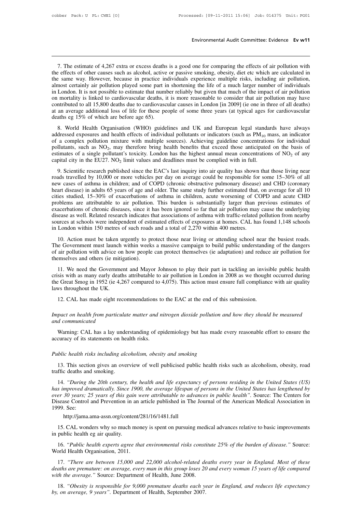Environmental Audit Committee: Evidence Ev w11<br>T. The estimate of 4,267 extra or excess deaths is a good one for comparing the effects of air pollution with<br>e effects of other causes such as alcohol, active or passive smok Environmental Audit Committee: Evidence Ev w11<br>T. The estimate of 4,267 extra or excess deaths is a good one for comparing the effects of air pollution with<br>the effects of other causes such as alcohol, active or passive sm Environmental Audit Committee: Evidence Ev w11<br>T. The estimate of 4,267 extra or excess deaths is a good one for comparing the effects of air pollution with<br>the effects of other causes such as alcohol, active or passive sm 7. The estimate of 4,267 extra or excess deaths is a good one for comparing the effects of air pollution with the effects of other causes such as alcohol, active or passive smoking, obesity, diet etc which are calculated i 7. The estimate of 4,267 extra or excess deaths is a good one for comparing the effects of air pollution with the effects of other causes such as alcohol, active or passive smoking, obesity, diet etc which are calculated i 7. The estimate of 4,267 extra or excess deaths is a good one for comparing the effects of air pollution with the effects of other causes such as alcohol, active or passive smoking, obesity, diet etc which are calculated i 7. The estimate of 4,267 extra or excess deaths is a good one for comparing the effects of air pollution with the effects of other causes such as alcohol, active or passive smoking, obesity, diet etc which are calculated i the effects of other causes such as alcohol, active or passive smoking, obesity, diet etc which are calculated in<br>the same way. However, because in practice individuals experience multiple risks, including air pollution,<br>a the same way. However, because in practice in<br>almost certainly air pollution played some part in<br>in London. It is not possible to estimate that numl<br>on mortality is linked to cardiovascular deaths, if<br>contributed to all 15 Example is not possible to estimate that number reliably but given that much of the impact of air pollution<br>London. It is not possible to estimate that number reliably but given that much of the impact of air pollution<br>mo and Expositive different and health state individual pollution in the might of all pollution may have contributed to all 15,800 deaths due to cardiovascular causes in London [in 2009] (ie one in three of all deaths) at an

of a complex pollution mixture with multiple sources). Achieving guideline concentrations of NO<sub>2</sub> of any therefore age 65).<br>
8. World Health Organisation (WHO) guidelines and UK and European legal standards have always a and a such as NO<sub>2</sub>, the must be contributed to an 19,000 deads of the for these people of some three years (at typical ages for cardiovascular deaths eg 15% of which are before age 65).<br>
8. World Health Organisation (WHO deaths eg 15% of which are before age 65).<br>
8. World Health Organisation (WHO) guidelines and UK and European legal standards have always<br>
addressed exposures and health effects of individual pollutants or indicators (suc 8. World Health Organisation (WHO) guidelines and UK and European legal standar addressed exposures and health effects of individual pollutants or indicators (such as  $PM_{10}$  m of a complex pollution mixture with multiple 9. World Treatin Organisation (WTO) gatemess and OK and European regar standards inve arongs deressed exposures and health effects of individual pultitants or indicators (such as PM<sub>10</sub> mass, an indicator a complex pollut and text of a complex pollution mixture with multiple sources). Achieving guideline concentrations for individual pollutants, such as NO<sub>2</sub>, may therefore bring health benefits that exceed those anticipated on the basis o

new cases of asthma in children; and of COPD (chronic obstructive pulmonary disease) and capital city in the EU27. NO<sub>2</sub> limit values and deadlines must be complied with in full.<br>9. Scientific research published since the bondaries, such as  $102$ , may accretion of mg neam ochers and exected mose anticipated on the basis of estimates of a single pollutant's toxicity. London has the highest annual mean concentrations of  $NO_2$  of any capital capital city in the EU27. NO<sub>2</sub> limit values and deadlines must be complied with in full.<br>
9. Scientific research published since the EAC's last inquiry into air quality has shown that those living near<br>
roads travelled b 9. Scientific research published since the EAC's last inquiry into air quality has shown that those living near roads travelled by 10,000 or more vehicles per day on average could be responsible for some 15–30% of all new 9. Scientific research published since the EAC's last inquiry into air quality has shown that those living near roads travelled by 10,000 or more vehicles per day on average could be responsible for some 15–30% of all new roads travelled by 10,000 or more vehicles per day on average could be responsible for some 15–30% of all<br>new cases of asthma in children; and of COPD (chronic obstructive pulmonary disease) and CHD (coronary<br>heart disease new cases of asthma in children; and of COPD (chronic obstructive pulmonary disease) and CHD (coronary heart disease) in adults 65 years of age and older. The same study further estimated that, on average for all 10 cities heart disease) in adults 65 years of age and older. The same study further estimated that, cities studied, 15–30% of exacerbations of asthma in children, acute worsening of CO problems are attributable to air pollution. Th 10. Action must be taken urgently to protect those near living or during to the underlying accerbations of chronic diseases, since it has been ignored so far that air pollution may cause the underlying exease as well. Rela problems are attributed to an pointion. This butted is substantially ranger than previous estimates of exacerbations of chronic diseases, since it has been ignored so far that air pollution may cause the underlying disease

disease as well. Related research indicates that associations of asthma with traffic-related pollution from nearby sources at schools were independent of estimated effects of exposures at homes. CAL has found 1,148 schools in London within 150 metres of such roads and a total of 2,270 within 400 metres.<br>
10. Action must be taken urgently to protect those near living or attending school near the busiest roads.<br>
The Government must launch with London within 150 metres of such roads and a total of 2,2/0 within 400 metres.<br>
10. Action must be taken urgently to protect those near living or attending school near the busiest roads.<br>
ie Government must launch within 10. Action must be taken urgently to protect those near living or attending school near the busiest roads.<br>The Government must launch within weeks a massive campaign to build public understanding of the dangers<br>of air poll

The Government must launch within weeks a massive campaign to build public understanding of the dangers of air pollution with advice on how people can protect themselves (ie adaptation) and reduce air pollution for themsel the Great Smog in 1952 (ie 4,267 compared to 4,075). This action must ensure full compliance with air quality laws throughout the UK.<br>12. CAL has made eight recommendations to the EAC at the end of this submission. 11. We need the Government and Mayor Johnson to play their part in tackling an invisible public health *Impact on health from particulate matter and nitrogen dioxide pollution and how they should be measured during*<br>*Impact on health from particulate matter and nitrogen dioxide pollution and how they should be measured*<br>*Im* the Great Smog in 1952 (ie 4, laws throughout the UK.<br>12. CAL has made eight re<br>*Impact on health from particu*<br>*and communicated* Warning: CAL has a lay un

# 12. CAL has made eight recommendations to<br> *Impact on health from particulate matter and n*<br> *and communicated*<br>
Warning: CAL has a lay understanding of ep<br>
accuracy of its statements on health risks.<br> *Public hackly risks Public on health from particulate matter and nitrogen dioxide pollution and communicated*<br>Warning: CAL has a lay understanding of epidemiology but has made<br>accuracy of its statements on health risks.<br>*Public health risks*

12. CAL has made eight recommendations to the EAC at the end of this submission.<br>pact on health from particulate matter and nitrogen dioxide pollution and how they should be measured<br>d communicated<br>Warning: CAL has a lay u

Warning: CAL has a lay understanding of epidemiology but has made every reasonable effort to ensure the curacy of its statements on health risks.<br>
ublic health risks including alcoholism, obesity and smoking<br>
13. This sect Warning: CAL has a lay understanding of epidemiology but has made every reasonable effort to ensure the accuracy of its statements on health risks.<br> *Public health risks including alcoholism, obesity and smoking*<br>
13. This

blic health risks including alcoholism, obesity and smoking<br>
13. This section gives an overview of well publicised public health risks such as alcoholism, obesity, road<br>
14. "During the 20th century, the health and life ex *Public health risks including alcoholism, obesity and smoking*<br>
13. This section gives an overview of well publicised public health risks such as alcoholism, obesity, road<br>
traffic deaths and smoking.<br>
14. "*During the 20 Public health risks including alcoholism, obesity and smoking*<br>
13. This section gives an overview of well publicised public health risks such as alcoholism, obesity, road<br>
traffic deaths and smoking.<br>
14. "*During the 20* 13. This section gives an overview of well publicised public health risks such as alcoholism, obesity, road traffic deaths and smoking.<br>
14. "During the 20th century, the health and life expectancy of persons residing in t has improved dramatically. Since 1900, the average lifespan of persons in the United States has lengthened by over 30 years; 25 years of this gain were attributable to advances in public health". Source: The Centers for Di improved dramatically. Since 1900, the average lifespan of persons in the United States has lengthened by<br>er 30 years; 25 years of this gain were attributable to advances in public health". Source: The Centers for<br>sease Co over 30 years; 25 years of this gain were attributable to advances in public health". Source: The Centers for Disease Control and Prevention in an article published in The Journal of the American Medical Association in 199

http://jama.ama-assn.org/content/281/16/1481.full

16. *Public health experts agree that environmental risks constitute 25% of the burden of disease."* Source:<br>
16. *"Public health experts agree that environmental risks constitute 25% of the burden of disease."* Source:<br>
1 http://jama.ama-assn.org/content/2<br>15. CAL wonders why so much mone<br>in public health eg air quality.<br>16. "*Public health experts agree tha*.<br>World Health Organisation, 2011.<br>17. "*There are between 15,000 and* 

15. CAL wonders why so much money is spent on pursuing medical advances relative to basic improvements<br>public health eg air quality.<br>16. "*Public health experts agree that environmental risks constitute 25% of the burden o* 15. CAL wonders why so much money is spent on pursuing medical advances relative to basic improvements<br>in public health eg air quality.<br>16. "*Public health experts agree that environmental risks constitute 25% of the burde which the authority are undity.*<br>
16. "*Public health experts agree that environmental risks constit*<br>
World Health Organisation, 2011.<br>
17. "*There are between 15,000 and 22,000 alcohol-related decaths are premature: on* 16. "Public health experts agree that environmental risks constitute 25% of the burden of disease." Source:<br>
orld Health Organisation, 2011.<br>
17. "There are between 15,000 and 22,000 alcohol-related deaths every year in En *by* World Health Organisation, 2011.<br>
17. "*There are between 15,000 and 22,000 alcohol-related de*<br> *deaths are premature: on average, every man in this group loses 20*<br> *with the average.* " Source: Department of Health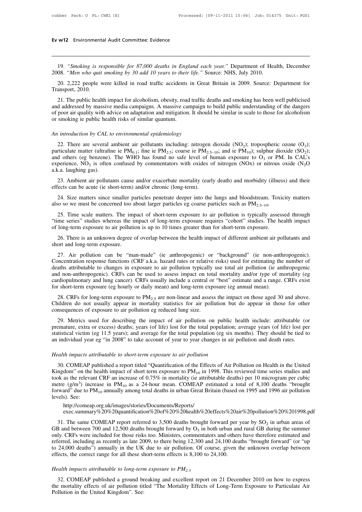# **Ev w12** Environmental Audit Committee: Evidence

19. *"Smoking is responsible for 87,000 deaths in England each year."* Department of Health, December 19. *"Men who quit smoking by 30 add 10 years to their life."* Source: NHS, July 2010. 2008. *"Smoking is responsible for 87,000 deaths in England each year."* Department of Hea<br>2008. *"Men who quit smoking by 30 add 10 years to their life."* Source: NHS, July 2010.<br>20. 2,222 people were killed in road traff 20. 2,222 people were killed in road traffic accidents in Great Britain in 2009. Source: Department for ansport, 2010.<br>
20. 2,222 people were killed in road traffic accidents in Great Britain in 2009. Source: Department fo 19. "Smoking is responsible for 87,000 deaths in England each year." Department of Health, December 2008. "Men who quit smoking by 30 add 10 years to their life." Source: NHS, July 2010.<br>20. 2,222 people were killed in roa

19. "*Smoking is responsible for 87,000 deaths in England each year*." Department of Health, December 08. "*Men who quit smoking by 30 add 10 years to their life*." Source: NHS, July 2010.<br>20. 2,222 people were killed in r 19. "Smoking is responsible for 87,000 deaths in England each year." Department of Health, December 2008. "Men who quit smoking by 30 add 10 years to their life." Source: NHS, July 2010.<br>20. 2,222 people were killed in roa 2008. "*Men who quit smoking by 30 add 10 years to their life.*" Source: NHS, July 2010.<br>20. 2,222 people were killed in road traffic accidents in Great Britain in 2009. Source: Department for<br>Transport, 2010.<br>21. The publ 20. 2,222 people were killed in road traffic accidents<br>Transport, 2010.<br>21. The public health impact for alcoholism, obesity, road<br>and addressed by massive media campaigns. A massive car<br>of poor air quality with advice on 21. The public health impact for alcoholism, obesity, road trafficed and addressed by massive media campaigns. A massive campaign of poor air quality with advice on adaptation and mitigation. It shows moking ie public heal d addressed by massive media campaigns. A massive campaign to build public understanding of the dangers<br>poor air quality with advice on adaptation and mitigation. It should be similar in scale to those for alcoholism<br>smok

of poor air quality with advice on adaptation and mitigation. It should be similar in scale to those for alcoholism<br>or smoking ie public health risks of similar quantum.<br>An *introduction by CAL to environmental epidemiolo* or smoking ie public health risks of similar quantum.<br>An introduction by CAL to environmental epidemiology<br>22. There are several ambient air pollutants including: nitrogen dioxide (NO<sub>2</sub>); tropospheric ozone (O<sub>3</sub>);<br>parti An introduction by CAL to environmental epidemiology<br>22. There are several ambient air pollutants including: nitrogen dioxide (NO<sub>2</sub>); tropospheric ozone (O<sub>3</sub>);<br>particulate matter (ultrafine ie PM<sub>0,1</sub>; fine ie PM<sub>2,5</sub>; An introduction by CAL to<br>22. There are several aparticulate matter (ultrafin<br>and others (eg benzene).<br>experience,  $NO<sub>2</sub>$  is often<br>a.k.a. laughing gas).<br>23. Ambient air polluta 22. There are several ambient air pollutants including: nitrogen dioxide (NO<sub>2</sub>); tropospheric ozone (O<sub>3</sub>);<br>rticulate matter (ultrafine ie PM<sub>0.1</sub>; fine ie PM<sub>2.5</sub>; coarse ie PM<sub>2.5-10</sub>; and ie PM<sub>10</sub>); sulphur dioxide ( 22. There are several amorem an polyntality increducing. Imogen<br>particulate matter (ultrafine ie  $PM_{0,1}$ ; fine ie  $PM_{2,5}$ ; coarse ie  $PM_{2,5}$ <br>and others (eg benzene). The WHO has found no safe level of b<br>experience,  $NO_$ d others (eg benzene). The WHO has found no safe level of human exposure to O<sub>3</sub> or PM. In CAL's perience, NO<sub>2</sub> is often confused by commentators with oxides of nitrogen (NOx) or nitrous oxide (N<sub>2</sub>O c.a. laughing gas).<br>

experience, NO<sub>2</sub> is often confused by commentators with oxides of nitrogen (NOx) or nitrous oxide (N<sub>2</sub>O a.k.a. laughing gas).<br>
23. Ambient air pollutants cause and/or exacerbate mortality (early death) and morbidity (il 23. Ambient air pollutants cause and/or exacerbate mortality (early death) and morbidity (illness) and their<br>effects can be acute (ie short-term) and/or chronic (long-term).<br>24. Size matters since smaller particles penetr effects can be acute (ie short-term) and/or chronic (long-term).<br>
24. Size matters since smaller particles penetrate deeper into the lungs and bloodstream. Toxid<br>
25. Time scale matters. The impact of short-term exposure t 24. Size matters since smaller particles penetrate deeper into the lungs and bloodstream. Toxicity matters<br>
25. Time scale matters. The impact of short-term exposure to air pollution is typically assessed through<br>
26. Tim also so we must be concerned too a<br>25. Time scale matters. The imp<br>"time series" studies whereas the in<br>of long-term exposure to air polluti-<br>26. There is an unknown degree of<br>short and long-term exposure.<br>27. Air pollutio

25. Time scale matters. The impact of short-term exposure to air pollution is typically assessed through<br>me series" studies whereas the impact of long-term exposure requires "cohort" studies. The health impact<br>long-term ex The series" studies whereas the impact of long-term exposure requires "cohort" studies. The health impact<br>of long-term exposure to air pollution is up to 10 times greater than for short-term exposure.<br>26. There is an unkno of long-term exposure to air pollution is up to 10 times greater than for short-term exposure.<br>
26. There is an unknown degree of overlap between the health impact of different ambient air pollutants and<br>
short and long-te 26. There is an unknown degree of overlap between the health impact of different ambient air pollutants and short and long-term exposure.<br>27. Air pollution can be "man-made" (ie anthropogenic) or "background" (ie non-anthr 20. There is an unknown degree of overlap between the health impact of unretent ambient an ponutants and short and long-term exposure.<br>
27. Air pollution can be "man-made" (ie anthropogenic) or "background" (ie non-anthrop 27. Air pollution can be "man-made" (ie anthropogenic) or "background" (ie non-anth<br>Concentration response functions (CRF a.k.a. hazard rates or relative risks) used for estimating the<br>deaths attributable to changes in ex 27. An pontation can be hard-hade (te antimopogente) or background (te non-antimopogente).<br>
Incentration response functions (CRF a.k.a. hazard rates or relative risks) used for estimating the number of<br>
aths attributable Concentration response functions (CKF a.s.a. hazard facts of relative fisks) used for estimating the fullnior of deaths attributable to changes in exposure to air pollution typically use total air pollution (ie anthropoge and non-anthropogenic). CRFs can be used to assess impact on total<br>cardiopulmonary and lung cancer). CRFs usually include a central or<br>for short-term exposure (eg hourly or daily mean) and long-term exp<br>28. CRFs for long-

rdiopulmonary and lung cancer). CRFs usually include a central or "best" estimate and a range. CRFs exist<br>
c short-term exposure (eg hourly or daily mean) and long-term exposure (eg annual mean).<br>
28. CRFs for long-term e for short-term exposure (eg hourly or daily mean) and long-term exposure (eg annual mean).<br>
28. CRFs for long-term exposure to PM<sub>2.5</sub> are non-linear and assess the impact on those aged 30 and above.<br>
Children do not usua 28. CRFs for long-term exposure to  $PM_{2.5}$  are non-linear and assess the impact on those aged 30 and above.<br>Children do not usually appear in mortality statistics for air pollution but do appear in those for other<br>conseq 26. CKI s for long-term exposure to  $1 \frac{m_2}{s}$  are non-linear and assess the impact of nose aged 50 and above<br>Children do not usually appear in mortality statistics for air pollution but do appear in those for othe<br>cons <sup>1</sup><br>29. Metrics used for describing the impact of air pollution on public<br>premature, extra or excess) deaths; years (of life) lost for the total population<br>statistical victim (eg 11.5 years); and average for the total popu Exercise entistical victim (eg 11.5 years); and average for the total population; average years (of life) lost per<br>titstical victim (eg 11.5 years); and average for the total population (eg six months). They should be tie

Statistical victim (eg 11.5 years); and average for the total population (eg six months). They should be tied to<br>an individual year eg "in 2008" to take account of year to year changes in air pollution and death rates.<br>He an individual year eg "in 2008" to take account of year to year changes in air pollution and death rates.<br> *Health impacts attributable to short-term exposure to air pollution*<br>
30. COMEAP published a report titled "Quant *Health impacts attributable to short-term exposure to air pollution*<br>30. COMEAP published a report titled "Quantification of the Effects of Air Pollution on Health in the United<br>Kingdom" on the health impact of short ter *Health impacts attributable to short-term exposure to air pollution*<br>30. COMEAP published a report titled "Quantification of the Effects of Air Pollution on Health in the United<br>Kingdom" on the health impact of short ter Health impacts attributable to short-term exposure to air pollution<br>30. COMEAP published a report titled "Quantification of the Effects of Air Pollution on Health in the United<br>Kingdom" on the health impact of short term etre (g/m<sup>3</sup>) increase in PM<sub>10</sub> as a 24-hour mean. COMEAP estimated a total of 8,100 death-<br>rward" due to PM<sub>10</sub> annually among total deaths in urban Great Britain (based on 1995 and 1996 air<br>les). See:<br>http://comeap.org deaths "brought<br>1996 air pollution<br>n%20%201998.pdf<br>in urban areas of<br>uring the summer<br>ore estimated and

http://comeap.org.uk/images/stories/Documents/Reports/ exec.summary%20%20quantification%20of%20%20health%20effects%20air%20pollution%20%201998.pdf

forward" due to PM<sub>10</sub> annually among total deaths in urban Great Brita<br>levels). See:<br>http://comeap.org.uk/images/stories/Documents/Reports/<br>exec.summary%20%20quantification%20of%20%20health%20eff<br>31. The same COMEAP repo in Britain (based on 1995 and 1996 air pollution<br>
%20effects%20air%20pollution%20%201998.pdf<br>
ght forward per year by  $SO_2$  in urban areas of<br>
in both urban and rural GB during the summer<br>
ntators and others have therefor levels). See:<br>
http://comeap.org.uk/images/stories/Documents/Reports/<br>
exec.summary%20%20quantification%20of%20%20health%20effects%20air%20pollution%20%201998.pdf<br>
31. The same COMEAP report referred to 3,500 deaths brough http://comeap.org.uk/images/stories/Documents/Reports/<br>exec.summary%20%20quantification%20of%20%20health%20effects%20air%20pollution%20%201998.pdf<br>31. The same COMEAP report referred to 3,500 deaths brought forward per yea the 24,000 deaths") annually in the UK due to air pollution. Of course, given the unknown overlap between effects, the correct range for all these short-term effects is 8,100 to 24,100. 2.0.1.1. The same COMEAP report referred to 3,500 deaths brought forward per y GB and between 700 and 12,500 deaths brought forward by  $O_3$  in both urban and only. CRFs were included for those risks too. Ministers, comme *Health impacts attributable to long-term exposure to PM*<sub>2.5</sub> 32. COMEAP published a ground breaking as recently as late 2009, to there being 12,300 and 24,100 deaths "brought forward" (or "up to 24,000 deaths") annually

to 24,000 deaths<sup>ry</sup>) annually in the UK due to air pollution. Of course, given the unknown overlap between effects, the correct range for all these short-term effects is 8,100 to 24,100.<br>Health impacts attributable to lo % effects, the correct range for all these short-term effects is 8,100 to 24,100.<br> *Health impacts attributable to long-term exposure to*  $PM_{2.5}$ <br>
32. COMEAP published a ground breaking and excellent report on 21 Decembe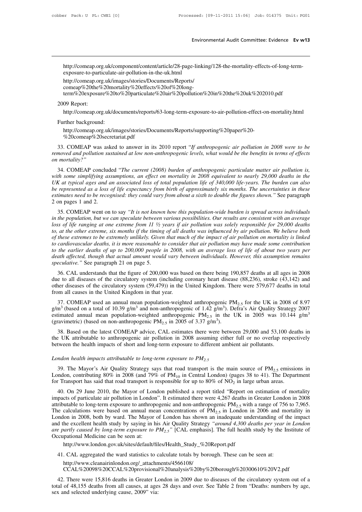http://comeap.org.uk/component/content/article/28-page-linking/128-the-mortality-effects-of-long-termexposure-to-particulate-air-pollution-in-the-uk.html

http://comeap.org.uk/images/stories/Documents/Reports/ comeap%20the%20mortality%20effects%20of%20longterm%20exposure%20to%20particulate%20air%20pollution%20in%20the%20uk%202010.pdf http://comeap.org<br>exposure-to-parti<br>http://comeap.org<br>comeap%20the%<br>term%20exposur<br>2009 Report:<br>http://comeap.org nttp://comeap.org.uk/im<br>
comeap%20the%20mort<br>
term%20exposure%20tc<br>
2009 Report:<br>
http://comeap.org.uk/doc<br>
Further background:<br>
http://comeap.org.uk/ima<br>
%20comean%20secretat

http://comeap.org.uk/documents/reports/63-long-term-exposure-to-air-pollution-effect-on-mortality.html

http://comeap.org.uk/images/stories/Documents/Reports/supporting%20paper%20- %20comeap%20secretariat.pdf

33. COMEAP was asked to answer in its 2010 report *'If anthropogenic air pollution* effect-on-mortality.html<br>
Further background:<br>
http://comeap.org.uk/images/stories/Documents/Reports/supporting%20paper%20-<br>
%20comeap%20s *removed and pollution sustained at low non-anthropogenic levels, what would be the benefits in terms of effects*<br>
2000 *removed and pollution sustained at low non-anthropogenic levels, what would be the benefits in terms* Further background:<br>
http://comeap.org.uk/in<br>
%20comeap%20secret<br>
33. COMEAP was asked<br> *removed and pollution susta*<br> *on mortality?"*<br>
34. COMEAP concluded http://comeap.org.uk/images/stories/Documents/Reports/supporting%20paper%20-<br>%20comeap%20secretariat.pdf<br>33. COMEAP was asked to answer in its 2010 report "*If anthropogenic air pollution in 2008 were to be*<br>noved and poll

*water was simplifying assumptions, an effect on mortality in 2008 were to be* the penemoved and pollution sustained at low non-anthropogenic levels, what would be the benefits in terms of effects on mortality?"<br>34. COMEA 33. COMEAP was asked to answer in its 2010 report "If anthropogenic air pollution in 2008 were to be removed and pollution sustained at low non-anthropogenic levels, what would be the benefits in terms of effects on mortal 35. COMEAP was asked to answer in its 2010 report *If anthropogentc air pollution in 2008 were to be*<br>*be removed and pollution sustained at low non-anthropogenic levels, what would be the benefits in terms of effects*<br>on *estimates and pollution sustained at low non-anthropogenic levels, what would be the benefits in terms of effects on mortality?"*<br>
34. COMEAP concluded "*The current (2008) burden of anthropogenic particulate matter air p* on mortatty?<br>
34. COMEAP conclud<br>
with some simplifying as.<br>
UK at typical ages and a<br>
be represented as a loss<br>
estimates need to be recog<br>
2 on pages 1 and 2.<br>
35. COMEAP went on 34. COMEAP concluded The current (2008) burden of anthropogenic particulate matter air polition is,<br>th some simplifying assumptions, an effect on mortality in 2008 equivalent to nearly 29,000 deaths in the<br>X at typical age *in the population, but we can speculate between various population iffe of 340,000 life-years. The burden can also be represented as a loss of life expectancy from birth of approximately six months. The uncertainties in t* 

*lower the represented ass of life expectancy from birth of approximately six months. The burden can also* be represented as a loss of life expectancy from birth of approximately six months. The uncertainties in these esti *tor, at the other extreme, six months if the timing of all deaths was influenced by air pollution.* The uncertainties in these estimates need to be recognised: they could vary from about a sixth to double the figures show *of these to be recognised:* they could vary from about a sixth to double the figures shown. See paragraph 2 on pages 1 and 2.<br>
35. COMEAP went on to say "*It is not known how this population-wide burden is spread across to cardiovascular deaths of up to 200,000 people in 2008, with an average loss of life of about an apeculate between various possibilities. Our results are consistent with an average loss of life ranging at one extreme fr* 35. COMEAP went on to say "*It is not known how this population-wide burden is spread across individuals* in the population, but we can speculate between various possibilities. Our results are consistent with an average lo *in the population, but we can speculate between various possibilities. Our results are consistent with an average loss of life ranging at one extreme from 11*  $\frac{1}{2}$  *years if air pollution was solely responsible for 29, speculation set of life ranging at one extreme from 11*  $\frac{1}{2}$  *y* to, at the other extreme, six months if the timing of these extremes to be extremely unlikely. Given to cardiovascular deaths, it is more reasonable 26. These extremes stationary in the timing of all dealins was infidenced by air pollution. We betteve both these extremes to be extremely unlikely. Given that much of the impact of air pollution on mortality is linked car due to andiovascular deaths, it is more reasonable to consider that air pollution may have made some contribution<br>to the earlier deaths of up to 200,000 people in 2008, with an average loss of life of about two years per<br>d

other diseases of the circulatory system (59,479)) in the United Kingdom. There were 579,677 deaths in total<br>from all causes of the circulatory system (including coronary between individuals. However, this assumption remai to the earlier deaths of up to 200,000 people in 2008, with an average loss of life of about two years per<br>death affected, though that actual amount would vary between individuals. However, this assumption remains<br>specula eculative." See paragraph 21 on page 5.<br>36. CAL understands that the figure of 200,000 was based on there being 190,857 deaths at all ages in 2008<br>e to all diseases of the circulatory system (including coronary heart dise 36. CAL understands that the figure of 200,000 was based on there being 190,857 deaths at all ages in 2008 due to all diseases of the circulatory system (including coronary heart disease (88,236), stroke (43,142) and othe

50. CAL understants that the figure of 200,000 was based on there being 190,637 deaths at an ages in 2006 due to all diseases of the circulatory system (including coronary heart disease (88,236), stroke (43,142) and from 37. COMEAP used an annual mean population-weighted anthropogenic PM<sub>2.5</sub> for the UK in 2008 of 8.97<br>37. COMEAP used an annual mean population-weighted anthropogenic of 1.42  $g/m^3$ ). Defra's Air Quality Strategy 2007<br>iimat 37. COMEAP used an annual mean population-weighted anthropogenic PM<sub>2.5</sub> for the UK in 2008 of 8.97 g/m<sup>3</sup> (based on a total of 10.39 g/m<sup>3</sup> and non-anthropogenic of 1.42 g/m<sup>3</sup>). Defra's Air Quality Strategy 2007 estimat between the health impacts attributable to long-term exposure to PM<sub>2.5</sub><br>London health impacts attributable to long-term exposure to PM<sub>2.5</sub><br>London health impacts of short and long-term exposure to PM<sub>2.5</sub><br>London health i

*London health impacts attributable to long-term exposure to 4 air 2005* of 3.37 g/m<sup>3</sup>).<br>
38. Based on the latest COMEAP advice, CAL estimates there were between 29,000 and 53,100 deaths in the UK attributable to anthrop London health impacts attributable to and long-term exposure to different ambient air pollutants.<br>
London health impacts of short and long-term exposure to different ambient air pollutants.<br>
London health impacts attribut For Transport has said that road transport is the main source of PM<sub>2.5</sub><br>19. The Mayor's Air Quality Strategy says that road transport is the main source of PM<sub>2.5</sub> emissic<br>19. The Mayor's Air Quality Strategy says that r mdon health impacts attributable to long-term exposure to  $PM_{2.5}$ <br>39. The Mayor's Air Quality Strategy says that road transport is the main source of  $PM_{2.5}$  emissions in<br>mdon, contributing 80% in 2008 (and 79% of  $PM_{10$ 

London health impacts attributable to long-term exposure to  $PM_{2.5}$ <br>39. The Mayor's Air Quality Strategy says that road transport is the main source of  $PM_{2.5}$  emissions in<br>London, contributing 80% in 2008 (and 79% of 39. The Mayor's Air Quality Strategy says that road transport is the main source of  $PM_{2.5}$  emissions in London, contributing 80% in 2008 (and 79% of  $PM_{10}$  in Central London) (pages 38 to 41). The Department for Transp 39. The mayor 8 All Quality Strategy says that road transport is the main source of  $\text{F}M_{2.5}$  emissions in London, contributing 80% in 2008 (and 79% of  $\text{PM}_{10}$  in Central London) (pages 38 to 41). The Department fo London, contributing 80% in 2008 (and 79% of PM<sub>10</sub> in Central London) (pages 38 to 41). The Department<br>for Transport has said that road transport is responsible for up to 80% of NO<sub>2</sub> in large urban areas.<br>40. On 29 June for Transport has said that road transport is responsible for up to 80% of NO<sub>2</sub> in large urban areas.<br>40. On 29 June 2010, the Mayor of London published a report titled "Report on estimation of mortality<br>impacts of parti 40. On 29 June 2010, the Mayor of London published a report titled "Report on estimation of mortality impacts of particulate air pollution in London". It estimated there were 4,267 deaths in Greater London in 2008 attribu impacts of particulate air pollution in London<br>attributable to long-term exposure to anthrope<br>The calculations were based on annual mea<br>London in 2008, both by ward. The Mayor and<br>the excellent health study by saying in h<br> andon in 2008, both by ward. The Mayor of London has shown an inadequate understanding of the excellent health study by saying in his Air Quality Strategy "*around 4,300 deaths per year is e partly caused by long-term e* 

http://www.london.gov.uk/sites/default/files/Health\_Study\_%20Report.pdf

http://www.cleanairinlondon.org/\_attachments/4566108/

CCAL%20098%20CCAL%20provisional%20analysis%20by%20borough%20300610%20V2.pdf

12. There were 15,816 deaths in Greater London in 2009 due to diseases of the circulatory system out of a said of 48,155 deaths from all causes, at ages 28 days and over. See Table 2 from "Deaths: numbers by age, we and se nttp://www.ionaon.gov.uk/sites/aeratur/nies/Health\_Study\_%20Keport.pdf<br>41. CAL aggregated the ward statistics to calculate totals by borough. These can be seen at:<br>http://www.cleanairinlondon.org/\_attachments/4566108/<br>CCAL 41. CAL aggregated the ward statistics to calculate totals by borough. These can be seen at:<br>http://www.cleanairinlondon.org/\_attachments/4566108/<br>CCAL%20098%20CCAL%20provisional%20analysis%20by%20borough%20300610%20V2.pdf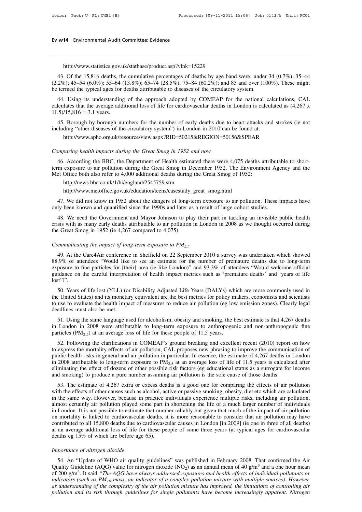# **Ev w14** Environmental Audit Committee: Evidence

http://www.statistics.gov.uk/statbase/product.asp?vlnk=15229

43. Of the 15,816 deaths, the cumulative percentages of deaths by age band were: under 34 (0.7%); 35–44<br>2%); 45–54 (6.0%); 55–64 (13.8%); 65–74 (28.5%); 75–84 (60.2%); and 85 and over (100%). These might<br>termed the typical (2.2%); 45–54 (6.0%); 55–64 (13.8%); 65–74 (28.5%); 75–84 (60.2%); and 85 and over (100%). These might the termed the typical ages for deaths attributable to diseases of the circulatory system. http://www.statistics.gov.uk/statbase/product.asp?vlnk=15229<br>43. Of the 15,816 deaths, the cumulative percentages of deaths by age band were: under<br>(2.2%); 45–54 (6.0%); 55–64 (13.8%); 65–74 (28.5%); 75–84 (60.2%); and 85 http://www.statistics.gov.uk/statbase/product.asp?vlnk=15229<br>43. Of the 15,816 deaths, the cumulative percentages of deaths by age band were: under 34 (0.7%); 35–44<br>2%); 45–54 (6.0%); 55–64 (13.8%); 65–74 (28.5%); 75–84 ( http://www.statistics.gov.uk/statbase/product.asp?vlnk=15229<br>43. Of the 15,816 deaths, the cumulative percentages of deaths by age band were: under 34 (0.7%); 35–44<br>(2.2%); 45–54 (6.0%); 55–64 (13.8%); 65–74 (28.5%); 75–8 43. Of the 15,816 deaths, the  $(2.2\%)$ ; 45–54  $(6.0\%)$ ; 55–64 (be termed the typical ages for 44. Using its understanding calculates that the average add 11.5)/15,816 = 3.1 years.

2%); 45–54 (6.0%); 55–64 (13.8%); 65–74 (28.5%); 75–84 (60.2%); and 85 and over (100%). These might<br>termed the typical ages for deaths attributable to diseases of the circulatory system.<br>44. Using its understanding of the be termed the typical ages for deaths attributable to diseases of the circulatory system.<br>
44. Using its understanding of the approach adopted by COMEAP for the national calculations, CAL<br>
calculates that the average addit

including "other diseases of the circulatory system") in London in 2010 can be found at:<br> *Comparing health impacts during the Great Smog in 1952 and now*<br>
46. According the BBC, the Department of Health estimated there we

http://www.apho.org.uk/resource/view.aspx?RID=50215&REGION=50156&SPEAR

45. Borough by borough numbers for the number of early deaths due to heart attacks and strokes (ie not<br>cluding "other diseases of the circulatory system") in London in 2010 can be found at:<br>http://www.apho.org.uk/resource/ including "other diseases of the circulatory system") in London in 2010 can be found at:<br>
http://www.apho.org.uk/resource/view.aspx?RID=50215&REGION=50156&SPEAR<br>
Comparing health impacts during the Great Smog in 1952 and n http://www.apho.org.uk/resource/view.aspx?RID=50215&REGION=50156&SPEAR<br>Comparing health impacts during the Great Smog in 1952 and now<br>46. According the BBC, the Department of Health estimated there were 4,075 deaths att<br>te 46. According the BBC, the Department of Health estimated there were 4,075 deaths attributable to short-<br>m exposure to air pollution during the Great Smog in December 1952. The Environment Agency and the<br>et Office both als

### http://news.bbc.co.uk/1/hi/england/2545759.stm

http://www.metoffice.gov.uk/education/teens/casestudy\_great\_smog.html

term exposure to air pollution during the Great Smog in December 1952. The Environment Age<br>Met Office both also refer to 4,000 additional deaths during the Great Smog of 1952:<br>http://news.bbc.co.uk/1/hi/england/2545759.stm

47. We did not know in 1952 about the dangers of long-term exposure to air pollution. These impacts have ly been known and quantified since the 1990s and later as a result of large cohort studies.<br>48. We need the Governmen nttp://news.boc.co.uk/1/nl/england/2345759.stm<br>http://www.metoffice.gov.uk/education/teens/casestudy\_great\_smog.html<br>47. We did not know in 1952 about the dangers of long-term exposure to air pollution. These impacts have<br> 47. We did not know in 1952 about the dangers of long-term exposure to air pollution. These impacts have<br>only been known and quantified since the 1990s and later as a result of large cohort studies.<br>48. We need the Govern

*Communicating the impact of long-term exposure to and position* in London in tackling an invisible public health the Gree known and quantified since the 1990s and later as a result of large cohort studies.<br>
48. We need t crisis with as many early deaths attributable to air pollution in London in 2008 as we thought occurred during<br>the Great Smog in 1952 (ie 4,267 compared to 4,075).<br>Communicating the impact of long-term exposure to PM<sub>2.5</sub> communicating the impact of long-term exposure to  $P M_{2.5}$ <br>Communicating the impact of long-term exposure to  $P M_{2.5}$ <br>49. At the Care4Air conference in Sheffield on 22 September 2010 a survey was undertaken which showed Communicating the impact of long-term exposure to  $PM_{2.5}$ <br>
49. At the Care4Air conference in Sheffield on 22 September 2010 a survey was undertaken which showed<br>
88.9% of attendees "Would like to see an estimate for the lost'?". 49. At the Care4Air conference in Sheffield on 22 September 2010 a survey was undertaken which showed .9% of attendees "Would like to see an estimate for the number of premature deaths due to long-term posure to fine parti 49. At the Cate-HAII confiered: in shelled on 22 september 2010 a survey was undertaken which showed 88.9% of attendees "Would like to see an estimate for the number of premature deaths due to long-term exposure to fine pa

so.9% of attentiess would like to see all estimate for the humber of premature deaths due to fong-term<br>exposure to fine particles for [their] area (ie like London)" and 93.3% of attendees "Would welcome official<br>guidance o Exposure to the particles for [the<br>guidance on the careful interpret<br>lost'?".<br>50. Years of life lost (YLL) (or<br>the United States) and its monetar<br>to use to evaluate the health impared<br>deadlines must also be met.<br>51. Using <sup>1</sup>. So. Years of life lost (YLL) (or Disability Adjusted Life Years (DALYs) which are more commonly used in the United States) and its monetary equivalent are the best metrics for policy makers, economists and scientists 50. Years of life lost (YLL) (or Disability Adjusted Life Years (DALYs) which are more commonly used in the United States) and its monetary equivalent are the best metrics for policy makers, economists and scientists to u 50. Years of life lost (YLL) (or Disability Adjusted Life Years (DALYs) which are more commonly used in the United States) and its monetary equivalent are the best metrics for policy makers, economists and scientists to u

use to evaluate the health impact of measures to reduce air pollution (eg low emission zones). Clearly legal<br>adlines must also be met.<br>51. Using the same language used for alcoholism, obesity and smoking, the best estimat

deadlines must also be met.<br>
51. Using the same language used for alcoholism, obesity and smoking, the best estimate is that 4,267 deaths<br>
in London in 2008 were attributable to long-term exposure to anthropogenic and non 51. Using the same language used for alcoholism, obesity and smoking, the best estimate is that 4,267 deaths in London in 2008 were attributable to long-term exposure to anthropogenic and non-anthropogenic fine particles 31. Using the same tanguage used to acconouslin, obesity and shroking, the best estimate is that 4,207 deaths<br>in London in 2008 were attributable to long-term exposure to anthropogenic and non-anthropogenic fine<br>particles elimination in 2008 were attributable to long-term exposure to antimopogente and non-antimopogente interpretations particles (PM<sub>2.5</sub>) at an average loss of life for these people of 11.5 years.<br>52. Following the clarifica particles (FM<sub>2.5</sub>) at an average foss of the for these people of 11.5 years.<br>52. Following the clarifications in COMEAP's ground breaking and excellent recent (2010) report<br>to express the mortality effects of air polluti 52. Following the clarifications in COMEAF's glound bleaking and excellent letent (2010) report on now<br>express the mortality effects of air pollution, CAL proposes new phrasing to improve the communication of<br>blic health which the effects of all points of all points of all points. The essence, the estimate of 4,267 deaths in London<br>in 2008 attributable to long-term exposure to  $PM_{2.5}$  at an average loss of life of 11.5 years is calculate

public heath itsks in general and an ponution in particular. In essence, the estimate of 4,267 deaths in London<br>in 2008 attributable to long-term exposure to  $PM_{2.5}$  at an average loss of life of 11.5 years is calculated almost certainly air pollution played some part in shortening the time of a much larger income and smoking) to produce a pure number assuming air pollution is the sole cause of those deaths.<br>53. The estimate of 4,267 extr Enfinited to dividuals of our possible is a stature of those deaths.<br>
53. The estimate of 4,267 extra or excess deaths is a good one for comparing the effects of air pollution<br>
with the effects of other causes such as alco and sinoking) to produce a pure number assuming an portution is the sole cause of those deaths.<br>
53. The estimate of 4,267 extra or excess deaths is a good one for comparing the effects of air pollution<br>
with the effects o 53. The estimate of 4,267 extra or excess deaths is a good one for comparing the effects of air pollution with the effects of other causes such as alcohol, active or passive smoking, obesity, diet etc which are calculated with the effects of other causes such as alcohol, active or passive smoking, obesity, diet etc which are calculated<br>in the same way. However, because in practice individuals experience multiple risks, including air polluti in the same way. However, because in practice is<br>almost certainly air pollution played some part is<br>in London. It is not possible to estimate that numl<br>on mortality is linked to cardiovascular deaths, is<br>contributed to all in London. It is not possible to estimate to<br>on mortality is linked to cardiovascular<br>contributed to all 15,800 deaths due to ca<br>at an average additional loss of life for<br>deaths eg 15% of which are before age 6<br>*Importance* Intributed to all 15,800 deaths due to cardiovascular causes in London [in 2009] (ie one in three of all deaths) an average additional loss of life for these people of some three years (at typical ages for cardiovascular

and a materage additional loss of life for these people of some three years (at typical ages for cardiovascular deaths eg 15% of which are before age 65).<br> *Importance of nitrogen dioxide*<br>
54. An "Update of WHO air quali deaths eg 15% of which are before age 65).<br> *Importance of nitrogen dioxide*<br>
54. An "Update of WHO air quality guidelines" was published in February 2008. That confirmed the Air<br>
Quality Guideline (AQG) value for nitrogen *Importance of nitrogen dioxide*<br> *54.* **An "Update of WHO air quality guidelines" was published in February 2008. That confirmed the Air<br>
Quality Guideline (AQG) value for nitrogen dioxide (NO<sub>2</sub>) as an annual mean of 40** *Importance of nitrogen dioxide*<br>54. An "Update of WHO air quality guidelines" was published in February 2008. That confirmed the Air<br>Quality Guideline (AQG) value for nitrogen dioxide (NO<sub>2</sub>) as an annual mean of 40 g/m<sup></sup> *pollution and its risk through guidelines pollished in February 2008. That confirmed the Air* Quality Guideline (AQG) value for nitrogen dioxide (NO<sub>2</sub>) as an annual mean of 40 g/m<sup>3</sup> and a one hour mean of 200 g/m<sup>3</sup>.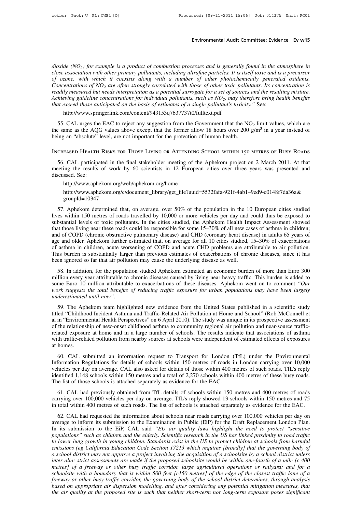**Environmental Audit Committee: Evidence Ev w15**<br>*dioxide (NO<sub>2</sub>) for example is a product of combustion processes and is generally found in the atmosphere in*<br>*close association with other primary pollutants, including ul* **close association with other primary pollutants, including ultrafine particles. It is itself toxic and is a precursor and is senerally found in the atmosphere in close association with other primary pollutants, including Find 15 Committee:** Evidence **Ev w15**<br>*dioxide* (NO<sub>2</sub>) for example is a product of combustion processes and is generally found in the atmosphere in<br>close association with other primary pollutants, including ultrafine par *Concentrations of NO<sub>2</sub>) for example is a product of combustion processes and is generally found in the atmosphere in close association with other primary pollutants, including ultrafine particles. It is itself toxic and Frequistable (NO<sub>2</sub>) for example is a product of combustion processes and is generally found in the atmosphere in close association with other primary pollutants, including ultrafine particles. It is itself toxic and is a Achieving guideline comple is a product of combustion processes and is generally found in the atmosphere in*<br> *Close association with other primary pollutants, including ultrafine particles. It is itself toxic and is a p that intity (NO<sub>2</sub>) for example is a product of combustion processes and is generally found in the attractose association with other primary pollutants, including ultrafine particles. It is itself toxic and is of ozone, w* mcentrations of  $NO_2$  are often strongly correlated with those of other toxic pollutants. Its<br>adily measured but needs interpretation as a potential surrogate for a set of sources and the r<br>hieving guideline concentration for the *s* concentration is<br>d the resulting mixture.<br>The bring health benefits<br>See:<br>limit values, which are<br>m<sup>3</sup> in a year instead of readily measured but needs interpretation as a potential surrogate for a set of sources and the resulation as a hotelic concentrations for individual pollutants, such as  $NO_2$ , may therefore bring hours that exceed those the resulting mixture.<br>
in the benefits<br>
it values, which are<br>
in a year instead of

http://www.springerlink.com/content/943153q7637737t0/fulltext.pdf

Achieving guideline concentrations for individual pollutants, such as  $NO_2$ , may there<br>that exceed those anticipated on the basis of estimates of a single pollutant's toxicity.<br>http://www.springerlink.com/content/943153q7 Achieving guideline concentrations for individual pollutants, such as  $NO_2$ , may therefore bring health benefits<br>that exceed those anticipated on the basis of estimates of a single pollutant's toxicity." See:<br>http://www.s

55. CAL urges the EAC to reject any suggestion from the Government that the NO<sub>2</sub> limit values, which are  $e$  same as the AQG values above except that the former allow 18 hours over 200  $g/m^3$  in a year instead of ing an the same as the AQG values above except that the former allow 18 hours over 200 g/m<sup>3</sup> in a year instead of<br>being an "absolute" level, are not important for the protection of human health.<br>INCREASED HEALTH RISKS FOR THOSE being an "absolute" level, are not important for the protection of human health.<br>
INCREASED HEALTH RISKS FOR THOSE LIVING OR ATTENDING SCHOOL WITHIN 150 METRES OF BUSY ROADS<br>
56. CAL participated in the final stakeholder m

http://www.aphekom.org/web/aphekom.org/home

http://www.aphekom.org/c/document\_library/get\_file?uuid=5532fafa-921f-4ab1–9ed9-c0148f7da36a& groupId=10347

eting the results of work by 60 scientists in 12 European cities over three years was presented and<br>ccussed. See:<br>http://www.aphekom.org/web/aphekom.org/home<br>http://www.aphekom.org/c/document\_library/get\_file?uuid=5532fafa discussed. See:<br>
http://www.aphekom.org/web/aphekom.org/home<br>
http://www.aphekom.org/c/document\_library/get\_file?uuid=5532fafa-921f-4ab1-9ed9-c0148f7da36a&<br>
groupId=10347<br>
57. Aphekom determined that, on average, over 50% http://www.aphekom.org/web/aphekom.org/home<br>http://www.aphekom.org/c/document\_library/get\_file?uuid=5532fafa-921f-4ab1-9ed9-c0148f7da36a&<br>groupId=10347<br>57. Aphekom determined that, on average, over 50% of the population in http://www.aphekom.org/c/document\_library/get\_file?uuid=5532fafa-921f-4ab1-9ed9-c0148f7da36a&<br>groupId=10347<br>57. Aphekom determined that, on average, over 50% of the population in the 10 European cities studied<br>lives within and of CoPD (chronic obstructive pulmonary disease) and CHD (coronary heart disease) in adults 65 years of asthma in children, acute worsening of COPD and acute CHD problems are attributable to air pollution. 57. Aphekom determined that, on average, over 50% of the population in the 10 European cities studied lives within 150 metres of roads travelled by 10,000 or more vehicles per day and could thus be exposed to substantial 57. Aphekom determined that, on average, over 50% of the population in the 10 European cities studied lives within 150 metres of roads travelled by 10,000 or more vehicles per day and could thus be exposed to substantial l Iives within 150 metres of roads travelled by 10,000 or more vehicles per day and could thus be exposed to substantial levels of toxic pollutants. In the cities studied, the Aphekom Health Impact Assessment showed that tho substantial levels of toxic pollutants. In the cities studied, the Aphekom Health Impact Assessment showed<br>that those living near these roads could be responsible for some 15–30% of all new cases of asthma in children;<br>and Ition every learning that these roles collar of exponsible for some 15–50% of an new cases of astimia in emidicit, do f COPD (chronic obstructive pulmonary disease) and CHD (coronary heart disease) in adults 65 years of e and of COLD (climate osstructive pullionary disease) and CLD (colonary heart disease) in addits ob years of age and older. Aphekom further estimated that, on average for all 10 cities studied, 15–30% of exacerbations of as

some Euro 10 million attributable to exacerbations of these diseases, since it has been ignored so far that air pollution may cause the underlying disease as well.<br>This burden is substantially larger than previous estimate *work suggests the total benefits of reducing traffic exposure for urban populations of chronic diseases, since it has* been ignored so far that air pollution may cause the underlying disease as well.<br>
58. In addition, for *underestimated soft that air pollution may cause the underlying disease as well.*<br>
S8. In addition, for the population studied Aphekom estimated an economic burden of more than Euro 300<br>
million every year attributable to 50. In addition, for the population stanced Applexon estimated an economic oduction of more than Edio 500 million every year attributable to chronic diseases caused by living near heavy traffic. This burden is added to som

minon every year autioutable to enfolie useases eatsed by fivilig fiear heavy traine. This butten is added to<br>some Euro 10 million attributable to exacerbations of these diseases. Aphekom went on to comment "Our<br>work sugge some Earo To minion attributable to exactibations of these useases. Aphekoni went on to comment *Our* work suggests the total benefits of reducing traffic exposure for urban populations may have been largely underestimated *underestimated until now"*.<br>
59. The Aphekom team highlighted new evidence from the United States published in a scientific study<br>
titled "Childhood Incident Asthma and Traffic-Related Air Pollution at Home and School" (R 59. The Aphekom team highlighted new evidence from the United States published in a scientific study titled "Childhood Incident Asthma and Traffic-Related Air Pollution at Home and School" (Rob McConnell et al in "Environ 59. The Aph<br>titled "Childhoo<br>al in "Environn<br>of the relations<br>related exposure<br>with traffic-relat<br>at homes.<br>60. CAL su Find The and School (Nob McColmer Community in the anti-<br>
The study was unique in its prospective assessment<br>
the relationship of new-onset childhood asthma to community regional air pollution and near-source traffic-<br>
ate Information Regulations for details of schools. The study was unique in its prospective assessment of the relationship of new-onset childhood asthma to community regional air pollution and near-source traffic-<br>related expo

related exposure at home and in a large number of schools. The results indicate that associations of asthma with traffic-related pollution from nearby sources at schools were independent of estimated effects of exposures a identified 1,148 schools within 150 metres and a total of 2,270 schools within 400 metres of these busy roads.<br>
The list of those schools within 150 metres of roads in London carrying over 10,000 vehicles per day on averag at homes.<br>
60. CAL submitted an information request to Transport for London (Information Regulations for details of schools within 150 metres of roads is<br>
vehicles per day on average. CAL also asked for details of those wi 60. CAL submitted an information request to Transport for London (TfL) under the Environmental<br>formation Regulations for details of schools within 150 metres of roads in London carrying over 10,000<br>hicles per day on averag Formation Regulations for details of schools within 150 metres of roads in London carrying over 10,000 vehicles per day on average. CAL also asked for details of those within 400 metres of such roads. TfL's reply identifie in total within 400 metres of such roads. The list of schools within 400 metres of such roads. TfL's reply<br>identified 1,148 schools within 150 metres and a total of 2,270 schools within 400 metres of these busy roads.<br>The

extimated 1,148 schools within 150 metres and a total of 2,270 schools within 400 metres of these busy roads.<br>
E list of those schools is attached separately as evidence for the EAC.<br>
61. CAL had previously obtained from The list of those schools is attached separately as evidence for the EAC.<br>
61. CAL had previously obtained from TfL details of schools within 150 metres and 400 metres of roads<br>
carrying over 100,000 vehicles per day on av 61. CAL had previously obtained from TfL details of schools within 150 metres and 400 metres of roads carrying over 100,000 vehicles per day on average. TfL's reply showed 13 schools within 150 metres and 75 in total withi **populations** of the elderly. Scientific research in the US has linked providing to reduce the EAC.<br> **populations of such roads.** The list of schools is attached separately as evidence for the EAC.<br> **62.** CAL had requested *to call ying over 100,000 venicies per day on average. Thes repry showed 13 schools within 150 metres and 75* in total within 400 metres of such roads. The list of schools is attached separately as evidence for the EAC.<br> *in* total within 400 mettes of such foads. The list of schools is attached separately as evidence for the EAC.<br> **62.** CAL had requested the information about schools near roads carrying over 100,000 vehicles per day on<br>
a 62. CAL had requested the information about schools near roads carrying over 100,000 vehicles per day on average to inform its submission to the Examination in Public (EiP) for the Draft Replacement London Plan. In its sub *interage to inform its submission to the Examination in Public (EiP) for the Draft Replacement London Plan.*<br>In its submission to the EiP, CAL said "*EU* air quality laws highlight the need to protect "sensitive<br>populatio In its submission to the EiP, CAL said "*EU* air quality laws highlight the need to protect "sensitive<br>populations" such as children and the elderly. Scientific research in the US has linked proximity to road traffic<br>to lo *populations"* such as children and the elderly. Scientific research in the US has linked proximity to road traffic to lower lung growth in young children. Standards exist in the US to protect children at schools from harm *for lower lung growth in young children. Standards exist in the US to protect children at schools from harmful* emissions (eg California Education Code Section 17213 which requires [broadly] that the governing body of a s *based on appropriate air dispersions (eg California Education Code Section 17213 which requires [broadly] that the governing body of* a school district may not approve a project involving the acquisition of a schoolsite b *the air quality at the propose a project involving the acquisition of a schoolsite by a school district unless* inter alia: strict assessments are made if the proposed schoolsite would be within one-fourth of a mile [c 40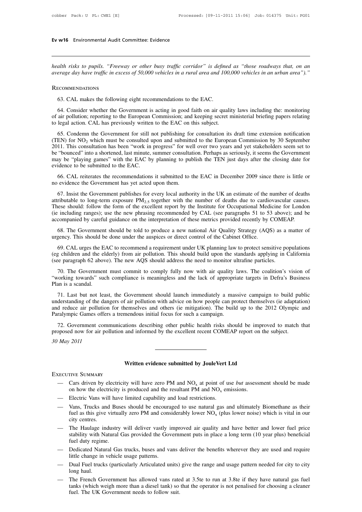# **Ev w16** Environmental Audit Committee: Evidence

*health risks to pupils. "Freeway or other busy traffic corridor" is defined as "those roadways that, on an* **Ev w16** Environmental Audit Committee: Evidence<br>*health risks to pupils. "Freeway or other busy traffic corridor" is defined as "those roadways that, on an<br>average day have traffic in excess of 50,000 vehicles in a rural* meath risks to pupils. "Freeway or other busy traffic corridor" is defined as "those roadways that, on an average day have traffic in excess of 50,000 vehicles in a rural area and 100,000 vehicles in an urban area")."<br>RECO

### Recommendations

Figures and the Government is a rural area and 100,000 vehicles in an urban area")."<br>
ECOMMENDATIONS<br>
63. CAL makes the following eight recommendations to the EAC.<br>
64. Consider whether the Government is acting in good fai **COMMENDATIONS**<br> **Solution:** reporting to the following eight recommendations to the EAC.<br> **Solution:** reporting to the European Commission; and keeping secret ministerial briefing papers relating<br>
to legal action. CAL has RECOMMENDATIONS<br>63. CAL makes the following eight recommendations to the EAC.<br>64. Consider whether the Government is acting in good faith on air qualit<br>of air pollution; reporting to the European Commission; and keeping se 63. CAL makes the following eight recommendations to the EAC.<br>64. Consider whether the Government is acting in good faith on air quality laws including the: monitoring<br>air pollution; reporting to the European Commission;

(TEN) for NO<sub>2</sub> which must be commendations to the EAC.<br>
(4. Consider whether the Government is acting in good faith on air quality laws including the: monitoring<br>
of air pollution; reporting to the European Commission; an 64. Consider whether the Government is acting in good faith on air quality laws including the: monitoring of air pollution; reporting to the European Commission; and keeping secret ministerial briefing papers relating to l be "bounced" into a shortened, last minute, summer consultation is deterministerial briefing papers relating of air pollution; reporting to the European Commission; and keeping secret ministerial briefing papers relating t may be "playing games" with the EAC by planning to publish the TEN just days after the closing dation. CAL has previously written to the EAC on this subject.<br>
65. Condemn the Government for still not publishing for consult 65. Condemn the Government for still r<br>(TEN) for  $NO_2$  which must be consulted u<br>2011. This consultation has been "work in<br>be "bounced" into a shortened, last minute,<br>may be "playing games" with the EAC by<br>evidence to be 66. CAL reiterates the recommendations it submitted to the Early and submitted to the Surious of the recommendation in the consultation has been "bounced" into a shortened, last minute, summer consultation. Perhaps as ser 2011. This consultation has been "work in progress" for we<br>consultation has been "work in progress" for we<br>be "bounced" into a shortened, last minute, summer consultat<br>may be "playing games" with the EAC by planning to pu

"bounced" into a shortened, last minute, summer consultation. Perhaps as seriously, it seems the Government<br>ty be "playing games" with the EAC by planning to publish the TEN just days after the closing date for<br>idence to may be "playing games" with the EAC by planning to publish the TEN just days after the closing date for evidence to be submitted to the EAC.<br>66. CAL reiterates the recommendations it submitted to the EAC in December 2009 evidence to be submitted to the EAC.<br>66. CAL reiterates the recommendations it submitted to the EAC in December 2009 since there is little or<br>no evidence the Government has yet acted upon them.<br>67. Insist the Government p 66. CAL reiterates the recommendations it submitted to the EAC in December 2009 since there is little or<br>no evidence the Government has yet acted upon them.<br>67. Insist the Government publishes for every local authority in accompanied by careful guidance on the interpretation of these metrics provided recentles in the UK and attributable to long-term exposure  $PM_{2.5}$  together with the number of deaths due to cardiovascular causes These sho 67. Insist the Government publishes for every local authority in the UK an estimate of the number of deaths ributable to long-term exposure  $PM_{2.5}$  together with the number of deaths due to cardiovascular causes.<br>esse sh attributable to long-term exposure  $PM_{2.5}$  together with the number of deaths due to cardic<br>attributable to long-term exposure  $PM_{2.5}$  together with the number of deaths due to cardic<br>(ie including ranges); use the new

Final metals and the torm of the excellent report by the Institute for Occupational Medicine for London<br>
including ranges); use the new phrasing recommended by CAL (see paragraphs 51 to 53 above); and be<br>
companied by care (ie including ranges); use the new phrasing recommended by CAL (see paragraphs 51 to 53 above); and be accompanied by careful guidance on the interpretation of these metrics provided recently by COMEAP.<br>
68. The Government accompanied by careful guidance on the interpretation of these metrics provided recently by COMEA<br>68. The Government should be told to produce a new national Air Quality Strategy (AQS) as a<br>urgency. This should be done und 108. The Government should be told to produce a new national Air Quality Strategy (AQS) as a matter of gency. This should be done under the auspices or direct control of the Cabinet Office.<br>
169. CAL urges the EAC to recom urgency. This should be done under the auspices or direct control of the Cabinet Office.<br>
69. CAL urges the EAC to recommend a requirement under UK planning law to protect sensitive populations<br>
(eg children and the elderl 69. CAL urges the E.<br>
(eg children and the el<br>
(see paragraph 62 abov<br>
70. The Governmen<br>
"working towards" suc<br>
Plan is a scandal.<br>
71. Last but not lea

12. Last but not least, the Government should alunch immediately a massive campaign in California<br>
70. The Government must commit to comply fully now with air quality laws. The coalition's vision of<br>
71. Last but not least (see paragraph 62 above). The new AQS should address the need to monitor ultrafine particles.<br>
70. The Government must commit to comply fully now with air quality laws. The coalition's vision of<br>
"working towards" such com The Government must commit to comply fully now with air quality laws. The coalition's vision of<br>
"working towards" such compliance is meaningless and the lack of appropriate targets in Defra's Business<br>
Plan is a scandal.<br> From the different mast communic of comply rany how with an quality is<br>
"working towards" such compliance is meaningless and the lack of appropri-<br>
Plan is a scandal.<br>
71. Last but not least, the Government should launch i 17. Last but not least, the Government should launch immediately a massive campaign to build public<br>derstanding of the dangers of air pollution with advice on how people can protect themselves (ie adaptation)<br>d reduce air 71. Last but not least, the Government should launch immediately a massive campaign to build pu understanding of the dangers of air pollution with advice on how people can protect themselves (ie adaptation and reduce air p denetrianding of the darand reduce air pollution<br>**Paralympic Games offer**<br>72. Government com<br>proposed now for air po<br>30 May 2011

72. Government communications describing other public health risks should be improved to match that proposed now for air pollution and informed by the excellent recent COMEAP report on the subject.<br>30 May 2011<br>Written evid

Executive Summary

- **EXECUTIVE SUMMARY**<br>
Written evidence submitted by JouleVert Ltd<br>
Cars driven by electricity will have zero PM and NO<sub>x</sub> at point of use *but* assessment should be made<br>
on how the electricity is produced and the resultan **SUMMARY**<br>
TIVE SUMMARY<br>
Cars driven by electricity will have zero PM and  $NO_x$  at point of use *but* assess<br>
on how the electricity is produced and the resultant PM and  $NO_x$  emissions.<br>
Electric Vans will have limited cap **ELECT WE SUMMARY**<br>
Written evidence submitted by JouleVert 1<br>
Cars driven by electricity will have zero PM and  $NO_x$  at point of u<br>
on how the electricity is produced and the resultant PM and  $NO_x$  en<br>
— Electric Vans will
- 
- EXECUTIVE SUMMARY<br>
 Cars driven by electricity will have zero PM and NO<sub>x</sub> at point of use *but* assessment should be made<br>
on how the electricity is produced and the resultant PM and NO<sub>x</sub> emissions.<br>
 Electric Vans wi FIVE SUMMARY<br>Cars driven by electricity will have zero PM and  $NO_x$  at point of use *but* assessment should be made<br>on how the electricity is produced and the resultant PM and  $NO_x$  emissions.<br>Electric Vans will have limite Cars driven by el<br>
on how the electr<br>
Electric Vans will<br>
Vans, Trucks and<br>
fuel as this give v<br>
city centres.<br>
The Haulage ind<br>
stability with Nat
- on how the electricity is produced and the resultant PM and  $NO_x$  emissions.<br>
 Electric Vans will have limited capability and load restrictions.<br>
 Vans, Trucks and Buses should be encouraged to use natural gas and ultima Electric Vans will have limited capability and load restrictions.<br>Vans, Trucks and Buses should be encouraged to use natural gas and ultimately Biomethane as their<br>fuel as this give virtually zero PM and considerably lowe - Electric Vans will have limited capability and load restrictions.<br>
- Vans, Trucks and Buses should be encouraged to use natural gas and ultimately Biomethane as their<br>
fuel as this give virtually zero PM and considerably The Haulage industry will deliver vastly improved air quality and have better and lower fuel price<br>
— The Haulage industry will deliver vastly improved air quality and have better and lower fuel price<br>
stability with Natu - The Haulage industry will deliver vastly improved air quality and have better and lower fuel price stability with Natural Gas provided the Government puts in place a long term (10 year plus) beneficial fuel duty regime.<br> — The Haulage industry will deliver vastly improved air quality and have better and lower fuel price<br>stability with Natural Gas provided the Government puts in place a long term (10 year plus) beneficial<br>fuel duty regime.<br> stability with Natural Gas provided the Government puts in place a long term (10 year plus) beneficial<br>fuel duty regime.<br>— Dedicated Natural Gas trucks, buses and vans deliver the benefits wherever they are used and requir
- 
- 
- I Dedicated Natural Gas trucks, buses and vans deliver the benefits wherever they are used and require<br>
ittle change in vehicle usage patterns.<br>
 Dual Fuel trucks (particularly Articulated units) give the range and usage Dedicated Natural Gas trucks, buses and vans deliver the benefits wherever they are used and require<br>little change in vehicle usage patterns.<br>Dual Fuel trucks (particularly Articulated units) give the range and usage patte fuel. The UK Government needs to follow suit.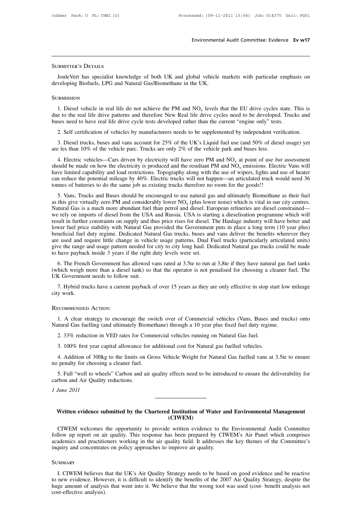### SUBMITTER'S DETAILS

Environmental Audit Committee: Evidence Ev w17<br>JOULEVERT AS DETAILS<br>JouleVert has specialist knowledge of both UK and global vehicle markets with particular emphasis on<br>veloping Biofuels, LPG and Natural Gas/Biomethane in SUBMITTER'S DETAILS<br>JouleVert has specialist knowledge of both UK and global vehicle<br>developing Biofuels, LPG and Natural Gas/Biomethane in the UK.<br>SUBMISSION

### **SUBMISSION**

JouleVert has specialist knowledge of both UK and global vehicle<br>veloping Biofuels, LPG and Natural Gas/Biomethane in the UK.<br>DEMISSION<br>1. Diesel vehicle in real life do not achieve the PM and  $NO_x$  levels<br>e to the real li vehicle markets with particular emphasis on<br>
S.<br>
levels that the EU drive cycles state. This is<br>
ive cycles need to be developed. Trucks and<br>
in the current "engine only" tests. JouleVert has specialist knowledge of both UK and global vehicle markets with particular emphasis on developing Biofuels, LPG and Natural Gas/Biomethane in the UK.<br>SUBMISSION<br>1. Diesel vehicle in real life do not achieve developing Biofuels, LPG and Natural Gas/Biomethane in the UK.<br>
SUBMISSION<br>
1. Diesel vehicle in real life do not achieve the PM and  $NO_x$  levels that the EU drive cycles state. T<br>
due to the real life drive patterns and t 2. Diesel vehicle in real life do not achieve the PM and  $NO_x$  levels that the EU drive cycles state. This is e to the real life drive patterns and therefore New Real life drive cycles need to be developed. Trucks and ses 1. Diesel vehicle in real life do not achieve the PM and  $NO_x$  levels that the EU drive cycles state. This is<br>e to the real life drive patterns and therefore New Real life drive cycles need to be developed. Trucks and<br>ses 1. Diesel vehicle in real life do not achieve the PM and NO<sub>x</sub> levels that the EU drive cycles s<br>due to the real life drive patterns and therefore New Real life drive cycles need to be developed.<br>buses need to have real l

ses need to have real life drive cycle tests developed rather than the current "engine only" tests.<br>2. Self certification of vehicles by manufacturers needs to be supplemented by independent verification.<br>3. Diesel trucks 2. Self certification of vehicles by manufacturers needs to be supplemented by independent verification.<br>3. Diesel trucks, buses and vans account for 25% of the UK's Liquid fuel use (and 50% of diesel usage) yet<br>are les t 2. Self certification of vehicles by manufacturers needs to be supplemented by independent verification.<br>3. Diesel trucks, buses and vans account for 25% of the UK's Liquid fuel use (and 50% of diesel usage) yet<br>are les t 3. Diesel trucks, buses and vans account for 25% of the UK's Liquid fuel use (and 50% of diesel usage) yet are les than 10% of the vehicle parc. Trucks are only 2% of the vehicle park and buses less.<br>4. Electric vehicles— 3. Dieser trucks, buses and vans account for 25 h of the GK s Eighta flact use (and 50 h of dies are les than 10% of the vehicle parc. Trucks are only 2% of the vehicle park and buses less.<br>4. Electric vehicles—Cars drive 4. Electric vehicles—Cars driven by electricity will have zero PM and  $NO_x$  at point of use *but* assessment<br>ould be made on how the electricity is produced and the resultant PM and  $NO_x$  emissions. Electric Vans will<br>ve li 4. Electric venetes—cars dirven by electricity win have 2cto TM and NO<sub>x</sub> at point of use *bit assessment* should be made on how the electricity is produced and the resultant PM and NO<sub>x</sub> emissions. Electric Vans will hav

Solution and the exercity is produced and the essident FW and TV<sub>X</sub> consistens. Excel was window limited capability and load restrictions. Topography along with the use of wipers, lights and use of heater can reduce the p mave inince capaointy and ioad restrictions. Topography along with the use of wipers, rights and use of heater<br>can reduce the potential mileage by 40%. Electric trucks will not happen—an articulated truck would need 36<br>to can reduce the potential inteage by  $40\%5. Vans, Trucks and Bu$ bomes of batteries to do the same job as existing tracks incredict if follom for the goods::<br>5. Vans, Trucks and Buses should be encouraged to use natural gas and ultimately Biomethane as their fuel<br>as this give virtually 5. Vans, Trucks and Buses should be encouraged to use natural gas and ultimately Biomethane as their fuel<br>as this give virtually zero PM and considerably lower  $NO_x$  (plus lower noise) which is vital in our city centres.<br>N as this give virtually zero PM and considerably lower  $NO_x$  (plus lower noise) which is vital in our city centres.<br>Natural Gas is a much more abundant fuel than petrol and diesel. European refineries are diesel constrained Natural Gas is a much more abundant fuel than petrol and diesel. European refineries are diesel constrained—<br>we rely on imports of diesel from the USA and Russia. USA is starting a dieselisation programme which will<br>result we rely on imports of diesel from the USA and Russia. USA is starting a dieselisation programme which will result in further constraints on supply and thus price rises for diesel. The Haulage industry will have better and First True Constraints on supply and this price rises for diesel. The Fradinge industry win have better and<br>wer fuel price stability with Natural Gas provided the Government puts in place a long term (10 year plus)<br>neficia For the transmit with Natural Gas provided the Government puts in place a long term (to year pus)<br>beneficial fuel duty regime. Dedicated Natural Gas trucks, buses and vans deliver the benefits wherever they<br>are used and re

give the range and usage pattern needed for city to city long haul. Dedicated Natural gas trucks could be made<br>to have payback inside 3 years if the right duty levels were set.<br>6. The French Government has allowed vans rat we the range and usage pattern needed for city to city long haul. Dedicated Natural gas trucks could be made<br>have payback inside 3 years if the right duty levels were set.<br>6. The French Government has allowed vans rated at UK Government needs to follow suit.

T. Hybrid trucks have a current payback of over 15 years as they are only effective in stop start low<br>city work.<br>RECOMMENDED ACTION:<br>1. A clear strategy to encourage the switch over of Commercial vehicles (Vans, Buses and

### Recommended Action:

1. Hybrid trucks have a current payback of over 15 years as they are only effective in stop start low mileage<br>
1. A clear strategy to encourage the switch over of Commercial vehicles (Vans, Buses and trucks) onto<br>
1. A cle 2. 33% reduction in VED rates for Commercial vehicles (Vans, Buses and T. A clear strategy to encourage the switch over of Commercial vehicles (Vans, Buses and tural Gas fuelling (and ultimately Biomethane) through a 10 ye ECOMMENDED ACTION:<br>
1. A clear strategy to encourage the switch over of Commercial vehicles (Vans, Buses an<br>
tural Gas fuelling (and ultimately Biomethane) through a 10 year plus fixed fuel duty regime<br>
2. 33% reduction in

1. A clear strategy to encourage the switch over of Commercial vehicles (Vans, Buses and trucks) onto the limital Gas fuelling (and ultimately Biomethane) through a 10 year plus fixed fuel duty regime.<br>
2. 33% reduction in Natural Gas fuelling (and ultimately Biomet<br>2. 33% reduction in VED rates for Comm<br>3. 100% first year capital allowance for a<br>4. Addition of 300kg to the limits on Grc<br>no penalty for choosing a cleaner fuel.<br>5. Full "well 1. 5. Full "well to wheels" Carbon and air quality effects need to be introduced to ensure the deliverability for the Materian and air quality effects need to be introduced to ensure the deliverability for the deliverabili 3. 100% first year capital allowance for 4. Addition of 300kg to the limits on no penalty for choosing a cleaner fuel.<br>5. Full "well to wheels" Carbon and a carbon and Air Quality reductions.<br>1 June 2011 4. Addition of 300kg<br>no penalty for choosing<br>5. Full "well to whee<br>carbon and Air Quality<br>*1 June 2011* 

5. Full "well to wheels" Carbon and air quality effects need to be introduced to ensure the deliverability for<br> *Written evidence submitted by the Chartered Institution of Water and Environmental Management*<br>
(CIWEM)

### **(CIWEM)**

Via Equipment<br>
Via the original of Water and Environmental Management<br>
CIWEM welcomes the opportunity to provide written evidence to the Environmental Audit Committee<br>
Ilow up report on air quality. This response has been Written evidence submitted by the Chartered Institution of Water and Environmental Management<br>
(CIWEM)<br>
CIWEM welcomes the opportunity to provide written evidence to the Environmental Audit Committee<br>
follow up report on a Written evidence submitted by the Chartered Institution of Water and Environmental Management (CIWEM)<br>CIWEM welcomes the opportunity to provide written evidence to the Environmental Audit Committee<br>follow up report on air Written evidence submitted by the Chartered Institution of Water ar (CIWEM)<br>CIWEM welcomes the opportunity to provide written evidence to the<br>follow up report on air quality. This response has been prepared by CIV<br>academic Ilow up report on air quality. This response has been prepared by CIWEM's Air Panel which comprises<br>ademics and practitioners working in the air quality field. It addresses the key themes of the Committee's<br>quiry and conce

### **SUMMARY**

The new evidence is and practitioners working in the air quality field. It addresses the key themes of the Committee's<br>
inquiry and concentrates on policy approaches to improve air quality.<br>
SUMMARY<br>
I. CIWEM believes that inquiry and concentrates on policy approaches to improve air quality.<br>
SUMMARY<br>
I. CIWEM believes that the UK's Air Quality Strategy needs to be based on good evidence and be reactive<br>
to new evidence. However, it is diffi COMMARY<br>
I. CIWEM believes t<br>
to new evidence. Howe<br>
huge amount of analysis).<br>
cost-effective analysis).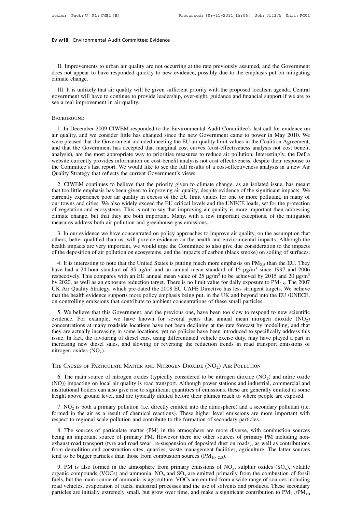# **Ev w18** Environmental Audit Committee: Evidence

**II.** Improvements to urban air quality are not occurring at the rate previously assumed, and the Government es not appear to have responded quickly to new evidence, possibly due to the emphasis put on mitigating mate chan Ev w18 Environmental Audit Committee: Evidence<br>
II. Improvements to urban air quality are not occurring at the rate previously assumed, and the Government<br>
does not appear to have responded quickly to new evidence, possibl Ev w18 Environmental Audit Committee: Evidence<br>
II. Improvements to urban air quality are not occurring at the rate previously assumed, and the Government<br>
does not appear to have responded quickly to new evidence, possibl II. Improvements to urban air quality are not occurring at the rate previously assumed, and the Government<br>es not appear to have responded quickly to new evidence, possibly due to the emphasis put on mitigating<br>mate change II. Improvements to urban air quality are not occurring at the rate previously assumed, and the Government does not appear to have responded quickly to new evidence, possibly due to the emphasis put on mitigating climate c II. Improvements to urban air quality are<br>does not appear to have responded quickly<br>climate change.<br>III. It is unlikely that air quality will be<br>government will have to continue to provid<br>see a real improvement in air qual

III. It is unlikely that air quality will be given sufficient priority with the proposed localism agenda. Central<br>vernment will have to continue to provide leadership, over-sight, guidance and financial support if we are t

### **BACKGROUND**

Example 1 and that we to continue to provide leadership, over-sight, guidance and financial support if we are to<br>see a real improvement in air quality.<br>BACKGROUND<br>1. In December 2009 CIWEM responded to the Environmental Au were pleased that the Government included meeting the EU air quality limit values in the Coalition Agreement, BACKGROUND<br>1. In December 2009 CIWEM responded to the Environmental Audit Committee's last call for evidence on<br>air quality, and we consider little has changed since the new Government came to power in May 2010. We<br>were pl BACKGROUND<br>1. In December 2009 CIWEM responded to the Environmental Audit Committee's last call for evidence on<br>air quality, and we consider little has changed since the new Government came to power in May 2010. We<br>were pl DACKOROOTHD<br>1. In December 2009 CIWEM responded to the Environmental Audit Committee's last call for evidence on<br>air quality, and we consider little has changed since the new Government came to power in May 2010. We<br>were p 1. In December 2009 CIWEM responded to the Environmental Audit Committee's last call for evidence on air quality, and we consider little has changed since the new Government came to power in May 2010. We were pleased that air quality, and we consider little has changed since the new Gover were pleased that the Government included meeting the EU air quali and that the Government has accepted that marginal cost curves (analysis), are the most 2. CIWEM continues to believe that the priority given to climate change, as an isolated incerement that the Government has accepted that marginal cost curves (cost-effectiveness analysis not cost benefit alysis), are the m In a that the covernment has accepted that halger cost carves (cost encervencess analysis not cost centrically, the Defra website currently provides information on cost-benefit analysis not cost effectiveness, despite thei

analysis), are are most appropriate way to prioritise measures to reduce an pondition. Interestingly, the Deria<br>website currently provides information on cost-benefit analysis not cost effectiveness, despite their response website earliently provides information of cost-benefit analysis not cost encerveness, despite then response to<br>the Committee's last report. We would like to see the full results of a cost-effectiveness analysis in a new A The Committee's last report. We would like to see the run results of a cost-encelventess analysis in a new All<br>Quality Strategy that reflects the current Government's views.<br>2. CIWEM continues to believe that the priority 2. CIWEM continues to believe that the priority given to climate change, as an isolated issue, has meant that too little emphasis has been given to improving air quality, despite evidence of the significant impacts. We cur 2. CIWEM continues to believe that the priority given to climate ch that too little emphasis has been given to improving air quality, despite e currently experience poor air quality in excess of the EU limit values f our t If the solution and contract of the EU limit values for one or more pollutant, in many of r towns and cities. We also widely exceed the EU critical levels and the UNECE loads, set for the protection vegetation and ecosyste our towns and cities. We also widely exceed the EU critical levels and the UNECE loads, set for the protection<br>of vegetation and ecosystems. This is not to say that improving air quality is more important than addressing<br>c

of vegetation and ecosystems. This is not to say that improving air quality is more important than addressing<br>climate change, but that they are both important. Many, with a few important exceptions, of the mitigation<br>measu of vegetation and ecosystems. This is not to say that improving an quality is more important than dealerssing<br>climate change, but that they are both important. Many, with a few important exceptions, of the mitigation<br>meas 2. In our evidence we have concentrated on policy approaches to improve air quality, on the assumption that<br>
2. In our evidence we have concentrated on policy approaches to improve air quality, on the assumption that<br>
len 3. In our evidence we have concentrated on policy approaches to improve air quality, on the assumption that others, better qualified than us, will provide evidence on the health and environmental impacts. Although the hea

3. In our evidence we have concentrated on poincy approaches to improve and others, better qualified than us, will provide evidence on the health and environed between the deposition of air pollution on ecosystems, and th 5. The concerned by 2020, as well as an exposure reduction target. There is no limit value for daily exposure is  $4.$  It is interesting to note that the United States is putting much more emphasis on PM<sub>2.5</sub> than the EU. It all mipacts are very important, we would tige the committee to also give the consideration to the impacts<br>of the deposition of air pollution on ecosystems, and the impacts of carbon (black smoke) on soiling of surfaces 4. It is interesting to note that the United States is putting much more emphasis on  $PM_{2.5}$  than the EU. They have had a 24-hour standard of 35  $\mu g/m^3$  and an annual mean standard of 15  $\mu g/m^3$  since 1997 and 2006 res 4. It is interesting to note that the United States is putting much more emphasis on  $PM_{2.5}$  than<br>have had a 24-hour standard of 35  $\mu g/m^3$  and an annual mean standard of 15  $\mu g/m^3$  since 1<br>respectively. This compares be mad 2.4 hold standard of 3.5 light and an annual mean value of 1.5 light shock one spectively. This compares with an EU annual mean value of 25 light<sup>3</sup> to be achieved by 2015 and 20 light<sup>3</sup> (2017). The 2007 2020, as Evidence. For example, we have known for several years that annual mean introduced by 2019 and 20  $\mu$ g/m<br>they 2020, as well as an exposure reduction target. There is no limit value for daily exposure to  $\text{PM}_{2.5}$ . The

Concentrations at many roadside locations have not been declining at the rate for dairy exposure to  $1.42$ <sub>5</sub>. The 2007 UK Air Quality Strategy, which pre-dated the 2008 EU CAFE Directive has less stringent targets. We be The Valley strategy, when pre-dated the 2000 EU CAVE E Brickave has less stangent targets. We believe that the health evidence supports more policy emphasis being put, in the UK and beyond into the EU/UNECE, on controlling inal the health evidence supports more pointy empines soent put, in the ext and ocyona met the EO FONECE, on controlling emissions that contribute to ambient concentrations of these small particles.<br>5. We believe that thi 5. We believe that this Government, and the previous one, have been too slow to respond to new scientific evidence. For example, we have known for several years that annual mean nitrogen dioxide (NO<sub>2</sub>) concentrations at 5. We believe that this Government, and the previous one, have been too slow to respond to new scientific evidence. For example, we have known for several years that annual mean nitrogen dioxide (NO<sub>2</sub>) concentrations at 5. We believe that this Government, and the previous one, have been too slow to respond to new sevidence. For example, we have known for several years that annual mean nitrogen dioxide concentrations at many roadside loca in fact, the favouring of diesel cars, using differentiated vehicle excise duty, may have played a part in<br>creasing new diesel sales, and slowing or reversing the reduction trends in road transport emissions of<br>rogen oxid

increasing new diesel sales, and slowing or reversing the reduction trends in road transport emissions of nitrogen oxides  $(NO_x)$ .<br>THE CAUSES OF PARTICULATE MATTER AND NITROGEN DIOXIDE  $(NO_2)$  AIR POLLUTION<br>6. The main sou instrument oxides (NO<sub>x</sub>).<br>The Causes of Particulate Matter and Nitrogen Dioxide (NO<sub>2</sub>) Air Pollution<br>6. The main source of nitrogen oxides (typically considered to be nitrogen dioxide (NO<sub>2</sub>) and nitric oxide<br>(NO)) impa THE CAUSES OF PARTICULATE MATTER AND NITROGEN DIOXIDE  $(NO_2)$  AIR POLLUTION<br>6. The main source of nitrogen oxides (typically considered to be nitrogen dioxide  $(NO_2)$  and nitric oxide<br>(NO)) impacting on local air quality IE CAUSES OF PARTICULATE MATTER AND NITROGEN DIOXIDE  $(NO_2)$  AIR POLLUTION<br>6. The main source of nitrogen oxides (typically considered to be nitrogen dioxide  $(NO_2)$  and nitric oxide<br>6)) impacting on local air quality is 6. The main source of nitrogen oxides (typically considered to be nitrogen dioxide (NO<sub>2</sub>) and nitric oxide (NO)) impacting on local air quality is road transport. Although power stations and industrial, commercial and in From the main solution of secondary profisioners (iversity) impacting on local air quality is road transport. Although power stations and industrial, institutional boilers can also give rise to significant quantities of e

stitutional boilers can also give rise to significant quantities of emissions, these are generally emitted at some<br>ight above ground level, and are typically diluted before their plumes reach to where people are exposed.<br>7

7. NO<sub>2</sub> is both a primary pollution (i.e. directly emitted into the atmosphere) and a secondary pollutant (i.e. formed in the air as a result of chemical reactions). These higher level emissions are more important with r 7. NO<sub>2</sub> is both a primary pollution (i.e. directly emitted into the atmosphere) and a secondary pollutant (i.e. formed in the air as a result of chemical reactions). These higher level emissions are more important with r From demolition and construction sites, quarries, waste management facilities, agriculture. The latter sources tend to be bigger particles than those from combustion sources being an important source of primary PM. Howeve the total to be the position and contribute to the formation of secondary<br>than the sources of particulate matter (PM) in the atmosphere are more dive<br>being an important source of primary PM. However there are other source 8. The sources of particulate matter (PM) in the atmosphere are more diverse, ing an important source of primary PM. However there are other sources of primaust road transport (tyre and road wear; re-suspension of deposit verse, with combustion sources<br>of primary PM including non-<br>roads), as well as contributions<br>s, agriculture. The latter sources<br>, sulphur oxides  $(SO_x)$ , volatile<br>y from the combustion of fossil<br>wide range of sources inclu or the solution sources of punctuate matter (FM) in the amosphere are note diverse, while composition solutions being an important source of primary PM. However there are other sources of primary PM including non-<br>exhaust

fuel many of the main solution of permany 1 M. However there are onles solutes of primary 1 M including non-<br>exhaust road transport (tyre and road wear; re-suspension of deposited dust on roads), as well as contributions<br> From demolition and construction sites, quarries, waste management facilities, agriculture. The latter sources tend to be bigger particles than those from combustion sources  $(PM_{10-2.5})$ .<br>9. PM is also formed in the atmos particles are initially extremely small, but grow over time, and make a significant contribution to PM<sub>2.5</sub>/PM<sub>10</sub>.<br>particles are initially extremely small, NO<sub>x</sub> and SO<sub>x</sub> are emitted primarily from the combustion of fos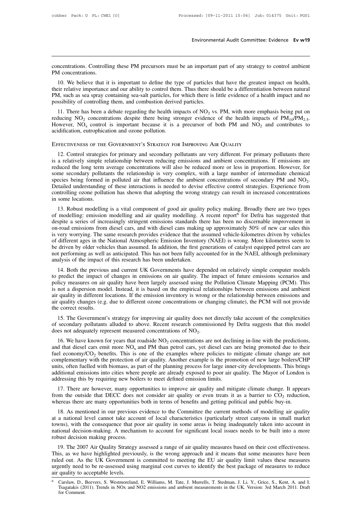Environmental Audit Committee: Evidence Ev w19<br>
concentrations. Controlling these PM precursors must be an important part of any strategy to control ambient<br>
PM concentrations. concentrations. Controllines.<br>PM concentrations.<br>10. We believe that it

10. We believe that it is important to define the type of particles that have the greatest impact on health,<br>
10. We believe that it is important to define the type of particles that have the greatest impact on health,<br>
10 The concentrations. Controlling these PM precursors must be an important part of any strategy to control ambient<br>The concentrations.<br>10. We believe that it is important to define the type of particles that have the greates **EXECUTE AS SEA SEA SPRAY CONCENTED SEALTLE SEARCH CONCENTRATIONS**.<br>
The concentrations.<br>
10. We believe that it is important to define the type of particles that have the greatest impact on health,<br>
their relative importa concentrations. Controlling these PM precursors must be an important PM concentrations.<br>
10. We believe that it is important to define the type of particles their relative importance and our ability to control them. Thus t 10. We believe that it is important to define the type of particles that have the greatest impact on health, <br>
ir relative importance and our ability to control them. Thus there should be a differentiation between natural 10. We believe that it is important to define the type of particles that have the greatest impact on health, their relative importance and our ability to control them. Thus there should be a differentiation between natura

their relative importance and our ability to control them. Thus there should be a differentiatic PM, such as sea spray containing sea-salt particles, for which there is little evidence of a heapossibility of controlling t 11. There has been a debate regarding the health impacts of 100<sub>2</sub> vs. TM, while more emphasis being plut of<br>Iditiong NO<sub>2</sub> concentrations despite there being stronger evidence of the health impacts of  $PM_{10}/PM_{2.5}$ .<br>Weve

Free TWENESS OF THE GOVERNMENT'S STRATEGY FOR IMPROVING AIR QUALITY<br>acidification, eutrophication and ozone pollution.<br>EFFECTIVENESS OF THE GOVERNMENT'S STRATEGY FOR IMPROVING AIR QUALITY<br>12. Control strategies for primar EFFECTIVENESS OF THE GOVERNMENT'S STRATEGY FOR IMPROVING AIR QUALITY<br>
12. Control strategies for primary and secondary pollutants are very different. For primary pollutants there<br>
is a relatively simple relationship betwe EFFECTIVENESS OF THE GOVERNMENT'S STRATEGY FOR IMPROVING AIR QUALITY<br>12. Control strategies for primary and secondary pollutants are very different. For primary pollutants there<br>is a relatively simple relationship between EFFECTIVENESS OF THE GOVERNMENT'S STRATEGY FOR IMPROVING AIR QUALITY<br>12. Control strategies for primary and secondary pollutants are very different. For primary pollutants there<br>is a relatively simple relationship between EFFECTIVENESS OF THE GOVERNMENT'S STRATEGY FOR IMPROVING AIR QUALITY<br>12. Control strategies for primary and secondary pollutants are very different. For primary pollutants there<br>is a relatively simple relationship between 12. Control strategies for primary and secondary pollutants are very different. For primary pollutants there is a relatively simple relationship between reducing emissions and ambient concentrations. If emissions are redu is a relatively simple reduced the long term as<br>reduced the long term as<br>some secondary polluta<br>species being formed if<br>Detailed understanding<br>controlling ozone pollut<br>in some locations.<br>13. Robust modelling inced the long term average concentrations will also be reduced more or less in proportion. However, for<br>me secondary pollutants the relationship is very complex, with a large number of intermediate chemical<br>ecies being fo some secondary pontitions the relationship is very complex, which a large number of intermediate chemical species being formed in polluted air that influence the ambient concentrations of secondary PM and NO<sub>2</sub>. Detailed

species being formed in pointed an that inhuence the ambient concentrations of secondary PM and NO<sub>2</sub>.<br>Detailed understanding of these interactions is needed to devise effective control strategies. Experience from<br>controll Detained understanding of these interactions is needed to devise effective control strategies. Experience from controlling ozone pollution has shown that adopting the wrong strategy can result in increased concentrations i controlling ozone pointuron has shown that adopting the wrong strategy can result in increased concentrations<br>in some locations.<br>13. Robust modelling is a vital component of good air quality policy making. Broadly there ar IT Solutions.<br>
13. Robust modelling is a vital component of good air quality policy making. Broadly there are two types<br>
of modelling: emission modelling and air quality modelling. A recent report<sup>6</sup> for Defra has suggeste 13. Robust modelling is a vital component of good air quality policy making. Broadly there are two types of modelling: emission modelling and air quality modelling. A recent report<sup>6</sup> for Defra has suggested that despite a of modelling: emission modelling and air quality modelling. A recent report<sup>6</sup> for Defra has suggested that despite a series of increasingly stringent emissions standards there has been no discernable improvement in on-roa of modelling: emission modelling and air quality modelling. A recent report<sup>6</sup> for Defra has suggested that despite a series of increasingly stringent emissions standards there has been no discernable improvement in on-roa Froad emissions from dieset cars, and with dieset cans making up approximately 50% of new car sates this<br>very worrying. The same research provides evidence that the assumed vehicle-kilometres driven by vehicles<br>different a In the impact of changes in emissions on air quality. The impact of different ages in the National Atmospheric Emission Inventory (NAEI) is wrong. More kilometres seem to be driven by older vehicles than assumed. In additi

be driven by older vehicles than assumed. In addition, the first generations of catalyst equipped petrol cars are not performing as well as anticipated. This has not been fully accounted for in the NAEI, although prelimina is not performing as well as anticipated. In addition, the first generations of cataryst equipped petrof cas are<br>not performing as well as anticipated. This has not been fully accounted for in the NAEI, although preliminar not performing as well as anticipated. This has not been fully accounted for in the NAET, antiough premiminary<br>analysis of the impact of this research has been undertaken.<br>14. Both the previous and current UK Governments h analysis of the impact of this research has been undertaken.<br>
14. Both the previous and current UK Governments have depended on relatively simple computer models<br>
to predict the impact of changes in emissions on air qualit policy measures on air quality have been largely assessed using the Pollution Climate Mapping (PCM). This<br>is not a dispersion model. Instead, it is based on the empirical relationships between emissions and ambient<br>air qua because the impact of changes in emissions on an quanty. The impact of future emissions scenarios and<br>licy measures on air quality have been largely assessed using the Pollution Climate Mapping (PCM). This<br>not a dispersio policy ineasures on an quality have been largery assessed using the Fontution Crimate Mapping (FCM). This<br>is not a dispersion model. Instead, it is based on the empirical relationships between emissions and ambient<br>air qu

% air quality changes (e.g. due to different ozone concentrations or changing climate), the PCM will not provide<br>the correct results.<br>15. The Government's strategy for improving air quality does not directly take account Equality changes (e.g. due to different ozone concentrations or changing climate), the PCM will not provide<br>
2. Correct results.<br>
15. The Government's strategy for improving air quality does not directly take account of t

15. The Government's strategy for improving air quality does not directly take account of the complexities<br>of secondary pollutants alluded to above. Recent research commissioned by Defra suggests that this model<br>does not 15. The Government's strategy for improving air quality does not directly take account of the complexities<br>of secondary pollutants alluded to above. Recent research commissioned by Defra suggests that this model<br>does not 15. The Government s strategy for improving an quality does not directly take account of the complexities<br>of secondary pollutants alluded to above. Recent research commissioned by Defra suggests that this model<br>does not a or secondary pontualits and det to above. Recent research commissioned by Derra suggests that this model<br>does not adequately represent measured concentrations of NO<sub>2</sub>.<br>16. We have known for years that roadside NO<sub>2</sub> conc and that diesel cars emit measured concentrations of  $NO_2$ .<br>
16. We have known for years that roadside  $NO_2$  concentrations are not declining in-line with the predictions,<br>
and that diesel cars emit more  $NO_x$  and PM than 16. We have known for years that roadside  $NO_2$  concentrations are not declies and that diesel cars emit more  $NO_x$  and PM than petrol cars, yet diesel cars if fuel economy/ $CO_2$  benefits. This is one of the examples where If the discussion in the product in the examples where policies to mitigate climate change are not mplementary with the protection of air quality. Another example is the promotion of new large boilers/CHP its, often fuell from the outside that DECC does not consider air quality of benefits and getting that of medicines in the outside that DECC does not consider air quality or even treats it as a barrier to CO<sub>2</sub> reduction, whereas there are complementary with the protection of air quality. Another example is the promotion of new large botters/Cr<br>units, often fuelled with biomass, as part of the planning process for large inner-city developments. This brin<br>add

ditional emissions into cities where people are already exposed to poor air quality. The Mayor of London is<br>dressing this by requiring new boilers to meet defined emission limits.<br>17. There are however, many opportunities addressing this by requiring new boilers to meet defined emission limits.<br>
17. There are however, many opportunities to improve air quality and mitigate climate change. It appears<br>
from the outside that DECC does not cons 17. There are however, many opportunities to improve air quality and mitigate climate change. It appears from the outside that DECC does not consider air quality or even treats it as a barrier to  $CO_2$  reduction, whereas 17. There are nowever, many opportunities to improve an quanty and imigate cinnate change. It appears from the outside that DECC does not consider air quality or even treats it as a barrier to  $CO_2$  reduction, whereas the whereas there are many opportunities both in terms of benefits and getting political and public buy-in.<br>
18. As mentioned in our previous evidence to the Committee the current methods of modelling air quality<br>
at a nationa 18. As mentioned in our previous evidence to the Committee the current methods of modelling air quality a national level cannot take account of local characteristics (particularly street canyons in small market wns), with The assumed in our previous evidence to the Committee the current memods of modeling an quanty<br>at a national level cannot take account of local characteristics (particularly street canyons in small market<br>towns), with the

at a national lever cannot take account of local characteristics (particularly street canyons in sinan market<br>towns), with the consequence that poor air quality in some areas is being inadequately taken into account in<br>nat ure of the re-assessed to be re-assessed a range of air quality measures based on their cost effectiveness.<br>
19. The 2007 Air Quality Strategy assessed a range of air quality measures based on their cost effectiveness.<br>
19 mational decision-intaking. A inechanism to account for signineant local issues heeds to be built into a more<br>robust decision making process.<br>19. The 2007 Air Quality Strategy assessed a range of air quality measures based is, as we have highlighted previously, is the wrong approach and it means that some measures have been<br>ed out. As the UK Government is committed to meeting the EU air quality limit values these measures<br>fently need to be r ed out. As<br>gently need<br>quality to a<br>Carslaw, D., 1<br>Tsagatakis (20<br>for Comment.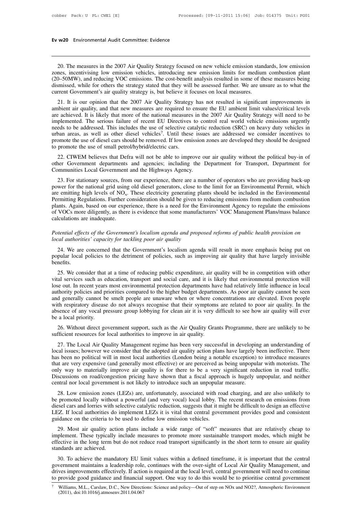# **Ev w20** Environmental Audit Committee: Evidence

20. The measures in the 2007 Air Quality Strategy focused on new vehicle emission standards, low emission<br>20. The measures in the 2007 Air Quality Strategy focused on new vehicle emission standards, low emission<br>20. The me **Ev w20** Environmental Audit Committee: Evidence<br>
20. The measures in the 2007 Air Quality Strategy focused on new vehicle emission standards, low emission<br>
zones, incentivising low emission vehicles, introducing new emiss (20–50MW), and reducing VOC emissions. The cost-benefit analysis resulted in some of these measures in the 2007 Air Quality Strategy focused on new vehicle emission standards, low emission<br>zones, incentivising low emission 20. The measures in the 2007 Air Quality Strategy focused on new vehicle emission standards, low emission zones, incentivising low emission vehicles, introducing new emission limits for medium combustion plant (20–50MW), a 20. The measures in the 2007 Air Quality Strategy focused on new vehicle emission standards, low emission<br>zones, incentivising low emission vehicles, introducing new emission limits for medium combustion plant<br>(20–50MW), a 20. The measures in the 2007 Air Quality Strategy focused on new vehicle emission standards, low emission nes, incentivising low emission vehicles, introducing new emission limits for medium combustion plant 0–50MW), and r 20. The measures in the 2007 Air Quality Strategy focused on hew ventere emission standards, fow emission<br>20ness, incentivising low emission vehicles, introducing new emission limits for medium combustion plant<br>20. The mea

zones, incentryising fow emission venticles, infoducing flew emission mints for including comoustion plant (20–50MW), and reducing VOC emissions. The cost-benefit analysis resulted in some of these measures being dismissed (20–50MW), and reducing VOC emissions. The cost-benefit analysis resulted in some of these measures being dismissed, while for others the strategy stated that they will be assessed further. We are unsure as to what the cur arismssed, while for others the strategy stated that they will be assessed further. We are this ate as to what the current Government's air quality strategy is, but believe it focuses on local measures.<br>21. It is our opini 21. It is our opinion that the 2007 Air Quality Stambient air quality, and that new measures are required are achieved. It is likely that more of the national mean implemented. The serious failure of recent EU Direct meeds There is not resulted in significant improvements in required to ensure the EU ambient limit values/critical levels hal measures in the 2007 Air Quality Strategy will need to be J Directives to control real world vehicle e 21. It is our opinion that the 2007 Air Quality Strategy has not resulted in significant improvements in ambient air quality, and that new measures are required to ensure the EU ambient limit values/critical levels are ach ambient air quality, and that new measures are required to<br>are achieved. It is likely that more of the national measures<br>implemented. The serious failure of recent EU Directives<br>needs to be addressed. This includes the use 22. CIWEM believes that Defra will not be able to improve our air quality without the political buy-in of the serious failure of recent EU Directives to control real world vehicle emissions urgently eds to be addressed. Th mphemented. The schools fantite of recent EO Bhectives to control relation (SRC) on heavy duty vehicles in urban areas, as well as other diesel vehicles<sup>7</sup>. Until these issues are addressed we consider incentives to promot This includes the use of selective catalytic<br>urban areas, as well as other diesel vehicles<sup>7</sup>. Until these issue<br>promote the use of diesel cars should be removed. If low emission<br>to promote the use of small petrol/hybrid/e

omote the use of diesel cars should be removed. If low emission zones are developed they should be designed<br>promote the use of small petrol/hybrid/electric cars.<br>22. CIWEM believes that Defra will not be able to improve ou

to promote the use of small petrol/hybrid/electric cars.<br>
22. CIWEM believes that Defra will not be able to improve our air quality without the political buy-in of<br>
other Government departments and agencies; including the 22. CIWEM believes that Defra will<br>other Government departments and a<br>Communities Local Government and th<br>23. For stationary sources, from our<br>power for the national grid using old d<br>are emitting high levels of  $NO<sub>x</sub>$ . fra will not be able to improve our air quality without the political buy-in of<br>
is and agencies; including the Department for Transport, Department for<br>
t and the Highways Agency.<br>
pm our experience, there are a number of 22. CIWENT beneves that Definition to the dot to implove our an quality without the pointed buy-in of other Government departments and agencies; including the Department for Transport, Department for Communities Local Gov From the stationary sources, from our experience, there are a number of operators who are providing back-up<br>power for the national grid using old diesel generators, close to the limit for an Environmental Permit, which<br>are 23. For stationary sources, from our experience, there are a number of operators who are providing back-up<br>power for the national grid using old diesel generators, close to the limit for an Environmental Permit, which<br>are 23. For stationary sources, from<br>power for the national grid using<br>are emitting high levels of  $NO_x$ .<br>Permitting Regulations. Further c<br>plants. Again, based on our expe<br>of VOCs more diligently, as there<br>calculations are in are emitting high levels of NO<sub>x</sub>. These electricity generating plants should be included in the Environmental<br>Permitting Regulations. Further consideration should be given to reducing emissions from medium combustion<br>plan Permitting Regulations. Further consideration should be given to reducing emissions from medium combustion<br>plants. Again, based on our experience, there is a need for the Environment Agency to regulate the emissions<br>of VOC

VOCs more diligently, as there is evidence that some manufacturers' VOC Management Plans/mass balance<br>lculations are inadequate.<br>tential effects of the Government's localism agenda and proposed reforms of public health pro potential effects of the Government's localism agenda and proposed reforms of public health provision on local authorities' capacity for tackling poor air quality 14. We are concerned that the Government's localism agenda benefits. indeptical effects of the Government's localism agenda and proposed reforms of public health provision on<br>cal authorities' capacity for tackling poor air quality<br>24. We are concerned that the Government's localism agenda w

is a *local authorities' capacity for tackling poor air quality*<br>
24. We are concerned that the Government's localism agenda will result in more emphasis being put on<br>
popular local policies to the detriment of policies, s 24. We are concerned that the Government's localism agenda will result in more emphasis being put on popular local policies to the detriment of policies, such as improving air quality that have largely invisible benefits.<br> 24. We are concerned that the Government's locanism agenda will result in more emphasis being put on<br>popular local policies to the detriment of policies, such as improving air quality that have largely invisible<br>benefits.<br> benefits.<br>
25. We consider that at a time of reducing public expenditure, air quality will be in competition with other<br>
vital services such as education, transport and social care, and it is likely that environmental prot 25. We consider that at a time of reducing public expenditure, air quality will be in competition with other vital services such as education, transport and social care, and it is likely that environmental protection will 25. We consider that at a time of reducing public expenditure, air quality will be in competition with other vital services such as education, transport and social care, and it is likely that environmental protection will vital services such as explose out. In recent years<br>authority policies and pr<br>and generally cannot be<br>with respiratory disease<br>absence of any vocal pr<br>be a local priority.<br>26. Without direct go 26. Without direct government support, such as the Air Quality Grants Programme, there are unlikely to be seen<br>the respiratory disease do not always recognise that their symptoms are related to poor air quality. In the<br>sen sufficient resources for local authorities to improve in air given and generally cannot be smelt people are unaware when or where co<br>with respiratory disease do not always recognise that their symptoms<br>absence of any vocal

th respiratory disease do not always recognise that their symptoms are related to poor air quality. In the sence of any vocal pressure group lobbying for clean air it is very difficult to see how air quality will ever a lo absence of any vocal pressure group lobbying for clean air it is very difficult to see how air quality will ever<br>be a local priority.<br>26. Without direct government support, such as the Air Quality Grants Programme, there a be a local priority.<br>
26. Without direct government support, such as the Air Quality Grants Programme, there are unlikely to be<br>
sufficient resources for local authorities to improve in air quality.<br>
27. The Local Air Qual 26. Without direct government support, such as the Air Quality Grants Programme, there are unlikely to be sufficient resources for local authorities to improve in air quality.<br>27. The Local Air Quality Management regime ha 20. Whold direct government support, such as the All Quality Grants Frogramme, there are unincery to be sufficient resources for local authorities to improve in air quality.<br>
27. The Local Air Quality Management regime has 27. The Local Air Quality Management regime has been very successful in developing an understanding of local issues; however we consider that the adopted air quality action plans have largely been ineffective. There has be 27. The Local Air Quality Management regime has been very successful in developin local issues; however we consider that the adopted air quality action plans have largely b has been no political will in most local authorit 28. Low emission zones (LEZs) are, unfortunately, associated with road charging, and are also unlikely to promoted locally with selective introduce measures of the seussions on road/congestion pricing have shown that a fis has been no pointed with in most local authorites (London being a hotable exception) to intoduce ineasures<br>that are very expensive (and generally most effective) or are perceived as being unpopular with motorists. The<br>only

diat are very expensive (and generally most effective) of are petceived as being unpopular while mood traffic.<br>
Discussions on road/congestion pricing have shown that a fiscal approach is hugely unpopular, and neither<br>
cen Discussions on road/congestion pricing have shown that a fiscal approach is hugely unpopular, and neither central nor local government is not likely to introduce such an unpopular measure.<br>
28. Low emission zones (LEZs) ar Discussions on load/congestion pricing have shown that a fiscal approached central nor local government is not likely to introduce such an unpopular 28. Low emission zones (LEZs) are, unfortunately, associated with robe pr 28. Low emission zones (LEZs) are, unfortunately, associated with road charging, and are also unlikely to promoted locally without a powerful (and very vocal) local lobby. The recent research on emissions from essel cars a 26. Low emission zones (EEZs) are, unfordurately, associated whil foad enarging, and are also unineely to be promoted locally without a powerful (and very vocal) local lobby. The recent research on emissions from diesel ca

be promoted locally whilout a powerful (and very vocal) local looby. The fective research of emissions from<br>diesel cars and lorries with selective catalytic reduction, suggests that it might be difficult to design an effec LEZ. If local authorities do<br>LEZ. If local authorities do<br>29. Most air quality action<br>implement. These typically iffective in the long term but<br>standards are achieved.<br>30. To achieve the manda idance on the criteria to be used to define low emission vehicles.<br>
29. Most air quality action plans include a wide range of "soft" measures that are relatively cheap to<br>
plement. These typically include measures to promo 29. Most air quality action plans include a wide range of "soft" measures that are relatively cheap to implement. These typically include measures to promote more sustainable transport modes, which might be effective in th

25. Most an quanty action pians include a wide range of sort incessures that are relatively eneap to implement. These typically include measures to promote more sustainable transport modes, which might be effective in the mplement. These typically include measures to promote more sustainable transport modes, which inight of effective in the long term but do not reduce road transport significantly in the short term to ensure air quality sta 30. To achieve the mandatory EU limit values within a defined timeframe, it is important that the central government maintains a leadership role, continues with the over-sight of Local Air Quality Management, and drives i 30. To achieve the mandatory EU linearment maintains a leadership role ves improvements effectively. If action provide good guidance and financial Williams, M.L., Carslaw, D.C., New Directi (2011), doi:10.1016/j.atmosenv.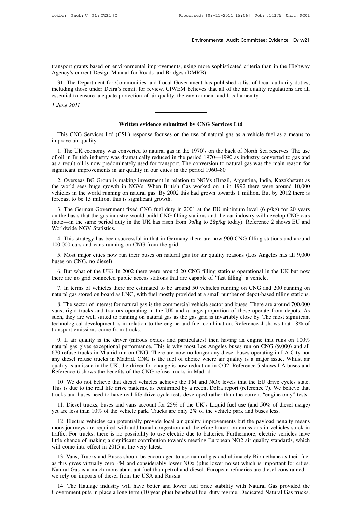Environmental Audit Committee: Evidence Ev w21<br>
Let us and the mass based on environmental improvements, using more sophisticated criteria than in the Highway<br>
Agency's current Design Manual for Roads and Bridges (DMRB). Environment<br>
Agency's current Design Manual for Roads and Bridges (DMRB).<br>
31. The Department for Communities and Local Government has pulsed<br>
the there we has Defect a wait for writing CWEM believes that

31. The Department for Communities and Local Government has published a list of local authority duties,<br>31. The Department for Communities and Local Government has published a list of local authority duties,<br>2011, The Depa It those under the Highway Agency's current Design Manual for Roads and Bridges (DMRB).<br>
11. The Department for Communities and Local Government has published a list of local authority duties,<br>
including those under Defra' transport grants based on environmental improvements, using more sophisticated criteria than Agency's current Design Manual for Roads and Bridges (DMRB).<br>31. The Department for Communities and Local Government has publishe framsport grants based compared Agency's current Designant<br>
31. The Department<br>
including those under I<br>
essential to ensure adec<br> *1 June 2011* ommunities and Local Government has published a list of local<br>s remit, for review. CIWEM believes that all of the air quality re<br>protection of air quality, the environment and local amenity.<br>**Written evidence submitted by** 

This CNG Services Ltd (CSL) response focuses on the use of natural gas as a vehicle fuel as a means to<br>
This CNG Services Ltd (CSL) response focuses on the use of natural gas as a vehicle fuel as a means to<br>
1. The UK serv *I June 2011*<br>This CNG Services Lt<br>improve air quality.<br>1. The UK economy w

**1.** This CNG Services Ltd (CSL) response focuses on the use of natural gas as a vehicle fuel as a means to prove air quality.<br>
1. The UK economy was converted to natural gas in the 1970's on the back of North Sea reserves **Subsequence Submitted by CNG Services Ltd**<br>This CNG Services Ltd (CSL) response focuses on the use of natural gas as a vehicle fuel as a means to<br>improve air quality.<br>1. The UK economy was converted to natural gas in the **As a result of the UK conversed for the conversed for the main reason of the main reason of the use of oil in British industry was converted to natural gas in the 1970's on the back of North Sea reserves. The use of oil i** This CNG Services Ltd (CSL) response focuses on the use of natural gas as a vehicle fuel as a means to improve air quality.<br>
1. The UK economy was converted to natural gas in the 1970's on the back of North Sea reserves. T prove air quality.<br>
1. The UK economy was converted to natural gas in the 1970's on the back of North Sea reserves. The use<br>
oil in British industry was dramatically reduced in the period 1970—1990 as industry converted to 1. The UK economy was converted to natural gas in the 1970's on the back of North Sea reserves. The use<br>of oil in British industry was dramatically reduced in the period 1970—1990 as industry converted to gas and<br>as a resu

vehicles in the world running on natural gas. By 2002 this had grown towards 1 million. But by 2012 there is of the world see Summer Communicately used for transport. The conversion to natural gas was the main reason for the world sees huge growth in NGVs. When British Gas worked on it in 1992 there were around 10,000 vehicles in the world running on natural gas. By 2002 this had grown towards 1 million. But by 2012 there is forecast to be gnificant improvements in air quality in our cities in the period 1960–80<br>
2. Overseas BG Group is making investment in relation to NGVs (Brazil, Argentina, India, Kazakhstan) as<br>
be world sees huge growth in NGVs. When B 2. Overseas BG Group is making investment in relation to NGVs (Brazil, Argentina, India, Kazakhstan) as the world sees huge growth in NGVs. When British Gas worked on it in 1992 there were around 10,000 vehicles in the wo

2. Overseas BG Glop is making investment in relation to NGVs (Brazil, Argentina, mala, Kazakiistan) as<br>the world sees huge growth in NGVs. When British Gas worked on it in 1992 there were around 10,000<br>vehicles in the worl the world sees hige grown in<br>
vehicles in the world running on<br>
forecast to be 15 million, this is<br>
3. The German Government f<br>
on the basis that the gas industry<br>
(note—in the same period duty i<br>
Worldwide NGV Statistics. expect to be 15 million, this is significant growth.<br>
3. The German Government fixed CNG fuel duty in 2001 at the EU minimum level (6 p/kg) for 20 years<br>
the basis that the gas industry would build CNG filling stations and 3. The German Government fixed CNG fuel duty in 200<br>
on the basis that the gas industry would build CNG filling st<br>
(note—in the same period duty in the UK has risen from 9<br>
Worldwide NGV Statistics.<br>
4. This strategy has the basis that the gas industry would build CNG filling stations and the car industry will develop CNG cars<br>orde—in the same period duty in the UK has risen from 9p/kg to 28p/kg today). Reference 2 shows EU and<br>orldwide NG (note—in the same period duty in<br>Worldwide NGV Statistics.<br>4. This strategy has been succe<br>100,000 cars and vans running or<br>5. Most major cities now run<br>buses on CNG, no diesel)<br>6. But what of the UK? In 200

4. This strategy has been successful in that in Germany there are now 900 CNG filling stations and around 0,000 cars and vans running on CNG from the grid.<br>5. Most major cities now run their buses on natural gas for air qu

4. This strategy has been successful in that in Germany there are now 900 CNG filling stations and around 100,000 cars and vans running on CNG from the grid.<br>5. Most major cities now run their buses on natural gas for air

5. Most major cities now run their buses on natural gas for air quality reasons (Los Angeles has all 9,000 ses on CNG, no diesel)<br>6. But what of the UK? In 2002 there were around 20 CNG filling stations operational in the 5. Most major cities now run their buses on natural gas for air quality reasons (Los Angeles has all 9,000 buses on CNG, no diesel)<br>6. But what of the UK? In 2002 there were around 20 CNG filling stations operational in th

8. But what of the UK? In 2002 there were around 20 CNG filling stations operational in the UK but now ere are no grid connected public access stations that are capable of "fast filling" a vehicle.<br>
7. In terms of vehicles 6. But what of the UK? In 2002 there were around 20 CNG filling stations operational in the UK but now there are no grid connected public access stations that are capable of "fast filling" a vehicle.<br>7. In terms of vehicle there are no grid connected public access stations that are capable of "fast filling" a vehicle.<br>
7. In terms of vehicles there are estimated to be around 50 vehicles running on CNG and 200 running on<br>
natural gas stored o 7. In terms of vehicles there are estimated to be around 50 vehicles running on CNG and 200 running on natural gas stored on board as LNG, with fuel mostly provided at a small number of depot-based filling stations.<br>8. The 7. In terms of venteres there are estimate<br>natural gas stored on board as LNG, with fue<br>8. The sector of interest for natural gas is<br>vans, rigid trucks and tractors operating in<br>such, they are well suited to running on nat 8. The sector of interest for natural gas is the commercial vehicle sector and buses. There are around 700,000 ns, rigid trucks and tractors operating in the UK and a large proportion of these operate from depots. As ch, t o. The sector of interest for hatural gas is the commercial venice sector and buses. There are around 700,000 vans, rigid trucks and tractors operating in the UK and a large proportion of these operate from depots. As such

Figure 1.50 and the UK is an external particular and a farge proportion of these operate from depots. As such, they are well suited to running on natural gas as the gas grid is invariably close by. The most significant tec such, they are wen sulted to full imply on natural gas as the gas grid is invariably close by. The most significant<br>technological development is in relation to the engine and fuel combination. Reference 4 shows that 18% of decomological development is in teration to the engine and the combination. Reference 4 shows that 16% of transport emissions come from trucks.<br>
9. If air quality is the driver (nitrous oxides and particulates) then having Transport emissions come from trucks.<br>
9. If air quality is the driver (nitrous oxides and particulates) then having an engine that runs on  $100\%$  natural gas gives exceptional performance. This is why most Los Angeles b 9. It an quanty is the diver (introduction and particulates) then naving an engine that runs on 100% tural gas gives exceptional performance. This is why most Los Angeles buses run on CNG (9,000) and all 0 refuse trucks in The real life drive patterns, as confirmed by a recent Defra report (reference 7). We believe that trucks and buses need to have real life drive patterns, as confirmed by a recent Defra report (reference 7). We believe th the function of the trucks and buses in Madrid. CNG is the fuel of choice where air quality is a major issue. Whilst air quality is an issue in the UK, the driver for change is now reduction in CO2. Reference 5 shows LA bu

11. Diesel trucks, buses and vans account for 25% of the VK's Liquid fuel use (and 50% of diesel usage)<br>
10. We do not believe that diesel vehicles achieve the PM and NOx levels that the EU drive cycles state.<br>
10. We do n Reference 6 shows the benefits of the CNG refuse trucks in Madrid.<br>
10. We do not believe that diesel vehicles achieve the PM and NOx levels that the EU drive cycle<br>
This is due to the real life drive patterns, as confirme

10. We do not believe that diesel vehicles achieve the PM and NOx levels that the EU drive cycles state.<br>
is is due to the real life drive patterns, as confirmed by a recent Defra report (reference 7). We believe that<br>
ck This is due to the real life drive patterns, as confirmed by a recent Defra report (reference 7). We believe that trucks and buses need to have real life drive cycle tests developed rather than the current "engine only" te trucks and buses need to have real life drive cycle tests developed rather than the current "engine only" tests.<br>
11. Diesel trucks, buses and vans account for 25% of the UK's Liquid fuel use (and 50% of diesel usage)<br>
yet 11. Diesel trucks, buses and vans account for 25% of the UK's Liquid fuel use (and 50% of diesel usage) yet are less than 10% of the vehicle park. Trucks are only 2% of the vehicle park and buses less.<br>
12. Electric vehic 11. Dieser trucks, buses and vans account for  $23\%$ <br>yet are less than 10% of the vehicle park. Trucks are<br>12. Electric vehicles can potentially provide local<br>more journeys are required with additional congestion<br>traffic. 12. Electric vehicles can potentially provide local air quality improvements but the payload penalty means<br>ore journeys are required with additional congestion and therefore knock on emissions in vehicles stuck in<br>ffic. Fo 12. Electric velifies can potentially provide local and quality improvements out the payroad penalty means<br>more journeys are required with additional congestion and therefore knock on emissions in vehicles stuck in<br>traffic

note journeys are required with additional congestion and therefore knock on emissions in venticles stuck in traffic. For trucks, there is no possibility to use electric due to batteries. Furthermore, electric vehicles hav Figure 1.13. Vans, there is no possibility to use electric due<br>little chance of making a significant contribution towards me<br>will come into effect in 2015 at the very latest.<br>13. Vans, Trucks and Buses should be encouraged 11 come into effect in 2015 at the very latest.<br>
13. Vans, Trucks and Buses should be encouraged to use natural gas and ultimately Biomethane as their fuel<br>
this gives virtually zero PM and considerably lower NOx (plus low 13. Vans, Trucks and Buses should be encouraged to use natural gas and ultimately Biomethane as their fuel<br>as this gives virtually zero PM and considerably lower NOx (plus lower noise) which is important for cities.<br>Natura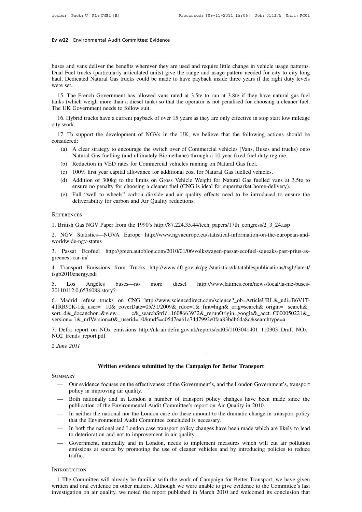# **Ev w22** Environmental Audit Committee: Evidence

**Ev w22** Environmental Audit Committee: Evidence<br>
buses and vans deliver the benefits wherever they are used and require little change in vehicle usage patterns.<br>
Dual Fuel trucks (particularly articulated units) give the **EV W22** Environmental Audit Committee: Evidence<br>
Dualses and vans deliver the benefits wherever they are used and require little change in vehicle usage patterns.<br>
Dual Fuel trucks (particularly articulated units) give th **Ev w22** Environmental Audit Committee: Evidence<br>
buses and vans deliver the benefits wherever they are used and require little change in vehicle usage patterns.<br>
Dual Fuel trucks (particularly articulated units) give the buses and van:<br>
Dual Fuel truce<br>
haul. Dedicate<br>
were set.<br>
15. The Fre 15. The French Government has allowed vans rated at 3.5te to run at 3.8te if they have natural gas fuel units. The French Government has allowed vans rated at 3.5te to run at 3.8te if they have natural gas fuel at 15. The the UK Government has allowed vans rated at 3.5te to run at 3.8te if they have natural gas fuel tanks (which weigh more than a diesel tank) so that the operator is not penalised for choosing a cleaner fuel.<br>The UK Governme buses and vans denver the benents wherever the<br>Dual Fuel trucks (particularly articulated units)<br>haul. Dedicated Natural Gas trucks could be ma<br>were set.<br>15. The French Government has allowed va<br>tanks (which weigh more tha

15. The French Government has allowed vans rated at 3.5te to run at 3.8te if they have natural gas fuel<br>15. The French Government has allowed vans rated at 3.5te to run at 3.8te if they have natural gas fuel<br>16. (which wei were set.<br>15. The Fren<br>tanks (which ww<br>The UK Govern<br>16. Hybrid trucity work.<br>17. To suppo 15. The French Government has allowed vans rated at 3.5te to run at 3.8te if they have natural gas fuel<br>the UK Government needs to follow suit.<br>16. Hybrid trucks have a current payback of over 15 years as they are only eff

considered: UK Government needs to follow suit.<br>
6. Hybrid trucks have a current payback of over 15 years as they are only effective in stop start low mileage<br>
work.<br>
7. To support the development of NGVs in the UK, we believe that th Vorid trucks have a current payback of over 15 years as they are only effective in stop start low mile<br>
S.<br>
S.<br>
S.<br>
S.<br>
S.<br>
S.<br>
S.<br>
A clear strategy to encourage the switch over of Commercial vehicles (Vans, Buses and truc work.<br>
7. To support the development of NGVs in the UK, we believe that the following a<br>
sidered:<br>
(a) A clear strategy to encourage the switch over of Commercial vehicles (Vans, Buses<br>
Natural Gas fuelling (and ultimately (a) The support the development of NGVs in the UK, we believe that the following actions<br>
(a) A clear strategy to encourage the switch over of Commercial vehicles (Vans, Buses and tr<br>
Natural Gas fuelling (and ultimately B

- A clear strategy to encourage the switch over of Commercial vehicles (Vans, Buses and trucks) on Natural Gas fuelling (and ultimately Biomethane) through a 10 year fixed fuel duty regime.<br>Reduction in VED rates for Commerc
- 
- 
- sidered:<br>
(a) A clear strategy to encourage the switch over of Commercial vehicles (Vans, Buses and trucks) onto<br>
Natural Gas fuelling (and ultimately Biomethane) through a 10 year fixed fuel duty regime.<br>
(b) Reduction in Natural Gas fuelling (and ultimately Biomethane) through a 10 year fixed fuel duty regime.<br>
(b) Reduction in VED rates for Commercial vehicles running on Natural Gas fuel.<br>
(c) 100% first year capital allowance for additio (b) Reduction in VED rates for Commercial vehicles running on Natural Gas fuel.<br>
(c) 100% first year capital allowance for additional cost for Natural Gas fuelled vehicles.<br>
(d) Addition of 300kg to the limits on Gross Veh
- 1. British Gas NGV Paper from the 1990's http://87.224.35.44/tech\_papers/17th\_congress/2\_3\_24.asp<br>
2. NGV Statistics—NGVA Europe http://www.ngvaeurope.eu/statistical-information-on-the-european-and-<br>
2. NGV Statistics—NGVA

### **REFERENCES**

2. NGV Statistics—NGVA Europe http://www.ngvaeurope.eu/statistical-information-on-the-european-and-<br>2. NGV Statistics—NGVA Europe http://www.ngvaeurope.eu/statistical-information-on-the-european-and-<br>2. NGV Statistics—NGVA worldwide-ngv-status REFERENCES<br>
3. British Gas NGV Paper from the 1990's http://87.224.35.44/tech\_papers/17th\_congress/2\_3\_24.asp<br>
2. NGV Statistics—NGVA Europe http://www.ngvaeurope.eu/statistical-information-on-the-european-and-<br>
3. Passat

greenest-car-in/

4. Transport Emissions from Trucks http://www.ngvaeurope.eu/statistical-information-on-the-european-and-<br>worldwide-ngv-status<br>3. Passat Ecofuel http://green.autoblog.com/2010/01/06/volkswagen-passat-ecofuel-squeaks-past-pr tsgb2010energy.pdf 5. Passat Ecofuel http://green.autoblog.com/2010/01/06/volkswagen-passat-ecofuel-squeaks-past-prius-as-<br>greenest-car-in/<br>4. Transport Emissions from Trucks http://www.dft.gov.uk/pgr/statistics/datatablespublications/tsgb/l

20110112,0,6536088.story?

4. Transport Emissions from Trucks http://www.dft.gov.uk/pgr/statistics/datatablespublications/tsgb/latest/<br>tsgb2010energy.pdf<br>5. Los Angeles buses—no more diesel http://www.latimes.com/news/local/la-me-buses-<br>20110112,0,6 4. Transport Emissions from Trucks http://www.dft.gov.uk/pgr/statistics/datatablespublications/tsgb/latest/<br>tsgb2010energy.pdf<br>5. Los Angeles buses—no more diesel http://www.latimes.com/news/local/la-me-buses-<br>20110112,0,6 tsgb2010energy.pdf<br>
5. Los Angeles buses—no more diesel http://www.latimes.com/news/local/la-me-buses-<br>
20110112,0,6536088.story?<br>
6. Madrid refuse trucks on CNG http://www.sciencedirect.com/science?\_ob=ArticleURL&\_udi=B6V version= 1&\_urlVersions http://www.latimes.com/news/local/la-me-buses<br>
20110112,0,6536088.story?<br>
6. Madrid refuse trucks on CNG http://www.sciencedirect.com/science?\_ob=ArticleURL&\_udi=B6V1T<br>
4TRR90K-1&\_user= 10&\_coverDat 20110112,0,6536088.story?<br>
6. Madrid refuse trucks on CNG http://www.sciencedirect.com/science?\_ob=ArticleURL&\_udi=B6V1T-4TRR90K-1&\_user= 10&\_coverDate=05/31/2009&\_rdoc=1&\_fmt=high&\_orig=search&\_origin= search&\_<br>
sort=d&\_d  $4TRR90K-1&_user= 10&_coverDate=05/31/2009&_rdoc=1&_fmt=high&_orig=search&_origjn= search&_sort=d&_docanchor=&_view=-c&_searchStrId=1608663932&_rerunOrigin=google&_act=CO00050221&_version=1&_urlVersion=0&_userid=10&md5=c05d7ea61a74d7992e0faa83bdb6da8c&searchtype=a\n7. Defra report on NOx emissions <a href="http://uk-air.defra.gov.uk/reports/cat05/1103041401_</math>$ 

NO2\_trends\_report.pdf 7. Defra report on NOx emissions http://uk-air.defra.gov.uk/reports/cat05/1103041401\_110303\_Draft\_NOx\_NO2\_trends\_report.pdf<br>2 June 2011<br>Written evidence submitted by the Campaign for Better Transport

### **SUMMARY**

- Written evidence submitted by the Campaign for Better Transport<br>
 Our evidence focuses on the effectiveness of the Government's, and the London Government's, transport<br>
 Both nationally and in London a number of transpor **Solution Studence Subm**<br>**RY**<br>Our evidence focuses on the effective<br>policy in improving air quality.<br>Both nationally and in London a nublication of the Environmental Au Written evidence submitted by the Campaign for Better Transport<br>RY<br>Our evidence focuses on the effectiveness of the Government's, and the London Governme<br>policy in improving air quality.<br>Both nationally and in London a num The Course is on the effectiveness of the Government's, and the policy in improving air quality.<br>Both nationally and in London a number of transport policy chan publication of the Environmental Audit Committee's report on
- Written evidence submitted by the Campaign for Better Transport<br>
 Our evidence focuses on the effectiveness of the Government's, and the London Government's, transport<br>
policy in improving air quality.<br>
 Both nationally MMARY<br>
— Our evidence focuses on the effectiveness of the Government's, and the London Government's, transport<br>
policy in improving air quality.<br>
— Both nationally and in London a number of transport policy changes have be policy in improving air quality.<br>
— Both nationally and in London a number of transport policy changes have been made since the<br>
publication of the Environmental Audit Committee's report on Air Quality in 2010.<br>
— In neith policy in improving air quality.<br>
— Both nationally and in London a number of transport policy changes have been made since the<br>
publication of the Environmental Audit Committee's report on Air Quality in 2010.<br>
— In neith
- 
- 
- must allow the Environmental Audit Committee's report on Air Quality in 2010.<br>
 In neither the national nor the London case do these amount to the dramatic change in transport policy<br>
that the Environmental Audit Committe In neither the national nor the London case do these amount to the dramatic change in transport policy that the Environmental Audit Committee concluded is necessary.<br>In both the national and London case transport policy ch traffic. 1 The Committee will already be familiar with the work of Campaign for Better Transport; we have given<br>1 The Committee will already be familiar with the work of Campaign for Better Transport; we have given<br>1 The Committee

**INTRODUCTION** 

Written and oral evidence on other matters. Although we were unable to give evidence to the Committee's last<br>investigation on air quality, we noted the report published in March 2010 and welcomed its conclusion that<br>invest INTRODUCTION<br>
1 The Committee will already be familiar with the work of Campaign for Better Transport; we have given<br>
written and oral evidence on other matters. Although we were unable to give evidence to the Committee's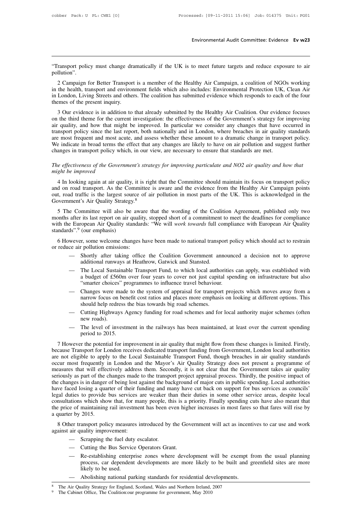Environmental Audit Committee: Evidence Ev w23<br>
Transport policy must change dramatically if the UK is to meet future targets and reduce exposure to air<br>
Polician Committee: Evidence Ev w23 pollution".

2 Campaign for Better Transport is a member of the Healthy Air Campaign, a coalition of NGOs working<br>2 Campaign for Better Transport is a member of the Healthy Air Campaign, a coalition of NGOs working<br>the health, transpor Transport policy must change dramatically if the UK is to meet future targets and reduce exposure to air<br>pollution".<br>2 Campaign for Better Transport is a member of the Healthy Air Campaign, a coalition of NGOs working<br>in t Transport policy must change dramatically if the UK is to meet future targets and reduce exposure to air pollution".<br>
2 Campaign for Better Transport is a member of the Healthy Air Campaign, a coalition of NGOs working<br>
in "Transport policy must change drapport method."<br>
2 Campaign for Better Transport<br>
in the health, transport and environ<br>
in London, Living Streets and other<br>
themes of the present inquiry.<br>
3 Our evidence is in addition to Ilution".<br>
2 Campaign for Better Transport is a member of the Healthy Air Campaign, a coalition of NGOs working<br>
the health, transport and environment fields which also includes: Environmental Protection UK, Clean Air<br>
Lon 2 Campaign for Better Transport is a member of the Healthy Air Campaign, a coalition of NGOs working<br>in the health, transport and environment fields which also includes: Environmental Protection UK, Clean Air<br>in London, Li

2 Campagn for Better Transport is a included of the Treatiny Art Campagn, a coantion of NOOS working<br>in the health, transport and environment fields which also includes: Environmental Protection UK, Clean Air<br>in London, Li in London, Living Streets and others. The coalition has submitted evidence which responds to each of the four<br>themes of the present inquiry.<br>3 Our evidence is in addition to that already submitted by the Healthy Air Coalit are most frequent and most acute, and assess whether these amount to a dramatic change in transport policy since the last report, both nationally and in London, where breaches in air quality, and how that might be improved 3 Our evidence is in addition to that already submitted by the Healthy Air Coalition. Our evidence focuses<br>on the third theme for the current investigation: the effectiveness of the Government's strategy for improving<br>air 3 Our evidence is in addition to that already submitted by the Healthy Air Coalition. Our eviden<br>on the third theme for the current investigation: the effectiveness of the Government's strategy for<br>air quality, and how th *The effectiveness of the Government's strategy for improving particular we consider any changes that have occurred in transport policy since the last report, both nationally and in London, where breaches in air quality st* fransport policy since the last<br>are most frequent and most a<br>We indicate in broad terms the<br>changes in transport policy w.<br>The effectiveness of the Goven<br>might be improved<br>4 In looking again at air qu

Exercise in broad terms the effect that any changes are likely to have on air pollution and suggest further anges in transport policy which, in our view, are necessary to ensure that standards are met.<br> *Le effectiveness o* changes in transport policy which, in our view, are necessary to ensure that standards are met.<br>
The effectiveness of the Government's strategy for improving particulate and NO2 air quality and how that<br>
might be improved<br> The effectiveness of the Government's strategy for improving particulate and NO2 air quality and how that might be improved<br>4 In looking again at air quality, it is right that the Committee should maintain its focus on tra The effectiveness of the Government's strategy for improving particulate and NO2 air quality and how that<br>
inght be improved<br>
4 In looking again at air quality, it is right that the Committee should maintain its focus on t 4 In looking again at air quality, it is right that the Committee should maintain its focus on transport policy<br>and on road transport. As the Committee is aware and the evidence from the Healthy Air Campaign points<br>out, ro

4 In looking again at air quality, it is right that the Committee should maintian its focus on transport poincy<br>and on road transport. As the Committee is aware and the evidence from the Healthy Air Campaign points<br>out, ro and on ioad traffic is the largest sour<br>out, road traffic is the largest sour<br>Government's Air Quality Strategy<br>5 The Committee will also be<br>months after its last report on air q<br>with the European Air Quality star<br>standard by ST The Committee will also be aware that the wording of the Coalition Agreement, published only two<br>
5 The Committee will also be aware that the wording of the Coalition Agreement, published only two<br>
this after its la 5 The Committee will also be aware<br>months after its last report on air quality<br>with the European Air Quality standard<br>standards".<sup>9</sup> (our emphasis)<br>6 However, some welcome changes h<br>or reduce air pollution emissions:<br>— Sho after its last report on air quality, stopped short of a commitment to meet the deadlines for compliance<br>
European Air Quality standards: "We will *work towards* full compliance with European Air Quality<br>
ds".<sup>9</sup> (our emph requested. The unity of the will work towards full co<br>
(our emphasis)<br>
Frequency control and Standards: "We will work towards full co<br>
(our emphasis)<br>
Frequency and Stansted and Stansted.<br>
Shortly after taking office the C

- 
- ds".<sup>9</sup> (our emphasis)<br>wever, some welcome changes have been made to national transport policy which should act to restrain<br>ce air pollution emissions:<br>— Shortly after taking office the Coalition Government announced a dec Frequence is a budget of the coalition Government announced a decision not to approve<br>
Shortly after taking office the Coalition Government announced a decision not to approve<br>
additional runways at Heathrow, Gatwick and S 6 However, some welcome changes have been made to national transport policy which should act to restrain<br>or reduce air pollution emissions:<br>— Shortly after taking office the Coalition Government announced a decision not to
	- Shortly after taking office the Coalition Government announced a decision not to approve<br>additional runways at Heathrow, Gatwick and Stansted.<br>— The Local Sustainable Transport Fund, to which local authorities can apply, shortly anter taking office the Coantion Oovernment announced a decision not to approve<br>additional runways at Heathrow, Gatwick and Stansted.<br>The Local Sustainable Transport Fund, to which local authorities can apply, was additional funways at rieatinow, Gatwick and stansted.<br>The Local Sustainable Transport Fund, to which local autho<br>a budget of £560m over four years to cover not just capita<br>"smarter choices" programmes to influence travel — The Local sustainable Transport Fund, to which local authorities can apply, was established with<br>a budget of £560m over four years to cover not just capital spending on infrastructure but also<br>"smarter choices" programme a budget of 2500<br>
	"smarter choices"<br>
	Changes were m<br>
	narrow focus on<br>
	should help redre<br>
	Cutting Highway<br>
	new roads).<br>
	The level of inversion to 2015 — Changes were made to the system of appraisal for transport projects which moves away from a<br>narrow focus on benefit cost ratios and places more emphasis on looking at different options. This<br>should help redress the bias Enanges were made<br>narrow focus on bene<br>should help redress t<br>Cutting Highways A<br>new roads).<br>The level of investm<br>period to 2015.
	-
	-

Should help redress the bias towards big road schemes.<br>
— Cutting Highways Agency funding for road schemes and for local authority major schemes (often<br>
new roads).<br>
— The level of investment in the railways has been maint - Cutting Highways Agency funding for road schemes and for local authority major schemes (often<br>new roads).<br>- The level of investment in the railways has been maintained, at least over the current spending<br>period to 2015.<br> are not eligible to apply to the Local Sustainable Transport Fund, though breaches in inited. Firstly, because Transport for London receives dedicated transport funding from Government, London local authorities are not eli - The level of investment in the railways has been maintained, at least over the current spending<br>period to 2015.<br>7 However the potential for improvement in air quality that might flow from these changes is limited. Firstl The level of investment in the fanways has been manufalled, at least over the current spending<br>period to 2015.<br>7 However the potential for improvement in air quality that might flow from these changes is limited. Firstly,<br> 7 However the potential for improvement in air quality that might flow from these changes is limited. Firstly, because Transport for London receives dedicated transport funding from Government, London local authorities are 7 However the potential for improvement in air quality that might flow from these changes is limited. Firstly, because Transport for London receives dedicated transport funding from Government, London local authorities are because Transport for London receives dedicated transport funding from Government, London local authorities are not eligible to apply to the Local Sustainable Transport Fund, though breaches in air quality standards occur are not eligible to apply to the Local Sustainable Transport Fund, though breaches in air quality standards occur most frequently in London and the Mayor's Air Quality Strategy does not present a programme of measures that occur most frequently in London and the Mayor's Air Quality Strategy does not present a programme of measures that will effectively address them. Secondly, it is not clear that the Government takes air quality seriously as measures that will effectively address them. Secondly, it is not clear that the Government takes air quality<br>seriously as part of the changes made to the transport project appraisal process. Thirdly, the positive impact of seriously as part of the c<br>the changes is in danger<br>have faced losing a qua<br>legal duties to provide<br>consultations which sho<br>the price of maintaining<br>a quarter by 2015.<br>8 Other transport poli be transport of their funding and many have cut back on support for bus services as councils'<br>signal duties to provide bus services are weaker than their duties in some other service areas, despite local<br>nsultations which mave faced fosing a quarter of their full<br>legal duties to provide bus services a<br>consultations which show that, for ma<br>the price of maintaining rail investmen<br>a quarter by 2015.<br>8 Other transport policy measures in<br>against metrical attions which show that, for many people, the e of maintaining rail investment has been ever by 2015.<br>
Therefuely escalator and the fuel duty escalator.<br>
The fuel duty escalator.<br>
The Scrapping the fuel duty escal

designed in the Bus Seen even hightarry by 2015.<br>
The Bus Service of the Bus Service Operators Grant.<br>
— Scrapping the fuel duty escalator.<br>
— Cutting the Bus Service Operators Grant.<br>
— Re-establishing enterprise zones wh

- 
- 
- Example 1 by 2013.<br>
The transport policy measures introduced by the Government will act as incentives to car use and work<br>
air quality improvement:<br>
 Scrapping the fuel duty escalator.<br>
 Cutting the Bus Service Operators ansport policy measures introduced by the Government will act as incentives to car use and work<br>vality improvement:<br>Scrapping the fuel duty escalator.<br>Cutting the Bus Service Operators Grant.<br>Re-establishing enterprise zon uality improvement:<br>Scrapping the fuel duty<br>Cutting the Bus Servic<br>Re-establishing enterp<br>process, car dependen<br>likely to be used.<br>Abolishing national pa — Scrapping the fuel duty escalator.<br>
— Cutting the Bus Service Operators Grant.<br>
— Re-establishing enterprise zones where development will be exempt 1<br>
process, car dependent developments are more likely to be built and 9 The Cabinet Office, The Coalition: The Cabinet Office, The Coalition: Our process, car dependent developments are more likely to likely to be used.<br>
- Abolishing national parking standards for residential development, Ma
	-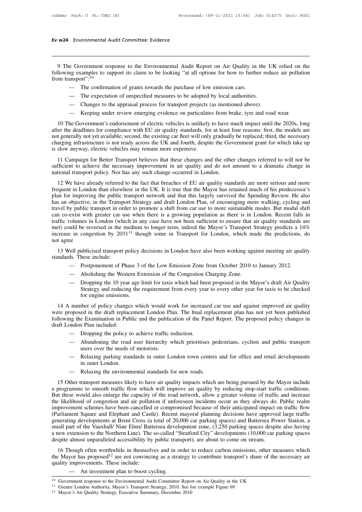# **Ev w24** Environmental Audit Committee: Evidence

9 The Government response to the Environmental Audit Report on Air Quality in the UK relied on the<br>19 The Government response to the Environmental Audit Report on Air Quality in the UK relied on the<br>10 Ilowing examples to Following examples to support its claim to be looking "at all options for how to further reduce air pollution<br>
following examples to support its claim to be looking "at all options for how to further reduce air pollution<br> **Ev w24** Environmental Audit Committee: Evidence<br>
9 The Government response to the Environmental Audit Report on Air Quality in<br>
following examples to support its claim to be looking "at all options for how to furthe<br>
from e Government response to the Environmental Audit Report on Air Quality in the U<br>ng examples to support its claim to be looking "at all options for how to further red<br>ansport".<sup>10</sup><br>— The confirmation of grants towards the p e Government response to the Environmental Audit Report on Air Quality in the UI<br>ng examples to support its claim to be looking "at all options for how to further redu-<br>ansport":<sup>10</sup><br>— The confirmation of grants towards th more transport":<sup>10</sup><br>
— The confirmation of grants towards the purchase of low emission cars.<br>
— The expectation of unspecified measures to be adopted by local authorities.<br>
— Changes to the appraisal process for transport

- 
- 
- 
- 

11 The confirmation of grants towards the purchase of low emission cars.<br>
11 The expectation of unspecified measures to be adopted by local authorities.<br>
11 The Government's endorsement of electric vehicles is unlikely to after the deadlines for compliance with EU air quality standards, for at least four reasons: first, the models are -- The expectation of unspecified measures to be adopted by local authorities.<br>-- Changes to the appraisal process for transport projects (as mentioned above).<br>-- Keeping under review emerging evidence on particulates from - Changes to the appraisal process for transport projects (as mentioned above).<br>
- Keeping under review emerging evidence on particulates from brake, tyre and road wear.<br>
10 The Government's endorsement of electric vehicle is slow anyway, electric vehicles may remain more expensive. 10 The Government's endorsement of electric vehicles is unlikely to have much impact until the 2020s, long<br>er the deadlines for compliance with EU air quality standards, for at least four reasons: first, the models are<br>t g For the dovernment sumdosement of electric venters is unitacry to fave intertingent until the 2020s, ong<br>after the deadlines for compliance with EU air quality standards, for at least four reasons: first, the models are<br>no not generally not yet available; second, the existing car fleet will only gradually be replaced; third, the necessary charging infrastructure is not ready across the UK and fourth, despite the Government grant for which ta

arging infrastructure is not ready across the UK and fourth, despite the Government grant for which take up<br>slow anyway, electric vehicles may remain more expensive.<br>11 Campaign for Better Transport believes that these cha is slow anyway, electric vehicles may remain more expensive.<br>
11 Campaign for Better Transport believes that these changes and the other changes referred to will not be<br>
sufficient to achieve the necessary improvement in a 11 Campaign for Better Transport believes that these changes and the other changes referred to will not be sufficient to achieve the necessary improvement in air quality and do not amount to a dramatic change in national t Friestant to achieve the necessary improvement in air quality and do not amount to a dramatic change in antional transport policy. Nor has any such change occurred in London.<br>
12 We have already referred to the fact that b Surficient to achieve the necessary improvement in an quality and to not amount to a dramate entarge in<br>national transport policy. Nor has any such change occurred in London.<br>12 We have already referred to the fact that br national transport poincy. Foor has any such change occurred in Eohdori.<br>12 We have already referred to the fact that breaches of EU air quality standards are more serious and more<br>frequent in London than elsewhere in the 12 We have already referred to the fact that breaches of EU air quality standards are more serious and more frequent in London than elsewhere in the UK. It is true that the Mayor has retained much of his predecessor's pla frequent in London than elsewhere in the UK. It is true that the Mayor has retained much of his predecessor's plan for improving the public transport network and that this largely survived the Spending Review. He also has plan for improving the public transport network and that this largely survived the Spending Review. He also<br>has an objective, in the Transport Strategy and draft London Plan, of encouraging more walking, cycling and<br>trave has an objective, in the Transport Strategy and draft London Plan, of encouraging more walking, cycling and travel by public transport in order to promote a shift from car use to more sustainable modes. But modal shift ca 13 Well publicised transport policy decisions in London have also been working against meeting air quality standards are the reversed in the medium to longer term, indeed the Mayor's Transport Strategy predicts a 14% expre Exam co-exist with greater can denote<br>traffic volumes in London (whi<br>met) could be reversed in the r<br>increase in congestion by 203<br>not agree<br>13 Well publicised transport<br>standards. These include:<br>- Postponement of P would be reversed in the medium to longer term, indeed the Mayor's Transport Strategy predicts a 14<br>
in congestion by 2031<sup>11</sup> though some in Transport for London, which made the predictions,<br>
ee<br>
Vell publicised transport

- 
- 
- Postponement of Phase 3 of the Low Emission Zone from October 2010 to January 2012.<br>
 Abolishing the Western Extension of the Congestion Charging Zone.<br>
 Dropping the 10 year age limit for taxis which had been proposed Foll publicised transport policy decisions in London have also been working against meeting air quality<br>ds. These include:<br>— Postponement of Phase 3 of the Low Emission Zone from October 2010 to January 2012.<br>— Abolishing ublicised transport policy decisions in London have also been working against meeting air quality<br>hese include:<br>Postponement of Phase 3 of the Low Emission Zone from October 2010 to January 2012.<br>Abolishing the Western Ext hese include:<br>Postponement of Phase 3 c<br>Abolishing the Western Ex<br>Dropping the 10 year age 1<br>Strategy and reducing the 1<br>for engine emissions.<br>hber of policy changes whi

14 A number of policy changes which would work for increased car use and against improved policy changes in the Consession Changing Zone.<br>
14 A number of policy changes which would work for increased car use and against im — Abolishing the Western Extension of the Congestion Charging Zone.<br>
— Dropping the 10 year age limit for taxis which had been proposed in the Mayor's draft Air Quality<br>
Strategy and reducing the requirement from every yea - Dropping the 10 year age limit for taxis which had been proposed in the Mayor's draft Air Quality<br>Strategy and reducing the requirement from every year to every other year for taxis to be checked<br>for engine emissions.<br>14 for engine emissions.<br>
14 A number of policy changes which would work for increased car use and against improved air quality<br>
14 A number of policy changes which would work for increased car use and against improved air qu for engine emissions.<br>
The policy changes which would work for increas<br>
the policy changes which would work for increas<br>
the policy to achieve traffic reduction.<br>
The policy to achieve traffic reduction.<br>
Abandoning the ro mumber of policy changes which would work for increased car use and against improved air quality<br>
roposed in the draft replacement London Plan. The final replacement plan has not yet been published<br>
ong the Examination in bet of poncy enanges which would we<br>ed in the draft replacement London Pl:<br>e Examination in Public and the public<br>1 Plan included:<br>Dropping the policy to achieve traffic r<br>Abandoning the road user hierarchy v<br>users over th mg the Examination in Public and the publication of the Panel Report. The proposed policy changes in<br>
and Plan included:<br>
— Dropping the policy to achieve traffic reduction.<br>
— Abandoning the road user hierarchy which prio

- 
- In Plan included:<br>Dropping the policy to<br>Abandoning the road<br>users over the needs of<br>Relaxing parking stans<br>in outer London.<br>Relaxing the environm — Dropping the policy to achieve traffic reduction.<br>
— Abandoning the road user hierarchy which prioritises pe<br>
users over the needs of motorists.<br>
— Relaxing parking standards in outer London town centres<br>
in outer London
- 
- 

15 Other transport measures likely to have air quality impacts which are being pursued by the Mayor include<br>
15 Other transport measures likely to have air quality impacts which are being pursued by the Mayor include<br>
15 O a programme to smooth traffic flow which will improve air quality by reducing stop-start traffic conditions.<br>
The likely to have air quality impacts which are being pursued by the Mayor include<br>
a programme to smooth traff - Relaxing parking standards in outer London town centres and for office and retail developments<br>
in outer London.<br>
- Relaxing the environmental standards for new roads.<br>
15 Other transport measures likely to have air qual in outer London.<br>
— Relaxing the environmental standards for new roads.<br>
15 Other transport measures likely to have air quality impacts which are being pursued by the Mayor include<br>
a programme to smooth traffic flow which — Relaxing the environmental standards for new roads.<br>
15 Other transport measures likely to have air quality impacts which are being pursued by the Mayor include<br>
a programme to smooth traffic flow which will improve air (Parliament Square and Elephant and Castle). Recent mayoral planning decisions have approved large traffic 15 Other transport measures likely to have air quality impacts which are being pursued by the Mayor include<br>a programme to smooth traffic flow which will improve air quality by reducing stop-start traffic conditions.<br>But t a programme to smooth traffic flow which will improve air quality by reducing stop-start traffic conditions.<br>But these would also enlarge the capacity of the road network, allow a greater volume of traffic and increase<br>the But these would also enlarge the capacity of the road network, allow a greater volume of traffic and increase<br>the likelihood of congestion and air pollution if unforeseen incidents occur as they always do. Public realm<br>imp the likelihood of congestion and air pollution if unforeseen incidents occur as they always do.<br>improvement schemes have been cancelled or compromised because of their anticipated impact (Parliament Square and Elephant and provenient schemes have ocen canceled or compromised oceause of their anticipated impact on traine how<br>arliament Square and Elephant and Castle). Recent mayoral planning decisions have approved large traffic<br>nerating devel The Mayor and Elephant and Caste). Recent mayoral planning decisions have approved rage traint generating developments at Brent Cross (a total of 20,000 car parking spaces) and Battersea Power Station, a small part of the generating developments at Bient Cross (a small part of the Vauxhall/ Nine Elms/ Batt<br>a new extension to the Northern Line). The idespite almost unparalleled accessibility by<br>16 Though often worthwhile in themselv<br>the May

a new extension to the Northern Line). The so-called "Stratford City" developments (10,000 car p<br>despite almost unparalleled accessibility by public transport), are about to come on stream.<br>16 Though often worthwhile in t 10 Government response to the Environmental Audit Committee Report on Air Quality in the UK<br>
<sup>10</sup> Government response to the Environmental Audit Committee Report on Air Quality in the UK<br>
<sup>11</sup> Greater London Authority, May quality improvements. These include:<br>
— An investment plan to boost cycling.<br>
<sup>10</sup> Government response to the Environmental Audit Committee Report on Air Quality in the UK<br>
<sup>11</sup> Greater London Authority, Mayor's Transport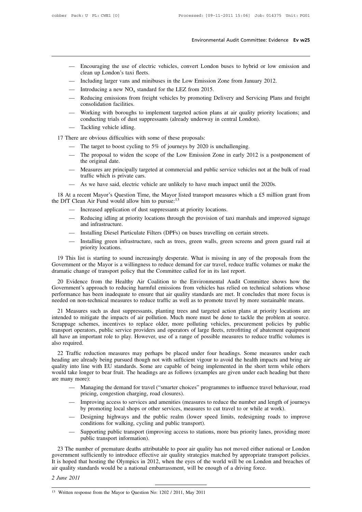- Environmental Audit Committee: Evidence Ev w25<br>— Encouraging the use of electric vehicles, convert London buses to hybrid or low emission and<br>— Including larger vans and minibuses in the Low Emission Zone from January 2012 - Encouraging the use of electric vehicles, convert London buses to hybrid or low emission and clean up London's taxi fleets.<br>- Including larger vans and minibuses in the Low Emission Zone from January 2012.<br>- Introducing Encouraging the use of electric vehicles, convert London buses to hybrid or low emis<br>clean up London's taxi fleets.<br>— Including larger vans and minibuses in the Low Emission Zone from January 2012.<br>— Introducing a new NO<sub></sub> — Encouraging the use of electric vehicles, convert London bu<br>
clean up London's taxi fleets.<br>
— Including larger vans and minibuses in the Low Emission Zon<br>
— Introducing a new NO<sub>x</sub> standard for the LEZ from 2015.<br>
— Re — Encouraging the use of electric vehicles, convert London buses to hybrid or low emission and<br>
clean up London's taxi fleets.<br>
— Including larger vans and minibuses in the Low Emission Zone from January 2012.<br>
— Introduc Encouraging the use of electrical<br>clean up London's taxi fleets<br>Including larger vans and mi<br>Introducing a new NO<sub>x</sub> stand<br>Reducing emissions from freconsolidation facilities.<br>Working with boroughs to introducting trials
- 
- 
- clean up London's taxi fleets.<br>
 Including larger vans and minibuses in the Low Emission Zone from January 2012.<br>
 Introducing a new NO<sub>x</sub> standard for the LEZ from 2015.<br>
 Reducing emissions from freight vehicles by p Including larger vans and minibuses in the Low Emission Zone from January 2011<br>Introducing a new  $NO_x$  standard for the LEZ from 2015.<br>Reducing emissions from freight vehicles by promoting Delivery and Servicing P<br>consolid — Introducing a new NO<sub>x</sub> stand<br>
— Reducing emissions from fre<br>
consolidation facilities.<br>
— Working with boroughs to in<br>
conducting trials of dust supp<br>
— Tackling vehicle idling.<br>
here are obvious difficulties with s
- Reducing emissions from freight vehicles by promoting De<br>
consolidation facilities.<br>
 Working with boroughs to implement targeted action plan<br>
conducting trials of dust suppressants (already underway in<br>
 Tackling vehi consolidation facilities.<br>
— Working with boroughs to implement targeted action plans at air quality priority locations; and<br>
conducting trials of dust suppressants (already underway in central London).<br>
— Tackling vehicle
	-

- 
- Working with boroughs to implement targeted action plans at an quality priority locations, and<br>conducting trials of dust suppressants (already underway in central London).<br>— Tackling vehicle idling.<br>here are obvious diff Tackling vehicle idling<br>Tackling vehicle idling<br>are obvious difficulties<br>The target to boost cyc<br>The proposal to wider<br>the original date.<br>Measures are principal<br>traffic which is private — Tacking venter ating.<br>
— The target to boost cycling to 5% of journeys by 2020 is unchallenging.<br>
— The proposal to widen the scope of the Low Emission Zone in early 2012 is a postponement of<br>
the original date.<br>
— Measu are obvious difficulties with some<br>The target to boost cycling to 5%<br>The proposal to widen the scope<br>the original date.<br>Measures are principally targeted<br>traffic which is private cars.<br>As we have said, electric vehicle — The target to boost cycling to 5% of journeys by 2020 is unchallenging.<br>
— The proposal to widen the scope of the Low Emission Zone in early 2012 is a postpon<br>
the original date.<br>
— Measures are principally targeted at c
- 
- 

18 The proposal to widen the scope of the Low Emission Zone in early 2012 is a postponement of<br>
18 At a recent same principally targeted at commercial and public service vehicles not at the bulk of road<br>
18 At a recent May the original date.<br>
— Measures are principally targeted at commercial and public service v<br>
traffic which is private cars.<br>
— As we have said, electric vehicle are unlikely to have much impact is<br>
18 At a recent Mayor's Qu diant winch is private cars.<br>
As we have said, electric vehicle are unlikely to have much impact until the 2020s.<br>
a recent Mayor's Question Time, the Mayor listed transport measures which a £5 million grant from<br>
Clean Ai - As we have said, electric vehicle are unlikely to have much impact until the 2020s.<br>
18 At a recent Mayor's Question Time, the Mayor listed transport measures which a £5 million grant from<br>
the DfT Clean Air Fund would a

- 
- Reducing idling at priority locations through the provision of taxi marshals and improved signage<br>and infrastructure.<br>— Installing Diesel Particulate Filters (DPFs) on buses travelling on certain streets.<br>— Installing gr
- 
- Clean Air Fund would allow him to pursue:<sup>13</sup><br>
 Increased application of dust suppressants at priority locations.<br>
 Reducing idling at priority locations through the provision of taxi marshals and improved signage<br>
and i - Increased application of dust suppressants at priority locations.<br>
- Reducing idling at priority locations through the provision of taxi marshals and improved signage<br>
and infrastructure.<br>
- Installing Diesel Particulate

19 This list is starting to sound increasingly desperate. What is missing in any of the proposals from the matic change of transport in the Committee called for in its last report.<br>
19 This list is starting to sound increa and infrastructure.<br>
— Installing Diesel Particulate Filters (DPFs) on buses travelling on certain streets.<br>
— Installing green infrastructure, such as trees, green walls, green screens and green guard rail at<br>
priority lo

dramatic change of transport policy that the Committee called for in its last report.<br>
20 Evidence from the Healthy Air Coalition to the Environmental Audit Committee shows how the<br>
Government's approach to reducing harmfu — Installing green infrastructure, such as trees, green walls, green screens and green guard rail at priority locations.<br>
19 This list is starting to sound increasingly desperate. What is missing in any of the proposals fr priority locations.<br>
19 This list is starting to sound increasingly desperate. What is missing in any of the proposals from the<br>
Government or the Mayor is a willingness to reduce demand for car travel, reduce traffic volu 19 This list is starting to sound increasingly desperate. What is missing in any of the proposals from the Government or the Mayor is a willingness to reduce demand for car travel, reduce traffic volumes or make the dramat The rins inst is starting to sound increasingly desperate. What is missing in any of the proposals from the Government or the Mayor is a willingness to reduce demand for car travel, reduce traffic volumes or make the drama amatic change of transport policy that the Committee called for in its last report.<br>
20 Evidence from the Healthy Air Coalition to the Environmental Audit Committee shows how the<br>
vernment's approach to reducing harmful em

20 Evidence from the Healthy Air Coalition to the Environmental Audit Committee shows how the Government's approach to reducing harmful emissions from vehicles has relied on technical solutions whose performance has been i Evidence from the freamly An Coantion to the Environmental Addit Committee shows how the<br>Government's approach to reducing harmful emissions from vehicles has relied on technical solutions whose<br>performance has been inadeq From and subsequent of transportant of transportant consistent and the method in the method of international method on non-technical measures to reduce traffic as well as to promote travel by more sustainable means.<br>
21 Me performance has ocen madequate to ensure that an quanty standards are met. It concludes that more focus is<br>needed on non-technical measures to reduce traffic as well as to promote travel by more sustainable means.<br>21 Measu 21 Measures sue<br>intended to mitigat<br>Scrappage scheme<br>transport operators,<br>all have an importalso required.<br>22 Traffic reduc 21 Measures such as dust suppressants, planting trees and targeted action plans at priority locations are<br>ended to mitigate the impacts of air pollution. Much more must be done to tackle the problem at source.<br>rappage sche Scrappage schemes, incentives to replace older, more polluting vehicles, procurement policies by public transport operators, public service providers and operators of large fleets, retrofitting of abatement equipment all h

Betappage schemes, metallies to replace onder, more pointing venters, procurement policies by puont transport operators, public service providers and operators of large fleets, retrofitting of abatement equipment all have all have an important role to play. However, use of a range of possible measures to reduce traffic volumes is<br>also required.<br>22 Traffic reduction measures may perhaps be placed under four headings. Some measures under each also required.<br>
22 Traffic reduction<br>
heading are already be<br>
quality into line with<br>
would take longer to b<br>
are many more):<br>
— Managing<br>
pricing co raffic reduction measures may perhaps be placed under four headings. Some measures under each<br>
gare already being pursued though not with sufficient vigour to avoid the health impacts and bring air<br>
into line with EU stand reduction measures may perhaps be placed un<br>already being pursued though not with sufficient<br>line with EU standards. Some are capable of bei<br>onger to bear fruit. The headings are as follows (e<br>ore):<br>Managing the demand for Face an early being pursued though not what sufficient vigour to avoid the health inpacts and oring and into line with EU standards. Some are capable of being implemented in the short term while others ake longer to bear f would take longer to bear fruit. The headings are as follows (examples are given under each heading but there<br>
are many more):<br>
— Managing the demand for travel ("smarter choices" programmes to influence travel behaviour,

- 
- 
- more):<br>
 Managing the demand for travel ("smarter choices" programmes to influence travel behaviour, road<br>
pricing, congestion charging, road closures).<br>
 Improving access to services and amenities (measures to reduce th Managing the demand for travel ("smarter choices" program<br>pricing, congestion charging, road closures).<br>Improving access to services and amenities (measures to ree<br>by promoting local shops or other services, measures to cu pricing, congestion charging, road closures).<br>
— Improving access to services and amenities (measures to reduce the number and length of journeys<br>
by promoting local shops or other services, measures to cut travel to or wh Improving access to services and an<br>by promoting local shops or other<br>Designing highways and the pub<br>conditions for walking, cycling and<br>Supporting public transport (impro-<br>public transport information).
- 

by promoting local shops or other services, measures to cut travel to or while at work).<br>
— Designing highways and the public realm (lower speed limits, redesigning roads to improve<br>
conditions for walking, cycling and pub — Designing highways and the public realm (lower speed limits, redesigning roads to improve<br>conditions for walking, cycling and public transport).<br>— Supporting public transport (improving access to stations, more bus prior conditions for walking, cycling and public transport).<br>
— Supporting public transport (improving access to stations, more bus priority lanes, providing more<br>
public transport information).<br>
23 The number of premature death - Supporting public transport (improving access to stations, more bus priority lanes, prepublic transport information).<br>
23 The number of premature deaths attributable to poor air quality has not moved either nation<br>
gover public trans<br>
23 The number of pr<br>
government sufficiently<br>
It is hoped that hosting<br>
air quality standards we<br>
2 *June 2011* It is hoped that hosting the Olympics in 2012, when the eyes of the world will be on London and breaches of air quality standards would be a national embarrassment, will be enough of a driving force.<br>
2 June 2011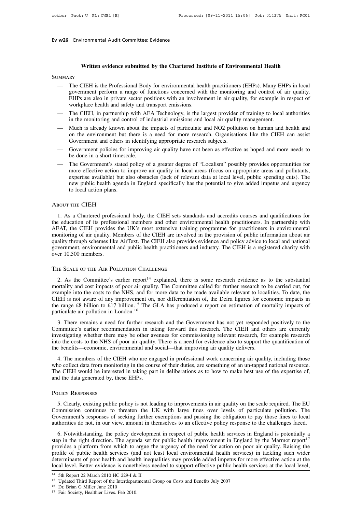# **Ev w26** Environmental Audit Committee: Evidence

# **Written evidence submitted by the Chartered Institute of Environmental Health**

### **SUMMARY**

- Written evidence submitted by the Chartered Institute of Environmental Health<br>
 The CIEH is the Professional Body for environmental health practitioners (EHPs). Many EHPs in local<br>
government perform a range of functions Written evidence submitted by the Chartered Institute of Environmental Health<br>RY<br>The CIEH is the Professional Body for environmental health practitioners (EHPs). Many EHPs in local<br>government perform a range of functions c Written evidence submitted by the Chartered Institute of Environmental Health<br>RY<br>The CIEH is the Professional Body for environmental health practitioners (EHPs). Many EHPs in local<br>government perform a range of functions c Written evidence submitted by the Chartered Inst<br>RY<br>The CIEH is the Professional Body for environmental heal<br>government perform a range of functions concerned with<br>EHPs are also in private sector positions with an involver MMARY<br>
— The CIEH is the Professional Body for environmental health practitioners (EHPs). Many EHPs in local<br>
government perform a range of functions concerned with the monitoring and control of air quality.<br>
EHPs are also In The CIEH is the Professional Body for environmental health practitioners (EHPs). Many EHI<br>government perform a range of functions concerned with the monitoring and control of a<br>EHPs are also in private sector positions — The CEFT is the Froncessional Body for christominental headth plactuonicity (EIT s). Many EIT s in local government perform a range of functions concerned with the monitoring and control of air quality.<br>EHPs are also in
- 
- EHPs are also in private sector positions volterined with the momenting and control of an quanty.<br>EHPs are also in private sector positions with an involvement in air quality, for example in respect of<br>workplace health and EHPs are also in private sector positions with an involvement in air quality, for example in respect of workplace health and safety and transport emissions.<br>
— The CIEH, in partnership with AEA Technology, is the largest p — The CIEH, in partnership with AEA Technology, is the largest provider of training to local authorities<br>in the monitoring and control of industrial emissions and local air quality management.<br>— Much is already known about The CETT, in pathership with AT<br>in the monitoring and control of in<br>Much is already known about the<br>on the environment but there is<br>Government and others in identify<br>Government policies for improving be done in a short tim — Much is already known about the impacts of particulate and NO2 pollution on human and health and<br>on the environment but there is a need for more research. Organisations like the CIEH can assist<br>Government and others in i
- 
- more is ancady known about the impacts of particulate and NO2 pointion of human and heath and<br>on the environment but there is a need for more research. Organisations like the CIEH can assist<br>Government and others in identi From the environment out there is a need for more research, organisations like the CEFT can assisted Sovernment and others in identifying appropriate research subjects.<br>
Government policies for improving air quality have n Government and others in identifying appropriate research subjects.<br>Government policies for improving air quality have not been as effective as hoped and more needs to<br>be done in a short timescale.<br>The Government's stated Government policies for in<br>the done in a short timesca<br>The Government's stated p<br>more effective action to in<br>expertise available) but also<br>new public health agenda<br>to local action plans. expertise available) but also obstacles (lack of relevant data at local level, public spending cuts). The<br>new public health agenda in England specifically has the potential to give added impetus and urgency<br>to local action

### About the CIEH

The education plans.<br>
The education plans are professional specifically has the potential to give added impetus and urgency<br>
to local action plans.<br>
ABOUT THE CIEH<br>
1. As a Chartered professional body, the CIEH sets standa to local action plans.<br>
ABOUT THE CIEH<br>
1. As a Chartered professional body, the CIEH sets standards and accredits courses and qualifications for<br>
the education of its professional members and other environmental health pr ABOUT THE CIEH<br>
1. As a Chartered professional body, the CIEH sets standards and accredits courses and qualifications for<br>
the education of its professional members and other environmental health practitioners. In partners ABOUT THE CIEH<br>1. As a Chartered professional body, the CIEH sets standards and accredits courses and qualifications for<br>the education of its professional members and other environmental health practitioners. In partnershi The critical professional body, the CIEH sets standards and accredits courses and qualifications for the education of its professional members and other environmental health practitioners. In partnership with AEAT, the CIE 1. As a Chartered professional body, the CIEH sets stand<br>the education of its professional members and other enviro<br>AEAT, the CIEH provides the UK's most extensive trainin<br>monitoring of air quality. Members of the CIEH are ality through schemes like AirText. The CIEH also provides evidence and policy advice to local and national<br>vernment, environmental and public health practitioners and industry. The CIEH is a registered charity with<br>er 10,

mortality and cost impacts of poor air quality. The CIEH is a registered charity with<br>over 10,500 members.<br>THE SCALE OF THE AIR POLLUTION CHALLENGE<br>2. As the Committee's earlier report<sup>14</sup> explained, there is some research over 10,500 members.<br>THE SCALE OF THE AIR POLLUTION CHALLENGE<br>2. As the Committee's earlier report<sup>14</sup> explained, there is some research evidence as to the substantial<br>mortality and cost impacts of poor air quality. The Co THE SCALE OF THE AIR POLLUTION CHALLENGE<br>2. As the Committee's earlier report<sup>14</sup> explained, there is some research evidence as to the substantial<br>mortality and cost impacts of poor air quality. The Committee called for f THE SCALE OF THE AIR POLLUTION CHALLENGE<br>
2. As the Committee's earlier report<sup>14</sup> explained, there is some research evidence as to the substantial<br>
mortality and cost impacts of poor air quality. The Committee called for 2. As the Committee's earlier report<sup>14</sup> explained, there is some research evidence as to the substantial mortality and cost impacts of poor air quality. The Committee called for further research to be carried out, for ex mortanty and cost impacts of poor an quanty. The committee cancel for further research to be carried out, to<br>example into the costs to the NHS, and for more data to be made available relevant to localities. To date, the<br>CI

EXERENT IS not aware of any improvement on, nor differentiation of, the Defra figures for economic impacts in the range £8 billion to £17 billion.<sup>15</sup> The GLA has produced a report on estimation of mortality impacts of pa ELT is not aware of any improvement on, not direct<br>entation of, the Detaa lignes for economic impacts in<br>the range £8 billion in London.<sup>15</sup><br>3. There remains a need for further research and the Government has not yet resp the range to omion to 117 omion. The GLA has produced a report on estimation of the particulate air pollution in London.<sup>16</sup><br>3. There remains a need for further research and the Government has not yet responded<br>Committee's 3. There remains a need for further research and the Government has not yet responded positively to the pommittee's earlier recommendation in taking forward this research. The CIEH and others are currently vestigating whet 9. Thete femants a need for funder research and the Government has not yet responded positively to the Committee's earlier recommendation in taking forward this research. The CIEH and others are currently investigating whe

Example is called the there may be other avenues for commissioning relevant research, for example research into the costs to the NHS of poor air quality. There is a need for evidence also to support the quantification of t investigating whether there may be other avenues for commissioning relevant research, for example research into the costs to the NHS of poor air quality. There is a need for evidence also to support the quantification of t The COM and the course of their duties, are something of an un-tapped national resource.<br>
The CIEH would be interested in taking part in deliberations as to how to make best use of the expertise of,<br>
The data generated by,

### Policy Responses

The CIEH would be interested in taking part in deliberations as to how to make best use of the expertise of,<br>and the data generated by, these EHPs.<br>POLICY RESPONSES<br>5. Clearly, existing public policy is not leading to impr FOLICY RESPONSES<br>
FOLICY RESPONSES<br>
5. Clearly, existing public policy is not leading to improvements in air quality on the scale required. The EU<br>
Commission continues to threaten the UK with large fines over levels of pa POLICY RESPONSES<br>5. Clearly, existing public policy is not leading to improvements in air quality on the scale required. The EU<br>Commission continues to threaten the UK with large fines over levels of particulate pollution. 6. Clearly, existing public policy is not leading to improvements in air quality on the scale required. The EU<br>
mmission continues to threaten the UK with large fines over levels of particulate pollution. The<br>
overnment's

5. Clearly, existing public policy is not leading to improvements in air quality on the scale required. The EU Commission continues to threaten the UK with large fines over levels of particulate pollution. The Government' Commission commass to uncated the OK with hage lines over levels or particulate pointation. The Government's responses of seeking further exemptions and passing the obligation to pay those fines to local authorities do not determinants of poor health and health inequalities may provide added impetus at the local level,<br>anthorities do not, in our view, amount in themselves to an effective policy response to the challenges faced.<br>6. Notwithsta databionics do not, in our view, amount in intenserves to an effective poincy response to the enancinges raced.<br>
6. Notwithstanding, the policy development in respect of public health services in England by the Marmot rep provides a platform from which to argue the urgency of the need for action on poor air quality. Raising the profile of public health services (and not least local environmental health services) in tackling such wider dete profile of public health services (and<br>determinants of poor health and healt<br>local level. Better evidence is noneth<br> $\frac{14}{14}$  5th Report 22 March 2010 HC 229-I & 1<br><sup>15</sup> Updated Third Report of the Interdepart<br><sup>16</sup> Dr. B determinants of poor health and heal<br>
local level. Better evidence is noneth<br>
<sup>14</sup> 5th Report 22 March 2010 HC 229-I &<br>
<sup>15</sup> Updated Third Report of the Interdepart<br>
<sup>16</sup> Dr. Brian G Miller June 2010<br>
<sup>17</sup> Fair Society, He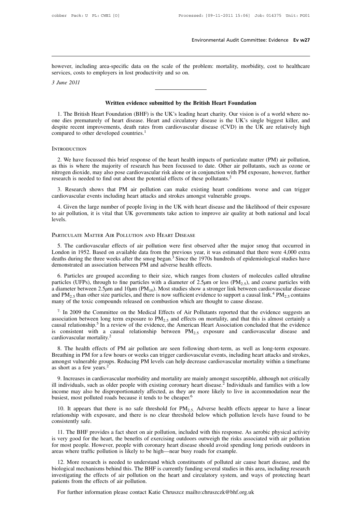Environmental Audit Committee: Evidence Ev w27<br>however, including area-specific data on the scale of the problem: mortality, morbidity, cost to healthcare<br>services, costs to employers in lost productivity and so on. Envir<br>Services, costs to employers in lost productivity and so on.<br>Solution 2011 *2<br>bowever, including are<br>services, costs to emplo<br><i>3 June 2011* Equisible 2014 and the scale of the problem: mortality, morbidity, cost to<br>
written evidence submitted by the British Heart Foundation<br>
Foundation (BHF) is the UK's leading heart charity. Our vision is of a world

Vices, costs to employers in lost productivity and so on.<br> *Iune 2011*<br> **Written evidence submitted by the British Heart Foundation**<br>
1. The British Heart Foundation (BHF) is the UK's leading heart charity. Our vision is o **Solution 3 June 2011**<br> **Our difference submitted by the British Heart Foundation**<br>
1. The British Heart Foundation (BHF) is the UK's leading heart charity. Our vision is of a world where no-<br>
one dies prematurely of heart **Example 1**<br>despite recent improvements, death rates from cardiovascular disease is the UK's single biggest killer, and<br>despite recent improvements, death rates from cardiovascular disease (CVD) in the UK are relatively hi **Written evidence subm**<br>1. The British Heart Foundation (BHF) is the<br>one dies prematurely of heart disease. Heart a<br>despite recent improvements, death rates from<br>compared to other developed countries.<sup>1</sup> 2. We have focussed this brief response of the heart health impacts of particulate matter (PM) air pollution,<br>2. We have focussed this brief response of the heart health impacts of particulate matter (PM) air pollution,<br>2.

### **INTRODUCTION**

despite recent improvements, death rates from cardiovascular disease (CVD) in the UK are relatively high<br>compared to other developed countries.<sup>1</sup><br>INTRODUCTION<br>2. We have focussed this brief response of the heart health im nitrogen dioxide, may also pose cardiovascular risk alone or in conjunction with PM exposure, however, further exports is where the majority of research has been focussed to date. Other air pollutants, such as ozone or in The search is needed to find out about the potential effects of particulate matter (PM) air pollution,<br>2. We have focussed this brief response of the heart health impacts of particulate matter (PM) air pollution,<br>3 as this 2. We have focussed this brief response of the heart health impacts of particulate matter (PM) air pollution, as this is where the majority of research has been focussed to date. Other air pollutants, such as ozone or nitr

this is where the majority of research has been focussed to date. Other air pollutants, such as ozone or rogen dioxide, may also pose cardiovascular risk alone or in conjunction with PM exposure, however, further earch is ntrogen dioxide, may also pose cardiovascular risk alone or in conjunction with PM exposure, however, further research is needed to find out about the potential effects of these pollutants.<sup>2</sup><br>3. Research shows that PM air levels. cardiovascular events including heart attacks and strokes amongst vulnerable groups.<br>4. Given the large number of people living in the UK with heart disease and the lik<br>to air pollution, it is vital that UK governments tak 4. Given the large number of people living in the UK with heart disease and the likelihood of their exposure<br>air pollution, it is vital that UK governments take action to improve air quality at both national and local<br>vels

Expectively. It is vital that UK governments take action to improve air quality at both national and local<br>levels.<br>**PARTICULATE MATTER AIR POLLUTION AND HEART DISEASE**<br>5. The cardiovascular effects of air pollution were fi deaths during the three MATTER AIR POLLUTION AND HEART DISEASE<br>
5. The cardiovascular effects of air pollution were first observed after the major smog that occurred in<br>
London in 1952. Based on available data from the pre PARTICULATE MATTER AIR POLLUTION AND HEART DISEASE<br>5. The cardiovascular effects of air pollution were first observed afte<br>London in 1952. Based on available data from the previous year, it was e<br>deaths during the three we RTICULATE MATTER AIR POLLUTION AND HEART DISEASE<br>5. The cardiovascular effects of air pollution were first observed after the major smog that occurred in<br>modon in 1952. Based on available data from the previous year, it w

5. The cardiovascular effects of air pollution were first observed after the major smog that occurred in London in 1952. Based on available data from the previous year, it was estimated that there were 4,000 extra deaths 2. The canovascular chects of an pointion were first observed and the inglor sing that occurred in London in 1952. Based on available data from the previous year, it was estimated that there were 4,000 extra deaths during London in 1992. Based on available data Hom the previous year, it was essimated that there were 4,000 extra deaths during the three weeks after the smog began.<sup>3</sup> Since the 1970s hundreds of epidemiological studies have d demonstrated an association between PM and adverse health effects.<br>
6. Particles are grouped according to their size, which ranges from clusters of molecules called ultrafine<br>
particles (UFPs), through to fine particles w 6. Particles are grouped according to their size, which ranges from clusters of molecules called ultrafine particles (UFPs), through to fine particles with a diameter of 2.5 $\mu$ m or less (PM<sub>2.5</sub>), and coarse particles wi

paractics (Or Fs), unough to the particles while a transference of 2.5 Jun of tess (FM2.5), and coalse particles while<br>a diameter between 2.5 Jun and 10 Jum (PM<sub>10</sub>). Most studies show a stronger link between cardiovascul a diameter setween 2.5pm and 10pm (1 M<sub>10</sub>). Most staties show a stronger link setween callowascular shocks and PM<sub>2.5</sub> than other size particles, and there is now sufficient evidence to support a causal link.<sup>4</sup> PM<sub>2.5</sub> The mortality.<sup>2</sup> 8. The health effects of PM air pollution are seen following short-term, as well as long-term exposure.<br>Breathing in PM for a few heads are seen for the Medical Effects of Air Pollutants reported that th and a fluid in PM for a few thours or weeks can file on mortality, and that this is almost certainly a causal relationship.<sup>5</sup> In a review of the evidence, the American Heart Association concluded that the evidence is con

association between long term exposure to  $1.1925$  and criters on instantly, and that this is amost certainly a causal relationship.<sup>5</sup> In a review of the evidence, the American Heart Association concluded that the eviden as consistent with a causal relationship between  $PM_{2.5}$  exposure and cardiovascular disease and cardiovascular mortality.<sup>2</sup><br>8. The health effects of PM air pollution are seen following short-term, as well as long-term ill individuals, such as older people with existing correct individuals and strokes, amongst vulnerable groups. Reducing PM levels can help decrease cardiovascular mortality within a timeframe as short as a few years.<sup>2</sup> 9

Example 1.1 The matrix of the displacement and section to the displacement, as we has followed a strokes, amongst vulnerable groups. Reducing PM levels can help decrease cardiovascular mortality within a timeframe as shor busiest, most polluted roads because it tends to be cheaper.<sup>6</sup> 10. It appears that there is no safe threshold for PM<sub>2.5</sub>. Adverse health effects appear to have a linear relationship with exposure, and there is no safe t 9. Increases in cardiovascular morbidity and mortality are mainly amongst susceptible, although not critically<br>ill individuals, such as older people with existing coronary heart disease.<sup>2</sup> Individuals and families with a Final individuals, such as<br>income may also be d<br>busiest, most polluted<br>10. It appears that<br>relationship with expc<br>consistently safe.<br>11. The BHF provid

The BHF provides a fact sheet on air pollution, included with this response. As aerobic physical activity of the benching with exposure, and there is no clear threshold below which pollution levels have found to be insist busiest, most polluted roads because it tends to be cheaper.<sup>8</sup><br>10. It appears that there is no safe threshold for  $PM_{2.5}$ . Adverse health effects appear to have a linear<br>relationship with exposure, and there is no clear 10. It appears that there is no safe threshold for  $PM_{2.5}$ . Adverse health effects appear to have a linear relationship with exposure, and there is no clear threshold below which pollution levels have found to be consist relationship with exposure, and there is no clear threshold below which pollution levels have found to be consistently safe.<br>
11. The BHF provides a fact sheet on air pollution, included with this response. As aerobic phys nsistently sate.<br>
11. The BHF provides a fact sheet on air pollution, included with this response. As aerobic physical activity<br>
very good for the heart, the benefits of exercising outdoors outweigh the risks associated wi

11. The BHF provides a fact sheet on air pollution, included with this response. As aerobic physical activity<br>is very good for the heart, the benefits of exercising outdoors outweigh the risks associated with air pollution In the EIT provides a fact sheet on an pondaton, included with this response. As acroote physical activity<br>is very good for the heart, the benefits of exercising outdoors outweigh the risks associated with air pollution<br>fo Is very good for the heart, the benefits of exercity for most people. However, people with corona areas where traffic pollution is likely to be hig 12. More research is needed to understand biological mechanisms behind thi For further information please contact Katie Chruszcz mailto:chruszczk@bhf.org.uk<br>For further information please contact Alley is currently funding several studies in this<br>vestigating the effects of air pollution on the he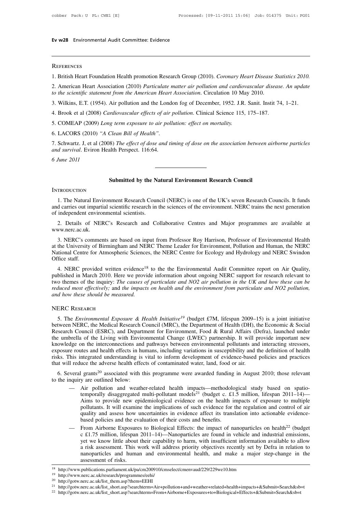# **Ev w28** Environmental Audit Committee: Evidence

### **REFERENCES**

1. British Heart Foundation Health promotion Research Group (2010). *Coronary Heart Disease Statistics 2010*.<br>1. British Heart Foundation Health promotion Research Group (2010). *Coronary Heart Disease Statistics 2010*.<br>2. REFERENCES<br>1. British Heart Foundation Health promotion Research Group (2010). *Coronary Heart Disease Statistics 2010*.<br>2. American Heart Association (2010) *Particulate matter air pollution and cardiovascular disease. An REFERENCES*<br>
1. British Heart Foundation Health promotion Research Group (2010). *Coronary Heart Disease S*<br>
2. American Heart Association (2010) *Particulate matter air pollution and cardiovascular disea<br>
to the scientif* REFERENCES<br>1. British Heart Foundation Health promotion Research Group (2010). *Coronary Heart Disease Statistics 2010*.<br>2. American Heart Association (2010) *Particulate matter air pollution and cardiovascular disease. An* 1. British Heart Foundation Health promotion Research Group (2010). *Coronary Heart Disease Sta*<br>2. American Heart Association (2010) *Particulate matter air pollution and cardiovascular disease*<br>*to the scientific stateme* 2. American Heart Association (2010) *Particulate matter air pollution and cardio*<br>to the scientific statement from the American Heart Association. Circulation 10 Ma<br>3. Wilkins, E.T. (1954). Air pollution and the London fo

*to the scientific statement from the American Heart*<br>
3. Wilkins, E.T. (1954). Air pollution and the Lond<br>
4. Brook et al (2008) *Cardiovascular effects of air*  $\mu$ <br>
5. COMEAP (2009) *Long term exposure to air poll*<br>
6. 1. Schwartz. J, et al (2008) *Cardiovascular effects of air pollution*. Clinical Science 115, 175–187.<br>
1. Brook et al (2008) *Cardiovascular effects of air pollution*. Clinical Science 115, 175–187.<br>
5. COMEAP (2009) *Lon A.* Brook et al (2008) *Cardiovascular effects of air pollution*. Clinical Science 115, 175–187.<br>
5. COMEAP (2009) *Long term exposure to air pollution: effect on mortality.*<br>
6. LACORS (2010) "*A Clean Bill of Health*".<br> *and survival.* Eviron Health Perspect. 116:64. **Sample 18 Start Start End of the Submitted by the Natural Environment Research Council**<br> **Submitted by the Natural Environment Research Council** 

### **INTRODUCTION**

1. The Natural Environment Research Council<br>
1. The Natural Environment Research Council (NERC) is one of the UK's seven Research Councils. It funds<br>
1. The Natural Environment Research Council (NERC) is one of the UK's se **EXECUTE SCIENCISE SCIENCISE SCIENCISE SCIENCISE IN SERVICE THE NATURE CONCRETE:**<br>
1. The Natural Environment Research Council (NERC) is one of the UK's seven Research Councils. It funds<br>
and carries out impartial scientif Submitted by the Natural Environment Research Council<br>
1. The Natural Environment Research Council (NERC) is one of the UK's seven Research Councils. It funds<br>
and carries out impartial scientific research in the sciences 2. Details of NERC's Research and Collaborative Centres and Major programmes are available at the NERC's Research and Collaborative Centres and Major programmes are available at the NERC's Research and Collaborative Centre

www.nerc.ac.uk.

1. The Natural Environment Research Council (NERC) is one of the UK's seven Research Councils. It funds<br>d carries out impartial scientific research in the sciences of the environment. NERC trains the next generation<br>indepe and carries out impartial scientific research in the sciences of the environment. NERC trains the next generation<br>of independent environmental scientists.<br>2. Details of NERC's Research and Collaborative Centres and Major p of independent environmental scientists.<br>
2. Details of NERC's Research and Collaborative Centres and Major programmes are available at<br>
www.nerc.ac.uk.<br>
3. NERC's comments are based on input from Professor Roy Harrison, P 3. NERC's comments are based on input from Professor Roy Harrison, Professor of Environmental Health at the University of Birmingham and NERC Theme Leader for Environment, Pollution and Human, the NERC National Centre for ww.nerc.ac.uk.<br>3. NERC's comments are based on input from Professor Roy Harrison, Professor of Environmental Health<br>the University of Birmingham and NERC Theme Leader for Erology and Hydrology and Human, the NERC<br>tional Ce

3. NERC's comments are based on input from Professor Roy Harrison, Professor of Environmental Health<br>at the University of Birmingham and NERC Theme Leader for Environment, Pollution and Human, the NERC<br>National Centre for 3. NERC s comments are based on input from Professor Roy Harrison, Professor of Environmental Health at the University of Birmingham and NERC Theme Leader for Environment, Pollution and Human, the NERC National Centre for are the University of Birmingham and NERC Theme Leader for Environment, Pollution and Human, the NERC National Centre for Atmospheric Sciences, the NERC Centre for Ecology and Hydrology and NERC Swindon Office staff.<br>
4. N **EXECUTE:** National Centre for Atmospheric Science<br>Office staff.<br>4. NERC provided written evidence<sup>18</sup><br>published in March 2010. Here we provid<br>two themes of the inquiry: *The causes of<br>reduced most effectively*; and *the i* First and Materia 2010. Here we provide information about ongoing PERC support for research relevant to<br>o themes of the inquiry: The causes of particulate and NO2 air pollution in the UK and how these can be<br>duced most eff

### NERC Research

between NERC Research Council (MRC), the Department from particulate and NO2 pollution,<br>and how these should be measured.<br>NERC RESEARCH<br>5. The Environmental Exposure & Health Initiative<sup>19</sup> (budget £7M, lifespan 2009–15) RERC RESEARCH<br>
S. The *Environmental Exposure & Health Initiative<sup>19</sup>* (budget £7M, lifespan 2009–15) is a joint initiative<br>
between NERC, the Medical Research Council (MRC), the Department of Health (DH), the Economic & THERC RESEARCH<br>
5. The *Environmental Exposure & Health Initiative<sup>19</sup>* (budget £7M, lifespan 2009–15) is a joint initiative<br>
between NERC, the Medical Research Council (MRC), the Department of Health (DH), the Economic & NERC RESEARCH<br>5. The *Environmental Exposure & Health Initiative<sup>19</sup>* (budget £7M, lifespan 2009–15) is a joint initiative<br>between NERC, the Medical Research Council (MRC), the Department of Health (DH), the Economic & Soc EXC NESEARCH<br>5. The *Environmental Exposure & Health Initiative<sup>19</sup>* (budget £7M, lifespan 2009–15) is a joint initiative<br>between NERC, the Medical Research Council (MRC), the Department of Health (DH), the Economic & Soc between NERC, the Medical Research Council (MRC), the Department of Health (DH), the Economic & Social Research Council (ESRC), and Department for Environment, Food & Rural Affairs (Defra), launched under the umbrella of t between NERC, the Medical Research Council (MRC), the Department of Health (DH), the Research Council (ESRC), and Department for Environment, Food & Rural Affairs (L the umbrella of the Living with Environmental Change (LW Search Council (ESKC), and Department for Environment, Pood & Kural Arian's (Deria), faulted under<br>
e umbrella of the Living with Environmental Change (LWEC) partnership. It will provide important new<br>
owledge on the inte the uniotent of the Erving with Environment<br>
knowledge on the interconnections and<br>
exposure routes and health effects in hu<br>
risks. This integrated understanding is<br>
that will reduce the adverse health effec<br>
6. Several g metric results and health effects in humans, including variations in susceptibility and the definition of health<br>
This integrated understanding is vital to inform development of evidence-based policies and practices<br>
I re

- ntegrated understanding is vital to inform development of evidence-based policies and practices<br>uce the adverse health effects of contaminated water, land, food or air.<br>
I grants<sup>20</sup> associated with this programme were awa The intertance the adverse health effects of contaminated water, land, food or air.<br>
I grants<sup>20</sup> associated with this programme were awarded funding in August 2010; those relevant<br>
y are outlined below:<br>
Air pollution an pollutants<sup>20</sup> associated with this programme were awarded funding in August 2010; those relevant y are outlined below:<br>Air pollution and weather-related health impacts—methodological study based on spatio-<br>temporally disa I grants<sup>20</sup> associated with this programme were awarded funding in August 2010; those relevant<br>y are outlined below:<br>Air pollution and weather-related health impacts—methodological study based on spatio-<br>temporally disag y are outlined below:<br>Air pollution and weather-related health impacts—methodolc<br>temporally disaggregated multi-pollutant models<sup>21</sup> (budget c. £1<br>Aims to provide new epidemiological evidence on the health is<br>pollutants. I — Air pollution and weather-related health impacts—methodological study based on spatio-<br>temporally disaggregated multi-pollutant models<sup>21</sup> (budget c. £1.5 million, lifespan 2011–14)—<br>Aims to provide new epidemiological temporally disaggregated multi-pollutant models<sup>21</sup> (budget c. £1.5 million, lifespan 2011–14)—<br>Aims to provide new epidemiological evidence on the health impacts of exposure to multiple<br>pollutants. It will examine the im
- Aims to provide new epidemiological evidence on the health impacts of exposure to multiple<br>pollutants. It will examine the implications of such evidence for the regulation and control of air<br>quality and assess how uncertai pollutants. It will examine the implications of such evidence for the regulation and control of air<br>quality and assess how uncertainties in evidence affect its translation into actionable evidence-<br>based policies and the e quality and assess how uncertainties in evidence affect its translation into actionable evidence-<br>based policies and the evaluation of their costs and benefits.<br>From Airborne Exposures to Biological Effects: the impact of based policies and the evaluation of their costs and benefits.<br>
— From Airborne Exposures to Biological Effects: the impact of nanoparticles on<br>
c £1.75 million, lifespan 2011–14)—Nanoparticles are found in vehicle and in

<sup>19</sup> http://www.nerc.ac.uk/research/programmes/eehi/

<sup>20</sup> http://gotw.nerc.ac.uk/list\_them.asp?them=EEHI

<sup>&</sup>lt;sup>21</sup> http://gotw.nerc.ac.uk/list\_short.asp?searchterm=Air+pollution+and+weather+related+health+impacts+&Submit=Search&sb=t

<sup>22</sup> http://gotw.nerc.ac.uk/list\_short.asp?searchterm=From+Airborne+Exposures+to+Biological+Effects+&Submit=Search&sb=t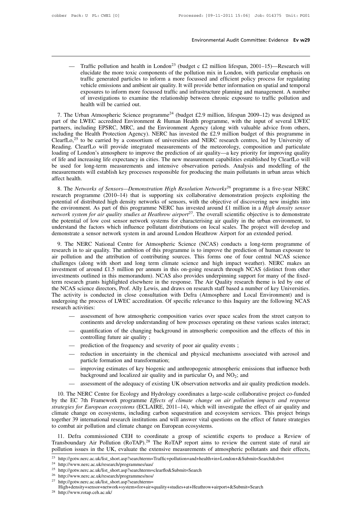Environmental Audit Committee: Evidence Ev w29<br>— Traffic pollution and health in London<sup>23</sup> (budget c £2 million lifespan, 2001–15)—Research will<br>elucidate the more toxic components of the pollution mix in London, with par Environmental Audit Committee: Evidence Ev w29<br>Traffic pollution and health in London<sup>23</sup> (budget c £2 million lifespan, 2001–15)—Research will<br>elucidate the more toxic components of the pollution mix in London, with parti Environmental Audit Committee: Evidence Ev w29<br>Traffic pollution and health in London<sup>23</sup> (budget c £2 million lifespan, 2001–15)—Research will<br>elucidate the more toxic components of the pollution mix in London, with part Traffic pollution and health in London<sup>23</sup> (budget c  $£2$  million lifespan,  $2001-15$ )—Research will elucidate the more toxic components of the pollution mix in London, with particular emphasis on traffic generated partic Traffic pollution and health in London<sup>23</sup> (budget c £2 million lifespan, 2001–15)—Research will elucidate the more toxic components of the pollution mix in London, with particular emphasis on traffic generated particles Traffic pollution and health in London<sup>23</sup> (budget c £2 million lifespan, 2001–15)—Research will elucidate the more toxic components of the pollution mix in London, with particular emphasis on traffic generated particles Traffic pollution and health in<br>elucidate the more toxic comportraffic generated particles to in<br>vehicle emissions and ambient a<br>exposures to inform more focus<br>of investigations to examine the<br>health will be carried out.<br>b Final at the more toxic components of the pointuon mix in London, while particular emphasis on traffic generated particles to inform a more focussed and efficient policy process for regulating vehicle emissions and ambien Figure 1.1 The Urban Atmospheric Science programme<sup>24</sup> (budget files). It will provide better information on spatial and temporal exposures to inform more focussed traffic and infrastructure planning and management. A num

Figure 2.4 The Urban Amore in the multimated in the multimated infrastructure planning and management. A number of investigations to examine the relationship between chronic exposure to traffic pollution and health will b Exposites to mionin mote focussed traint and imrastructure planning and malagement. A number<br>of investigations to examine the relationship between chronic exposure to traffic pollution and<br>health will be carried out.<br>7. T The Urban Atmospheric Science programme<sup>24</sup> (budget £2.9 million, lifespan 2009–12) was designed as<br>part of the LWEC accredited Environment & Human Health programme, with the input of several LWEC<br>partners, including EPSR 7. The Urban Atmospheric Science programme<sup>24</sup> (budget £2.9 million, lifespan 2009–12) was designed as part of the LWEC accredited Environment & Human Health programme, with the input of several LWEC partners, including E 7. The Urban Atmospheric Science programme<sup>24</sup> (budget £2.9 million, lifespan 2009–12) was designed as part of the LWEC accredited Environment & Human Health programme, with the input of several LWEC partners, including E part of the LWEC accredited Environment & Human Health programme, with the input of several LWEC<br>partners, including EPSRC, MRC, and the Environment Agency (along with valuable advice from others,<br>including the Health Prot partners, including EPSRC, MRC, and the Environment Agency (along with valuable advice from others, including the Health Protection Agency). NERC has invested the £2.9 million budget of this programme in ClearfLo,<sup>25</sup> to b including the Health Protection Agency). NERC has invested the £2.9 million budget of this programme in ClearfLo,<sup>25</sup> to be carried by a consortium of universities and NERC research centres, led by University of Reading. ClearfLo,<sup>25</sup> to be<br>Reading. ClearfLc<br>loading of London<br>of life and increasi<br>be used for long<br>measurements will<br>affect health.<br>8. The *Network*. Examples CeariLo with provide integrated measurements of the meteorology, composition and particulate<br>ading of London's atmosphere to improve the prediction of air quality—a key priority for improving quality<br>life and incr is usually dotating of London's atmosphere to improve the prediction of air quality—a key priority for improving quality of life and increasing life expectancy in cities. The new measurement capabilities established by Cl

be used for long-term measurements and intensive observation periods. Analysis and modelling of the measurements will establish key processes responsible for producing the main pollutants in urban areas which affect healt be used for fong-term measurements and mensive observation periods. Analysts and modeling of the<br>measurements will establish key processes responsible for producing the main pollutants in urban areas which<br>affect health.<br>8 *neessurements win establish key processes responsible for producing the main politiants in tirban areas which affect health.*<br> *8. The Networks of Sensors—Demonstration High Resolution Networks<sup>26</sup> programme is a five-yea* 8. The *Networks of Sensors—Demonstration High Resolution Networks<sup>26</sup> programme is a five-year NERC research programme (2010–14) that is supporting six collaborative demonstration projects exploiting the potential of dis* 8. The *Networks of Sensors—Demonstration High Resolution Networks<sup>26</sup> programme is a five-year NERC research programme (2010–14) that is supporting six collaborative demonstration projects exploiting the potential of dis* research programme (2010–14) that is supporting six collaborative demonstration projects exploiting the potential of distributed high density networks of sensors, with the objective of discovering new insights in the envir be environment. As part of this programme NERC has invested around £1 million in a *High density sensor* twork system for air quality studies at Heathrow airport<sup>27</sup>. The overall scientific objective is to demonstrate pot network system for air quality studies at Heathrow airport<sup>27</sup>. The overall scientific objective is to demonstrate<br>the potential of low cost sensor network systems for characterising air quality in the urban environment, t

network system for air quality staties at Treatmow atiport. The overall scientific objective is to definistate<br>the potential of low cost sensor network systems for characterising air quality in the urban environment, to<br>un Incertional of low cost sciisor network systems for characterising an quanty in the urban chyriominent, to<br>understand the factors which influence pollutant distributions on local scales. The project will develop and<br>demons investment are research in the responses of coal scales. The project win develop and demonstrate a sensor network system in and around London Heathrow Airport for an extended period.<br>9. The NERC National Centre for Atmosph definolisatic a sensor network system in and around Eondon Heathow Aliport for an extended period.<br>9. The NERC National Centre for Atmospheric Science (NCAS) conducts a long-term programme of<br>research in to air quality. Th 9. The NERC National Centre for Atmospheric Science (NCAS) conducts a long-term programme of research in to air quality. The ambition of this programme is to improve the prediction of human exposure to air pollution and th research in to air quality. The ambition of this programme is to improve the prediction of human exposure to air pollution and the attribution of contributing sources. This forms one of four central NCAS science challenges air pollution and the attribution of contributing sources. This forms one of four central NCAS science challenges (along with short and long term climate science and high impact weather). NERC makes an investment of around challenges (along with short and long term climate science and high impact weather). NERC makes an investment of around £1.5 million per annum in this on-going research through NCAS (distinct from other investments outline investment of around £1<br>investments outlined in t<br>term research grants hig<br>the NCAS science direct<br>The activity is conduct<br>undergoing the process of<br>research activities:<br>assessment of<br>continents are nents outlined in this memorandum). NCAS also provides underpinning support for many of the fixed-<br>search grants highlighted elsewhere in the response. The Air Quality research theme is led by one of<br>AS science directors, It is grants highlighted elsewhere in the response. The Air Quality research theme is led by one of<br>cience directors, Prof. Ally Lewis, and draws on research staff based a number of key Universities.<br>It is conducted in clo As science unectors, F101. Any Lewis, and draws on research start based a number of key chrvessites.<br>tivity is conducted in close consultation with Defra (Atmosphere and Local Environment) and is<br>ing the process of LWEC ac Is conducted in close consulation<br>the process of LWEC accreditation.<br>sites:<br>assessment of how atmospheric contonents and develop understandin<br>quantification of the changing back<br>controlling future air quality;<br>prediction o

- 
- matrivities:<br>
 assessment of how atmospheric composition varies over space scales frequencies and develop understanding of how processes operating on these quantification of the changing background in atmospheric composit — assessment of how atmospheric composition varies over space scales from the street canyon to<br>
continents and develop understanding of how processes operating on these various scales interact;<br>
— quantification of the cha continents and develop understanding of hov<br>quantification of the changing background i<br>controlling future air quality;<br>prediction of the frequency and severity of p<br>reduction in uncertainty in the chemical ar<br>particle for — quantification of the changing background in atmospheric composition and the effects of this in<br>
— prediction of the frequency and severity of poor air quality events;<br>
— reduction in uncertainty in the chemical and phy
- 
- controlling future air quality;<br>prediction of the frequency and severity of poor air quality events;<br>reduction in uncertainty in the chemical and physical mechanisms associated wi<br>particle formation and transformation;<br>im — prediction of the frequency and severity of poor air quality events;<br>
— reduction in uncertainty in the chemical and physical mechanisms associated with aerosol and<br>
particle formation and transformation;<br>
— improving e
- 
- 

10. The NERC Centre for Ecology and Hydrology coordinates a large-scale collaborative projection and the decalized air quality and in particular O<sub>3</sub> and NO<sub>2</sub>; and<br>
20. The NERC Centre for Ecology and Hydrology coordinate particle formation and transformation;<br>
— improving estimates of key biogenic and anthropogenic atmospheric emissions that influence both<br>
background and localized air quality and in particular O<sub>3</sub> and NO<sub>2</sub>; and<br>
— asses *strategies for European ecosystems* (ECLAIRE, 2011–14), which will questions on the effect of future strategies for European ecosystems (ECLAIRE, 2011–14), which will investigate the effect of air quality and response str background and localized air quality and in particular  $O_3$  and  $NO_2$ ; and<br>
— assessment of the adequacy of existing UK observation networks and air quality prediction models.<br>
10. The NERC Centre for Ecology and Hydrolo The Section models.<br>
10. The NERC Centre for Ecology and Hydrology coordinates a large-scale collaborative project co-funded<br>
by the EC 7th Framework programme *Effects of climate change on air pollution impacts and respon* - assessment of the adequacy of existing UK observation networks and air quality prediction models.<br>
10. The NERC Centre for Ecology and Hydrology coordinates a large-scale collaborative project co-funded<br>
by the EC 7th Fr 10. The NEKC Centre for Ecology and Hydrology coordinates a farge-scale conaborative project co-funded<br>the EC 7th Framework programme *Effects of climate change on air pollution impacts and response*<br>ategies for *European* by the EC 7th Frankwork programme Effects of climate change on air polition imputs and response<br>strategies for European ecosystems (ECLAIRE, 2011–14), which will investigate the effect of air quality and<br>climate change on strategies for European ecosystems (ECEATRE, 2011–14), which will investigate the effect of an quanty and<br>climate change on ecosystems, including carbon sequestration and ecosystem services. This project brings<br>together 3

<sup>27</sup> http://gotw.nerc.ac.uk/list\_short.asp?searchterm=

<sup>25</sup> http://gotw.nerc.ac.uk/list\_short.asp?searchterm=clearflo&Submit=Search

<sup>&</sup>lt;sup>26</sup> http://www.nerc.ac.uk/research/programmes/nos/<br><sup>27</sup> http://esty.nere.ac.uk/list\_short\_son?searchterm

High+density+sensor+network+system+for+air+quality+studies+at+Heathrow+airport+&Submit=Search

<sup>28</sup> http://www.rotap.ceh.ac.uk/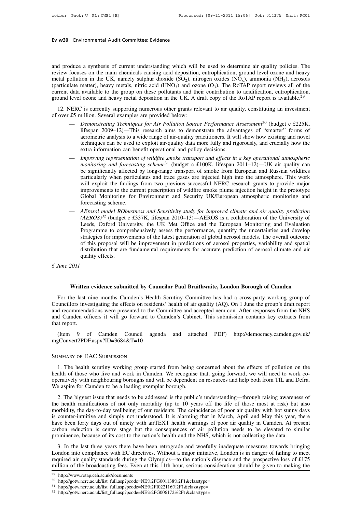# **Ev w30** Environmental Audit Committee: Evidence

**Ev w30** Environmental Audit Committee: Evidence<br>
and produce a synthesis of current understanding which will be used to determine air quality policies. The<br>
review focuses on the main chemicals causing acid deposition, eu **Ev w30** Environmental Audit Committee: Evidence<br>and produce a synthesis of current understanding which will be used to determine air quality policies. The<br>review focuses on the main chemicals causing acid deposition, eut **Ev w30** Environmental Audit Committee: Evidence<br>
and produce a synthesis of current understanding which will be used to determine air quality policies. The<br>
review focuses on the main chemicals causing acid deposition, e and produce a synthesis of current understanding which will be used to determine air quality policies. The<br>review focuses on the main chemicals causing acid deposition, eutrophication, ground level ozone and heavy<br>metal p and produce a synthesis of current understanding which will be used to determine air quality policies. The review focuses on the main chemicals causing acid deposition, eutrophication, ground level ozone and heavy metal p and produce a synthesis of current understanding which will be used to determine air quality policies. The review focuses on the main chemicals causing acid deposition, eutrophication, ground level ozone and heavy metals, From the main chemical examples are provided (SO<sub>2</sub>), nitrogen oxides (NO<sub>3</sub>), ammonia (NH<sub>3</sub>), are expected to (particulate matter), heavy metals, nitric acid (HNO<sub>3</sub>) and ozone (O<sub>3</sub>). The RoTAP report reviews all of th

- available to the group on these pollutants and their contribution to acidification, eutrophication,<br>
cozone and heavy metal deposition in the UK. A draft copy of the RoTAP report is available.<sup>29</sup><br>
C is currently supporti corrigonal metally supporting numerous other grants relevant to air quality, constituting an investment consideration. Several examples are provided below:<br> *Demonstrating Techniques for Air Pollution Source Performance As* The used to exploring numerous of the grants relevant to air quality, constituting an investment<br>includion. Several examples are provided below:<br>Demonstrating Techniques for Air Pollution Source Performance Assessment<sup>30</sup> ERC is currently supporting numerous other grants relevant to air quality, constituting an investment  $\pm 5$  million. Several examples are provided below:<br>
— *Demonstrating Techniques for Air Pollution Source Performance Demonstrating Techniques for Air Pollution Source Performance Assessment<sup>50</sup> (budget c £225K, lifespan 2009–12)—This research aims to demonstrate the advantages of "smarter" forms of aerometric analysis to a wide range of*
- litespan 2009–12)—This research aims to demonstrate the advantages of "smarter" forms of<br>aerometric analysis to a wide range of air-quality practitioners. It will show how existing and novel<br>techniques can be used to expl aerometric analysis to a wide range of air-quality practitioners. It will show how existing and novel<br>techniques can be used to exploit air-quality data more fully and rigorously, and crucially how the<br>extra information ca techniques can be used to exploit air-quality data more fully and rigorously, and crucially how the extra information can benefit operational and policy decisions.<br> *Improving representation of wildfire smoke transport and* extra information can benefit operational and policy decisions.<br> *Improving representation of wildfire smoke transport and effects in a key operational atmospheric monitoring and forecasting scheme<sup>31</sup> (budget c £100K, lif* Improving representation of wildfire smoke transport and effects in a key operational atmospheric<br>monitoring and forecasting scheme<sup>31</sup> (budget c £100K, lifespan 2011–12)—UK air quality can<br>be significantly affected by lon monitoring and forecasting scheme<sup>31</sup> (budget c £100K, lifespan 2011–12)—UK air quality can<br>be significantly affected by long-range transport of smoke from European and Russian wildfires<br>particularly when particulates and particularly when particulates and trace gases are injected high into the atmosphere. This work<br>will exploit the findings from two previous successful NERC research grants to provide major<br>improvements to the current presc
- will exploit the findings from two previous successful NERC research grants to provide major<br>improvements to the current prescription of wildfire smoke plume injection height in the prototype<br>Global Monitoring for Environm improvements to the current prescription of wildfire smoke plume injection height in the prototype<br>Global Monitoring for Environment and Security UK/European atmospheric monitoring and<br>forecasting scheme.<br>AErosol model ROb Global Monitoring for Environment and Security UK/European atmospheric monitoring and<br>forecasting scheme.<br>*AErosol model RObustness and Sensitivity study for improved climate and air quality prediction*<br>(*AEROS*)<sup>32</sup> (budg forecasting scheme.<br>AErosol model RObustness and Sensitivity study for improved climate and air quality prediction<br>(AEROS)<sup>32</sup> (budget c £337K, lifespan 2010–13)—AEROS is a collaboration of the University of<br>Leeds, Oxford AErosol model RObustness and Sensitivity study for improved climate and air quality prediction (AEROS)<sup>32</sup> (budget c £337K, lifespan 2010–13)—AEROS is a collaboration of the University of Leeds, Oxford University, the UK M  $(AEROS)^{32}$  (budget<br>Leeds, Oxford University effects.<br>Programme to computate for improved this proposal will<br>distribution that are<br>quality effects. Eeeas, Ox<br>
Programme<br>
strategies f<br>
of this pro<br>
distribution<br>
quality effe<br>
6 June 2011 Most the proposal was the fundamental requirements for accurate prediction of aerosol climate and air quality effects.<br>
Written evidence submitted by Councilor Paul Braithwaite, London Borough of Camden<br>
the last nine mont

For the last nine months Camden's Health Scrutiny Committee, London Borough of Camden<br>For the last nine months Camden's Health Scrutiny Committee has had a cross-party working group of<br>buncillors investigating the effects Written evidence submitted by Councilor Paul Braithwaite, London Borough of Camden<br>For the last nine months Camden's Health Scrutiny Committee has had a cross-party working group of<br>Councillors investigating the effects on **And Finaryor Written evidence submitted by Councilor Paul Braithwaite, London Borough of Camden**<br>For the last nine months Camden's Health Scrutiny Committee has had a cross-party working group of<br>Councillors investigating Written evidence submitted by Councilor Paul Braithwaite, London Borough of Camden<br>For the last nine months Camden's Health Scrutiny Committee has had a cross-party working group of<br>Councillors investigating the effects on **Written evidence submitted by Councilor Paul Braithwaite, London Borough of Camden**<br>For the last nine months Camden's Health Scrutiny Committee has had a cross-party working group of<br>Councillors investigating the effects For the last nine months Camden's Health Scrutiny Committee has had a cross-party working group of ouncillors investigating the effects on residents' health of air quality (AQ). On 1 June the group's draft report d recomme

mgConvert2PDF.aspx?ID=3684&T=10

### Summary of EAC Submission

1. (Item 9 of Camden Council agenda and attached PDF) http://democracy.camden.gov.uk/<br>2Convert2PDF.aspx?ID=3684&T=10<br>1. The health scrutiny working group started from being concerned about the effects of pollution on the<br>a 1. The health scrutiny working group started from being concerned about the effects of pollution on the health of those who live and work in Camden. We recognise that, going forward, we will need to work co-operatively wit mgConvert2PDF.aspx?ID=3684&T=10<br>SUMMARY OF EAC SUBMISSION<br>1. The health scrutiny working group started from being concerned about the effects of pollution on the<br>health of those who live and work in Camden. We recognise th SUMMARY OF EAC SUBMISSION<br>1. The health scrutiny working group started from being c<br>health of those who live and work in Camden. We recognise<br>operatively with neighbouring boroughs and will be dependent<br>we aspire for Camde 2. The health scrutiny working group started from being concerned about the effects of pollution on the alth of those who live and work in Camden. We recognise that, going forward, we will need to work coeratively with nei 1. The health scrutiny working group started from being concerned about the effects of pollution on the health of those who live and work in Camden. We recognise that, going forward, we will need to work co-<br>operatively wi

morbidity, the day-to-day wellbeing of our residents. The coincidence about the crices of pontation of the dependent of those who live and work in Camden. We recognise that, going forward, we will need to work cooperativel is counter-intuitive and simply not understood. It is alarming that in March, we will lied to work contract a weak applies that needs to be a leading exemplar borough.<br>2. The biggest issue that needs to be addressed is the We aspire for Camden to be a leading exemplar borough.<br>
2. The biggest issue that needs to be addressed is the public's understanding—through raising awareness of<br>
the health ramifications of not only mortality (up to 10 y 2. The biggest issue that needs to be addressed is the public's understanding—through raising awareness of the health ramifications of not only mortality (up to 10 years off the life of those most at risk) but also morbidi 2. The biggest issue that needs to be addressed is the public's understanding—through raising awarenes the health ramifications of not only mortality (up to 10 years off the life of those most at risk) but morbidity, the d 3. In the last three years there have been retrograde and woefully inadequate measures three we been forty days out of ninety with airTEXT health warning that in March, April and May this year, there we been forty days out Example into any wear-to-since with six alarming that in March, April and May this year, there is counter-intuive and simply not understood. It is alarming that in March, April and May this year, there have been forty day

required air quality standards during the Olympics—to the nation's disgraed and the present carbon reduction is centre stage but the consequences of air pollution needs to be elevated to similar prominence, because of its mive been forty tarys out of imitely with an EEXT heath warmings of poor an quanty in elantich. At present carbon reduction is centre stage but the consequences of air pollution needs to be elevated to similar prominence,

<sup>29</sup> http://www.rotap.ceh.ac.uk/documents

<sup>30</sup> http://gotw.nerc.ac.uk/list\_full.asp?pcode=NE%2FG001138%2F1&classtype=

<sup>&</sup>lt;sup>31</sup> http://gotw.nerc.ac.uk/list\_full.asp?pcode=NE%2FI022116%2F1&classtype=

<sup>32</sup> http://gotw.nerc.ac.uk/list\_full.asp?pcode=NE%2FG006172%2F1&classtype=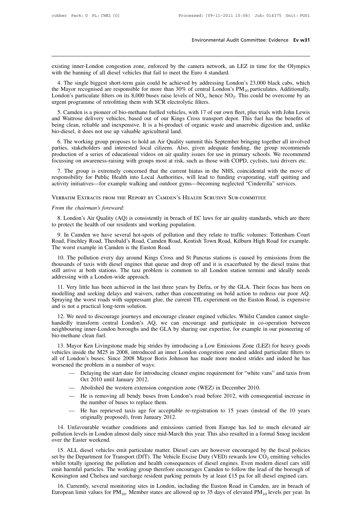Environmental Audit Committee: Evidence Ev w31<br>existing inner-London congestion zone, enforced by the camera network, an LEZ in time for the Olympics<br>with the banning of all dissel vehicles that fail to meet the Euro 4 sta Environmental Audit C<br>existing inner-London congestion zone, enforced by the camera network, an LH<br>with the banning of all diesel vehicles that fail to meet the Euro 4 standard.<br>4. The single biggest short-term gain could

isting inner-London congestion zone, enforced by the camera network, an LEZ in time for the Olympics<br>th the banning of all diesel vehicles that fail to meet the Euro 4 standard.<br>4. The single biggest short-term gain could existing inner-London congestion zone, enforced by the camera network, an LEZ in time for the Olympics<br>with the banning of all diesel vehicles that fail to meet the Euro 4 standard.<br>4. The single biggest short-term gain c Existing inner-London congestion zone, enforced by the camera network, an LEZ is<br>with the banning of all diesel vehicles that fail to meet the Euro 4 standard.<br>4. The single biggest short-term gain could be achieved by ad LEZ in time for the Olympics<br>don's 23,000 black cabs, which<br>PM<sub>10</sub> particulates. Additionally,<br>This could be overcome by an existing inner-London congestion zone, enforced by the camera networ<br>with the banning of all diesel vehicles that fail to meet the Euro 4 standa<br>4. The single biggest short-term gain could be achieved by addressing<br>the May th the banning of all diesel vehicles that fail to meet the Euro 4 standard.<br>
4. The single biggest short-term gain could be achieved by addressing London's 23,000 black cabs, which<br>  $e$  Mayor recognised are responsible f 4. The single biggest short-term gain could be achieved by addressing London's 23,000 black cabs, which<br>the Mayor recognised are responsible for more than 30% of central London's PM<sub>10</sub> particulates. Additionally,<br>London'

4. The single orgest short-term gain could be achieved by addessing London's 25,000 black cabs, which<br>the Mayor recognised are responsible for more than 30% of central London's PM<sub>10</sub> particulates. Additionally,<br>London's the Mayor recognised are responsible for line than 30% of a<br>London's particulate filters on its 8,000 buses raise levels of<br>urgent programme of retrofitting them with SCR electrolytic<br>5. Camden is a pioneer of bio-methane Exent programme of retrofitting them with SCR electrolytic filters.<br>
5. Camden is a pioneer of bio-methane fuelled vehicles, with 17 of our own fleet, plus trials with John Lewis<br>
d Waitrose delivery vehicles, based out of 5. Camden is a pioneer of bio-methane fuelled vehicles, with 17 of our own fleet, plus trials with John Lewis and Waitrose delivery vehicles, based out of our Kings Cross transport depot. This fuel has the benefits of bein

9. Callider is a plotter of bio-literative tellered ventices, with 17 of our own heet, pus thas with John Lewis<br>and Waitrose delivery vehicles, based out of our Kings Cross transport depot. This fuel has the benefits of<br>be Focussing on awareness-raising with groups most at risk, such as the NHS, coincidental with the move of responsibility for Public Health into Local Authorities, with lead to funding, the group recommends production of a se 2. The working group proposes to hold an Air Quality summit this September bringing together all involved tries, stakeholders and interested local citizens. Also, given adequate funding, the group recommends oduction of a 6. The working group proposes to hold an Air Quality summit this September bringing together all involved parties, stakeholders and interested local citizens. Also, given adequate funding, the group recommends production o o. The working group proposes to not an Art Quanty summit tins september oringing together an involved<br>parties, stakeholders and interested local citizens. Also, given adequate funding, the group recommends<br>production of a

*From the chairman's foreward*:<br> **From the chairman's foreward:** 8. We althorities, will lead to funding evaporating, staff quitting and activity initiatives—for example walking and outdoor gyms—becoming neglected "Cindere

Verbatim Extracts from the Report by Camden's Health Scrutiny Sub-committee

activity initiatives—for example walking and outdoor gyms—becom<br>
VERBATIM EXTRACTS FROM THE REPORT BY CAMDEN'S HEALTH SC<br>
From the chairman's foreward:<br>
8. London's Air Quality (AQ) is consistently in breach of EC lave<br>
to

ERBATIM EXTRACTS FROM THE REPORT BY CAMDEN'S HEALTH SCRUTINY SUB-COMMITTEE<br>
9. London's Air Quality (AQ) is consistently in breach of EC laws for air quality standards, which are there<br>
protect the health of our residents From the chairman's foreward:<br>
8. London's Air Quality (AQ) is consistently in breach of EC laws for air quality standards, which are there<br>
to protect the health of our residents and working population.<br>
9. In Camden we h From the chairman's foreward:<br>
8. London's Air Quality (AQ) is consistently in breach<br>
to protect the health of our residents and working popula<br>
9. In Camden we have several hot-spots of pollution<br>
Road, Finchley Road, Th

10. The pollution every day around Kings Cross and St Pancras stations is caused by emissions from the pollution.<br>
10. The Camden we have several hot-spots of pollution and they relate to traffic volumes: Tottenham Court<br> to protect the health of our residents and working population.<br>
9. In Camden we have several hot-spots of pollution and they relate to traffic volumes: Tottenham Court<br>
Road, Finchley Road, Theobald's Road, Camden Road, Ke 9. In Camden we have several hot-spots of pollution and they relate to traffic volumes: Tottenham Court Road, Finchley Road, Theobald's Road, Camden Road, Kentish Town Road, Kilburn High Road for example.<br>The worst example 9. In Canual We have several not-spots of Road, Finchley Road, Theobald's Road, Camde<br>The worst example in Camden is the Euston Ro<br>10. The pollution every day around Kings C<br>thousands of taxis with diesel engines that que<br> is the pollution every day around Kings Cross and St Pancras stations is caused by emissions from the pusands of taxis with diesel engines that queue and drop off and it is exacerbated by the diesel trains that Il arrive a 10. The pollution every day around Kings Cross and St Pancras stations is caused by emissions from the thousands of taxis with diesel engines that queue and drop off and it is exacerbated by the diesel trains that still ar

For the pointion every day around Kings Cross and St Palcias stations is caused by emissions from the thousands of taxis with diesel engines that queue and drop off and it is exacerbated by the diesel trains that still arr and in a practical long-term solutions<br>and the still arrive at both stations. The taxi problem<br>addressing with a London-wide approach.<br>11. Very little has been achieved in the last<br>modelling and seeking delays and waivers, dressing with a London-wide approach.<br>
11. Very little has been achieved in the last three years by Defra, or by the GLA. Their focus has been on<br>
delling and seeking delays and waivers, rather than concentrating on bold a 11. Very little has been achieved in the last three years by Defra, or by the GLA. Their focus has been on modelling and seeking delays and waivers, rather than concentrating on bold action to redress our poor AQ. Spraying

net we have the last three years by Defia, or by the GLA. Their locus has been on<br>modelling and seeking delays and waivers, rather than concentrating on bold action to redress our poor AQ.<br>Spraying the worst roads with sup bio-methanic and seeking delay<br>Spraying the worst roads wit<br>and is not a practical long-ter-<br>12. We need to discourage<br>handedly transform central<br>neighbouring inner-London bio-methane clean fuel.<br>13. Mayor Ken Livingston d is not a practical long-term solution.<br>
12. We need to discourage journeys and encourage cleaner engined vehicles. Whilst Camden cannot single-<br>
Indedly transform central London's AQ, we can encourage and participate in

12. We need to discourage journeys and encourage cleaner engined vehicles. Whilst Camden cannot single-<br>handedly transform central London's AQ, we can encourage and participate in co-operation between<br>neighbouring inner-Lo 12. We fieed to discourage journeys and encourage cleaner engined ventices. Whilst Cannon cannot single-<br>handedly transform central London's AQ, we can encourage and participate in co-operation between<br>neighbouring inner-L neighbouring inner-London boroughs and the GLA by sharing our expertise, for example in our pioneering of<br>bio-methane clean fuel.<br>13. Mayor Ken Livingstone made big strides by introducing a Low Emissions Zone (LEZ) for hea Mayor Ken Livingstone made big strides by introducing a Low Emissions Zone (LEZ) for heavy goods<br>
is inside the M25 in 2008, introduced an inner London congestion zone and added particulate filters to<br>
condon's buses. Sinc r Ken Livingstone made big strides<br>de the M25 in 2008, introduced ar<br>on's buses. Since 2008 Mayor Boi<br>e problem in a number of ways:<br>Delaying the start date for introduc<br>Oct 2010 until January 2012.<br>Abolished the western e Mayor Kell Livingstone made big strides by intoducing a Low Ellissions Zone (LEZ) is<br>inside the M25 in 2008, introduced an inner London congestion zone and added part<br>condon's buses. Since 2008 Mayor Boris Johnson has made London's buses. Since 2008 Mayor Boris Johnson has made more modest strides and indeed he has<br>
ed the problem in a number of ways:<br>
— Delaying the start date for introducing cleaner engine requirement for "white vans" and

- 
- 
- the problem in a number of ways:<br>
Delaying the start date for introducing clear<br>
Oct 2010 until January 2012.<br>
Abolished the western extension congestio<br>
He is removing all bendy buses from Lon<br>
the number of buses to repl Oct 2010 until January 2012.<br>Abolished the western extension congestion zo<br>He is removing all bendy buses from London<br>the number of buses to replace them.<br>He has reprieved taxis age for acceptable re<br>originally proposed),
- Delaying the start date for introducing cleaner engine requirement for "white vans" and taxis from<br>
Oct 2010 until January 2012.<br>
 Abolished the western extension congestion zone (WEZ) in December 2010.<br>
 He is removin

14. Unfavourable weather orditions and emissions conditions and before 2012, with consequential increase in<br>
26. The is removing all bendy buses from London's road before 2012, with consequential increase in<br>
26. The has r molecular member of buses to replace them.<br>
The has reprieved taxis age for acceptable re-registration to 15 years (instead of the 10 years originally proposed), from January 2012.<br>
14. Unfavourable weather conditions and the number of buses to replace them.<br>
— He has reprieved taxis age for acceptable re-registration to 15 years (instead of the 10 years<br>
originally proposed), from January 2012.<br>
14. Unfavourable weather conditions and emis

16. ALL diesel vehicles emit particulate matter. Diesel cars are however encouraged by the fiscal policies<br>14. Unfavourable weather conditions and emissions carried from Europe has led to much elevated air<br>15. ALL diesel v originally proposed), from January 2012.<br>
14. Unfavourable weather conditions and emissions carried from Europe has led to much elevated air<br>
pollution levels in London almost daily since mid-March this year. This also res 14. Unfavourable weather conditions and emissions carried from Europe has led to much elevated air pollution levels in London almost daily since mid-March this year. This also resulted in a formal Smog incident over the E Fig. Christopher weakener conduitions and emissions carried from Europe has fed to much elevated an pollution levels in London almost daily since mid-March this year. This also resulted in a formal Smog incident over the Figure 16. ALL diesel vehicles emit particulate matter. Diesel cars are however encouraged by the fiscal policies<br>set by the Department for Transport (DfT). The Vehicle Excise Duty (VED) rewards low CO<sub>2</sub> emitting vehicles 15. ALL diesel vehicles emit particulate matter. Diesel cars are however encouraged by the fiscal policies<br>t by the Department for Transport (DfT). The Vehicle Excise Duty (VED) rewards low  $CO_2$  emitting vehicles<br>iilst t 15. ALL dieser venicies einit particulate matter. Dieser cars are nowever encouraged by the iscar poincies<br>set by the Department for Transport (DfT). The Vehicle Excise Duty (VED) rewards low CO<sub>2</sub> emitting vehicles<br>whils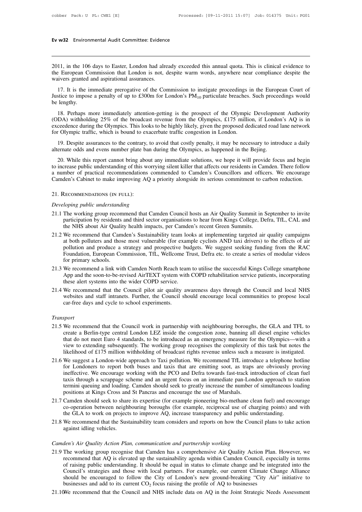# **Ev w32** Environmental Audit Committee: Evidence

2011, in the 106 days to Easter, London had already exceeded this annual quota. This is clinical evidence to<br>2011, in the 106 days to Easter, London had already exceeded this annual quota. This is clinical evidence to<br>the the European Commission that London had already exceeded this annual quota. This is clinical evidence to the European Commission that London is not, despite warm words, anywhere near compliance despite the waivers granted Ev w32 Environmental Audit Committee: Evidence<br>
2011, in the 106 days to Easter, London had alre<br>
the European Commission that London is not, d<br>
waivers granted and aspirational assurances.<br>
17. It is the immediate preroga 11, in the 106 days to Easter, London had already exceeded this annual quota. This is clinical evidence to<br>
European Commission that London is not, despite warm words, anywhere near compliance despite the<br>
ivers granted a 2011, in the 106<br>the European Co<br>waivers granted<br>17. It is the in<br>Justice to impose<br>be lengthy.<br>18. Perhaps r

2011, in the 106 days to Easter, London had already exceeded this annual quota. This is clinical evidence to the European Commission that London is not, despite warm words, anywhere near compliance despite the waivers gra European Commission that London is not, despite warm words, anywhere near compliance despite the<br>ivers granted and aspirational assurances.<br>17. It is the immediate prerogative of the Commission to instigate proceedings in

wavers granted and aspirational assurances.<br>
17. It is the immediate prerogative of the Commission to instigate proceedings in the European Court of<br>
Justice to impose a penalty of up to £300m for London's  $PM_{10}$  particu 17. It is the immediate prerogative of the Commission to instigate proceedings in the European Court of Justice to impose a penalty of up to £300m for London's  $PM_{10}$  particulate breaches. Such proceedings would be lengt For A is the immediate perogative of the Commission to instigate proceedings in Justice to impose a penalty of up to £300m for London's  $PM_{10}$  particulate breaches.<br>be lengthy.<br>(ODA) withholding 25% of the broadcast reve 18. Perhaps more immediately attention-getting is the prospect of the Olympic Development Authority DA) withholding 25% of the broadcast revenue from the Olympics, £175 million, if London's AQ is in ceedence during the Oly 18. Perhaps more immediately attention-getting is the prospect of the Olympic Development Authority (ODA) withholding 25% of the broadcast revenue from the Olympics, £175 million, if London's AQ is in exceedence during the

(DA) withholding 25% of the broadcast revenue from the Olympics, £175 million, if London's AQ is in ceedence during the Olympics. This looks to be highly likely, given the proposed dedicated road lane network of Olympic tr exceedence during the Olympics. This looks to be highly likely, given the proposed dedicated road lane network<br>for Olympic traffic, which is bound to exacerbate traffic congestion in London.<br>19. Despite assurances to the c for Olympic traffic, which is bound to exacerbate traffic congestion in London.<br>19. Despite assurances to the contrary, to avoid that costly penalty, it may be necessary to introduce a daily<br>alternate odds and evens number 19. Despite assurances to the contrary, to avoid that costly penalty, it may be necessary to introduce a daily alternate odds and evens number plate ban during the Olympics, as happened in the Bejing.<br>20. While this report to increase public understanding of this worr<br>
a number of practical recommendations co<br>
Camden's Cabinet to make improving AQ a<br>
21. RECOMMENDATIONS (IN FULL):<br> *Developing public understanding*<br>
21.1 The working group re

### 21. Recommendations (in full):

- A number of practical recommendations commended to Camden's Councillors and officers. We encourage<br>Camden's Cabinet to make improving AQ a priority alongside its serious commitment to carbon reduction.<br>21. RECOMMENDATIONS den's Cabinet to make improving AQ a priority alongside its serious commitment to carbon reduction.<br>
Recommend AT FULL):<br> *loping public understanding*<br>
The working group recommend that Camden Council hosts an Air Quality Recommendations (IN FULL):<br> *loping public understanding*<br>
The working group recommend that Camden Council hosts an Air Quality Summit in S<br>
participation by residents and third sector organisations to hear from Kings Coll 21. RECOMMENDATIONS (IN FULL):<br>
Developing public understanding<br>
21.1 The working group recommend that Camden Council hosts an Air Quality Summit in September to invite<br>
participation by residents and third sector organisa
- *loping public understanding*<br>The working group recommend that Camden Council hosts an Air Quality Summit in September to invite<br>participation by residents and third sector organisations to hear from Kings College, Defra, reping public understanding<br>The working group recommend that Camden Council hosts an Air Quality Summit in September to invite<br>participation by residents and third sector organisations to hear from Kings College, Defra, Tf The working group recommend that Camden Council hosts an Air Quality Summit in September to invite<br>participation by residents and third sector organisations to hear from Kings College, Defra, TfL, CAL and<br>the NHS about Air participation by residents<br>the NHS about Air Qualit<br>We recommend that Cam<br>at both polluters and thos<br>pollution and produce a<br>Foundation, European Co<br>for primary schools.<br>We recommend a link wit<br>Ann and the soon-to-be-re 21.2 We recommend that Camden's Sustainability team looks at implementing targeted air quality campaigns at both polluters and those most vulnerable (for example cyclists AND taxi drivers) to the effects of air pollution a We recommend that Camden's Sustainability team looks at implementing targeted air quality campaigns at both polluters and those most vulnerable (for example cyclists AND taxi drivers) to the effects of air pollution and pr at both polluters and those most vulnerable (for exam<br>pollution and produce a strategy and prospective bud<br>Foundation, European Commission, TfL, Wellcome Tr<br>for primary schools.<br>We recommend a link with Camden North Reach
- 
- 21.3 We recommend that the Council pilot air quality awareness days through the Council and local NHS<br>21.3 We recommend a link with Camden North Reach team to utilise the successful Kings College smartphone<br>21.3 We recomme For primary schools.<br>We recommend a link with Camden North Reach team to utilise the successful Kings College smartphone<br>App and the soon-to-be-revised AirTEXT system with COPD rehabilitation service patients, incorporatin for primary schools.<br>
21.3 We recommend a link with Camden North Reach team to utilise the successful Kings College smartphone<br>
App and the soon-to-be-revised AirTEXT system with COPD rehabilitation service patients, incor 21.4 We recommend that the Council pilot air quality awareness days through the Council and local NHS<br>websites and staff intranets. Further, the Council should encourage local communities to propose local<br>car-free days and

### *Transport*

- metric commend that the Council phot an quality awareness days unough the Council and local NTS<br>websites and staff intranets. Further, the Council should encourage local communities to propose local<br>car-free days and cycle of the notation of the notation of the non-<br>that do not meet that do not meet Euro 4 standards, to be introduced as an emergency measure for the Olympics—with a<br>view to extending subsequently. The working group recognises sport<br>We recommend that the Council work in partnership with neighbouring boroughs, the GLA and TFL to<br>create a Berlin-type central London LEZ inside the congestion zone, banning all diesel engine vehicles<br>that do not meet Supert<br>We recommend that the Council work in partnership with neighbouring boroughs, the GLA and TFL to<br>create a Berlin-type central London LEZ inside the congestion zone, banning all diesel engine vehicles<br>that do not mee 21.5 We recommend that the Council work in partnership with neighbouring boroughs, the GLA and TFL to create a Berlin-type central London LEZ inside the congestion zone, banning all diesel engine vehicles that do not meet We recommend that the Council work in partnership with neighbouring boroughs, the GLA and TFL to create a Berlin-type central London LEZ inside the congestion zone, banning all diesel engine vehicles that do not meet Euro
- create a Berlin-type central London LEZ inside the congestion zone, banning all diesel engine vehicles<br>that do not meet Euro 4 standards, to be introduced as an emergency measure for the Olympics—with a<br>view to extending s that do not meet Euro 4 standards, to be introduced as an emergency measure for the Olympics—with a<br>view to extending subsequently. The working group recognises the complexity of this task but notes the<br>likelihood of £175 view to extending subsequently. The working group recognises the complexity of this task but notes the likelihood of £175 million withholding of broadcast rights revenue unless such a measure is instigated. We suggest a Lo ikelihood of £175 million withholding of broadcast rights revenue unless such a measure is instigated.<br>
21.6 We suggest a London-wide approach to Taxi pollution. We recommend TfL introduce a telephone hotline<br>
for Londoner 21.6 We suggest a London-wide approach to Taxi pollution. We recommend TfL introduce a telephone hotline<br>for Londoners to report both buses and taxis that are emitting soot, as traps are obviously proving<br>ineffective. We e for Londoners to report both buses and taxis that are emitting soot, as traps are obviously proving<br>ineffective. We encourage working with the PCO and Defra towards fast-track introduction of clean fuel<br>taxis through a scr ineffective. We encourage working with the PCO and Defra towards fast-track introduction of clear<br>taxis through a scrappage scheme and an urgent focus on an immediate pan-London approach to s<br>termini queuing and loading. C
- 21.8 We recommend that the Sustainability team considers and reports on how the Council plans to state action against idling vehicles.<br>
21.7 Camden should seek to share its expertise (for example pioneering bio-methane cle Erinin queung and roading.<br>positions at Kings Cross and<br>Camden should seek to share<br>co-operation between neight<br>the GLA to work on project:<br>We recommend that the Sust<br>against idling vehicles. 21.7 Canneer should seek to share its expertise (for example profeemig of o-including co-operation between neighbouring boroughs (for example, reciprocal use of channeer the GLA to work on projects to improve AQ, increase
- 

- the GLA to work on projects to improve AQ, increase transparency and public understanding.<br>
21.8 We recommend that the Sustainability team considers and reports on how the Council plans to take action<br>
against idling vehic We recommend that the Sustainability team considers and reports on how the Council plans to take action<br>against idling vehicles.<br>*den's Air Quality Action Plan, communication and partnership working*<br>The working group reco of raising public understanding that Considers and reports on now the Council plans to take action<br>against idling vehicles.<br>The working group recognise that Camden has a comprehensive Air Quality Action Plan. However, we<br>r den's Air Quality Action Plan, communication and partnership working<br>The working group recognise that Camden has a comprehensive Air Quality Action Plan. However, we<br>recommend that AQ is elevated up the sustainability agen den's Air Quality Action Plan, communication and partnership working<br>The working group recognise that Camden has a comprehensive Air Quality Action Plan. However, we<br>recommend that AQ is elevated up the sustainability agen den's Air Quality Action Plan, communication and partnership working<br>The working group recognise that Camden has a comprehensive Air Quality Action Plan.<br>recommend that AQ is elevated up the sustainability agenda within C 21.9 The working group recognise that Camden has a comprehensive Air Quality Action Plan. However, we recommend that AQ is elevated up the sustainability agenda within Camden Council, especially in terms of raising public
-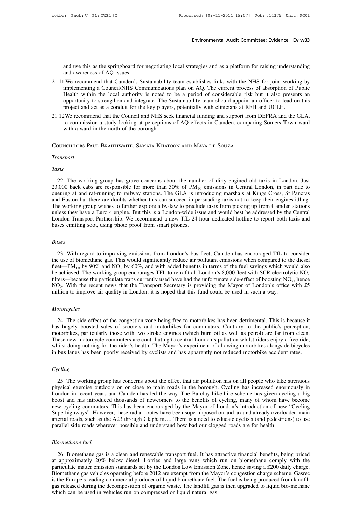Environmental Audit Committee: Evidence Ev w33<br>and use this as the springboard for negotiating local strategies and as a platform for raising understanding<br>and awareness of AQ issues.<br>We recommend that Camden's Sustainabil and use this as the springboard for<br>and awareness of AQ issues.<br>We recommend that Camden's Simplementing a Council/NHS Con-

- 21.11 We recommend that Camden's Sustainability team establishes links with the NHS for joint working by<br>21.11 We recommend that Camden's Sustainability team establishes links with the NHS for joint working by<br>21.11 We rec and use this as the springboard for negotiating local strategies and as a platform for raising understanding<br>and awareness of AQ issues.<br>We recommend that Camden's Sustainability team establishes links with the NHS for joi and use this as the springboard for negotiating local strategies and as a platform for raising understanding<br>and awareness of AQ issues.<br>We recommend that Camden's Sustainability team establishes links with the NHS for joi and use this as the springboard for negotiating local strategies and as a platform for raising understanding<br>and awareness of AQ issues.<br>We recommend that Camden's Sustainability team establishes links with the NHS for joi and use this as the springboard for negotiating local strategies and as a platform for raising understar<br>and awareness of AQ issues.<br>We recommend that Camden's Sustainability team establishes links with the NHS for joint w 21.11 We recommend that Camden's Sustainability team establishes links with the NHS for joint working by implementing a Council/NHS Communications plan on AQ. The current process of absorption of Public Health within the l We recommend that Camden's Sustannability team establishes links with the NHS for joint working by<br>implementing a Council/NHS Communications plan on AQ. The current process of absorption of Public<br>Health within the local a mplementing a Council/NHS Communication<br>Health within the local authority is noted to<br>opportunity to strengthen and integrate. The S<br>project and act as a conduit for the key player<br>2We recommend that the Council and NHS se
- 

### Councillors Paul Braithwaite, Samata Khatoon and Maya de Souza

### *Transport*

### *Taxis*

22. The working group has grave concerns about the number of dirty-engined old taxis in London. Just 23,000 back cabs are responsible for more than  $30\%$  of  $PM_{10}$  emissions in Central London, in part due to queuing at 23,000 back cabs are responsible for more than 30% of PM<sub>10</sub> emissions in Central London. Just<br>23,000 back cabs are responsible for more than 30% of PM<sub>10</sub> emissions in Central London, in part due to<br>23,000 back cabs are r Transport<br>
Taxis<br>
22. The working group has grave concerns about the number of dirty-engined old taxis in London. Just<br>
23,000 back cabs are responsible for more than 30% of  $PM_{10}$  emissions in Central London, in part du Taxis<br>22. The working group has grave concerns about the number of dirty-engined old taxis in London. Just<br>23,000 back cabs are responsible for more than  $30\%$  of  $PM_{10}$  emissions in Central London, in part due to<br>queui Taxis<br>22. The working group has grave concerns about the number of dirty-engined old taxis in London. Just<br>23,000 back cabs are responsible for more than 30% of  $PM_{10}$  emissions in Central London, in part due to<br>queuing 22. The working group has grave concerns about the number of dirty-engined old taxis in London. Just 23,000 back cabs are responsible for more than 30% of  $PM_{10}$  emissions in Central London, in part due to queuing at and 22. The working group has grave concerns about the number of dirty-engined old taxis in London. Just 23,000 back cabs are responsible for more than 30% of  $PM_{10}$  emissions in Central London, in part due to queuing at and 23,000 back cabs are responsible for more than 30% of  $PM_{10}$  queuing at and rat-running to railway stations. The GLA is inti and Euston but there are doubts whether this can succeed in per The working group wishes to fur

### *Buses*

East mey have a Euro 4 engine. But this is a London-wide issue and would best be addressed by the Central<br>indon Transport Partnership. We recommend a new TfL 24-hour dedicated hotline to report both taxis and<br>ses emitting London Transport Partnership. We recommend a new TIL 24-hour dedicated notline to report both taxis and<br>buses emitting soot, using photo proof from smart phones.<br> *Buses*<br>
23. With regard to improving emissions from Londo *Buses*<br> *Buses*<br>
23. With regard to improving emissions from London's bus fleet, Camden has encouraged TfL to consider<br>
the use of biomethane gas. This would significantly reduce air pollutant emissions when compared to *Buses*<br>23. With regard to improving emissions from London's bus fleet, Camden has encouraged TfL to consider<br>the use of biomethane gas. This would significantly reduce air pollutant emissions when compared to the diesel<br> onsider<br>
e diesel<br>
lld also<br>
ic NO<sub>x</sub><br>
, hence<br>
with £5  $NO<sub>2</sub>$ . With the recent news that the Transport Secretary is providing the Mayor of London's office with £5 million to improve air quality in London, it is hoped that this fund could be used in such a way. 3. With regard to improving emissions from London's bus fleet, Camden has encouraged TfL to consider use of biomethane gas. This would significantly reduce air pollutant emissions when compared to the diesel  $-PM_{10}$  by 9 23. With regard to improving emissions from London's bus fleet, Camden has encouraged TfL to the use of biomethane gas. This would significantly reduce air pollutant emissions when compared to the fleet—PM<sub>10</sub> by 90% and

### *Motorcycles*

24. The side effect of the congestion zone being free to motorbikes has been detrimental. This is because it of the side effect of the congestion zone being free to motorbikes has been detrimental. This is because it shug NO<sub>2</sub>. With the recent news that the Transport Secretary is providing the Mayor of London's office with £5 million to improve air quality in London, it is hoped that this fund could be used in such a way.<br> *Motorcycles*<br>
2 multion to improve air quality in London, it is hoped that this fund could be used in such a way.<br> *Motorcycles*<br>
24. The side effect of the congestion zone being free to motorbikes has been detrimental. This is because it Motorcycles<br>24. The side effect of the congestion zone being free to motorbikes has been detrimental. This is because it<br>has hugely boosted sales of scooters and motorbikes for commuters. Contrary to the public's perceptio Motorcycles<br>24. The side effect of the congestion zone being free to motorbikes has been detrimental. This is because it<br>has hugely boosted sales of scooters and motorbikes for commuters. Contrary to the public's perceptio 24. The side effect of the congestion zone being free to motorbikes has been detrimental. This is because it has hugely boosted sales of scooters and motorbikes for commuters. Contrary to the public's perception, motorbike

### *Cycling*

Exercise of multers are contributing to central London's pollution whilst riders enjoy a free ride, it is doing nothing for the rider's health. The Mayor's experiment of allowing motorbikes alongside bicycles bus lanes has whilst doing nothing for the rider's health. The Mayor's experiment of allowing motorbikes alongside bicycles<br>in bus lanes has been poorly received by cyclists and has apparently not reduced motorbike accident rates.<br>Cycli London in recent pass and poor in received by cyclists and has apparently not reduced motorbike accident rates.<br>
Cycling<br>
25. The working group has concerns about the effect that air pollution has on all people who take st Cycling<br>25. The working group has concerns about the effect that air pollution has on all people who take strenuous<br>physical exercise outdoors on or close to main roads in the borough. Cycling has increased enormously in<br>L Cycling<br>25. The working group has concerns about the effect that air pollution has on all people who take strenuous<br>physical exercise outdoors on or close to main roads in the borough. Cycling has increased enormously in<br>L 25. The working group has concerns about the effect that air pollution has on all people who take strenuous<br>physical exercise outdoors on or close to main roads in the borough. Cycling has increased enormously in<br>London in 25. The working group has concerns about the effect that air pollution has on all people who take strenuous physical exercise outdoors on or close to main roads in the borough. Cycling has increased enormously in London in physical exercise outdoors on or close to main roads in the borough. Cycling has increased enorm<br>London in recent years and Camden has led the way. The Barclay bike hire scheme has given cycl<br>boost and has introduced thous boost and has introduced thousands of newcomers to the benefits of cycling, many of whom have become<br>
new cycling commuters. This has been encouraged by the Mayor of London's introduction of new "Cycling<br>
Superhighways". H

pernignways . However, these radial routes have been superimposed on and around aready overloaded main<br>erial roads, such as the A23 through Clapham.... There is a need to educate cyclists (and pedestrians) to use<br>rallel si arterial roads, such as the Az3 through Clapham.... There is a heed to educate cyclists (and pedestrians) to use<br>parallel side roads wherever possible and understand how bad our clogged roads are for health.<br>Bio-methane fu parallel side roads wherever possible and understand now bad our clogged roads are for health.<br> *Bio-methane fuel*<br>
26. Biomethane gas is a clean and renewable transport fuel. It has attractive financial benefits, being pr Bio-methane fuel<br>
26. Biomethane gas is a clean and renewable transport fuel. It has attractive financial benefits, being priced<br>
at approximately 20% below diesel. Lorries and large vans which run on biomethane comply wit Bio-methane fuel<br>26. Biomethane gas is a clean and renewable transport fuel. It has attractive financial benefits, being priced<br>at approximately 20% below diesel. Lorries and large vans which run on biomethane comply with 26. Biomethane gas is a clean and renewable transport fuel. It has attractive financial benefits, being priced<br>at approximately 20% below diesel. Lorries and large vans which run on biomethane comply with the<br>particulate particulate matter emission standards set by the London Low Emission Zone, hence saving a £200 daily charge.<br>Biomethane gas vehicles operating before 2012 are exempt from the Mayor's congestion charge scheme. Gasrec<br>is the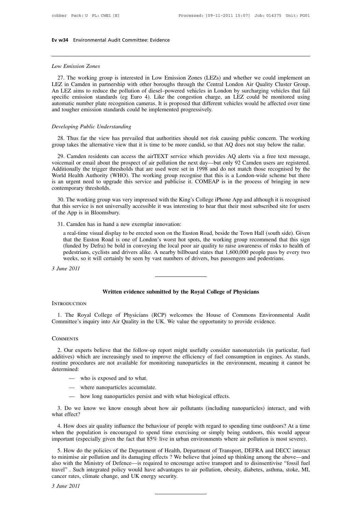# **Ev w34** Environmental Audit Committee: Evidence

**Low 34** Environmental Audit<br> *Low Emission Zones*<br>
27. The working group is WE Environmental Audit Committee: Evidence<br>
27. The working group is interested in Low Emission Zones (LEZs) and whether we could implement an<br>
27. The working group is interested in Low Emission Zones (LEZs) and whether w Low Emission Zones<br>
27. The working group is interested in Low Emission Zones (LEZs) and whether we could implement an<br>
LEZ in Camden in partnership with other boroughs through the Central London Air Quality Cluster Group. Low Emission Zones<br>
27. The working group is interested in Low Emission Zones (LEZs) and whether we could implement an<br>
LEZ in Camden in partnership with other boroughs through the Central London Air Quality Cluster Group. **Solution Example 15 Second Standards (EEZS)** and whether we could implement an LEZ in Camden in partnership with other boroughs through the Central London Air Quality Cluster Group.<br>An LEZ aims to reduce the pollution of Low Emission Zones<br>27. The working group is interested in Low Emission Zones (LEZs) and whether we could implement an<br>LEZ in Camden in partnership with other boroughs through the Central London Air Quality Cluster Group.<br>A 27. The working group is interested in Low Emission Zones (LEZs) a<br>LEZ in Camden in partnership with other boroughs through the Central<br>An LEZ aims to reduce the pollution of diesel-powered vehicles in Lond<br>specific emissi An LEZ aims to reduce the pollution of diesel-powered vehicles in London by surcharging vehicles that fail specific emission standards (eg Euro 4). Like the congestion charge, an LEZ could be monitored using automatic numb ecinc emission standards (eg Euro 4). Like the congestion charge, an LEZ could be monitored using<br>tomatic number plate recognition cameras. It is proposed that different vehicles would be affected over time<br>d tougher emiss

29. Camden residents can access the airTEXT service which provides AQ alerts via a free text message, Example *Public Understanding*<br>28. Thus far the view has prevailed that authorities should not risk causing public concern. The working<br>29. Camden residents can access the airTEXT service which provides AQ alerts via a fre Developing Public Understanding<br>
28. Thus far the view has prevailed that authorities should not risk causing public concern. The working<br>
group takes the alternative view that it is time to be more candid, so that AQ does Developing T ablit Understanding<br>28. Thus far the view has prevailed that authorities should not risk causing public concern. The working<br>group takes the alternative view that it is time to be more candid, so that AQ does 28. Thus far the view has prevailed that authorities should not risk causing public concern. The working group takes the alternative view that it is time to be more candid, so that AQ does not stay below the radar.<br>29. Cam is an urgent need to upgrade this service and publicise it. COMEAP is in the process of bringing in new contemporary thresholds.<br>
Additionally the trigger thresholds that are used were set in 1998 and do not match those re 29. Camden residents can a<br>voicemail or email about the p<br>Additionally the trigger thresh<br>World Health Authority (WHC<br>is an urgent need to upgrade<br>contemporary thresholds.<br>30. The working group was 30. The working group was very impressed with the King's College iPhone App and although it is recognised by the orld Health Authority (WHO). The working group recognise that this is a London-wide scheme but there an urgen Additionally the trigger thresholds that are used were set in 1998 and do not match those recognised by the World Health Authority (WHO). The working group recognise that this is a London-wide scheme but there is an urgent Additionally the trigger thresholds that are used were set in 1998 and do not match those recognised by the World Health Authority (WHO). The working group recognise that this is a London-wide scheme but there is an urgent

31. Camden has in hand a new exemplar innovation:<br>31. Camden has in hand a new exemplar innovation:<br>31. Camden has in hand a new exemplar innovation:<br>31. Camden has in hand a new exemplar innovation:<br>31. Camden has in hand

The working group was very impressed with the King's College iPhone App and although it is recognised<br>this service is not universally accessible it was interesting to hear that their most subscribed site for users<br>e App is The working group was very impressed with the King's College iPhone App and although it is recognised<br>this service is not universally accessible it was interesting to hear that their most subscribed site for users<br>e App is this service is not universally accessible it was interesting to hear that their most subscribed site for users<br>
e App is in Bloomsbury.<br>
. Camden has in hand a new exemplar innovation:<br>
a real-time visual display to be er e App is in Bloomsbury.<br>
a real-time visual display to be erected soon on the Euston Road, beside the Town Hall (south side). Given<br>
that the Euston Road is one of London's worst hot spots, the working group recommend that a real-time visual display to be erected soon on the Euston Road, beside the Town Hall (south side). Given<br>that the Euston Road is one of London's worst hot spots, the working group recommend that this sign<br>(funded by Defr a real-time visual c<br>that the Euston Re<br>(funded by Defra)<br>pedestrians, cyclis<br>weeks, so it will c<br>3 June 2011 weeks, so it will certainly be seen by vast numbers of drivers, bus passengers and pedestrians.<br> *Me 2011*<br>
Written evidence submitted by the Royal College of Physicians

### **INTRODUCTION**

Written evidence submitted by the Royal College of Physicians<br>
1. The Royal College of Physicians (RCP) welcomes the House of Commons Environmental Audit<br>
1. The Royal College of Physicians (RCP) welcomes the House of Comm 1. The Royal College of Physicians (RCP) welcomes the House of Commons Environmental Audit Committee's inquiry into Air Quality in the UK. We value the opportunity to provide evidence.

### **COMMENTS**

1. The Royal College of Physicians (RCP) welcomes the House of Commons Environmental Audit<br>mmittee's inquiry into Air Quality in the UK. We value the opportunity to provide evidence.<br>DMMENTS<br>2. Our experts believe that the A committee's inquiry into Air Quality in the UK. We value the opportunity to provide evidence.<br>
COMMENTS<br>
2. Our experts believe that the follow-up report might usefully consider nanomaterials (in particular, fuel<br>
additi COMMENTS<br>COMMENTS<br>2. Our experts believe that the follow-up report might usefully consider nanomaterials (in particular, fuel<br>additives) which are increasingly used to improve the efficiency of fuel consumption in engines. determined: 2. Our experts believe that the follow-up report might usefully consider nanomaterials (in particular, fuel additives) which are increasingly used to improve the efficiency of fuel consumption in engines. As stands, routin

- 
- 
- how long nanoparticles persist and with what biological effects.

3. Do we know we know enough about how air pollutants (including nanoparticles) interact, and with what effect? 12. Solution we know enough about how air pollutants (including nanoparticles) interact, and with<br>
2. Do we know we know enough about how air pollutants (including nanoparticles) interact, and with<br>
2. Do we know we know e — who is ex<br>— where nar<br>— how long<br>3. Do we know w<br>what effect?<br>4. How does air qua

4. How does air quality influence the behaviour of people with regard to spending time outdoors? At a time with the people with regard to spending time outdoors? At a time with regard to spending time outdoors? At a time w when the population is encouraged to spending time exercising or simply being outdoors? At a time what effect?<br>4. How does air quality influence the behaviour of people with regard to spending time outdoors? At a time when In a book that what biological encets.<br>
3. Do we know we know enough about how air pollutants (including nanoparticles) interact, and with<br>
what effect?<br>
4. How does air quality influence the behaviour of people with regar

5. Bowe know we know chough about how all politiciants (including manoparticles) interact, and with that effect?<br>4. How does air quality influence the behaviour of people with regard to spending time outdoors? At a time<br>th 4. How does air quality influence the behaviour of people with regard to spending time outdoors? At a time<br>when the population is encouraged to spend time exercising or simply being outdoors, this would appear<br>important (e 4. How does air quality influence the behaviour of people with regard to spending time outdoors? At a time when the population is encouraged to spend time exercising or simply being outdoors, this would appear important (e When the population is encouraged to spend time exercising or simply being outdoors, this would appear<br>important (especially given the fact that 85% live in urban environments where air pollution is most severe).<br>5. How do important (especially given the fact that  $85\%$  live in urban<br>5. How do the policies of the Department of Health, Dej<br>to minimise air pollution and its damaging effects ? We bel<br>also with the Ministry of Defence—is requi 5. How do<br>to minimise<br>also with the<br>travel". Suc<br>cancer rates,<br>3 June 2011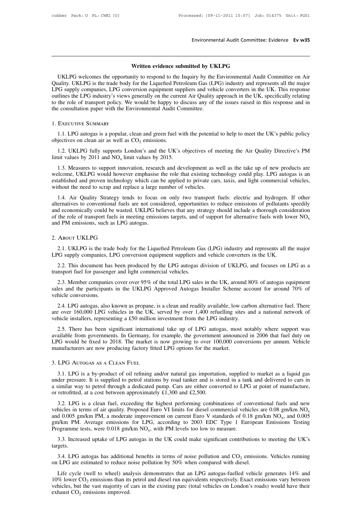Environmental Audit Committee: Evidence Ev w35<br>
Written evidence submitted by UKLPG<br>
UKLPG<br>
UKLPG welcomes the opportunity to respond to the Inquiry by the Environmental Audit Committee on Air<br>
Quality. UKLPG is the trade Environmental Audit Committee: Evidence Ev w35<br>
UKLPG<br>
UKLPG welcomes the opportunity to respond to the Inquiry by the Environmental Audit Committee on Air<br>
ustry. UKLPG is the trade body for the Liquefied Petroleum Gas (L **EMEDIMENTATATE COMMEDE CONDENSE IN SURFER 1999.**<br> **Written evidence submitted by UKLPG**<br>
UKLPG welcomes the opportunity to respond to the Inquiry by the Environmental Audit Committee on Air<br>
Quality. UKLPG is the trade bo Written evidence submitted by UKLPG<br>UKLPG welcomes the opportunity to respond to the Inquiry by the Environmental Audit Committee on Air<br>Quality. UKLPG is the trade body for the Liquefied Petroleum Gas (LPG) industry and r **Solution Written evidence submitted by UKLPG**<br>UKLPG welcomes the opportunity to respond to the Inquiry by the Environmental Audit Committee on Air<br>Quality. UKLPG is the trade body for the Liquefied Petroleum Gas (LPG) i **Written evidence submitted by UKLPG**<br>UKLPG welcomes the opportunity to respond to the Inquiry by the Environmental Audit Committee on Air<br>Quality. UKLPG is the trade body for the Liquefied Petroleum Gas (LPG) industry and WHEE EVIDENCE SUMMARY<br>
WHEE EVIDENCE SUPPORTED UNIT OF SUPPORT ON THE QUALITY OF SUPPORT CONTAINS (LEVER SUPPORT) companies, LPG conversion equipment suppliers and vehicle<br>
DUM SUPPORT SUPPORT SUPPORT WE WANTED TO ALL THE the the LPG industry's views generally on the current Air Quality approach in the UK, specifically relating<br>the role of transport policy. We would be happy to discuss any of the issues raised in this response and in<br>e cons outlines the LPG industry's views generally on the current Air Quality approach in the UK, specifically relating<br>to the role of transport policy. We would be happy to discuss any of the issues raised in this response and

### 1. Executive Summary

EXECUTIVE SUMMARY<br>
1.1. LPG autogas is a popular, clean and green fuel with the potential to help to meet the UK's public policy<br>
jectives on clean air as well as  $CO_2$  emissions.<br>
1.2. UKLPG fully supports London's and t objectives on clean air as well as  $CO_2$  emissions.<br>
1.2. UKLPG fully supports London's and the UK's objectives of meeting the Air Quality Directive's PM<br>
limit values by 2011 and  $NO_x$  limit values by 2015.<br>
1.3. Measures 1.2. UKLPG fully supports London's and the UK's objectives of meeting the Air Quality Directive's PM

1.1. LPG autogas is a popular, clean and green fuel with the potential to help to meet the UK's public policy<br>jectives on clean air as well as CO<sub>2</sub> emissions.<br>1.2. UKLPG fully supports London's and the UK's objectives of 1.1. LPG autogas is a popular, clean and green fuel with the potential to help to meet the UK's public policy<br>objectives on clean air as well as  $CO_2$  emissions.<br>1.2. UKLPG fully supports London's and the UK's objectives bijectives on clean air as well as  $CO_2$  emissions.<br>
1.2. UKLPG fully supports London's and the UK's objectives of meeting the Air Quality Directive's PM<br>
limit values by 2011 and NO<sub>x</sub> limit values by 2015.<br>
1.3. Measure 1.2. UKLPG fully supports London's and the UK's objectives of m<br>limit values by 2011 and  $NO_x$  limit values by 2015.<br>1.3. Measures to support innovation, research and development as w<br>welcome, UKLPG would however emphasise 1.3. Measures to support innovation, research and development as well as the take up of new products are lcome, UKLPG would however emphasise the role that existing technology could play. LPG autogas is an ablished and pr

1.3. Measures to support innovation, research and development as well as the take up of new products are welcome, UKLPG would however emphasise the role that existing technology could play. LPG autogas is an established a 1.3. Measures to support innovation, research and development as wen as the take up of new products are welcome, UKLPG would however emphasise the role that existing technology could play. LPG autogas is an established an of the role of transport fuels in meeting emissions targets, and ignore the role of transmitted without the need to scrap and replace a large number of vehicles.<br>
1.4. Air Quality Strategy tends to focus on only two trans 2.1. UKLPG is the trade body for the Liquefied Petroleum Gas (LPG) industry and represents all the major<br>2.1. UKLPG is the trade body for the Liquefied Petroleum Gas (LPG) industry and represents all the major<br>2.1. UKLPG LPG support fusions, such as LPG autogas.<br>
2. ABOUT UKLPG<br>
2.1. UKLPG is the trade body for the Liquefied Petroleum Gas (LPG) industry and represents all the major<br>
2.1. UKLPG is the trade body for the Liquefied Petroleum

### 2. ABOUT UKLPG

2.1. UKLPG<br>2.1. UKLPG is the trade body for the Liquefied Petroleum Gas (LPG) industry and represents all the major<br>2.2. This document has been produced by the LPG autogas division of UKLPG, and focuses on LPG as a<br>nsport 2. ABOUT UKLPG<br>
2.1. UKLPG is the trade body for the Liquefied Petroleum Ga<br>
LPG supply companies, LPG conversion equipment suppliers and<br>
2.2. This document has been produced by the LPG autogas d<br>
transport fuel for passe

2.1. UKLPG is the trade body for the Liquefied Petroleum Gas (LPG) industry and represents all the major G supply companies, LPG conversion equipment suppliers and vehicle converters in the UK.<br>2.2. This document has been 2.1. UKLPG is the trade body for the Liquefied Petroleum Gas (LPG) industry and represents all the major<br>LPG supply companies, LPG conversion equipment suppliers and vehicle converters in the UK.<br>2.2. This document has bee LPG supply companies, L<br>2.2. This document has<br>transport fuel for passenge<br>2.3. Member companies<br>sales and the participants<br>vehicle conversions.<br>2.4. LPG autogas, also 2.3. Member companies cover over 95% of the total LPG sales in the UK, around 8<br>sales and the participants in the UKLPG Approved Autogas Installer Scheme acce<br>vehicle conversions.<br>2.4. LPG autogas, also known as propane, i

2.2. This document has been produced by the LPG autogas division of UKLPG, and focuses on LPG as a msport fuel for passenger and light commercial vehicles.<br>
2.3. Member companies cover over 95% of the total LPG sales in th transport fuel for passenger and light commercial vehicles.<br>
2.3. Member companies cover over 95% of the total LPG sales in the UK, around 80% of autogas equipment<br>
sales and the participants in the UKLPG Approved Autogas is and the participants in the UKLPG Approved Autogas Installer Scheme account for around 70% of<br>hicle conversions.<br>2.4. LPG autogas, also known as propane, is a clean and readily available, low carbon alternative fuel. Th

vehicle conversions.<br>
2.4. LPG autogas, also known as propane, is a clean and readily available, low carbon alternative fuel. There<br>
are over 160,000 LPG vehicles in the UK, served by over 1,400 refuelling sites and a nati 2.4. LPG autogas, also known as propane, is a clean and readily available, low carbon alternative fuel. There are over 160,000 LPG vehicles in the UK, served by over 1,400 refuelling sites and a national network of vehicle 2.4. LFG attogas, also known as propane, is a clean and readily available, low care over 160,000 LPG vehicles in the UK, served by over 1,400 refuelling site vehicle installers, representing a £50 million investment from t 2.1. LPG is a by-product of oil refining and/or natural gas importation, supplied to market as a liquid gas a current announced in 2006 that fuel duty on  $^{\circ}$ G would be fixed to 2018. The market is now growing to over 10

LPG would be fixed to 2018. The market is now growing to over 100,000 conversions per annum. Vehicle manufacturers are now producing factory fitted LPG options for the market.<br>
3. LPG AUTOGAS AS A CLEAN FUEL<br>
3.1. LPG is manufacturers are now producing factory fitted LPG options for the market.<br>
3. LPG AUTOGAS AS A CLEAN FUEL<br>
3.1. LPG is a by-product of oil refining and/or natural gas importation, supplied to market as a liquid gas<br>
unde 3. LPG AUTOGAS AS A CLEAN FUEL<br>
3.1. LPG is a by-product of oil refining and/or natural gas importati<br>
under pressure. It is supplied to petrol stations by road tanker and is st<br>
a similar way to petrol through a dedicated LPG AUTOGAS AS A CLEAN FUEL<br>3.1. LPG is a by-product of oil refining and/or natural gas importation, supplied to market as a liquid gas<br>der pressure. It is supplied to petrol stations by road tanker and is stored in a tan

3.1. LPG is a by-product of oil refining and/or natural gas importation, supplied to market as a liquid gas under pressure. It is supplied to petrol stations by road tanker and is stored in a tank and delivered to cars in  $\mu$  inquited gas<br>
d to cars in<br>
annufacture,<br>
ls and new<br>  $\mu$ m/km NO<sub>x</sub><br>
, and 0.005<br>
Testing and a similar way to petrol through a dedicated pump. Cars are either converted to LPG at point of manufacture,<br>or retrofitted, at a cost between approximately £1,300 and £2,500.<br>3.2. LPG is a clean fuel, exceeding the hi a sininar way to petror infough a dedicated pump. Cars are either converted to ET of or retrofitted, at a cost between approximately £1,300 and £2,500.<br>3.2. LPG is a clean fuel, exceeding the highest performing combinatio 3.2. LPG is a clean fuel, exceeding the highest performing combinations of conventional fuels and new<br>hicles in terms of air quality. Proposed Euro VI limits for diesel commercial vehicles are 0.08 gm/km NO<sub>x</sub><br>d 0.005 gm/ 3.4. LPG autogas has additional benefits in terms of noise pollution and CO<sub>2</sub> emissions. Wehicles running on LPG autogas has additional benefits in terms of noise pollution and CO<sub>2</sub> emissions. Vehicles running on LPG au

targets.

3.3. Increased uptake of LPG autogas in the UK could make significant contributions to meeting the UK's targets.<br>3.4. LPG autogas has additional benefits in terms of noise pollution and  $CO_2$  emissions. Vehicles running o

3.3. Increased uptake of LPG autogas in the UK could make significant contributions to meeting the UK's gets.<br>3.4. LPG autogas has additional benefits in terms of noise pollution and  $CO_2$  emissions. Vehicles running LPG 3.3. Increased uptake of LPG autogas in the UK could make significant contributions to meeting the UK's targets.<br>
3.4. LPG autogas has additional benefits in terms of noise pollution and  $CO_2$  emissions. Vehicles running<br> targets.<br>
3.4. LPG autogas has additional benefits in terms of noise pollution and  $CO_2$  emissions. Vehicles running<br>
on LPG are estimated to reduce noise pollution by 50% when compared with diesel.<br>
Life cycle (well to w 3.4. LPG autogas has additioned<br>on LPG are estimated to reduce n<br>Life cycle (well to wheel) ana<br>10% lower CO<sub>2</sub> emissions than its<br>vehicles, but the vast majority of<br>exhaust CO<sub>2</sub> emissions improved.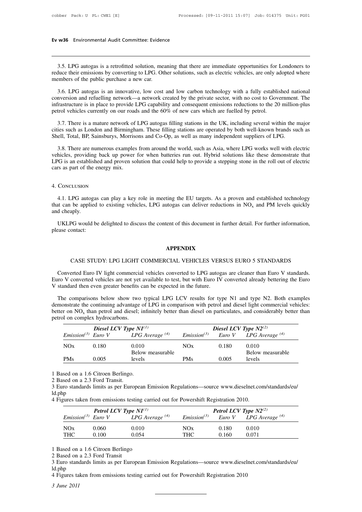# **Ev w36** Environmental Audit Committee: Evidence

w36 Environmental Audit Committee: Evidence<br>3.5. LPG autogas is a retrofitted solution, meaning that there are immediate opportunities for Londoners to<br>duce their emissions by converting to LPG. Other solutions, such as el Form We are their emissions by converting to LPG. Other solutions, such as electric vehicles, are only adopted where their emissions by converting to LPG. Other solutions, such as electric vehicles, are only adopted where Ev w36 Environmental Audit Committee: Evidence<br>
3.5. LPG autogas is a retrofitted solution, meaning that there are immediate opportunities for Londoners to<br>
reduce their emissions by converting to LPG. Other solutions, suc 3.5. LPG autogas is a retrofitted solution, meaning that there are immediate opportunities for Londoners to duce their emissions by converting to LPG. Other solutions, such as electric vehicles, are only adopted where embe

3.5. LPG autogas is a retrofitted solution, meaning that there are immediate opportunities for Londoners to reduce their emissions by converting to LPG. Other solutions, such as electric vehicles, are only adopted where me 3.5. LPG autogas is a retrofitted solution, meaning that there are immediate opportunities for Londoners to reduce their emissions by converting to LPG. Other solutions, such as electric vehicles, are only adopted where me reduce their emissions by converting to LPG. Other solutions, such as electric vehicles, are only a<br>members of the public purchase a new car.<br>3.6. LPG autogas is an innovative, low cost and low carbon technology with a ful 3.6. LPG autogas is an innovative, low cost and low carbon technology with a fully established national<br>nversion and refuelling network—a network created by the private sector, with no cost to Government. The<br>frastructure 3.6. LPG autogas is an innovative, low cost and low carbon technology with a fully established national conversion and refuelling network—a network created by the private sector, with no cost to Government. The infrastruct conversion and refuelling network—a network created by the private sector, with no cost to Government<br>infrastructure is in place to provide LPG capability and consequent emissions reductions to the 20 million<br>petrol vehicl

3.7. There is a mature network of LPG autogas filling stations in the UK, including several within the major<br>3.7. There is a mature network of LPG autogas filling stations in the UK, including several within the major<br>ies

vehicles, providing back up power for when batteries run out. Hybrid solutions in the UK, including several within the major cities such as London and Birmingham. These filling stations are operated by both well-known bran 3.7. There is a mature network of LPG autogas filling stations in the UK, including several within the major cities such as London and Birmingham. These filling stations are operated by both well-known brands such as Shell cities such as London and Birmingham. These filling stations are operated by both well-known brands such as Shell, Total, BP, Sainsburys, Morrisons and Co-Op, as well as many independent suppliers of LPG.<br>3.8. There are nu

### 4. Conclusion

4.1. LPG autogas can play a key role in meeting the EU targets. As a proven and established technology<br>4.1. LPG autogas can play a key role in meeting the EU targets. As a proven and established technology<br>4.1. LPG autoga that can be applied to existing vehicles, LPG autogas can deliver reductions in NO<sub>x</sub> and PM levels quickly and cheaply. Figure 3. Part of the<br>4.1. LPG autog<br>that can be applie<br>and cheaply.<br>UKLPG would CONCLUSION<br>4.1. LPG autogas can play a key role in meeting the EU targets. As a proven and established technology<br>at can be applied to existing vehicles, LPG autogas can deliver reductions in  $NO_x$  and PM levels quickly<br>d 4.1. LPG autogas<br>that can be applied to<br>and cheaply.<br>UKLPG would be<br>please contact:

PG would be delighted to discuss the content of this document in further detail. For further information,<br> **APPENDIX**<br>
CASE STUDY: LPG LIGHT COMMERCIAL VEHICLES VERSUS EURO 5 STANDARDS<br>
erted Euro IV light commercial vehic

### **APPENDIX**

**CASE STUDY: LPG LIGHT COMMERCIAL VEHICLES VERSUS EURO 5 STANDARDS**<br>Converted Euro IV light commercial vehicles converted to LPG autogas are cleaner than Euro V standards.<br>The V converted vehicles are not yet available to EURO STANDARDS<br>
CASE STUDY: LPG LIGHT COMMERCIAL VEHICLES VERSUS EURO 5 STANDARDS<br>
Converted Euro IV light commercial vehicles converted to LPG autogas are cleaner than Euro V standards.<br>
Euro V converted vehicles are not CASE STUDY: LPG LIGHT COMMERCIAL VEHICLES VERSUS EURO 5 STANDARDS<br>Converted Euro IV light commercial vehicles converted to LPG autogas are cleaner than Euro V standards.<br>Euro V converted vehicles are not yet available to t CASE STUDY: LPG LIGHT COMMERCIAL VEHICLES VERSUS EURO 5 STANDARDS<br>Converted Euro IV light commercial vehicles converted to LPG autogas are cleaner than Euro V standards.<br>Iro V converted vehicles are not yet available to t

Converted Euro IV light commercial vehicles converted to LPG autogas are cleaner than Euro V standards.<br>Euro V converted vehicles are not yet available to test, but with Euro IV converted already bettering the Euro<br>V stan Converted Euro IV<br>Euro V converted vel<br>V standard then even<br>The comparisons 1<br>demonstrate the conti<br>better on  $NO_x$  than p<br>petrol on complex hy than petrol and diesel; infinitely better than diesel on particulates, and considerably bettering the Euro even greater benefits can be expected in the future.<br>
Sisons below show two typical LPG LCV results for type N1 and Euro V converted vehicles are not yet<br>V standard then even greater benefits of<br>The comparisons below show two<br>demonstrate the continuing advantage<br>better on NO<sub>x</sub> than petrol and diesel;<br>petrol on complex hydrocarbons.<br>Di For greater benefits can be expected in the future.<br>
In sphere of LPG LCV results for type N1 and type N2. By<br>
Differentiating advantage of LPG in comparison with petrol and diesel light commer<br>
in petrol and diesel; infi

|                         |       | Diesel LCV Type $NI^{(1)}$ | Diesel LCV Type $N2^{(2)}$ |       |                          |
|-------------------------|-------|----------------------------|----------------------------|-------|--------------------------|
| $Emission^{(3)}$ Euro V |       | $LPG$ Average $(4)$        | $Emission^{(3)}$           |       | Euro V LPG Average $(4)$ |
| NOx                     | 0.180 | 0.010                      | NOx                        | 0.180 | 0.010                    |
|                         |       | Below measurable           |                            |       | Below measurable         |
| <b>PMs</b>              | 0.005 | levels                     | <b>PMs</b>                 | 0.005 | levels                   |

| Petrol LCV Type $NI^{(1)}$ |       |                                           | <b>Petrol LCV Type <math>N2^{(2)}</math></b> |       |                                                                         |
|----------------------------|-------|-------------------------------------------|----------------------------------------------|-------|-------------------------------------------------------------------------|
|                            |       | $Emission^{(3)}$ Euro V LPG Average $(4)$ |                                              |       | <i>Emission</i> <sup>(3)</sup> <i>Euro V LPG Average</i> <sup>(4)</sup> |
| NOx                        | 0.060 | 0.010                                     | NOx                                          | 0.180 | 0.010                                                                   |
| <b>THC</b>                 | 0.100 | 0.054                                     | <b>THC</b>                                   | 0.160 | 0.071                                                                   |

ld.php THC 0.100 0.054 THC 0.160 0.071<br>
1 Based on a 1.6 Citroen Berlingo<br>
2 Based on a 2.3 Ford Transit<br>
3 Euro standards limits as per European Emission Regulations—source www.dieselnet.com/sta<br>
1d.php<br>
4 Figures taken from emi *1* Based on<br> *2* Based on<br> *3* Euro stand<br> *d*.php<br> *4* Figures tal<br> *3 June 2011*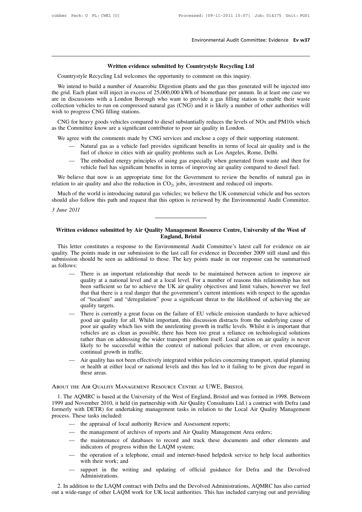# Environmental Audit Committee: Eviden<br> **Written evidence submitted by Countrystyle Recycling Ltd**<br>
Integral and Ltd welcomes the opportunity to comment on this inquiry.

Environmental Audit Committee: Evidence Ev w37<br>
Written evidence submitted by Countrystyle Recycling Ltd<br>
Countrystyle Recycling Ltd<br>
Countrystyle Recycling Ltd<br>
We intend to build a number of Anaerobic Digestion plants an Written evidence submitted by Countrystyle Recycling Ltd<br>Countrystyle Recycling Ltd welcomes the opportunity to comment on this inquiry.<br>We intend to build a number of Anaerobic Digestion plants and the gas thus generated **Example 19 Countrystyle Recycling Ltd**<br>Countrystyle Recycling Ltd welcomes the opportunity to comment on this inquiry.<br>We intend to build a number of Anaerobic Digestion plants and the gas thus generated will be injected **Example 10** Written evidence submitted by Countrystyle Recycling Ltd<br>Countrystyle Recycling Ltd welcomes the opportunity to comment on this inquiry.<br>We intend to build a number of Anaerobic Digestion plants and the gas th **Countrystyle Recycling Ltd**<br>Countrystyle Recycling Ltd welcomes the opportunity to comment on this inquiry.<br>We intend to build a number of Anaerobic Digestion plants and the gas thus generated will be injected into<br>the gr Countrystyle Recycling Ltd welcomes th<br>We intend to build a number of Anaerob<br>the grid. Each plant will inject in excess of<br>are in discussions with a London Borough<br>collection vehicles to run on compressed na<br>wish to progr We intend to build a number of Anaerobic Digestion plants and the gas thus generated will be injected into egrid. Each plant will inject in excess of 25,000,000 kWh of biomethane per annum. In at least one case we in discu we mend to bund a number of Anaerobic Digestion plants and the gas thus generate<br>the grid. Each plant will inject in excess of 25,000,000 kWh of biomethane per annum. I<br>are in discussions with a London Borough who want to e in discussions with a London Borough who want to provide a gas filling station to enable their waste<br>llection vehicles to run on compressed natural gas (CNG) and it is likely a number of other authorities will<br>sh to prog

on vehicles to run on compressed natural gas (CNG) and it is likely a number of other authorities will<br>progress CNG filling stations.<br>for heavy goods vehicles compared to diesel substantially reduces the levels of NOx and fress CNG filling stations.<br>heavy goods vehicles compared to diesel substantially reduces the levels of NOx and PM10<br>inittee know are a significant contributor to poor air quality in London.<br>with the comments made by CNG s

- 
- For heavy goods vehicles compared to diesel substantially reduces the levels of NOx and PM10s which<br>
Committee know are a significant contributor to poor air quality in London.<br>
gree with the comments made by CNG services intered know are a significant contributor to poor air quality in London.<br>
with the comments made by CNG services and enclose a copy of their supporting statement.<br>
Natural gas as a vehicle fuel provides significant benefi significant benefits in terms of local air quality<br>problems such as Los Angeles, Rome, Delhi.<br>Ing gas especially when generated from waste an<br>erms of improving air quality compared to diese<br>the Government to review the ben

We agree with the comments made by CNG services and enclose a copy of their supporting statement.<br>
— Natural gas as a vehicle fuel provides significant benefits in terms of local air quality and is the<br>
fuel of choice in - Natural gas as a vehicle fuel provides signific<br>fuel of choice in cities with air quality problem<br>- The embodied energy principles of using gas<br>webicle fuel has significant benefits in terms of<br>We believe that now is an

The embodied energy principles of using gas especially when generated from waste and then for<br>
The embodied energy principles of using gas especially when generated from waste and then for<br>
vehicle fuel has significant ben should also follow this path and request that this option is reviewed by the Environmental Audit Committee. **3** We believe that now relation to air quality as Much of the world is should also follow this 3 June 2011 Much of the world is introducing natural gas vehicles; we believe the UK commercial vehicle and bus sectors<br>
written and request that this option is reviewed by the Environmental Audit Committee.<br> *June 2011*<br>
Written evid Much of the world is introducing natural gas vehicles; we believe the UK commercial vehicle and bus sectors<br>should also follow this path and request that this option is reviewed by the Environmental Audit Committee.<br>*3 Jun* 

Via External Audity Management Resource Centre, University of the West of<br>
England, Bristol<br>
This letter constitutes a response to the Environmental Audit Committee's latest call for evidence on air<br>
ality. The points made Written evidence submitted by Air Quality Management Resource Centre, University of the West of<br>England, Bristol<br>This letter constitutes a response to the Environmental Audit Committee's latest call for evidence on air<br>qua Written evidence submitted by Air Quality Management Resource Centre, University of the West of<br>England, Bristol<br>This letter constitutes a response to the Environmental Audit Committee's latest call for evidence on air<br>qua **Written evider**<br>This letter cor<br>quality. The poin<br>submission shoul<br>as follows:<br>— Ther<br>quali **England, Bristol**<br> **England, Bristol**<br>
Letter constitutes a response to the Environmental Audit Committee's latest call for evidence on air<br>
The points made in our submission to the last call for evidence in December 2009 r constitutes a response to the Environmental Audit Committee's latest call for evidence on air points made in our submission to the last call for evidence in December 2009 still stand and this should be seen as additional

- r constitutes a response to the Environmental Audit Committee's latest call for evidence on air points made in our submission to the last call for evidence in December 2009 still stand and this should be seen as additional points made in our submission to the last call for evidence in December 2009 still stand and this should be seen as additional to those. The key points made in our response can be summarised There is an important relations should be seen as additional to those. The key points made in our response can be summarised<br>There is an important relationship that needs to be maintained between action to improve air<br>quality at a national level and at a There is an importation<br>quality at a national<br>that that there is a re<br>of "localism" and "<br>quality targets.<br>There is currently a<br>good air quality for — There is an important relationship that needs to be maintained between action to improve air quality at a national level and at a local level. For a number of reasons this relationship has not been sufficient so far to a quality at a national level and at a local level. For a number of reasons this relationship has not<br>been sufficient so far to achieve the UK air quality objectives and limit values, however we feel<br>that that there is a rea
- been sufficient so far to achieve the UK air quality objectives and limit values, however we feel<br>that that there is a real danger that the government's current intentions with respect to the agendas<br>of "localism" and "der that that there is a real danger that the government's current intentions with respect to the agendas<br>of "localism" and "deregulation" pose a significant threat to the likelihood of achieving the air<br>quality targets.<br>There of "localism" and "deregulation" pose a significant threat to the likelihood of achieving the air quality targets.<br>There is currently a great focus on the failure of EU vehicle emission standards to have achieved good air quality targets.<br>There is currently a great focus on the failure of EU vehicle emission standards to have achieved<br>good air quality for all. Whilst important, this discussion distracts from the underlying cause of<br>poor air There is currently a great focus<br>good air quality for all. Whilst<br>poor air quality which lies with<br>vehicles are as clean as possibl<br>rather than on addressing the w<br>likely to be successful within<br>continual growth in traffic good air quality for all. Whilst important, this discussion distracts from the underlying cause of<br>poor air quality which lies with the unrelenting growth in traffic levels. Whilst it is important that<br>vehicles are as clea poor air quality which lies with the unrelenting growth in traffic levels. Whilst it is important that vehicles are as clean as possible, there has been too great a reliance on technological solutions rather than on addres vehicles are as clean as possible, there has been too great a reliance on technological solutions rather than on addressing the wider transport problem itself. Local action on air quality is never likely to be successful w
- 

### About the Air Quality Management Resource Centre at UWE, Bristol

1. The AQMRC is based at the University of the West of England, Bristol and was formed in 1998. Between<br>1. The AQMRC is based at the University of the West of England, Bristol and was formed in 1998. Between<br>1. The AQMRC i 1999 and November 2010, it held (in partnership with Air Quality Consultants Ltd.) a contract with Defra (and formerly with DETR) for undertaking management tasks in relation to the Local Air Quality Management process. Th Formerly with DETR) for undertaking management tasks in relation to the Local Air Quality Manneson.<br>
1. The AQMRC is based at the University of the West of England, Bristol and was formed in 1998. Between<br>
1999 and Novembe 1999 and November 2010, it held (in partnership with Air Quality Consultants Ltd.) a contract with Defra (and formerly with DETR) for undertaking management tasks in relation to the Local Air Quality Management process. Th THE AIR QUALITY MANAGEMENT RESOURCE CENTRE AT UWE, BRISTOL<br>
e AQMRC is based at the University of the West of England, Bristol and w<br>
d November 2010, it held (in partnership with Air Quality Consultants Ltd<br>
y with DETR) de AQMRC is based at the University of the West of England, Bristol and was formed in 1998<br>
and November 2010, it held (in partnership with Air Quality Consultants Ltd.) a contract with J<br>
y with DETR) for undertaking mana d November 2010, it held (in partnership with Air Quality Consultants Ltd.) a contract with Defra (and<br>y with DETR) for undertaking management tasks in relation to the Local Air Quality Management<br>. These tasks included:<br> formerly with DETR) for undertaking management tasks in relation to the Local Air Quality Management<br>process. These tasks included:<br>— the appraisal of local authority Review and Assessment reports;<br>— the management of arch

- 
- 
- These tasks included:<br>
 the appraisal of local authority Review and Assessment reports;<br>
 the maintenance of atabases to record and track these documents and other elements and<br>
indicators of progress within the LAQM sys - the appraisal of local authority Review and Assessment reports;<br>
- the management of archives of reports and Air Quality Management Area orders;<br>
- the maintenance of databases to record and track these documents and oth
- 
- the management of archives of reports and Air Quality Management Area orders;<br>
 the maintenance of databases to record and track these documents and other elements and<br>
indicators of progress within the LAQM system;<br>
 Administrations.

indicators of progress within the LAQM system;<br>
— the operation of a telephone, email and internet-based helpdesk service to help local authorities<br>
with their work; and<br>
— support in the writing and updating of official g 2. In addition to the LAQM contract with Defra and the Devolved Administrations, AQMRC has also carried out a wide-range of other LAQM work for UK local authorities. This has included carrying out and providing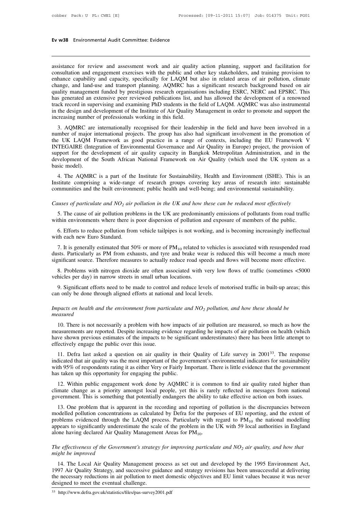# **Ev w38** Environmental Audit Committee: Evidence

Ev w38 Environmental Audit Committee: Evidence<br>
assistance for review and assessment work and air quality action planning, support and facilitation for<br>
consultation and engagement exercises with the public and other key s Ev w38 Environmental Audit Committee: Evidence<br>
assistance for review and assessment work and air quality action planning, support and facilitation for<br>
consultation and engagement exercises with the public and other key s Ev w38 Environmental Audit Committee: Evidence<br>
assistance for review and assessment work and air quality action planning, support and facilitation for<br>
consultation and engagement exercises with the public and other key s assistance for review and assessment work and air quality action planning, support and facilitation for consultation and engagement exercises with the public and other key stakeholders, and training provision to enhance ca assistance for review and assessment work and air quality action planning, support and facilitation for consultation and engagement exercises with the public and other key stakeholders, and training provision to enhance ca assistance for review and assessment work and air quality action planning, support and facilitation for consultation and engagement exercises with the public and other key stakeholders, and training provision to enhance ca assistance for review and assessment work and air quality action planning, support and facilitation for consultation and engagement exercises with the public and other key stakeholders, and training provision to enhance ca consultation and engagement exercises with the public and other key stakeholders, and training provision to enhance capability and capacity, specifically for LAQM but also in related areas of air pollution, climate change, enhance capability and capacity, specifically for LAQM but<br>change, and land-use and transport planning. AQMRC has a<br>quality management funded by prestigious research organisat<br>has generated an extensive peer reviewed publi ange, and fand-use and dansport planning. AQNNC has a significant research background based of an<br>ality management funded by prestigious research organisations including ESRC, NERC and EPSRC. This<br>s generated an extensive quanty management runded by presugnous research organisations including ESRC, NERC and EFSRC. This<br>has generated an extensive peer reviewed publications list, and has allowed the development of a renowned<br>track record in s

The UK LAQM Framework as good practice in a range of contexts, including the EU Framework variational in the design and development of the Institute of Air Quality Management in order to promote and support the increasing INTEGAIRE (Integration of the Institute of Air Quality Management in order to promote and support the<br>increasing number of professionals working in this field.<br>3. AQMRC are internationally recognised for their leadership i increasing number of professionals working in this field.<br>
3. AQMRC are internationally recognised for their leadership in the field and have been involved in a<br>
number of major international projects. The group has also h development of the South African National Framework on Air Quality (which used the UK system as a basic model).<br>
A The South African African African African African African African African African Air Quality in Europe) pr 3. AQMRC are internationally recognised for their leadership in the field and have been involved in a number of major international projects. The group has also had significant involvement in the promotion of the UK LAQM F From The AQMRC is a part of the Institute for Sustainability, Health and Environmental sustainability.<br>4. The AQMRC is a part of the Institute for Sustainability, Health and Environment (ISHE). This is an site model).<br>4. T INTEGAIRE (Integration of Environmental Governance and Air Quality in Europe) project, the provision of support for the development of air quality capacity in Bangkok Metropolitan Administration, and in the development of EXTESTANE (Integration of Environmental Governance and All Quality in Europe) project, the provision component of the development of air quality capacity in Bangkok Metropolitan Administration, and in the development of th

**Example 19 and 19 and 19 and 19 and 19 and 19 and 19 and 19 and 19 and 19 and 19 and 19 and 19 and 19 and 19 and 19 and 19 and 19 and 19 and 19 and 19 and 19 communities and the built environment; public health and well-b** 4. The AQMRC is a part of the Institute for Sustainability, Health and Environment (ISHE). This is an situate comprising a wide-range of research groups covering key areas of research into: sustainable mmunities and the b Institute comprising a wide-range of research groups covering key areas of research into: sustainable<br>communities and the built environment; public health and well-being; and environmental sustainability.<br>Causes of partic

minumities and the built environment; public health and well-being; and environmental sustainability.<br>
suses of particulate and  $NO_2$  air pollution in the UK and how these can be reduced most effectively<br>
5. The cause of Causes of particulate and  $NO_2$  air pollution in the UK and how these can be reduced most effectively<br>5. The cause of air pollution problems in the UK are predominantly emissions of pollutants from road traffic<br>within env

5. The cause of air pollution problems in the UK are predominantly emissions of pollutants from road traffic<br>thin environments where there is poor dispersion of pollution and exposure of members of the public.<br>6. Efforts 5. The cause of air pollution problems in the UK are predominantly emissions of pollutants from road traffic within environments where there is poor dispersion of pollution and exposure of members of the public.<br>6. Effort within environments where there is poor dispersion of pollution and exposure of members of the public.<br>6. Efforts to reduce pollution from vehicle tailpipes is not working, and is becoming increasingly ineffectual<br>with ea 8. Efforts to reduce pollution from vehicle tailpipes is not working, and is becoming increasingly ineffectual<br>th each new Euro Standard.<br>7. It is generally estimated that 50% or more of  $PM_{10}$  related to vehicles is ass with each new Euro Standard.<br>
7. It is generally estimated that 50% or more of  $PM_{10}$  related to dusts. Particularly as PM from exhausts, and tyre and brake wear<br>
significant source. Therefore measures to actually reduce 7. It is generally estimated that 50% or more of  $PM_{10}$  related to vehicles is associated with resuspended road sts. Particularly as PM from exhausts, and tyre and brake wear is reduced this will become a much more enfic

dusts. Particularly as PM from exhausts, and tyre and brake wear is redusignificant source. Therefore measures to actually reduce road speeds and 8. Problems with nitrogen dioxide are often associated with very low vehicle *Impacts on health and the environment from particulate and NO<sub>2</sub> <i>pollution, and how these should be*<br>*Impacts on health and the environment from particulate and NO<sub>2</sub> <i>pollution, and how these should be*<br>*Impacts on heal* 

# *measured*

9. Significant efforts need to be made to control and reduce levels of motorised traffic in built-up areas; this<br>n only be done through aligned efforts at national and local levels.<br>pacts on health and the environment fro can only be done through aligned efforts at national and local levels.<br> *Impacts on health and the environment from particulate and*  $NO_2$  *pollution, and how these should be*<br>  $measured$ <br>
10. There is not necessarily a problem Impacts on health and the environment from particulate and  $NO_2$  pollution, and how these should be<br>measured<br>10. There is not necessarily a problem with how impacts of air pollution are measured, so much as how the<br>measur *Impacts on health and the environment from particulate and NO<sub>2</sub> pollution, and how these should be measured*<br>10. There is not necessarily a problem with how impacts of air pollution are measured, so much as how the meas ed 10. There is not necessarily a problem with how impacts of air pollution are measured, so much as how the asurements are reported. Despite increasing evidence regarding he impacts of air pollution on health (which we sh 10. There is not necessarily a problem with how impacts of air pollution are measured, so much as how the measurements are reported. Despite increasing evidence regarding he impacts of air pollution on health (which have s

For the also increased. Despite increasing evidence regarding he impacts of air pollution on health (which have shown previous estimates of the impacts to be significant underestimates) there has been little attempt to eff measurements are reported. Despite increasing evidence regulate<br>have shown previous estimates of the impacts to be signific<br>effectively engage the public over this issue.<br>11. Defra last asked a question on air quality in t ectively engage the public over this issue.<br>
11. Defra last asked a question on air quality in their Quality of Life survey in 2001<sup>33</sup>. The response<br>
licated that air quality was the most important of the government's env 11. Defra last asked a question on air quality in their Quality of Life survey in 2001<sup>33</sup>. The response indicated that air quality was the most important of the government's environmental indicators for sustainability wit Fig. Detra last asked a question on an quanty in their Quanty of Ene survey in 2001. The response indicated that air quality was the most important of the government's environmental indicators for sustainability with 95% o

th 95% of respondents rating it as either Very or Fairly Important. There is little evidence that the government<br>s taken up this opportunity for engaging the public.<br>12. Within public engagement work done by AQMRC it is c has taken up this opportunity for engaging the public.<br>
12. Within public engagement work done by AQMRC it is common to find air quality rated higher than<br>
climate change as a priority amongst local people, yet this is ra 12. Within public engagement work done by AQMRC it is common to find air quality rated higher than climate change as a priority amongst local people, yet this is rarely reflected in messages from national government. This Fig. Within public engagement work done by AQMNC it is common to find an quanty rated ingiter than climate change as a priority amongst local people, yet this is rarely reflected in messages from national government. This alone having declared Air Quality Management Areas for PM<sub>10</sub>. The effective action on both issues.<br>13. One problem that is apparent in the recording and reporting of pollution is the discrepancies between<br>modelled polluti problems evidenced through the LAQM process. Particularly with regard to  $PM_{10}$  the national modelling<br>appears to significantly underestimate the scale of the problem in the UK with 59 local authorities in England<br>alone

between the scale of the problem in the UK with 59 local authorities in England<br>one having declared Air Quality Management Areas for  $PM_{10}$ .<br> *e effectiveness of the Government's strategy for improving particulate and NO* The effectiveness of the Government's strategy for improving particulate and  $NO_2$  air quality, and how that might be improved<br>night be improved<br>14. The Local Air Quality Management process as set out and developed by the The effectiveness of the Government's strategy for improving particulate and  $NO_2$  air quality, and how that<br>might be improved<br>14. The Local Air Quality Management process as set out and developed by the 1995 Environment designed to meet the eventual challenge.<br><sup>33</sup> http://www.defra.gov.uk/statistics/files/pas-survey2001.pdf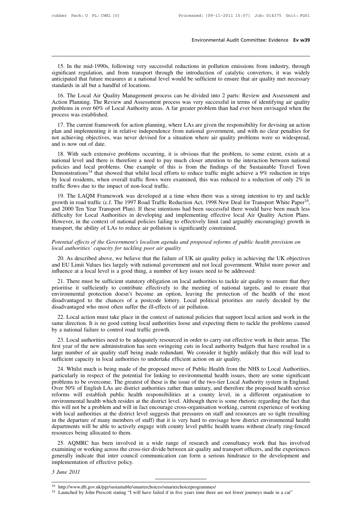Environmental Audit Committee: Evidence Ev w39<br>15. In the mid-1990s, following very successful reductions in pollution emissions from industry, through<br>the mificant regulation, and from transport through the introduction o Environmental Audit Committee: Evidence Ev w39<br>15. In the mid-1990s, following very successful reductions in pollution emissions from industry, through<br>significant regulation, and from transport through the introduction of Environmental Audit Committee: Evidence Ev w39<br>
15. In the mid-1990s, following very successful reductions in pollution emissions from industry, through<br>
significant regulation, and from transport through the introduction 15. In the mid-1990s, following very success<br>significant regulation, and from transport thre<br>anticipated that future measures at a national lev<br>standards in all but a handful of locations.<br>16. The Local Air Quality Managem 15. In the mid-1990s, following very successful reductions in pollution emissions from industry, through mificant regulation, and from transport through the introduction of catalytic convertors, it was widely tricipated th 15. In the mid-1990s, following very successful reductions in pollution emissions from industry, through significant regulation, and from transport through the introduction of catalytic convertors, it was widely anticipate

problems in over 60% of Local Authority areas. A far greater problem than had ever been envisaged when the process was established.<br>
17. If the find-1990s, following very successful reduction of catalytic convertors, it wa significant regulation, and if<br>anticipated that future measur<br>standards in all but a handful<br>16. The Local Air Quality<br>Action Planning. The Review<br>problems in over 60% of Loca<br>process was established.<br>17. The current frame ndards in all but a handful of locations.<br>
16. The Local Air Quality Management process can be divided into 2 parts: Review and Assessment and<br>
16. The Local Air Quality Management process was very successful in terms of i

16. The Local Air Quality Management process can be divided into 2 parts: Review and Assessment and<br>Action Planning. The Review and Assessment process was very successful in terms of identifying air quality<br>problems in ove not achieving objectives, was never devised for a situation where air quality problems in over 60% of Local Authority areas. A far greater problem than had ever been envisaged when the process was established.<br>
17. The cur Action Framing. The Review<br>problems in over 60% of Loo<br>process was established.<br>17. The current framework<br>plan and implementing it in<br>not achieving objectives, wa<br>and is now out of date.<br>18. With such extensive corrided to the responsibility for devising an action<br>17. The current framework for action planning, where LAs are given the responsibility for devising an action<br>18. With such extensive, was never devised for a situation

17. The current framework for action planning, where LAs are given the responsibility for devising an action<br>plan and implementing it in relative independence from national government, and with no clear penalties for<br>not a 17. The current framework for action planning, where EAs are given the responsionity for devising an action<br>plan and implementing it in relative independence from national government, and with no clear penalties for<br>not a plan and implementing it in relative independence from national government, and with no clear penatues for<br>not achieving objectives, was never devised for a situation where air quality problems were so widespread,<br>and is n by local residents, was never devised for a situation where an quality problems were so widespread, and is now out of date.<br>
18. With such extensive problems occurring, it is obvious that the problem, to some extent, exis 18. With such extensive problems occurring, it is c<br>national level and there is therefore a need to pay muo<br>policies and local problems. One example of this is<br>Demonstrations<sup>34</sup> that showed that whilst local efforts t<br>by 19. Whil such extensive problems occuring, it is obvious that the problem, to some extent, exists at a tional level and there is therefore a need to pay much closer attention to the interaction between national licies and mational level and there is therefore a need to pay intict closer attention to the interaction between national<br>policies and local problems. One example of this is from the findings of the Sustainable Travel Town<br>Demonstra

Demonstrations<sup>34</sup> that showed that whilst local efforts to reduce traffic might achieve a 9% reduction in trips<br>by local residents, when overall traffic flows were examined, this was reduced to a reduction of only 2% in<br> Definoistrations that showed that whilst local enorts to reduce trainc implit actneve a 9% reduction in trips<br>by local residents, when overall traffic flows were examined, this was reduced to a reduction of only 2% in<br>tra by local residents, when overall dalife hows were examined, this was reduced to a reduction of omly 2% in traffic flows due to the impact of non-local traffic.<br>
19. The LAQM Framework was developed at a time when there was transport in the ability of LAS to reduce air pollution is significantly entered as a strong in growth in road traffic (c.f. The 1997 Road Traffic Reduction Act, 1998 New Deal for and 2000 Ten Year Transport Plan). If thes growth in road traffic (c.f. The 1997 Road Traffic Reduction Act, 1998 New Deal for Transport White Paper<sup>35</sup>, and 2000 Ten Year Transport Plan). If these intentions had been successful there would have been much less diff and 2000 Ten Year Transport Plan). If these intentions had been<br>difficulty for Local Authorities in developing and implementir<br>However, in the context of national policies failing to effectively<br>transport, the ability of L

20. As described above, we believe that the failure of UK air quality policies and *arguably* encouraging) growth in apport, the ability of LAs to reduce air pollution is significantly constrained.<br> *Mential effects of the* and EU Limit Values lies largely with national government and proposed reforms of public health provision on local authorities' capacity for tackling poor air quality<br>
20. As described above, we believe that the failure of Potential effects of the Government's localism agenda and proposed reforms of public health local authorities' capacity for tackling poor air quality<br>20. As described above, we believe that the failure of UK air quality po intential effects of the Government's localism agenda and proposed reforms of public health provision on<br>cal authorities' capacity for tackling poor air quality<br>20. As described above, we believe that the failure of UK air

is a *local authorities' capacity for tackling poor air quality*<br>
20. As described above, we believe that the failure of UK air quality policy in achieving the UK objectives<br>
and EU Limit Values lies largely with national 20. As described above, we believe that the failure of UK air quality policy in achieving the UK objectives and EU Limit Values lies largely with national government and not local government. Whilst more power and influenc 20. As described above, we betieve that the raintie of OK an quanty policy in achieving the OK objectives<br>and EU Limit Values lies largely with national government and not local government. Whilst more power and<br>influence and EO Linn values hes largely while national government and not local<br>influence at a local level is a good thing, a number of key issues need to<br>21. There must be sufficient statutory obligation on local authorities to<br>pr 21. There must be sufficient statutory obligation on local authorities to tackle air quality to ensure that they invirtionmental protection doesn't become an option, leaving the protection of the health of the most sadvant 21. There must be sumchent statutory obtigation on local authorities to tackle an quality to ensure that environmental protection doesn't become an option, leaving the protection of the health of the most disadvantaged to profits a sufficiently to control e effectively to the<br>environmental protection doesn't become an option,<br>disadvantaged to the chances of a postcode lottery.<br>disadvantaged who most often suffer the ill-effects of ai<br>22. Lo

Subtrantaged to the chances of a postcode lottery. Local political priorities are rarely decided by the sadvantaged who most often suffer the ill-effects of air pollution.<br>
22. Local action must take place in the context o

disadvantaged who most often suffer the ill-effects of air pollution.<br>
22. Local action must take place in the context of national policies that support local action and work in the<br>
same direction. It is no good cutting l 22. Local action must take place in the context of national policies that support local action and work in the same direction. It is no good cutting local authorities loose and expecting them to tackle the problems caused 22. Local action must take place in the collect of national policies that support local same direction. It is no good cutting local authorities loose and expecting them to tack by a national failure to control road traffic a national failure to control road traffic growth.<br>
23. Local authorities need to be adequately resourced in order to carry out effective work in their areas. The<br>
st year of the new administration has seen swingeing cuts

23. Local authorities need to be adequately resourced in order to carry out effective work in their areas. The first year of the new administration has seen swingeing cuts in local authority budgets that have resulted in a 25. Local authorities lieed to be adequately resourced in order to carry out effective work in then areas. The<br>first year of the new administration has seen swingeing cuts in local authority budgets that have resulted in a Inst year of the hew administration has seen swingeing cuts in locar authority budgets that have resulted in a<br>large number of air quality staff being made redundant. We consider it highly unlikely that this will lead to<br>s reficient capacity in local authorities to undertake efficient action on air quality.<br>
24. Whilst much is being made of the proposed move of Public Health from the NHS to Local Authorities,<br>
particularly in respect of the suncient capacity in local authorities to undertake efficient action on an quality.<br>24. Whilst much is being made of the proposed move of Public Health from the NHS to Local Authorities,<br>particularly in respect of the pote 24. Whilst much is being made of the proposed move of Public Health from the NHS to Local Authorities, particularly in respect of the potential for linking to environmental health issues, there are some significant problem particularly in respect of the potential for linking to environmental health issues, there are some significant<br>problems to be overcome. The greatest of these is the issue of the two-tier Local Authority system in England. problems to be overcome. The greatest of these is the issue of the two-tier Local Authority system in England.<br>Over 50% of English LAs are district authorities rather than unitary, and therefore the proposed health service departments will be able to actively engage with county level public health teams without clearly ring-fenced reforms will establish public health responsibilities at a county level, in a different organisation to<br>environmental health which resides at the district level. Although there is some rhetoric regarding the fact that<br>this 25. AQMRC has been involved in a wide range of research and consultancy work that has involved and inference of working the departure of many members of staff) that it is very hard to envisage how district environmental he Ins with local authorities at the district level suggests that pressures on staff and resources are so tight (resulting<br>in the departure of many members of staff) that it is very hard to envisage how district environmental

whil local authorities at the ustrict lever suggests that pressures on start and resources are so tight (resulting<br>in the departments will be able to actively engage with county level public health teams without clearly ri in the departments will be able to actively eng<br>departments will be able to actively eng<br>resources being allocated to them.<br>25. AQMRC has been involved in<br>examining or working across the cross-tie<br>generally indicate that i resources being allocate<br>25. AQMRC has be<br>examining or working a<br>generally indicate that<br>implementation of effect<br>3 June 2011 35 June 2011<br>34 http://www.dft.gov.uk/pgr/sustainable/smarterchoices/smarterchoiceprogrammes/<br>35 Launched by John Prescott stating "I will have failed if in five years time there are not fewer journeys made in a car"

<sup>34</sup> http://www.dft.gov.uk/pgr/sustainable/smarterchoices/smarterchoiceprogrammes/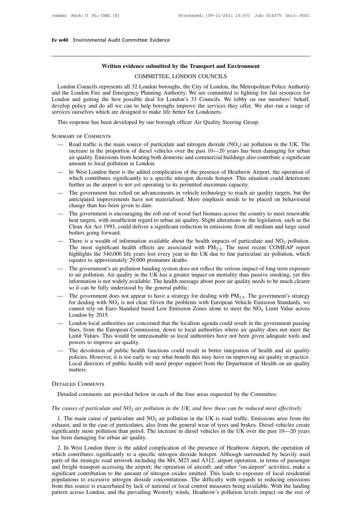# **Ev w40** Environmental Audit Committee: Evidence

# **Written evidence submitted by the Transport and Environment**

mittee: Evidence<br> **COMMITTEE, LONDON COUNCILS**<br>
COMMITTEE, LONDON COUNCILS<br>
2 London boroughs, the City of London, the Metrop Written evidence submitted by the Transport and Environment<br>COMMITTEE, LONDON COUNCILS<br>London Councils represents all 32 London boroughs, the City of London, the Metropolitan Police Authority<br>d the London Fire and Emergenc Written evidence submitted by the Transport and Environment<br>COMMITTEE, LONDON COUNCILS<br>London Councils represents all 32 London boroughs, the City of London, the Metropolitan Police Authority<br>and the London Fire and Emerge Written evidence submitted by the Transport and Environment<br>COMMITTEE, LONDON COUNCILS<br>London Councils represents all 32 London boroughs, the City of London, the Metropolitan Police Authority<br>and the London Fire and Emerge Written evidence submitted by the Transport and Environment<br>COMMITTEE, LONDON COUNCILS<br>London Councils represents all 32 London boroughs, the City of London, the Metropolitan Police Authority<br>and the London Fire and Emerge COMMITTEE, LONDON COUNCILS<br>London Councils represents all 32 London boroughs, the City of London, th<br>and the London Fire and Emergency Planning Authority. We are committed to<br>London and getting the best possible deal for L London Councils represents all 32 London boroughs, the City of London, the Metropolitan I<br>d the London Fire and Emergency Planning Authority. We are committed to fighting for fa<br>mdon and getting the best possible deal for

Summary of Comments

- velop policy and do all we can to help boroughs improve the services they offer. We also run a range of<br>vices ourselves which are designed to make life better for Londoners.<br>This response has been developed by our borough is ourselves which are designed to make life better for Londoners.<br>
response has been developed by our borough officer Air Quality Steering Group.<br>
RY OF COMMENTS<br>
Road traffic is the main source of particulate and nitrog response has been developed by our borough officer Air Quality Steering Group.<br>
RY OF COMMENTS<br>
Road traffic is the main source of particulate and nitrogen dioxide (NO<sub>2</sub>) air pollution in the UK. The<br>
increase in the prop response has been developed by our borou<br>
RY OF COMMENTS<br>
Road traffic is the main source of particul<br>
increase in the proportion of diesel vehicl<br>
air quality. Emissions from heating both do<br>
amount to local pollution in MMARY OF COMMENTS<br>
— Road traffic is the main source of particulate and nitrogen dioxide  $(NO<sub>2</sub>)$  air pollution in the UK. The<br>
increase in the proportion of diesel vehicles over the past  $10-20$  years has been damagin Road traffic is the main source of particulate and nitrogen dioxide  $(NO_2)$  air pollution in the UK. The increase in the proportion of diesel vehicles over the past  $10-20$  years has been damaging for urban air quality. E Road traffic is the main source of particulate and nitrogen dioxide  $(NO_2)$  air pollumicrease in the proportion of diesel vehicles over the past  $10-20$  years has been air quality. Emissions from heating both domestic and
- 
- merease in the proportion of dieser venticles over the past 10—20 years has been danlaging for urban<br>air quality. Emissions from heating both domestic and commercial buildings also contribute a significant<br>amount to local an quanty. Emissions from leating bout domestic and commercial butidings also contribute a sigmineant<br>amount to local pollution in London.<br>In West London there is the added complication of the presence of Heathrow Airport, amount to local pollution in London.<br>In West London there is the added complication of the presence of Heathrow Airport, the operation of<br>which contributes significantly to a specific nitrogen dioxide hotspot. This situati
- In west London there is the added compincation of the presence of realmow Aliport, the operation of<br>which contributes significantly to a specific nitrogen dioxide hotspot. This situation could deteriorate<br>further as the which colubules signineality to a specific intogen dioxide hospot. This studied could deteriorate further as the airport is not yet operating to its permitted maximum capacity.<br>The government has relied on advancements in The government has relied on advancements in vehicle technology to reach air quality targets, but the anticipated improvements have not materialised. More emphasis needs to be placed on behavioural change than has been giv Clean Air Act 1993, could deliver a significant reduction in emissions from all medium and large sized boilers going forward.<br>There is a wealth of information available about the health impacts of particulate and  $NO<sub>2</sub>$ mucripated improvements have not materialised. More emphasis needs to be placed on behavioural<br>change than has been given to date.<br>— The government is encouraging the roll out of wood fuel biomass across the country to mee The government is encouraging the roll out of wood fuel biomass across the country to meet renewable<br>heat targets, with insufficient regard to urban air quality. Slight alterations to the legislation, such as the<br>Clean Ai The government is encouraging the roll out of wood fuel biomass across the country to meet renewable<br>heat targets, with insufficient regard to urban air quality. Slight alterations to the legislation, such as the<br>Clean Ai
- The most significant health effects are associated with  $PM_{2.5}$ . The most recent COMEAP report highlights the 340,000 life years lost every year in the UK due to fine particulate air pollution, which equates to approxima The government's air pollution banding system does not reflect the serious impacts to be much clearer<br>
The most significant health effects are associated with PM<sub>2.5</sub>. The most recent COMEAP report<br>
highlights the 340,000
- There is a wealth of information available about the health impacts of particulate and  $NO_2$  pollution.<br>The most significant health effects are associated with  $PM_{2.5}$ . The most recent COMEAP report<br>highlights the 340,00 There is a wealth of information available about the health impacts of particulate and  $NO_2$  pollution.<br>The most significant health effects are associated with  $PM_{2.5}$ . The most recent COMEAP report<br>highlights the 340,00 The most significant health effects are associated wit<br>highlights the 340,000 life years lost every year in the U<br>equates to approximately 29,000 premature deaths.<br>The government's air pollution banding system does not r<br>t The government's air pollution banding system does not reflect the serious impact of long term exposure<br>to air pollution. Air quality in the UK has a greater impact on mortality than passive smoking, yet this<br>information Equates to approximately 29,000 premature dealins.<br>The government's air pollution banding system does not reflect the serious impact of long term exposure<br>to air pollution. Air quality in the UK has a greater impact on mo
- The government's air pollution banding system does not reflect the serious impact of long term exposure<br>to air pollution. Air quality in the UK has a greater impact on mortality than passive smoking, yet this<br>information to air pollution. Air qu<br>
information is not wide<br>
so it can be fully unde<br>
The government does<br>
for dealing with NO<sub>2</sub> i<br>
cannot rely on Euro S<br>
London by 2015.<br>
London local authoritie<br>
fines from the Europe The government does not appear to have a strategy for dealing with  $PM_{2.5}$ . The government's strategy<br>
The government does not appear to have a strategy for dealing with  $PM_{2.5}$ . The government's strategy<br>
for dealing w So it can be funy understood by the general public.<br>The government does not appear to have a strategy for dealing with  $PM_{2.5}$ . The government's strategy<br>for dealing with  $NO_2$  is not clear. Given the problems with Europ
- The government does not appear to have a strategy for dealing with  $PM_{2.5}$ . The government's strategy<br>for dealing with  $NO_2$  is not clear. Given the problems with European Vehicle Emission Standards, we<br>cannot rely on Eu for dealing with  $NO_2$  is not clear. Given the problems with European Vehicle Emission Standards, we<br>cannot rely on Euro Standard based Low Emission Zones alone to meet the  $NO_2$  Limit Value across<br>London by 2015.<br>— Londo London by 2015.<br>
— London local authorities are concerned that the localism agenda could result in the government passing<br>
fines, from the European Commission, down to local authorities where air quality does not meet the London by 2015.<br>London local authorities are concerned that the localism agenda could result in the government passing<br>fines, from the European Commission, down to local authorities where air quality does not meet the<br>Limi
- London local authorities are concerned that the localism agenda could result in the government passing<br>fines, from the European Commission, down to local authorities where air quality does not meet the<br>Limit Values. This w matters. Detailed comments are provided below in each of the four areas requested by the Committee:<br>
RETAILED COMMENTS<br>
ETAILED COMMENTS<br>
Detailed comments are provided below in each of the four areas requested by the Committee:<br>

### Detailed Comments

The causes of particulate and NO<sub>2</sub> air pollution in the UK, and how these can be reduced most effectively<br>The causes of particulate and NO<sub>2</sub> air pollution in the UK, and how these can be reduced most effectively<br>1. The m ETAILED COMMENTS<br>
Detailed comments are provided below in each of the four areas requested by the Committee:<br> *e causes of particulate and*  $NO_2$  *air pollution in the UK, and how these can be reduced most effectively*<br>
1 Detailed comments are provided below in each of the four areas requested by the Committee:<br>
The causes of particulate and  $NO_2$  air pollution in the UK, and how these can be reduced most effectively<br>
1. The main cause of Detailed comments are provided below in each of the four areas requested by the Committee:<br>
The causes of particulate and NO<sub>2</sub> air pollution in the UK, and how these can be reduced most effectively<br>
1. The main cause of The causes of particulate and  $NO_2$  air pollution<br>1. The main cause of particulate and  $NO_2$  is<br>exhaust, and in the case of particulates, also fis<br>ignificantly more pollution than petrol. The is<br>has been damaging for urba *e causes of particulate and*  $NO_2$  *air pollution in the UK, and how these can be reduced most effectively*<br>1. The main cause of particulate and  $NO_2$  air pollution in the UK is road traffic. Emissions arise from the<br>hau

1. The main cause of particulate and  $NO<sub>2</sub>$  air pollution in the UK is road traffic. Emissions arise from the exhaust, and in the case of particulates, also from the general wear of tyres and brakes. Diesel vehicles c F. The main cause of particulate and  $NO_2$  an pointion in the OK is toad train. Emissions arise from the exhaust, and in the case of particulates, also from the general wear of tyres and brakes. Diesel vehicles create si exhaust, and in the case of particulates, also from the general wear of tyles and brakes. Dieser venices create significantly more pollution than petrol. The increase in diesel vehicles in the UK over the past 10—20 years significantly inde political train petrol. The increase in theser venicles in the OK over the past 10—20 years<br>has been damaging for urban air quality.<br>2. In West London there is the added complication of the presence of H as been danaging for urban an quanty.<br>
2. In West London there is the added complication of the presence of Heathrow Airport, the operation of<br>
which contributes significantly to a specific nitrogen dioxide hotspot. Althou 2. In West London there is the added complication of the presence of Heathrow Airport, the operation of which contributes significantly to a specific nitrogen dioxide hotspot. Although surrounded by heavily used parts of t which contributes significantly to a specific nitrogen dioxide hotspot. Although surrounded by heavily used parts of the strategic road network including the M4, M25 and A312, airport operation, in terms of passenger and f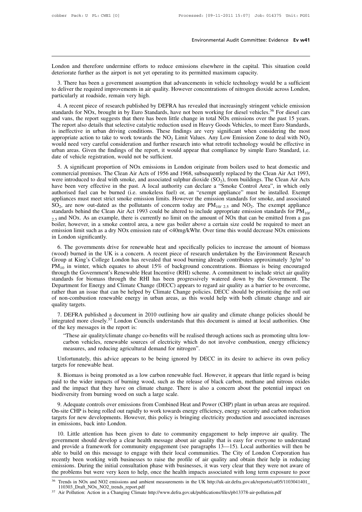Environmental Audit Committee: Evidence Ev w41<br>
London and therefore undermine efforts to reduce emissions elsewhere in the capital. This situation could<br>
deteriorate further as the airport is not yet operating to its perm Environmental Audit Committee: Evidence Ev w41<br>
London and therefore undermine efforts to reduce emissions elsewhere in the capital. This situation could<br>
deteriorate further as the airport is not yet operating to its perm

2. There has been a government series to reduce emissions elsewhere in the capital. This situation could<br>deriorate further as the airport is not yet operating to its permitted maximum capacity.<br>3. There has been a governme London and therefore undermine efforts to reduce emissions elsewhere in the capital. This situation could deteriorate further as the airport is not yet operating to its permitted maximum capacity.<br>3. There has been a gover London and therefore undermine efforts to redeteriorate further as the airport is not yet operation.<br>
3. There has been a government assumption<br>
to deliver the required improvements in air quali<br>
particularly at roadside, mdon and therefore undermine efforts to reduce emissions elsewhere in the capital. This situation could<br>teriorate further as the airport is not yet operating to its permitted maximum capacity.<br>3. There has been a governmen

deteriorate further as the airport is not yet operating to its permitted maximum capacity.<br>
3. There has been a government assumption that advancements in vehicle technology would be a sufficient<br>
to deliver the required i 3. There has been a government assumption that advancements in vehicle technology would be a sufficient<br>to deliver the required improvements in air quality. However concentrations of nitrogen dioxide across London,<br>particu 3. There has been a government assumption that advancements in ventere technology would be a surficent to deliver the required improvements in air quality. However concentrations of nitrogen dioxide across London, particu is ineffective in urban driving conditions. These findings are very significant when considerations of multiplet in the mission standards for NOx, brought in by Euro Standards, have not been working for diesel vehicles.<sup>3</sup> particularly at Foatstue, Fernant very high.<br>
4. A recent piece of research published by DEFRA has revealed that increasingly stringent vehicle emission<br>
standards for NOx, brought in by Euro Standards, have not been worki standards for NOx, brought in by Euro Standards, have not been working for diesel vehicles.<sup>36</sup> For diesel cars<br>and vans, the report suggests that there has been little change in total NOx emissions over the past 15 years. and vans, the report suggests that there has been little ch<br>The report also details that selective catalytic reduction us<br>is ineffective in urban driving conditions. These findin<br>appropriate action to take to work towards ineffective in urban driving conditions. These findings are very significant when considering the most propriate action to take to work towards the  $NO_2$  Limit Values. Any Low Emission Zone to deal with  $NO_2$  ould need ve is interture in urban driving conductors. These imangs are very significant when considering the most appropriate action to take to work towards the  $NO_2$  Limit Values. Any Low Emission Zone to deal with  $NO_2$  would need

appropriate action to take to work towards the NO<sub>2</sub> Emit values. Any Eow Emission Zole to deal with NO<sub>2</sub> would need very careful consideration and further research into what retrofit technology would be effective in urb would heed very caleful consideration and futule research into what fetront dechinology would be enective in<br>urban areas. Given the findings of the report, it would appear that compliance by simple Euro Standard, i.e.<br>date and a teas. Orven the imangs of the report, it would appear that compinance by simple Euro Standard, i.e.<br>date of vehicle registration, would not be sufficient.<br>5. A significant proportion of NOx emissions in London origi 3. A significant proportion of NOx emissions in London originate from boilers used to heat domestic and commercial premises. The Clean Air Acts of 1956 and 1968, subsequently replaced by the Clean Air Act 1993, were intro  $SO_2$ , are n A significant proportion of NOx emissions in London originate from boilers used to h<br>mercial premises. The Clean Air Acts of 1956 and 1968, subsequently replaced by the Cle<br>e introduced to deal with smoke, and associated ed to heat domestic and<br>the Clean Air Act 1993,<br>ings. The Clean Air Acts<br>ol Area", in which only<br>st be installed. Exempt<br>or smoke, and associated<br>. The exempt appliance<br>sion standards for  $PM_{10f}$ <br>nn be emitted from a gas commercial premises. The Clean Air Acts of 1956 and 1968, subsequently replaced by the Clean Air Acts have been very effective in the past. A local authority can declare a "Smoke Control Area", in which only authorised fu have been very effective in the past. A local authority can declare a "Smoke Control Area", in which only authorised fuel can be burned (i.e. smokeless fuel) or, an "exempt appliance" must be installed. Exempt appliances authorised fuel can be burned (i.e. smokeless fuel) or, an "exempt appliance" must be installed. Exempt appliances must meet strict smoke emission limits. However the emission standards for smoke, and associated SO<sub>2</sub>, ar appliances must meet strict s<br>
SO<sub>2</sub>, are now out-dated as t<br>
standards behind the Clean A<br>  $2.5$  and NOx. As an example,<br>
boiler, however, in a smoke e<br>
emission limit such as a dry N<br>
in London significantly.<br>
6. The go be the governments drive for renewable heat and specifically policies to increase the amount of biomass of the governments drive for renewable heat and specifically policies to increase the amount of biomass London signif Standards befinid the Clean Afr Act 1993 collid be attered to include appropriate emission standards for FM<sub>10/25</sub> and NOx. As an example, there is currently no limit on the amount of NOx that can be emitted from a gas bo

 $2.5$  and NOx. As an example, there is currently no mint on the amount of NOx that can be emitted from a gas boiler, however, in a smoke control area, a new gas boiler above a certain size could be required to meet an emi Group at King's College London has revealed that wood burning already contributes approximately  $3g/m^3$  to PM<sub>10</sub> in winter, which equates to about 15% of background concentrations. Biomass is being encouraged emission limit such as a dry NOx emission rate of <40mg/kWhr. Over time this would decrease NOx emissions<br>in London significantly.<br>6. The governments drive for renewable heat and specifically policies to increase the amou through the Government's Renewable heat and specifically policies to increase the amount of biomass (wood) burned in the UK is a concern. A recent piece of research undertaken by the Environment Research Group at King's C in London signinearily.<br>
6. The governments drive for renewable heat and specifically policies to increase the amount of biomass<br>
(wood) burned in the UK is a concern. A recent piece of research undertaken by the Environm 6. The governments drive for renewable heat and specifically policies to increase the amount of biomass (wood) burned in the UK is a concern. A recent piece of research undertaken by the Environment Research Group at King (wood) burned in the UK is a concern. A recent piece of research undertaken by the Environment Research Group at King's College London has revealed that wood burning already contributes approximately  $3g/m^3$  to  $PM_{10}$  in Group at King's College London has revealed that wood burning already contributes approximately  $3g/m^3$  to  $PM_{10}$  in winter, which equates to about 15% of background concentrations. Biomass is being encouraged through th  $PM_{10}$  in winter, wh<br>through the Governn<br>standards for bioma<br>Department for Ener<br>rather than an issue<br>of non-combustion<br>quality targets.<br>7. DEFRA publis ough the Government s Renewable rieat incentive (KIT) scheme. A communition to include strict an quality indicats for biomass through the RHI has been progressively watered down by the Government. The partment for Energy a Standards for biomass unough the KIT has been progressively watered down by the Government. The<br>Department for Energy and Climate Change (DECC) appears to regard air quality as a barrier to be overcome,<br>rather than an issu Department for Energy and Ciniate Changrather than an issue that can be helped by<br>of non-combustion renewable energy in t<br>quality targets.<br>7. DEFRA published a document in 20<br>integrated more closely.<sup>37</sup> London Council<br>of

on-combustion renewable energy in urban areas, as this would help with both climate change and air<br>ty targets.<br>DEFRA published a document in 2010 outlining how air quality and climate change policies should be<br>rated more c ty targets.<br>
DEFRA published a document in 2010 outlining how air quality and climate change policies should be<br>
rated more closely.<sup>37</sup> London Councils understands that this document is aimed at local authorities. One<br>
e DEFRA published a document in 2010 outlining how air quali<br>rated more closely.<sup>37</sup> London Councils understands that this do<br>e key messages in the report is:<br>"These air quality/climate change co-benefits will be realised th

egrated more closely.<sup>37</sup> London Councils understands that this document is aimed at local authorities. One<br>the key messages in the report is:<br>"These air quality/climate change co-benefits will be realised through actions of the key messages in the report<br>
"These air quality/climate c<br>
carbon vehicles, renewable<br>
measures, and reducing agr<br>
Unfortunately, this advice ap<br>
targets for renewable heat.<br>
8. Biomass is being promoted

These air quality/climate change co-benefits will be realised through actions such as promoting ultra low-<br>carbon vehicles, renewable sources of electricity which do not involve combustion, energy efficiency<br>measures, and carbon vehicles, renewable sources of electricity which do not involve combustion, energy efficiency<br>measures, and reducing agricultural demand for nitrogen".<br>Unfortunately, this advice appears to be being ignored by DECC measures, and reducing agricultural demand for nitrogen".<br>
Unfortunately, this advice appears to be being ignored by DECC in its desire to achieve its own policy<br>
targets for renewable heat.<br>
8. Biomass is being promoted a Unfortunately, this advice appears to be being ignored<br>targets for renewable heat.<br>8. Biomass is being promoted as a low carbon renewable<br>paid to the wider impacts of burning wood, such as the rel<br>and the impact that they Solutions, Solutions, Solutions, Solutions, Solutions, Solutions, Solutions, Solutions, Solutions, Solutions, Solutions, Solutions, Solutions, Solutions, Solutions, And The wider impact that they have on climate change. Th 8. Biomass is being promoted as a low carbon renewable fuel. However, it appears that little regard is being paid to the wider impacts of burning wood, such as the release of black carbon, methane and nitrous oxides and th

The Wild with the start of the New CHO and the intervalse included the matter in the solely point of the wider impact of burning wood, such as the release of black carbon, methane and nitrous oxides and the impact that the pant to the wheel impacts of butting<br>and the impact that they have on c<br>biodiversity from burning wood on st<br>9. Adequate controls over emissions<br>On-site CHP is being rolled out rapidl<br>targets for new developments. Howev<br>in 9. Adequate controls over emissions from Combined Heat and Power (CHP) plant in urban areas are required.<br>9. Adequate controls over emissions from Combined Heat and Power (CHP) plant in urban areas are required.<br>10. Little

9. Adequate controls over emissions from Combined Heat and Power (CHP) plant in urban areas are required.<br>On-site CHP is being rolled out rapidly to work towards energy efficiency, energy security and carbon reduction<br>targ Framework for community engagement (CITP) plant in the diate as all equilibration.<br>Con-site CHP is being rolled out rapidly to work towards energy efficiency, energy security and carbon reduction<br>targets for new developmen on-she Crir is being folied out raphary to work towards energy entiency, energy security and carbon reduction<br>targets for new developments. However, this policy is bringing electricity production and associated increases<br>i recently been working with businesses to raise the profile of air quality and obtain the profile attention has been given to date to community engagement to help improve air quality. The government should develop a clear h 10. Little attention has been given to date to community engagement to help improve air quality. The government should develop a clear health message about air quality that is easy for everyone to understand and provide a 10. Little attention has been given to date to community engagement to help improve air quality. The government should develop a clear health message about air quality that is easy for everyone to understand and provide a and provide a framework for community engagement (see paragraphs 13—15). Local authorities will then be able to build on this message to engage with their local communities. The City of London Corporation has recently bee

<sup>110303</sup>\_Draft\_NOx\_NO2\_trends\_report.pdf

<sup>&</sup>lt;sup>37</sup> Air Pollution: Action in a Changing Climate http://www.defra.gov.uk/publications/files/pb13378-air-pollution.pdf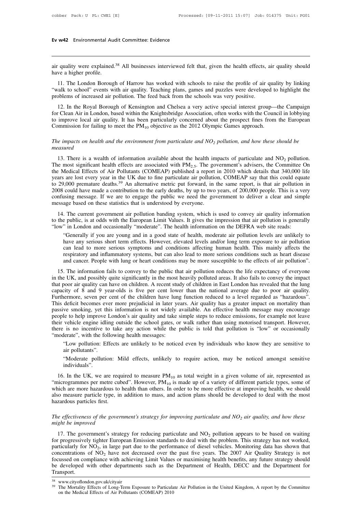# **Ev w42** Environmental Audit Committee: Evidence

**EV W42** Environmental Audit Committee: Evidence<br>
air quality were explained.<sup>38</sup> All businesses interviewed felt that, given the health effects, air quality should<br>
that a higher profile. Ev w42 Environmental Au<br>
air quality were explained.<br>
have a higher profile.<br>
11. The London Boroug

11. The London Borough of Harrow has worked with schools to raise the profile of air quality should<br>11. The London Borough of Harrow has worked with schools to raise the profile of air quality by linking<br>11. The London Bor The school wave a higher profile.<br>
11. The London Borough of Harrow has worked with schools to raise the profile of air quality by linking<br>
"walk to school" events with air quality. Teaching plans, games and puzzles were d air quality were explained.<sup>38</sup> All businesses interviewed felt that, given the health effects, have a higher profile.<br>
11. The London Borough of Harrow has worked with schools to raise the profile of air ("walk to school" The Royal Borough of Harrow has worked with schools to raise the profile of air quality should<br>
11. The London Borough of Harrow has worked with schools to raise the profile of air quality by linking<br>
12. In the Condinent

have a higher profile.<br>
11. The London Borough of Harrow has worked with schools to raise the profile of air quality by linking<br>
"walk to school" events with air quality. Teaching plans, games and puzzles were developed t 11. The London Borough of Harrow has worked with schools to raise the profile of air quality by linking "walk to school" events with air quality. Teaching plans, games and puzzles were developed to highlight the problems The Existence of the product of The Polena of The Polena of The Control of the School" events with air quality. Teaching plans, games and puzzles were developed to problems of increased air pollution. The feed back from t *The impacts on health and the environment from particulate and NO<sub>2</sub> <i>pollution*. The impacts on health and the Knightsbridge Association, often works with the Council in lobbying to improve local air quality. It has been

## *measured*

improve local air quality. It has been particularly concerned about the prospect fines from the European<br>mmission for failing to meet the PM<sub>10</sub> objective as the 2012 Olympic Games approach.<br>*ie impacts on health and the* Commission for failing to meet the  $PM_{10}$  objective as the 2012 Olympic Games approach.<br>
The impacts on health and the environment from particulate and  $NO_2$  pollution, and how these should be<br>
measured<br>
13. There is a w The impacts on health and the environment from particulate and  $NO_2$  pollution, and how these should be<br>measured<br>13. There is a wealth of information available about the health impacts of particulate and  $NO_2$  pollution.<br> The impacts on health and the environment from particulate and  $NO_2$  pollution, and how these should be<br>measured<br>13. There is a wealth of information available about the health impacts of particulate and  $NO_2$  pollution.<br> The mipacts on neath and the environment from particulate and NO<sub>2</sub> potition, and now mese should be<br>measured<br>13. There is a wealth of information available about the health impacts of particulate and NO<sub>2</sub> pollution.<br>The <sup>201</sup> 13. There is a wealth of information available about the health impacts of particulate and NO<sub>2</sub> pollution.<br>The most significant health effects are associated with  $PM_{2.5}$ . The government's advisers, the Committee 13. There is a wealth of information available about the health impacts of particulate and NO<sub>2</sub> pollution.<br>The most significant health effects are associated with PM<sub>2.5</sub>. The government's advisers, the Committee On<br>the The most significant health effects are associated with  $PM_{2.5}$ . The gothe Medical Effects of Air Pollutants (COMEAP) published a report years are lost every year in the UK due to fine particulate air pollutio to 29,000 14. The current government air pollution banding system, which is used to convey air quality information and see a contribution to the early deaths, by up to two years, of 200,000 penel. This is a very of 08 could have ma The public of the public is at odds with the European Limit Values. It gives the impression that air pollution in 2008 could have made a contribution to the early deaths, by up to two years, of 200,000 people. This is a ve 2008 could have made a contribution to the early deaths, by up to two years, of 200,000 people. This is a ver<br>confusing message. If we are to engage the public we need the government to deliver a clear and simp<br>message bas

ising message. If we are to engage the public we need the government to deliver a clear and simple age based on these statistics that is understood by everyone.<br>
The current government air pollution banding system, which i

age based on these statistics that is understood by everyone.<br>
The current government air pollution banding system, which is used to convey air quality information<br>
be public, is at odds with the European Limit Values. It The current government air pollution banding system, which is used to convey air quality information e public, is at odds with the European Limit Values. It gives the impression that air pollution is generally "in London a The current government air pollution banding system, which is used to convey air quality information e public, is at odds with the European Limit Values. It gives the impression that air pollution is generally "in London a and cancer. Booking the must be more surely with the European Limit Values. It gives the impression that air pollution is generally "in London and occasionally "moderate". The health information on the DEFRA web site reads "Generally if you are young and in a good state of health, moderate air pollution levels are unlikely to have any serious short term effects. However, elevated levels and/or long term exposure to air pollution can lead to in the UK, and possibly quite significantly in the most heavily of the most are inneed to more serious symptoms and conditions affecting human health. This mainly affects the respiratory and inflammatory systems, but can a

that poor air quality and have on children. A recent study of children in East London has reacted that the lung or heart conditions may be more serious conditions such as heart disease and cancer. People with lung or heart can icad to note schous symptoms and conditions ariccing numan head. This manny arices the respiratory and inflammatory systems, but can also lead to more serious conditions such as heart disease and cancer. People with lu Furthermore, seven per cent of the children have lung function reduced to a level regarded as "hazardous".<br>This deficit becomes ever per cent study of children in East London has revealed that the lung<br>capacity of 8 and 9 and cancer. Topic with lung of heart conditions hay be more siscuptione to the effects of an portudion.<br>15. The information fails to convey to the public that air pollution reduces the life expectancy of everyone<br>in the UK 15. The information fails to convey to the public that air pollution reduces the life expectancy of everyone in the UK, and possibly quite significantly in the most heavily polluted areas. It also fails to convey the impac in the UK, and possibly quite significantly in the most heavily polluted areas. It also fails to convey the impact<br>that poor air quality can have on children. A recent study of children in East London has revealed that the that poor air quality can have on children. A recent study of children in East London has revealed that the lung capacity of 8 and 9 year-olds is five per cent lower than the national average due to poor air quality. Furth capacity of 8 and 9 year-olds is five per cent lower than the national average due to poor air quality.<br>Furthermore, seven per cent of the children have lung function reduced to a level regarded as "hazardous".<br>This defici Furthermore, seven per cent of the children have lung function reduced to a level regarded as "hazardous".<br>This deficit becomes ever more prejudicial in later years. Air quality has a greater impact on mortality than<br>passi deficit becomes ever more prejudicial in later years. Air quality has a greater impact on mortality than<br>we smoking, yet this information is not widely available. An effective health message may encourage<br>le to help improv The concept might be concept in the same of the school gates, or walk rather than using motorised transport. However, is no incentive to take any action while the public is told that pollution is "low" or occasionally lera

"moderate", with the following health messages:<br>
"Low pollution: Effects are unlikely to be noticed even by individuals who know they are sensitive to<br>
air pollutants".<br>
"Moderate pollution: Mild effects, unlikely to requi

individuals".

16. In the UK, we are required to measure PM<sub>10</sub> as total weight in a given volume of air, represented as incrogrammes per metre cubed". However, PM<sub>10</sub> as total weight in a given volume of air, represented as incrogramme "Low pollution: Effects are unlikely to be noticed even by individuals who know they are sensitive to air pollutants".<br>
"Moderate pollution: Mild effects, unlikely to require action, may be noticed amongst sensitive indiv are pollutants".<br>
"Moderate pollution: Mild effects, unlikely to require action, may be noticed amongst sensitive<br>
individuals".<br>
16. In the UK, we are required to measure  $PM_{10}$  as total weight in a given volume of air, "Moderate pollution: Mild effects, unlikely to require action, may be noticed amongst sensitive individuals".<br>16. In the UK, we are required to measure  $PM_{10}$  as total weight in a given volume of air, represented as "mic  $\mu$  individuals".<br>
individuals".<br>
16. In the UK, we are requ<br>
"microgrammes per metre culwhich are more hazardous to<br>
also measure particle type, in<br>
hazardous particles first. 16. In the UK, we are required to measure  $PM_{10}$  as total weight in a given volume of air, represented as "microgrammes per metre cubed". However,  $PM_{10}$  is made up of a variety of different particle types, some of whic "microgrammes per metre cul<br>
which are more hazardous to<br>
also measure particle type, in<br>
hazardous particles first.<br>
The effectiveness of the gover<br>
might be improved<br>
17. The government's strat

17. The government's strategy for reducing particulate and  $NO_2$  air quality, and how these the improved<br>
17. The government's strategy for improving particulate and  $NO_2$  air quality, and how these<br>
17. The government's For progressively tighter European Emission standards to deal with the problem. This strategy for improving particulate and  $NO_2$  air quality, and how these might be improved<br>17. The government's strategy for reducing par The effectiveness of the gov<br>might be improved<br>17. The government's sti<br>for progressively tighter Eu<br>particularly for  $NO_2$ , in larg<br>concentrations of  $NO_2$  hav<br>focussed on compliance wit the government's strategy for improving particulate and  $NO_2$  air quality, and how these<br>ent's strategy for reducing particulate and  $NO_2$  pollution appears to be based on waiting<br>ther European Emission standards to deal The effectiveness of the government's strategy for improving particulate and  $NO_2$  air quality, and how these<br>might be improved<br>17. The government's strategy for reducing particulate and  $NO_2$  pollution appears to be base The englements of the government's strategy for improving particulate and  $NO_2$  and quality, and now mest might be improved<br>17. The government's strategy for reducing particulate and  $NO_2$  pollution appears to be based 17. The government's strategy for reducing particulate and  $NO_2$  pollution appears to be based on waiting<br>for progressively tighter European Emission standards to deal with the problem. This strategy has not worked,<br>parti Transport. concentrations of NO<sub>2</sub> have not decreased over the past five years. The 2007 Air Quality Strategy is not focussed on compliance with achieving Limit Values or maximising health benefits, any future strategy should be deve be developed with other departments such as the Department of Health, DECC and the Department for<br>Transport.<br><sup>38</sup> www.cityoflondon.gov.uk/cityair<br><sup>39</sup> The Mortality Effects of Long-Term Exposure to Particulate Air Pollutio

<sup>38</sup> www.cityoflondon.gov.uk/cityair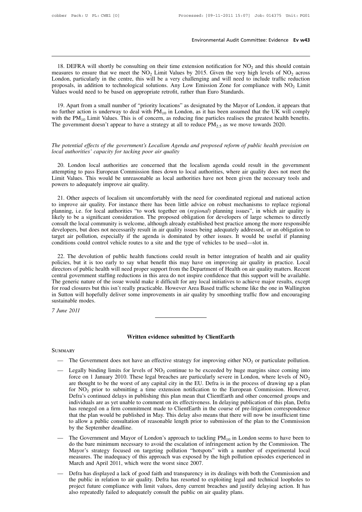Environmental Audit Committee: Evidence Ev w43<br>18. DEFRA will shortly be consulting on their time extension notification for NO<sub>2</sub> and this should contain<br>assures to ensure that we meet the NO<sub>2</sub> Limit Values by 2015. Give Environmental Audit Committee: Evidence Ev w43<br>
18. DEFRA will shortly be consulting on their time extension notification for NO<sub>2</sub> and this should contain<br>
measures to ensure that we meet the NO<sub>2</sub> Limit Values by 2015. 18. DEFRA will shortly be consulting on their time extension notification for  $NO_2$  and this should contain measures to ensure that we meet the  $NO_2$  Limit Values by 2015. Given the very high levels of  $NO_2$  across London 18. DEFRA will shortly be consulting on their time extension notification for NO<sub>2</sub> ameasures to ensure that we meet the NO<sub>2</sub> Limit Values by 2015. Given the very high London, particularly in the centre, this will be a v 18. DEFRA will shortly be consulting on their time extension notification for NO<sub>2</sub> and this should contain easures to ensure that we meet the NO<sub>2</sub> Limit Values by 2015. Given the very high levels of NO<sub>2</sub> across mdon, p

London, particularly in the centre, this will be a very challenging and will need to include traffic reduction<br>proposals, in addition to technological solutions. Any Low Emission Zone for compliance with NO<sub>2</sub> Limit<br>Value London, particularly in the centre, this will be a very challenging and will need to include traffic reduction<br>proposals, in addition to technological solutions. Any Low Emission Zone for compliance with  $NO_2$  Limit<br>Value proposals, in addition to technological solutions. Any Low Emission Zone for compliance with NO<sub>2</sub> I<br>Values would need to be based on appropriate retrofit, rather than Euro Standards.<br>19. Apart from a small number of "pri 19. Apart from a small number of "priority locations" as designated by the Mayor of London, it appears that no further action is underway to deal with PM<sub>10</sub> in London, as it has been assumed that the UK will comply with no further action is underway to deal with PM<sub>10</sub> in London, as<br>with the PM<sub>10</sub> Limit Values. This is of concern, as reducing fine<br>The government doesn't appear to have a strategy at all to reduce<br>The potential effects of

Equivalent doesn't appear to have a strategy at all to reduce  $PM_{2.5}$  as we move towards 2020.<br>
London local effects of the government's Localism Agenda and proposed reform of public health provision on<br>
cal authorities' The potential effects of the government's Localism Agenda and proposed reform of public health provision on local authorities' capacity for tacking poor air quality<br>20. London local authorities are concerned that the local The potential effects of the government's Localism Agenda and proposed reform of public health provision on local authorities' capacity for tacking poor air quality<br>20. London local authorities are concerned that the local The potential effects of the government's Local local authorities' capacity for tacking poor air 20. London local authorities are concerne attempting to pass European Commission fines Limit Values. This would be unreasonab 20. London local authorities are concerned that the localism agenda could result in the government<br>empting to pass European Commission fines down to local authorities, where air quality does not meet the<br>mit Values. This w 20. London local authorities are concerned that the localism agenda could result in the government<br>attempting to pass European Commission fines down to local authorities, where air quality does not meet the<br>Limit Values. T

attempting to pass European Commission fines down to local authorities, where air quality does not meet the Limit Values. This would be unreasonable as local authorities have not been given the necessary tools and powers t Limit Values. This would be unreasonable as local authorities have not been given the necessary tools and<br>powers to adequately improve air quality.<br>21. Other aspects of localism sit uncomfortably with the need for coordina powers to adequately improve air quality.<br>
21. Other aspects of localism sit uncomfortably with the need for coordinated regional and national action<br>
to improve air quality. For instance there has been little advice on ro 21. Other aspects of localism sit uncomfortably with the need for coordinated regional and national action<br>to improve air quality. For instance there has been little advice on robust mechanisms to replace regional<br>planning 21. Other aspects of localism sit uncomfortably with the need for coordinated regional and national action<br>to improve air quality. For instance there has been little advice on robust mechanisms to replace regional<br>planning to improve air quality. For instance there has been little advice on robust mechanisms to repla<br>planning, i.e. for local authorities "to work together on *(regional)* planning issues", in which a<br>likely to be a significant ely to be a significant consideration. The proposed obligation for developers of large schemes to directly nsult the local community is welcome, although already established best practice among the more responsible veloper consult the local community is welcome, although already established best practice among the more responsible developers, but does not necessarily result in air quality issues being adequately addressed, or an obligation t

developers, but does not necessarily result in air quality issues being adequately addressed, or an obligation to target air pollution, especially if the agenda is dominated by other issues. It would be useful if planning target air pollution, especially if the agenda is dominated by other issues. It would be useful if planning<br>conditions could control vehicle routes to a site and the type of vehicles to be used—slot in.<br>22. The devolution conditions could control vehicle routes to a site and the type of vehicles to be used—slot in.<br>22. The devolution of public health functions could result in better integration of health and air quality<br>policies, but it is 22. The devolution of public health functions could result in better integration of health and air quality policies, but it is too early to say what benefit this may have on improving air quality in practice. Local directo 22. The devolution of public health functions could result in better integration of health and air quality policies, but it is too early to say what benefit this may have on improving air quality in practice. Local directo policies, but it is too e<br>directors of public health<br>central government staff<br>The generic nature of the<br>for road closures but this<br>in Sutton will hopefully<br>sustainable modes.<br>7 June 2011 central government staffing reductions in this area do not inspire confidence that this support will be available.<br>The generic nature of the issue would make it difficult for any local initiatives to achieve major results, Written evidence submitted by ClientEarth

**SUMMARY** 

- 
- Written evidence submitted by ClientEarth<br>
 The Government does not have an effective strategy for improving either NO<sub>2</sub> or particulate pollution.<br>
 Legally binding limits for levels of NO<sub>2</sub> continue to be exceeded by Written evidence submitted by ClientEarth<br>
— The Government does not have an effective strategy for improving either  $NO_2$  or particulate pollution.<br>
— Legally binding limits for levels of  $NO_2$  continue to be exceeded by **EXECUTE:**<br>The Government does not have an effective strategy for improving either NO<sub>2</sub> or particulate pollution.<br>Legally binding limits for levels of NO<sub>2</sub> continue to be exceeded by huge margins since coming into<br>force RY<br>The Government does not have an effective strategy for improving either  $NO_2$  or particulate pollution.<br>Legally binding limits for levels of  $NO_2$  continue to be exceeded by huge margins since coming into<br>force on 1 Ja The Government does not have an effective strategy for improving either  $NO_2$  or particulate pollution.<br>Legally binding limits for levels of  $NO_2$  continue to be exceeded by huge margins since coming into<br>force on 1 Janua The Government does not nave an enective strategy for improving either  $NO_2$  or particulate portution.<br>Legally binding limits for levels of  $NO_2$  continue to be exceeded by huge margins since coming into<br>force on 1 Janu Legally binding limits for levels of  $NO_2$  continue to be exceeded by huge margins since coming into force on 1 January 2010. These legal breaches are particularly severe in London, where levels of  $NO_2$  are thought to be force on 1 January 2010. These legal breaches are particularly severe in London, where levels of  $NO<sub>2</sub>$  are thought to be the worst of any capital city in the EU. Defra is in the process of drawing up a plan for  $NO$ are thought to be the worst of any capital city in the EU. Defra is in the process of drawing up a plan<br>for NO<sub>2</sub> prior to submitting a time extension notification to the European Commission. However,<br>Defra's continued del for  $NO_2$  prior to submitting a<br>Defra's continued delays in publi<br>individuals are as yet unable to co<br>has reneged on a firm commitme<br>that the plan would be published<br>to allow a public consultation of<br>by the September dead Definal scolumed delays in publishing this plain linear that Cheffer and and other concerned groups and<br>individuals are as yet unable to comment on its effectiveness. In delaying publication of this plan, Defra<br>has renege maryiduals are as yet unable to comment on its enectiveness. In detaying publication of this plan, Deria<br>has reneged on a firm commitment made to ClientEarth in the course of pre-litigation correspondence<br>that the plan wo
- mas reneged on a firm communient made to Chemical in the couse of pre-ingation correspondence<br>that the plan would be published in May. This delay also means that there will now be insufficient time<br>to allow a public consul mat the plan would be published in May. This delay also means that there win how be insulficient this<br>to allow a public consultation of reasonable length prior to submission of the plan to the Commission<br>by the September to allow a public consultation of reasonable length prior to submission of the plan to the Commission<br>by the September deadline.<br>The Government and Mayor of London's approach to tackling  $PM_{10}$  in London seems to have be — The Government and Mayor of London's approach to tackling  $PM_{10}$  in London seems to have been to<br>do the bare minimum necessary to avoid the escalation of infringement action by the Commission. The<br>Mayor's strategy focu The Government and Mayor of London's approach to tacking  $FM_{10}$  in London seems to flave been to<br>do the bare minimum necessary to avoid the escalation of infringement action by the Commission. The<br>Mayor's strategy focused
- do the bare minimum necessary to avoid the escalation of infiringement action by the Commission. The Mayor's strategy focused on targeting pollution "hotspots" with a number of experimental local measures. The inadequacy o measures. The inadequacy of this approach was exposed by the high pollution episodes experienced in March and April 2011, which were the worst since 2007.<br>Defra has displayed a lack of good faith and transparency in its de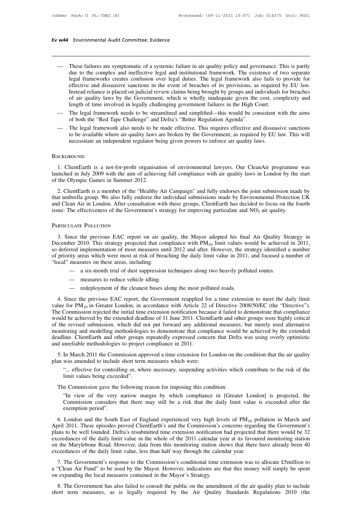# **Ev w44** Environmental Audit Committee: Evidence

- WAA Environmental Audit Committee: Evidence<br>
 These failures are symptomatic of a systemic failure in air quality policy and governance. This is partly<br>
due to the complex and ineffective legal and institutional framework Environmental Audit Committee: Evidence<br>These failures are symptomatic of a systemic failure in air quality policy and governance. This is partly<br>due to the complex and ineffective legal and institutional framework. The ex Intertamental Audit Committee: Evidence<br>
These failures are symptomatic of a systemic failure in air quality policy and governance. This is partly<br>
due to the complex and ineffective legal and institutional framework. The These failures are symptomatic of a systemic failure in air quality policy and governance. This is partly due to the complex and ineffective legal and institutional framework. The existence of two separate legal frameworks These failures are symptomatic of a systemic failure in air quality policy and governance. This is partly due to the complex and ineffective legal and institutional framework. The existence of two separate legal frameworks These failures are symptomatic of a systemic failure in air quality policy and governance. This is partly due to the complex and ineffective legal and institutional framework. The existence of two separate legal frameworks These failures are symptomatic of a systemic failure in air quality policy and governance. T<br>due to the complex and ineffective legal and institutional framework. The existence of t<br>legal frameworks creates confusion over due to the complex and ineffective legal and institutional framework. The existence of two separate<br>legal frameworks creates confusion over legal duties. The legal framework also fails to provide for<br>effective and dissuasi legal frameworks creates confusion over legal duties. The legal framework also effective and dissuasive sanctions in the event of breaches of its provisions, as Instead reliance is placed on judicial review claims being br methed also also alternations in the event of breaches of its provisions, as required by Eo haw.<br>Instead reliance is placed on judicial review claims being brought by groups and individuals for breaches<br>of air quality laws
- 
- Instead chance is placted on judicial review claims being brought by groups and individuals for orderies of air quality laws by the Government, which is wholly inadequate given the cost, complexity and length of time invol length of time involved in legally challenging government failures in the High Court.<br>
— The legal framework needs to be streamlined and simplified—this would be consistent with the aims<br>
of both the "Red Tape Challenge" a

### **BACKGROUND**

The legal framework also needs to be made effective. This requires effective and dissuasive sanctions<br>to be available where air quality laws are broken by the Government, as required by EU law. This will<br>necessitate an ind In a state an independent regulator being given powers to enforce air quality laws.<br>
BACKGROUND<br>
1. ClientEarth is a not-for-profit organisation of environmental lawyers. Our CleanAir programme was<br>
launched in July 2009 w necessitate an independent regulator be<br>
BACKGROUND<br>
1. ClientEarth is a not-for-profit organisat<br>
launched in July 2009 with the aim of achievi<br>
of the Olympic Games in Summer 2012.<br>
2. ClientEarth is a member of the "Hea 1. ClientEarth is a not-for-profit organisation of environmental lawyers. Our CleanAir programme was<br>unched in July 2009 with the aim of achieving full compliance with air quality laws in London by the start<br>the Olympic Ga

BACKGROUND<br>
1. ClientEarth is a not-for-profit organisation of environmental lawyers. Our CleanAir programme was<br>
launched in July 2009 with the aim of achieving full compliance with air quality laws in London by the star 1. ClientEarth is a not-for-profit organisation of environmental lawyers. Our CleanAir programme was launched in July 2009 with the aim of achieving full compliance with air quality laws in London by the start of the Olym Fractional Islam and Hot-To-profit organisation of chynomical Tawyers. Our CleanAll programme launched in July 2009 with the aim of achieving full compliance with air quality laws in London by the of the Olympic Games in 2011. In the previous EAC report on air quality, the Mayor adopted his final Air Quality Strategy in S. Since the previous EAC report on air quality, the Mayor adopted his final Air Quality Strategy in S. Since the previo

### PARTICULATE POLLUTION

and Clean Air in London. After consultation with these groups, ClientEarth has decided to focus on the fourth<br>
issue: The effectiveness of the Government's strategy for improving particulate and  $NO_2$  air quality.<br>
PARTIC issue: The effectiveness of the Government's strategy for improving particulate and  $NO_2$  air quality.<br>
PARTICULATE POLLUTION<br>
3. Since the previous EAC report on air quality, the Mayor adopted his final Air Quality Strat PARTICULATE POLLUTION<br>
3. Since the previous EAC report on air quality, the Mayor adopted his final Air Quality Strategy in<br>
December 2010. This strategy projected that compliance with  $PM_{10}$  limit values would be achiev PARTICULATE POLLUTION<br>
3. Since the previous EAC report on air qu<br>
December 2010. This strategy projected that con<br>
so deferred implementation of most measures un<br>
of priority areas which were most at risk of breat<br>
"local nce the previous EAC report on air quality, the Mayor adopted his final Air Quality Stever 2010. This strategy projected that compliance with  $PM_{10}$  limit values would be achieved implementation of most measures until 20 meant and previous Eric Teport of an quality<br>over 2010. This strategy projected that complementation of most measures until<br>ity areas which were most at risk of breachi<br>measures on these areas, including:<br>— a six-month tri red implementation of most measures until 2012 and after. However, the stity areas which were most at risk of breaching the daily limit value in 2011 measures on these areas, including:<br>
— a six-month trial of dust suppres

- 
- 
- 

 $\text{Area}^2$  measures on these areas, including:<br>  $-$  a six-month trial of dust suppression techniques along two heavily polluted routes.<br>  $-$  measures to reduce vehicle idling.<br>  $-$  redeployment of the cleanest buses along value for PM<sub>10</sub> in Greater London, in accordance with Article 22 of Directive 2008/50/EC (the "Directive").<br>The Commission rejected the initial time extension to meet the daily limit value for PM<sub>10</sub> in Greater London, i - a six-month trial of dust suppression techniques along two neavily polluted routes.<br>
- measures to reduce vehicle idling.<br>
- redeployment of the cleanest buses along the most polluted roads.<br>
4. Since the previous EAC r — measures to reduce vehicle idling.<br>
— redeployment of the cleanest buses along the most polluted roads.<br>
4. Since the previous EAC report, the Government reapplied for a time extension to meet the daily limit<br>
value for — redeployment of the cleanest buses along the most polluted roads.<br>4. Since the previous EAC report, the Government reapplied for a time extension to meet the daily limit<br>value for  $PM_{10}$  in Greater London, in accordanc <sup>1</sup> 4. Since the previous EAC report, the Government reapplied for a time extension to meet the daily limit value for PM<sub>10</sub> in Greater London, in accordance with Article 22 of Directive 2008/50/EC (the "Directive"). The 4. Since the previous EAC report, the Government reapplied for a time extension to meet the daily limit value for  $PM_{10}$  in Greater London, in accordance with Article 22 of Directive 2008/50/EC (the "Directive"). The Com value for  $PM_{10}$  in Greater London, in accordance with Article 22<br>The Commission rejected the initial time extension notification bec<br>would be achieved by the extended deadline of 11 June 2011. Client<br>of the revised subm show the extended dealine of 11 June 2011. ClientEarth and obter groups were highly critical the revised submission, which did not put forward any additional measures, but merely used alternative and modelling methodologie of the revised submission, which did not put forward any additional measures, but merely used alternative<br>monitoring and modelling methodologies to demonstrate that compliance would be achieved by the extended<br>deadline. Cl toring and modelling methodologies to demonstrate that compliance would be achieved by the extended<br>
line. ClientEarth and other groups repeatedly expressed concern that Defra was using overly optimistic<br>
unreliable method line. ClientEarth and other groups<br>nnreliable methodologies to project<br>In March 2011 the Commission app<br>was amended to include short term<br>"... effective for controlling or, whe<br>limit values being exceeded".<br>e Commission ga

5. In March 2011 the Commission approved a time extension for London on the<br>an was amended to include short term measures which were:<br>"... effective for controlling or, where necessary, suspending activities which<br>limit va

In March 2011 the Commission approved a time extension for London on the condition that the air quality was amended to include short term measures which were:<br>"... effective for controlling or, where necessary, suspending was amended to include short term measures which were:<br>
"... effective for controlling or, where necessary, suspending activities which contribute to the risk of the<br>
limit values being exceeded".<br>
"In view of the very nar ... effective for controllimit values being exceed<br>e Commission gave the<br>"In view of the very<br>Commission considers t<br>exemption period".<br>London and the South l The Commission gave the following reason for imposing this condition:<br>
"In view of the very narrow margin by which compliance in [Greater London] is projected, the<br>
Commission considers that there may still be a risk that

The Commission gave the following reason for imposing this condition:<br>
"In view of the very narrow margin by which compliance in [Greater London] is projected, the<br>
Commission considers that there may still be a risk that "In view of the very narrow margin by which compliance in [Greater London] is projected, the Commission considers that there may still be a risk that the daily limit value is exceeded after the exemption period".<br>6. Londo Example 1.1 The commission considers that there may still be a risk that the daily limit value is exceeded after the exemption period".<br>
6. London and the South East of England experienced very high levels of  $PM_{10}$  poll commission considers duat direct may start occurries and the darry mint value is executed after the exemption period".<br>
6. London and the South East of England experienced very high levels of  $PM_{10}$  pollution in March an exemption period".<br>
6. London and the South East of England experienced very high levels of  $PM_{10}$  pollution in March and<br>
April 2011. These episodes proved ClientEarth's and the Commission's concerns regarding the Gover 7. The Government's response to the Commission's concerns regarding the Government's and the Commission's concerns regarding the Government's mas to be well founded. Defra's resubmitted time extension notification had proj Figure 2011: These episodes provided chemical and a the commission is concerns regarding the covernment is plans to be well founded. Defra's resubmitted time extension notification had projected that there would be 32 exc

exceedances of the daily limit value, less than half way through the calendar year.<br>
7. The Government's response to the Commission's conditional time extension was to allocate £5million to<br>
a "Clean Air Fund" to be used b the Marylebone Road. However, data from this monitoring station shows that there have already been 40<br>ceedances of the daily limit value, less than half way through the calendar year.<br>7. The Government's response to the Co exceedances of the daily limit value, less than half way through the calendar year.<br>
7. The Government's response to the Commission's conditional time extension was to allocate £5million to<br>
a "Clean Air Fund" to be used b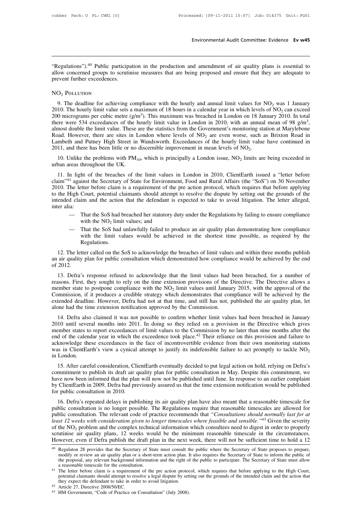Environmental Audit Committee: Evidence Ev w45<br>
"Regulations").<sup>40</sup> Public participation in the production and amendment of air quality plans is essential to<br>
allow concerned groups to scrutinise measures that are being pr Environmental Audit Committee: Evidence Ev w45<br>
"Regulations").<sup>40</sup> Public participation in the production and amendment of air quality plans is essential to<br>
allow concerned groups to scrutinise measures that are being pr "Regulations").<sup>40</sup> Public participa<br>allow concerned groups to scrutir<br>prevent further exceedences.<br>NO<sub>2</sub> POLLITION egulations").<sup>40</sup> Public participation in the production and amendment of air quality plans is essential to<br>ow concerned groups to scrutinise measures that are being proposed and ensure that they are adequate to<br>D<sub>2</sub> POLL

### NO<sub>2</sub> POLLUTION

2010. The hourly limit value sets a maximum of 18 hours in a calendar year in which levels of NO<sub>2</sub> was 1 January<br>2010. The deadline for achieving compliance with the hourly and annual limit values for NO<sub>2</sub> was 1 January 2010. The hourly limit value sets a maximum of 18 hours in a calendar year in which levels of  $NO<sub>2</sub>$  can exceed NO<sub>2</sub> Polen radiated exceedances.<br>
9. The deadline for achieving compliance with the hourly and annual limit values for NO<sub>2</sub> was 1 January<br>
2010. The hourly limit value sets a maximum of 18 hours in a calendar year in wh NO<sub>2</sub> Polaturion Solution Compliance with the hourly and annual limit values for NO<sub>2</sub> was 1 January 2010. The hourly limit value sets a maximum of 18 hours in a calendar year in which levels of NO<sub>2</sub> can exceed 200 micro 9. The deadline for achieving compliance with the hourly and annual limit values for NO<sub>2</sub> was 1 January 2010. The hourly limit value sets a maximum of 18 hours in a calendar year in which levels of NO<sub>2</sub> can exceed 200 m 9. The deadline for achieving compliance with the hourly and annual limit values for NO<sub>2</sub> was 1 January 2010. The hourly limit value sets a maximum of 18 hours in a calendar year in which levels of NO<sub>2</sub> can exceed 200 m 200 micrograms per cubic metre ( $g/m^3$ ). This maximum was breached in London on 18 January 2010. In total<br>there were 534 exceedances of the hourly limit value in London in 2010, with an annual mean of 98  $g/m^3$ ,<br>almost do o incrograms per cubic interestigant). This maximum was breached in Eondon on 16 Jan<br>ree were 534 exceedances of the hourly limit value in London in 2010, with an annual<br>most double the limit value. These are the statisti on 18 January 2010. In total<br>an annual mean of 98 g/m<sup>3</sup>,<br>toring station at Marylebone<br>e, such as Brixton Road in<br>mit value have continued in<br> $[O_2]$ .<br>limits are being exceeded in almost double the limit value. These a<br>almost double the limit value. These a<br>Road. However, there are sites in L<br>Lambeth and Putney High Street in<br>2011, and there has been little or no<br>10. Unlike the problems with  $PM_1$ <br>

band. However, there are sites in London where levels of  $NO_2$  are even worse, such as Brixton Road in mbeth and Putney High Street in Wandsworth. Exceedances of the hourly limit value have continued in 11, and there has Lambeth and Putney High Street in Wandsworth. Exceedances of the hourly limit value have continued in 2011, and there has been little or no discernible improvement in mean levels of  $NO_2$ .<br>10. Unlike the problems with  $PM_{$ 2011, and there has been little or no discernible improvement in mean levels of  $NO_2$ .<br>
10. Unlike the problems with  $PM_{10}$ , which is principally a London issue,  $NO_2$  limits are being exceeded in<br>
urban areas throughout 10. Unlike the problems with  $PM_{10}$ , which is principally a London issue,  $NO_2$  limits are being exceeded in urban areas throughout the UK.<br>11. In light of the breaches of the limit values in London in 2010, ClientEarth I. In light of the breaches of the limit values in London in 2010, ClientEarth issued a "letter before claim"<sup>41</sup> against the Secretary of State for Environment, Food and Rural Affairs (the "SoS") on 30 November 2010. The claim"<sup>41</sup> against the Secretary of State for Environment, Food and Rural Affairs (the "SoS") on 30 November 2010. The letter before claim is a requirement of the pre action protocol, which requires that before applying t In light of the breaches of the limit values in London in 2010, ClientEarth issued a "letter before  $1$  against the Secretary of State for Environment, Food and Rural Affairs (the "SoS") on 30 November The letter before c inst the Secretary of State for Environment<br>tert before claim is a requirement of the<br>Court, potential claimants should attempt<br>im and the action that the defendant is<br>That the SoS had breached her statutory du<br>with the N In the first period of the SoS had breached her statutory duty under the Regulations. The letter alleged, as:<br>
— That the SoS had breached her statutory duty under the Regulations by failing to ensure compliance with the N

- 
- Court, potential claimants should attempt to resolve the uspute by setting out the grounds of the<br>im and the action that the defendant is expected to take to avoid litigation. The letter alleged,<br>That the SoS had breached Regulations.

- That the SoS had breached her statutory duty under the Regulations by failing to ensure compliance<br>with the NO<sub>2</sub> limit values; and<br>That the SoS had unlawfully failed to produce an air quality plan demonstrating how com with the NO<sub>2</sub> limit values; and<br>
— That the SoS had unlawfully failed to produce an air quality plan demonstrating how compliance<br>
with the limit values would be achieved in the shortest time possible, as required by the - T<br>
w<br>
R<br>
12. The lett<br>
an air quality<br>
of 2012.<br>
13. Defra's with the limit values would be achieved in the shortest time possible, as required by the<br>Regulations.<br>12. The letter called on the SoS to acknowledge the breaches of limit values and within three months publish<br>air qualit

reasons.<br>
Figure 12. The letter called on the SoS to acknowledge the breaches of limit values and within three months publish<br>
an air quality plan for public consultation which demonstrated how compliance would be achieve 12. The letter called on the SoS to acknowledge the breac<br>an air quality plan for public consultation which demonstra<br>of 2012.<br>13. Defra's response refused to acknowledge that the l<br>reasons. First, they sought to rely on is breaches of limit values and within three months publish constrated how compliance would be achieved by the end<br>t the limit values had been breached, for a number of<br>sion provisions of the Directive. The Directive allow 12. The fetter caned of the sos to acknowledge the breaches of mint values and whilm three months publish<br>an air quality plan for public consultation which demonstrated how compliance would be achieved by the end<br>of 2012. an an quanty pian for public consultation which definiostrated flow compinance would be achieved by the end<br>of 2012.<br>13. Defra's response refused to acknowledge that the limit values had been breached, for a number of<br>rea 13. Defra's response refused to acknowledge that the limit values had reasons. First, they sought to rely on the time extension provisions of the I member state to postpone compliance with the  $NO_2$  limit values until Jan 15. Defra also response ferused to acknowledge that the finit values had been breached, for a number of sisons. First, they sought to rely on the time extension provisions of the Directive. The Directive allows a ember st Easons. First, they sought to fery on the time extension provisions of the Driective. The Driective anows a member state to postpone compliance with the  $NO_2$  limit values until January 2015, with the approval of the Comm

member state to pospone compilance with the NO<sub>2</sub> mint values than January 2015, while the approval of the Commission, if it produces a credible strategy which demonstrates that compliance will be achieved by the extended commission, it it produces a credible strategy winch demoistrates that compilance with be achieved by the extended deadline. However, Defra had not at that time, and still has not, published the air quality plan, let alon Externeed deadline. Trowever, Defia had not at that three, and still has not, published the ail quality plan, let<br>alone had the time extension notification approved by the Commission.<br>14. Defra also claimed it was not pos 14. Defra also claimed it was not possible to confirm whether limit values had been breached in January 2010 until several months into 2011. In doing so they relied on a provision in the Directive which gives member state 14. Defra also claimed it was not possible to confirm whether limit values had been breached in January 2010 until several months into 2011. In doing so they relied on a provision in the Directive which gives member state 16. The unit several months into 2011. In dollar so they felled on a provision in the Difective which gives<br>
2016 ember states to report exceedances of limit values to the Commission by no later than nine months after the<br> member states to report exceduates or mint values to the Commission by no later than line months after the<br>end of the calendar year in which the exceedence took place.<sup>42</sup> Their reliance on this provision and failure to<br>ac

end of the calendar year in which the exceedence took place. Their renance on this provision and rather to acknowledge these exceedances in the face of incontrovertible evidence from their own monitoring stations was in Cl by ClientEarth in 2009, Defra had previously assured us that the time extension notification would be published for public consultation in May. Despite this commitment to publish its draft air quality plan for public consu was in Chemician Svew a cylicar<br>in London.<br>15. After careful consideration, Cli<br>commitment to publish its draft air q<br>have now been informed that the plar<br>by ClientEarth in 2009, Defra had pre<br>for public consultation in 20 15. After careful consideration, ClientEarth eventually decided to put legal action on hold, relying on Defra's mmitment to publish its draft air quality plan for public consultation in May. Despite this commitment, we we 15. After careful consideration, Chemicaati eventually decided to put legar action on hold, felying on Defia's<br>commitment to publish its draft air quality plan for public consultation in May. Despite this commitment, we<br>ha

commitment to publish its draft air quality plan for public consultation in May. Despite this commitment, we have now been informed that the plan will now not be published until June. In response to an earlier complaint by *least 12 weeks with consideration given to longer timescales where feasible and sension position would be published for public consultation in 2010.*<br> **16.** Defra's repeated delays in publishing its air quality plan have of the NO<sub>2</sub> problem and the complex technical information which consultation in 2009, Defra's repeated delays in publishing its air quality plan have also meant that a reasonable timescale for public consultation is no l 16. Defra's repeated delays in publishing its air quality plan have also meant that a reasonable timescale for<br>public consultation is no longer possible. The Regulations require that reasonable timescales are allowed for<br> 16. Defra's repeated delays in publishing its air quality plan have also meant that a reasonable timescale for<br>public consultation is no longer possible. The Regulations require that reasonable timescales are allowed for<br> public consultation. The relevant code of practice recommends that Consultations should normally tast for all least 12 weeks with consideration given to longer timescales where feasible and sensible."<sup>43</sup> Given the severi of the NO<sub>2</sub> problem and the complex technical information which consultees need to digest in order to properly scrutinise air quality plans, 12 weeks would be the minimum reasonable timescale in the circumstances. Howeve

the NO<sub>2</sub> problem and the complex technical information which consultees need to digest in order to properly<br>utinise air quality plans, 12 weeks would be the minimum reasonable timescale in the circumstances.<br>wever, even scrutinise air quality plans, 12 weeks would be the minimum reasonable timescale in the circumstances.<br>
However, even if Defra publish the draft plan in the next week, there will not be sufficient time to hold a 12<br>
<sup>40</sup> R metric, even in Definite plains interestany of State must consult the public where the Secretary of State proposes to prepare, modify or review an air quality plan or a short-term action plan. It also requires the Secretar <sup>40</sup> Regulaton 28 provides that the Secretary of State must consult the modify or review an air quality plan or a short-term action plan. I the proposal, any relevant background information and the right of a reasonable t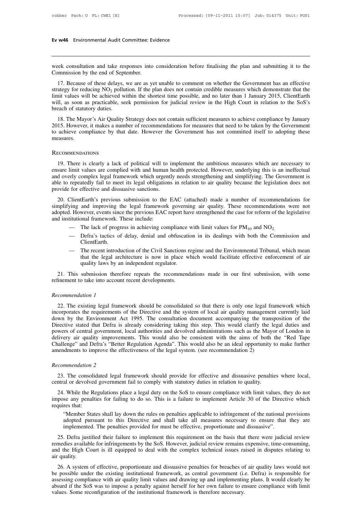# **Ev w46** Environmental Audit Committee: Evidence

Ev w46 Environmental Audit Committee: Evidence<br>
week consultation and take responses into consideration before finalising the plan and submitting it to the<br>
Commission by the end of September. Ev w46 Environmental Audit Committee: Ev<br>week consultation and take responses into<br>Commission by the end of September.<br>17. Because of these delays, we are as ye

17. Because of these delays, we are as yet unable to comment on whether the Government has an effective ategy for reducing NO<sub>2</sub> pollution. If the plan does not contain credible measures which demonstrate that the nit valu strategy for reducing NO<sub>2</sub> pollution. If the plan does not comment on whether the Government has an effective strategy for reducing NO<sub>2</sub> pollution. If the plan does not contain credible measures which demonstrate that th limit values week consultation and take responses into consideration before finalising the plan and submitting it to the Commission by the end of September.<br>
17. Because of these delays, we are as yet unable to comment on week consultation and take responses into consideration before finalising the plan and submitting it to the Commission by the end of September.<br>
17. Because of these delays, we are as yet unable to comment on whether the Fraction by the end of Sept<br>17. Because of these delays,<br>strategy for reducing  $NO_2$  pollu<br>limit values will be achieved w<br>will, as soon as practicable, se<br>breach of statutory duties.<br>18. The Mayor's Air Quality 17. Because of these delays, we are as yet unable to comment on whether the Government has an effective<br>ategy for reducing NO<sub>2</sub> pollution. If the plan does not contain credible measures which demonstrate that the<br>init va 17. Because of these delays, we are as yet different of whether the Government has an effective strategy for reducing  $NO_2$  pollution. If the plan does not contain credible measures which demonstrate that the limit values

strategy for reducing two<sub>2</sub> pointion. It the plan does not contain eledible measures which demonstrate that the limit values will be achieved within the shortest time possible, and no later than 1 January 2015, ClientEar 15. However, it makes a number of recommendations for measures that need to be taken by the Government achieve compliance by that date. However the Government has not committed itself to adopting these easures.<br>ECOMMENDATI

### **RECOMMENDATIONS**

EU and the compliance by that date. However the Government has not committed itself to adopting these<br>measures.<br>RECOMMENDATIONS<br>19. There is clearly a lack of political will to implement the ambitious measures which are ne RECOMMENDATIONS<br>
19. There is clearly a lack of political will to implement the ambitious measures which are necessary to<br>
ensure limit values are complied with and human health protected. However, underlying this is an in RECOMMENDATIONS<br>19. There is clearly a lack of political will to implement the ambitious measures which are necessary to<br>ensure limit values are complied with and human health protected. However, underlying this is an inef RECOMMENDATIONS<br>19. There is clearly a lack of political will to in<br>ensure limit values are complied with and human h<br>and overly complex legal framework which urgent!<br>able to repeatedly fail to meet its legal obligations<br>p 19. There is clearly a lack of political will to implement the ambitious measures which are necessary to sure limit values are complied with and human health protected. However, underlying this is an ineffectual d overly c For the legal framework which urgently needs the anomous measures which are necessary to ensure limit values are complied with and human health protected. However, underlying this is an ineffectual and overly complex legal

and overly complex legal framework which urgently needs strengthening and simplifying. The Government is able to repeatedly fail to meet its legal obligations in relation to air quality because the legislation does not pro able to repeatedly fail to meet its legal obligations in relation to air quality because the legislation does not<br>provide for effective and dissuasive sanctions.<br>20. ClientEarth's previous submission to the EAC (attached) for effective and dissuasive sanctions.<br>
ClientEarth's previous submission to the EAC (attached) made a number of recommendations for<br>
iving and improving the legal framework governing air quality. These recommendations w

- 
- ClientEarth.
- I. However, events since the previous EAC report have strengthened the case for reform of the legislative<br>titutional framework. These include:<br>— The lack of progress in achieving compliance with limit values for  $PM_{10}$  a The lack of progress in achieving compliance with limit values for  $PM_{10}$  and  $NO_2$ .<br>
Defra's tactics of delay, denial and obfuscation in its dealings with both the Commission and<br>
ClientEarth.<br>
The recent introduction o The lack of progress in achieving compliance v<br>Defra's tactics of delay, denial and obfuscatic<br>ClientEarth.<br>The recent introduction of the Civil Sanctions re<br>that the legal architecture is now in place w<br>quality laws by an — Defra's tactics of delay, denial and obfuscation in its dealings with both the Commission and<br>ClientEarth.<br>— The recent introduction of the Civil Sanctions regime and the Environmental Tribunal, which mean<br>that the legal ClientEarth.<br>
— The recent introduction of the Civil Sanctions in<br>
that the legal architecture is now in place w<br>
quality laws by an independent regulator.<br>
21. This submission therefore repeats the recommen-<br>
refinement t The recent introduction of the Civil Sanctions regime and the Environmental Tribunal, which mean<br>
that the legal architecture is now in place which would facilitate effective enforcement of air<br>
quality laws by an independ

21. This submission therefore repeats the recommendations made in our first submission, with some<br>inement to take into account recent developments.<br> *commendation 1*<br>
22. The existing legal framework should be consolidated down by the Environment Act 1995. The consultation document accompanying the transposition of the Directive stated that Defra is already considering taking this step. This would clarify the legal duties and refinement to take into account recent developments.<br>
Recommendation 1<br>
22. The existing legal framework should be consolidated so that there is only one legal framework which<br>
incorporates the requirements of the Directiv Recommendation 1<br>22. The existing legal framework should be consolidated so that there is only one legal framework which<br>incorporates the requirements of the Directive and the system of local air quality management current Recommendation 1<br>22. The existing legal framework should be consolidated so that there is only one legal framework which<br>incorporates the requirements of the Directive and the system of local air quality management current Recommentation 1<br>22. The existing legal framework should be consolidated so that there is only one legal framework which<br>incorporates the requirements of the Directive and the system of local air quality management current 22. The existing legal framework should be consolidated so that there is only one legal framework which incorporates the requirements of the Directive and the system of local air quality management currently laid down by t incorporates the requirements of the Directive and the system of local air quality managemedown by the Environment Act 1995. The consultation document accompanying the trans. Directive stated that Defra is already consider Directive stated that Defra is<br>powers of central government,<br>delivery air quality improver<br>Challenge" and Defra's "Bette<br>amendments to improve the et<br>*Recommendation* 2<br>23. The consolidated legal It is a state of the consistent with the aims of both the "Red Tape and Lenge" and Defra's "Better Regulation Agenda". This would also be an ideal opportunity to make further endments to improve the effectiveness of the le Challenge" and Defra's "Better Regulation Agenda". This would also be an ideal opportunity amendments to improve the effectiveness of the legal system. (see recommendation 2)<br>Recommendation 2<br>23. The consolidated legal fra

23. The consolidated legal framework should provide for effective and dissuasive penalties where local,<br>23. The consolidated legal framework should provide for effective and dissuasive penalties where local,<br>24. While the Recommendation 2<br>
23. The consolidated legal framework should provide for effective and dissuasive penalties where local,<br>
central or devolved government fail to comply with statutory duties in relation to quality.<br>
24. Wh Recommendation 2<br>23. The consolidated legal framework should provide for effective and dissuasive penalties where local,<br>central or devolved government fail to comply with statutory duties in relation to quality.<br>24. While The consolidated legal framework should provide for effective and dissuasive penalties where local, al or devolved government fail to comply with statutory duties in relation to quality.<br>
While the Regulations place a lega adopted pursuant to this Directive and shall take all measures necessary to ensure that they are inplement States shall lay down the rules on penalties applicable to infringement of the national provisions adopted pursuant

impose any penalties for failing to do so. This is a failure to implement Article 30 of the Directive which<br>requires that:<br>"Member States shall lay down the rules on penalties applicable to infringement of the national pro

pose any penalties for failing to do so. This is a failure to implement Article 30 of the Directive which<br>quires that:<br>"Member States shall lay down the rules on penalties applicable to infringement of the national provisi requires that:<br>
"Member States shall lay down the rules on penalties applicable to infringement of the national provisions<br>
adopted pursuant to this Directive and shall take all measures necessary to ensure that they are<br> "Member States shall lay down the rules on penalties applicable to infringement of the national provisions adopted pursuant to this Directive and shall take all measures necessary to ensure that they are implemented. The p Member 3<br>adopted pu<br>implemente<br>25. Defra just<br>remedies available and the High C<br>air quality.<br>26. A system implemented. The penalties provided for must be effective, proportionate and dissuasive".<br>
25. Defra justified their failure to implement this requirement on the basis that there were judicial review<br>
medies available for

25. Defra justified their failure to implement this requirement on the basis that there were judicial review<br>remedies available for infringements by the SoS. However, judicial review remains expensive, time-consuming,<br>and 25. Detta justined their failure to implement airs requirement of the basis that there were judicial review<br>remedies available for infringements by the SoS. However, judicial review remains expensive, time-consuming,<br>and t Functions available for immigeneins by the SoS. Howevel, judicial fevicw femalis expensive, time-consuming, and the High Court is ill equipped to deal with the complex technical issues raised in disputes relating to air qu and the High Court is ill equipped to deal with the complex technical issues raised in disputes relating to air quality.<br>
26. A system of effective, proportionate and dissuasive penalties for breaches of air quality laws w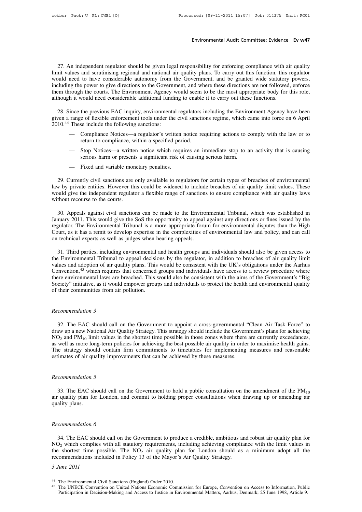Environmental Audit Committee: Evidence Ev w47<br>27. An independent regulator should be given legal responsibility for enforcing compliance with air quality<br>int values and scrutinising regional and national air quality plans Environmental Audit Committee: Evidence Ev w47<br>27. An independent regulator should be given legal responsibility for enforcing compliance with air quality<br>limit values and scrutinising regional and national air quality pla Environmental Audit Committee: Evidence Ev w47<br>
27. An independent regulator should be given legal responsibility for enforcing compliance with air quality<br>
limit values and scrutinising regional and national air quality p 27. An independent regulator should be given legal responsibility for enforcing compliance with air quality limit values and scrutinising regional and national air quality plans. To carry out this function, this regulator 27. An independent regulator should be given legal responsibility for enforcing compliance with air quality limit values and scrutinising regional and national air quality plans. To carry out this function, this regulator 27. An independent regulator should be given legal responsibility for enforcing compliance with a<br>limit values and scrutinising regional and national air quality plans. To carry out this function, this<br>would need to have c in the previous and scrutinising regional and national air quality plans. To carry out this function, this regulator<br>ould need to have considerable autonomy from the Government, and be granted wide statutory powers,<br>cludin would need to have considerable autonomy from the Government, and be granted wide statutory powers, including the power to give directions to the Government, and where these directions are not followed, enforce them throug including the power to give directions to the Government, and where these directions are not followed, enforce<br>them through the courts. The Environment Agency would seem to be the most appropriate body for this role,<br>altho

Fourtheet and the method is entire a regulator of the method in the set incident of the previous EAC inquiry, environmental regulators including the Environment Agency have been range of flexible enforcement tools under th 28. Since the previous EAC inquiry, environmental regulators including the Environment Agency have been<br>ven a range of flexible enforcement tools under the civil sanctions regime, which came into force on 6 April<br>10.<sup>44</sup> T ince the previous EAC inquiry, environmental regulators including the Environment Agency have been<br>
range of flexible enforcement tools under the civil sanctions regime, which came into force on 6 April<br>
These include the is e of flexible enforcement tools under the civil sanctions regime, which c<br>se include the following sanctions:<br>Compliance Notices—a regulator's written notice requiring actions to c<br>return to compliance, within a specifi

- Compliance Motices—a regulator's written in return to compliance, within a specified peri<br>— Stop Notices—a written notice which requinerious harm or presents a significant risk of<br>— Fixed and variable monetary penalties.
- 
- 

29. Currently civil sanctions are only available to regulators for certain types of breaches of environmental<br>29. Currently civil sanctions are only available to regulators for certain types of breaches of environmental<br>29 1930 – Stop Notices—a written notice which requires an immediate stop to an activity that is causing<br>1930 serious harm or presents a significant risk of causing serious harm.<br>1930 – Fixed and variable monetary penalties.<br>1 would give the independent regulator a flexible range of sanctions to ensure compliance with air quality laws<br>without recourse to the courts.<br>We are entirely civil sanctions are only available to regulators for certain typ — Fixed and variable monetary penalties.<br>
29. Currently civil sanctions are only available to regulators for certain types of breaches of environmental<br>
law by private entities. However this could be widened to include bre 29. Currently civil sanctions are only available to regulators for certain types of breaches of environmental<br>w by private entities. However this could be widened to include breaches of air quality limit values. These<br>suld

29. Currently civil sanctions are only available to regulators for certain types of breaches of environmental<br>law by private entities. However this could be widened to include breaches of air quality limit values. These<br>wo Iaw by private entities. However this could be widened to include breaches of air quality limit values. These<br>would give the independent regulator a flexible range of sanctions to ensure compliance with air quality laws<br>wi would give the independent regulator a flexible range of sanctions to ensure compliance with air quality laws<br>without recourse to the courts.<br>30. Appeals against civil sanctions can be made to the Environmental Tribunal, w January 2011. This would give the SoS the opportunity to appeal against any directions or fines issued by the regulator. The Environmental Tribunal is a more appropriate forum for environmental disputes than the High Court 30. Appeals against civil sanctions can be made to the Environmental Tribunal, which was established in<br>nuary 2011. This would give the SoS the opportunity to appeal against any directions or fines issued by the<br>gulator. T January 2011. This would give the SoS the opportunity to appeal against any directions or fines issued by the regulator. The Environmental Tribunal is a more appropriate forum for environmental disputes than the High Court

regulator. The Environmental Tribunal is a more appropriate forum for environmental disputes than the High<br>Court, as it has a remit to develop expertise in the complexities of environmental law and policy, and can call<br>on Court, as it has a remit to develop expertise in the complexities of environmental law and policy, and can call<br>on technical experts as well as judges when hearing appeals.<br>31. Third parties, including environmental and he on technical experts as well as judges when hearing appeals.<br>31. Third parties, including environmental and health groups and individuals should also be given access to<br>the Environmental Tribunal to appeal decisions by the 31. Third parties, including environmental and health groups and individuals should also be given access to the Environmental Tribunal to appeal decisions by the regulator, in addition to breaches of air quality limit val 31. Third parties, including environmental<br>the Environmental Tribunal to appeal decision<br>values and adoption of air quality plans. This<br>Convention,<sup>45</sup> which requires that concerned<br>there environmental laws are breached. T Convention,<sup>45</sup> which requires that concerned groups and individuals have access to a review procedure where there environmental laws are breached. This would also be consistent with the aims of the Government's "Big Socie

32. The EAC should call on the Government to appoint a cross-governmental "Clean Air Task Force" to<br>32. The EAC should call on the Government to appoint a cross-governmental "Clean Air Task Force" to<br>32. The EAC should ca deramination 3<br>decommendation 3<br>draw up a new National Air Quality Strategy. This strategy should include the Government's plans for achieving<br> $NO_2$  and  $PM_{10}$  limit values in the shortest time possible in those zones w Recommendation 3<br>32. The EAC should call on the Government to appoint a cross-governmental "Clean Air Task Force" to<br>draw up a new National Air Quality Strategy. This strategy should include the Government's plans for ach Recommendation 3<br>32. The EAC should call on the Government to appoint a cross-governmental "Clean Air Task Force" to<br>draw up a new National Air Quality Strategy. This strategy should include the Government's plans for ach Recommendation 3<br>32. The EAC should call on the Government to appoint a cross-governmental "Clean Air Task Force" to<br>draw up a new National Air Quality Strategy. This strategy should include the Government's plans for ach 32. The EAC should call on the Government to appoint a cross-governmental "draw up a new National Air Quality Strategy. This strategy should include the Govern NO<sub>2</sub> and  $PM_{10}$  limit values in the shortest time possible *Recommendation BM<sub>10</sub> limit values in* as well as more long-term poli<br>The strategy should contain estimates of air quality improv<br>*Recommendation 5*<br>33. The EAC should call of

The strategy should contain firm commitments to timetables for implementing measures and reasonable estimates of air quality improvements that can be achieved by these measures.<br> *Recommendation 5*<br>
33. The EAC should cal Recommendation 5<br>33. The EAC sh<br>air quality plan for<br>quality plans. 33. The EAC should call of air quality plan for London, a<br>quality plans.<br>*Recommendation 6*<br>34. The EAC should call on

34. The EAC should call on the Government to produce a credible, ambitious and robust air quality plan for<br>34. The EAC should call on the Government to produce a credible, ambitious and robust air quality plan for<br> $D_2$  w Recommendation 6<br>
34. The EAC should call on the Government to produce a credible, ambitious and robust air quality plan for<br>
NO<sub>2</sub> which complies with all statutory requirements, including achieving compliance with the li Recommendation 6<br>34. The EAC should call on the Government to produce a credible, ambitious and robust air quality plan for<br>NO<sub>2</sub> which complies with all statutory requirements, including achieving compliance with the lim Recommendation 6<br>34. The EAC should call on the Government to produce a credible, ambitious an<br>NO<sub>2</sub> which complies with all statutory requirements, including achieving complia<br>the shortest time possible. The NO<sub>2</sub> air qu *34.* The EAC should<br>*NO*<sub>2</sub> which complies we<br>the shortest time poss<br>recommendations inclu<br>*3 June 2011* 44 The Environmental Civil Sanctions (England) Order 2010.<br>
44 The Environmental Civil Sanctions (England) Order 2010.<br>
45 The UNECE Convention on United Nations Economic Commission for Europe, Convention on Access to Inf

The UNECE Convention on United Nations Economic Commission for Europe, Convention on Access to Information, Public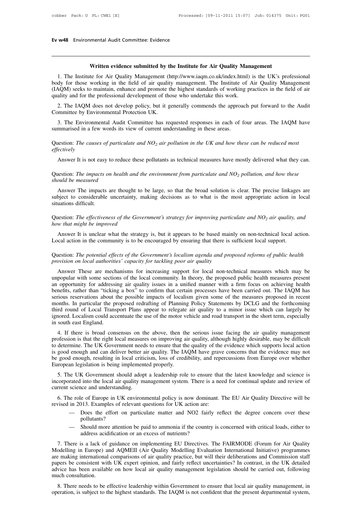# **Ev w48** Environmental Audit Committee: Evidence

**Ev w48** Environmental Audit Committee: Evidence<br> **Written evidence submitted by the Institute for Air Quality Management**<br>
1. The Institute for Air Quality Management (http://www.iaqm.co.uk/index.html) is the UK's profess 1. The Institute for Air Quality Management<br>
1. The Institute for Air Quality Management<br>
1. The Institute for Air Quality Management (http://www.iaqm.co.uk/index.html) is the UK's professional<br>
1. The Institute of Air Qua **body**<br> **body** for those working in the field of air quality management.<br>
The Institute for Air Quality Management (http://www.iaqm.co.uk/index.html) is the UK's professional<br>
body for those working in the field of air qua Written evidence submitted by the Institute for Air Quality Management<br>1. The Institute for Air Quality Management (http://www.iaqm.co.uk/index.html) is the UK's professional<br>body for those working in the field of air qual Written evidence submitted by the Institute for Air Quality Man<br>1. The Institute for Air Quality Management (http://www.iaqm.co.uk/index.html)<br>body for those working in the field of air quality management. The Institute of Written evidence submitted by the Institute for Air Quality Management<br>
1. The Institute for Air Quality Management (http://www.iaqm.co.uk/index.html) is the UK's professional<br>
dy for those working in the field of air qual 1. The Institute for Air Quality Management (body for those working in the field of air qualit (IAQM) seeks to maintain, enhance and promote t quality and for the professional development of the 2. The IAQM does not develo 3. The IAQM oses to maintain, enhance and promote the highest standards of working practices in the field of air quality and for the professional development of those who undertake this work.<br>
2. The IAQM does not develop

2. The IAQM does not develop policy, but it generally commends the approach put forward to the Audit<br>Committee by Environmental Protection UK.<br>3. The Environmental Audit Committee has requested responses in each of four ar

3. The Environmental Audit Committee has requested responses in each of four areas. The IAQM have 3. The Environmental Audit Committee has requested responses in each of four areas. The IAQM have<br>mmarised in a few words its view of current understanding in these areas.<br>lestion: *The causes of particulate and NO<sub>2</sub> air* 

# *effectively* Question: *The causes of particulate and*  $NO<sub>2</sub>$  *air pollution in the UK and how these can be reduced most effectively*<br>Answer It is not easy to reduce these pollutants as technical measures have mostly delivered w Question: *The causes of particulate and*  $NO_2$  *air pollution in the UK and how these can be reduced most effectively*<br>Answer It is not easy to reduce these pollutants as technical measures have mostly delivered what the

ectively<br>Answer It is not easy to reduce these pollutants as technical measures have mostly delivered what they can.<br>nestion: *The impacts on health and the environment from particulate and*  $NO_2$  *pollution, and how these* Answer It is not easy to reduce these pollutants as technical measures have mostly delivered what they can.<br>Question: *The impacts on health and the environment from particulate and*  $NO<sub>2</sub>$  *pollution, and how these* Situation: The impacts considerable<br>should be measured<br>Answer The impacts<br>subject to considerable<br>situations difficult.<br>Ouestion: The effectiven Should be measured<br>
Should be measured<br>
Answer The impacts are thought to be large, so that the broad solution is clear. The precise linkages are<br>
subject to considerable uncertainty, making decisions as to what is the mos *how the impacts are thought to*<br>
subject to considerable uncertainty, m<br>
situations difficult.<br>
Question: *The effectiveness of the Gove<br>
how that might be improved*<br>
Answer It is unclear what the strate bject to considerable uncertainty, making decisions as to what is the most appropriate action in local uations difficult.<br>
uestion: *The effectiveness of the Government's strategy for improving particulate and NO<sub>2</sub> air q* 

Situations difficult.<br>
Question: The effectiveness of the Government's strategy for improving particulate and  $NO_2$  air quality, and<br>
how that might be improved<br>
Answer It is unclear what the strategy is, but it appears t

# Question: *The effectiveness of the Government's strategy for improving particulate and*  $NO_2$  *air quality, and* how that might be improved<br>Answer It is unclear what the strategy is, but it appears to be based mainly on *provision in the community is to be encouraged by ensuring that there is sufficient local support.*<br>*Question: The potential effects of the Government's localism agenda and proposed reforms of public health provision on l*

Answer It is unclear what the strategy is, but it appears to be based mainly on non-technical local action.<br>
ccal action in the community is to be encouraged by ensuring that there is sufficient local support.<br>
lestion: *T* Local action in the community is to be encouraged by ensuring that there is sufficient local support.<br>Question: *The potential effects of the Government's localism agenda and proposed reforms of public health provision on* Question: *The potential effects of the Government's localism agenda and proposed reforms of public health provision on local authorities' capacity for tackling poor air quality<br>Answer These are mechanisms for increasing s* Question: *The potential effects of the Government's localism agenda and proposed reforms of public health provision on local authorities' capacity for tackling poor air quality<br>Answer These are mechanisms for increasing s* Question. The potential effects of the Government's tocalism agental and proposed reforms of public health<br>provision on local authorities' capacity for tackling poor air quality<br>Answer These are mechanisms for increasing s provision on tocal authorities capacity for tacking poor air quality<br>Answer These are mechanisms for increasing support for local non-technical measures which may be<br>unpopular with some sections of the local community. In Answer These are mechanisms for increasing support for local non-technical measures which may be unpopular with some sections of the local community. In theory, the proposed public health measures present an opportunity fo unpopular with some sections of the local community. In theory, the proposed public health measures present an opportunity for addressing air quality issues in a unified manner with a firm focus on achieving health benefit an opportunity for addressi<br>benefits, rather than "tickin<br>serious reservations about 1<br>months. In particular the pr<br>third round of Local Trans<br>ignored. Localism could acc<br>in south east England.<br>4. If there is broad con There is, rather than the serious about the possible impacts of localism given some of the measures proposed in recent<br>onths. In particular the proposed redrafting of Planning Policy Statements by DCLG and the forthcoming<br> be in the right local measures of inclusion in the right solution in the right months. In particular the proposed redrafting of Planning Policy Statements by DCLG and the forthcoming third round of Local Transport Plans ap

Thom and the proposed reducting of Framing Forcy Statements by DCLG and the forthcoming<br>third round of Local Transport Plans appear to relegate air quality to a minor issue which can largely be<br>ignored. Localism could acce ignored. Localism could accentuate the use of the motor vehicle and road transport in the short term, especially<br>in south east England.<br>4. If there is broad consensus on the above, then the serious issue facing the air qua be good enough, resulting in local criticism, loss of credibility, and repercussions from Europe over whether European legislation is being inplemented properly.<br>
The substitute of determine. The UK Government needs to ens to determine. The UK Government needs to ensure that the quality of the evidence which supports local action<br>is good enough and can deliver better air quality. The IAQM have grave concerns that the evidence may not<br>be good 4. It there is bload consensus of the above, then the serious issue racing the an quanty management of desirable at the right local measures on improving air quality, although highly desirable, may be difficult determine. incorporated into the local air quality. The LAQM have grave concerns that the evidence may not be good enough and can deliver better air quality. The IAQM have grave concerns that the evidence may not be good enough, resu to determine. The OK Government need<br>is good enough and can deliver better a<br>be good enough, resulting in local critic<br>European legislation is being implement<br>5. The UK Government should adop<br>incorporated into the local ai

good enough, resulting in local criticism, loss of credibility, and repercussions from Europe over whether<br>ropean legislation is being implemented properly.<br>5. The UK Government should adopt a leadership role to ensure tha European legislation is being implemented properly.<br>
5. The UK Government should adopt a leadership role to ensure that<br>
incorporated into the local air quality management system. There is a nee<br>
current science and unders e UK Government should adopt a leadership role to ensure that the latest knowledge and science is<br>
rated into the local air quality management system. There is a need for continual update and review of<br>
science and underst

science and understanding.<br>
he role of Europe in UK environmental policy is now dominant. The EU Air Quality Directive will be<br>
in 2013. Examples of relevant questions for UK action are:<br>
— Does the effort on particulate m 6. The role of Europe in UK environmental policy is now dominant. The EU Air Quality Directive will be revised in 2013. Examples of relevant questions for UK action are:<br>
— Does the effort on particulate matter and NO2 fai

- pollutants?
- 

Vised in 2013. Examples of relevant questions for UK action are:<br>
— Does the effort on particulate matter and NO2 fairly reflect the degree concern over these<br>
pollutants?<br>
— Should more attention be paid to ammonia if the — Does the effort on particulate matter and NO2 fairly reflect the degree concern over these<br>
pollutants?<br>
— Should more attention be paid to ammonia if the country is concerned with critical loads, either to<br>
address acid pollutants?<br>
- Should more attention be paid to ammonia if the country is concerned with critical loads, either to<br>
address acidification or an excess of nutrients?<br>
7. There is a lack of guidance on implementing EU Direct For Should more attention be paid to ammonia if the country is concerned with critical loads, either to address acidification or an excess of nutrients?<br>
7. There is a lack of guidance on implementing EU Directives. The FA and a variable on the set of number and the country is concerned with citied today, enter to address acidification or an excess of nutrients?<br>
7. There is a lack of guidance on implementing EU Directives. The FAIRMODE (For address acid<br>
7. There is a lack of<br>
Modelling in Europe) and<br>
are making international<br>
papers be consistent with<br>
advice has been availab<br>
much consultation.<br>
8. There needs to be F. There is a fack of guidance on implementing EO Difectives. The PAIRWODE (Forum for Afr Quality of codelling in Europe) and AQMEII (Air Quality Modelling Evaluation International Initiative) programmes e making internati operation, is subject to the highest standards. The IAQM is not confident that the present departmental system, appear is subject to the highest standards. The IAQM is not confident that the present departmental system, ap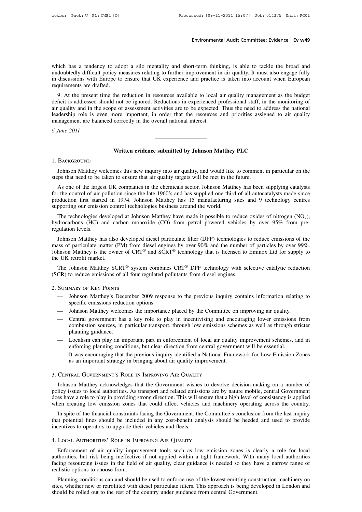Environmental Audit Committee: Evidence Ev w49<br>which has a tendency to adopt a silo mentality and short-term thinking, is able to tackle the broad and<br>undoubtedly difficult policy measures relating to further improvement i Environmental Audit Committee: Evidence Ev w49<br>which has a tendency to adopt a silo mentality and short-term thinking, is able to tackle the broad and<br>undoubtedly difficult policy measures relating to further improvement i Environmental Audit Committee: Evidence Evidence Evidence<br>
which has a tendency to adopt a silo mentality and short-term thinking, is able to tackle the broad and<br>
undoubtedly difficult policy measures relating to further which has a tendency to adopt a silo mentality and short-term thinking, is able to tackle the broad and undoubtedly difficult policy measures relating to further improvement in air quality. It must also engage fully in dis 9. At the present time the reduction in resources available to local air quality. It must also engage fully discussions with Europe to ensure that UK experience and practice is taken into account when European quirements a which has a tendency to adopt a silo mentality and short-term thinking, is able to tackle the broad and undoubtedly difficult policy measures relating to further improvement in air quality. It must also engage fully in dis

which has a tendency to adopt a sho memanty and short-term uninking, is able to tackie the broad and undoubtedly difficult policy measures relating to further improvement in air quality. It must also engage fully in discus in discussions with Europe to ensure that UK experience and practice is taken into account when European requirements are drafted.<br>
9. At the present time the reduction in resources available to local air quality managemen management are balanced correctly in the overall national interest.<br>
The same practice requirements are drafted.<br>
9. At the present time the reduction in resources available to local a<br>
deficit is addressed should not be i 9. At the present tin deficit is addressed show air quality and in the seleadership role is ever management are balance of *June 2011* **EXECUTE:** Thus the conduct of the conducts are to be expected. Thus the field to address the correctly in the overall national interest.<br> **Written evidence submitted by Johnson Matthey PLC** 

### 1. BACKGROUND

Vietne evidence submitted by Johnson Matthey PLC<br>BACKGROUND<br>Johnson Matthey welcomes this new inquiry into air quality, and would like to comment in particular on the<br>ps that need to be taken to ensure that air quality tar **Steps 1. BACKGROUND**<br>1. BACKGROUND<br>Johnson Matthey welcomes this new inquiry into air quality, and would like to comment<br>steps that need to be taken to ensure that air quality targets will be met in the future.<br>As one of

Written evidence submitted by Johnson Matthey PLC<br>Johnson Matthey welcomes this new inquiry into air quality, and would like to comment in particular on the<br>ps that need to be taken to ensure that air quality targets will For the control of air pollution since the late 1960's and has supplied one third of all autocatalysts for the control of air pollution since the late 1960's and has supplied one third of all autocatalysts made since produ 1. BACKGROUND<br>Johnson Matthey welcomes this new inquiry into air quality, and would like to comment in particular on the<br>steps that need to be taken to ensure that air quality targets will be met in the future.<br>As one of t Johnson Matthey welcomes this new inquiry into air quality, and would like to comment in particular on the steps that need to be taken to ensure that air quality targets will be met in the future.<br>As one of the largest UK ps that need to be taken to ensure that air quality targets will be met in the future.<br>As one of the largest UK companies in the chemicals sector, Johnson Matthey has been supplying catalysts<br>reduction of air pollution si As one of the largest UK companies in the chemicals sector, Johnson Matthey has been supplying catalysts<br>for the control of air pollution since the late 1960's and has supplied one third of all autocatalysts made since<br>pr As one of the rages<br>for the control of air p<br>production first starte<br>supporting our emission<br>The technologies de<br>hydrocarbons (HC) are<br>regulation levels.<br>Johnson Matthey ha

by duction first started in 1974. Johnson Matthey has 15 manufacturing sites and 9 technology centres<br>pporting our emission control technologies business around the world.<br>The technologies developed at Johnson Matthey hav supporting our emission control technologies business around the world.<br>
The technologies developed at Johnson Matthey have made it possible to reduce oxides of nitrogen (NO<sub>x</sub>),<br>
hydrocarbons (HC) and carbon monoxide (CO The technologies developed at Johnson Matthey have made it possible to reduce oxides of nitrogen  $(NO_x)$ ,<br>hydrocarbons  $(HC)$  and carbon monoxide  $(CO)$  from petrol powered vehicles by over 95% from pre-<br>regulation levels.<br>J The technologies develope<br>hydrocarbons (HC) and ca<br>regulation levels.<br>Johnson Matthey has also<br>mass of particulate matter (I<br>Johnson Matthey is the own<br>the UK retrofit market.<br>The Johnson Matthey SC gulation levels.<br>Johnson Matthey has also developed diesel particulate filter (DPF) technologies to reduce emissions of the<br>sss of particulate matter (PM) from diesel engines by over 90% and the number of particles by over Johnson Matthey has also developed diesel particulate filter (DPF) technologies t<br>mass of particulate matter (PM) from diesel engines by over 90% and the number<br>Johnson Matthey is the owner of CRT<sup>®</sup> and SCRT<sup>®</sup> technolog

EVE retrofit market.<br>
The Johnson Matthey SCRT<sup>®</sup> system combines CRT<sup>®</sup> DPF technology with selective catalytic reduction<br>
CR) to reduce emissions of all four regulated pollutants from diesel engines.<br>
SUMMARY OF KEY POIN Johnson Matthey SCRT<sup>®</sup> system combine<br>to reduce emissions of all four regulated p<br>MARY OF KEY POINTS<br>Johnson Matthey's December 2009 respo<br>specific emissions reduction options.<br>Johnson Matthey welcomes the importance

2. Summary of Key Points

- EXECT COMMARY OF KEY POINTS<br>
CR) to reduce emissions of all four regulated pollutants from diesel engines.<br>
SUMMARY OF KEY POINTS<br>
 Johnson Matthey's December 2009 response to the previous inquiry contains information rel
- 
- SUMMARY OF KEY POINTS<br>
 Johnson Matthey's December 2009 response to the previous inquiry contains information relating to<br>
specific emissions reduction options.<br>
 Johnson Matthey welcomes the importance placed by the Com MARY OF KEY POINTS<br>Johnson Matthey's December 2009 response to the previous inquiry contains information relating to<br>specific emissions reduction options.<br>Johnson Matthey welcomes the importance placed by the Committee on specific emissions reduction options.<br>
— Johnson Matthey welcomes the importance placed by the Committee on improving air quality.<br>
— Central government has a key role to play in incentivising and encouraging lower emissio specific emissions reduction options.<br>
— Johnson Matthey welcomes the importance placed by the Committee on improving air quality.<br>
— Central government has a key role to play in incentivising and encouraging lower emissio Form International Principle.<br>
Johnson Matthey welcomes the importance placed by the Committee on improving air quality.<br>
Central government has a key role to play in incentivising and encouraging lower emissions<br>
combusti — Central government has a key role to play in incentivising and encouraging lower emissions from combustion sources, in particular transport, through low emissions schemes as well as through stricter planning guidance.<br>— Centrat government has a key fole to play in incentryising and encour<br>combustion sources, in particular transport, through low emissions scher<br>planning guidance.<br>Localism can play an important part in enforcement of local
- 
- 

### 3. Central Government's Role in Improving Air Quality

enforcing planning conditions, but clear direction from central government will be essential.<br>
— It was encouraging that the previous inquiry identified a National Framework for Low Emission Zones<br>
as an important strategy Figures 1 and Framework for Low Emission Zones<br>
as an important strategy in bringing about air quality improvement.<br>
3. CENTRAL GOVERNMENT'S ROLE IN IMPROVING AIR QUALITY<br>
Johnson Matthey acknowledges that the Government w does have a role to play in bringing strong direction. The Covenance of the Covenance and the SOC and the Covenance of the Covenance of policy issues to local authorities. As transport and related emissions are by nature m as an important strategy in oringing about an quality improvement.<br>3. CENTRAL GOVERNMENT'S ROLE IN IMPROVING AIR QUALITY<br>Johnson Matthey acknowledges that the Government wishes to devolve decision-making on a number of<br>pol CENTRAL GOVERNMENT'S ROLE IN IMPROVING AIR QUALITY<br>Johnson Matthey acknowledges that the Government wishes to devolve decision-making on a number of<br>licy issues to local authorities. As transport and related emissions are Johnson Matthey acknowledges that the Government wishes to devolve decision-making on a number of policy issues to local authorities. As transport and related emissions are by nature mobile, central Government does have a Franklink That the Covernment wishes<br>policy issues to local authorities. As transport and related emissi<br>does have a role to play in providing strong direction. This will er<br>when creating low emission zones that could affe

### 4. Local Authorities' Role in Improving Air Quality

In spite of the financial constraints facing the Government, the Committee's conclusion from the last inquiry<br>at potential fines should be included in any cost-benefit analysis should be heeded and used to provide<br>entives authorities, but risk being ineffective if not applied within a tight framework. With many local authorities, but risk being ineffective if not applied within a tight framework. With many local authorities, but risk being facing resourcing resourcing resourcing issues in the field of air quality, clear guidance is needed so they are for local authorities, but risk being ineffective if not applied within a tight framework. With many local au 4. LOCAL AUTHORITIES' ROLE IN IME<br>
Enforcement of air quality impro<br>
authorities, but risk being ineffective<br>
facing resourcing issues in the field of<br>
realistic options to choose from.<br>
Planning conditions can and should LOCAL AUTHORITIES' ROLE IN IMPROVING AIR QUALITY<br>Enforcement of air quality improvement tools such as low emission zones is clearly a role for local<br>thorities, but risk being ineffective if not applied within a tight frame Enforcement of air quality improvement tools such as low emission zones is clearly a role for local authorities, but risk being ineffective if not applied within a tight framework. With many local authorities facing resour Enforcement of an quanty improvement tools such as fow emission zones is clear<br>authorities, but risk being ineffective if not applied within a tight framework. With r<br>facing resourcing issues in the field of air quality, c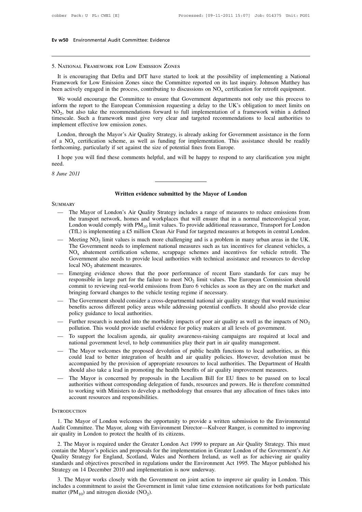# **Ev w50** Environmental Audit Committee: Evidence

### 5. National Framework for Low Emission Zones

**INATIONAL FRAMEWORK FOR LOW EMISSION ZONES**<br>
It is encouraging that Defra and DfT have started to look at the possibility of implementing a National<br>
amework for Low Emission Zones since the Committee reported on its las FRAMEWORK FOR LOW EMISSION ZONES<br>
It is encouraging that Defra and DfT have started to look at the possibility of implementing a National<br>
Framework for Low Emission Zones since the Committee reported on its last inquiry. 5. NATIONAL FRAMEWORK FOR LOW EMISSION ZONES<br>It is encouraging that Defra and DfT have started to look at the possibility of implementing a National<br>Framework for Low Emission Zones since the Committee reported on its las

NATIONAL FRAMEWORK FOR LOW EMISSION ZONES<br>It is encouraging that Defra and DfT have started to look at the possibility of implementing a National<br>amework for Low Emission Zones since the Committee reported on its last inq 5. NATIONAL FRAMEWORK FOR LOW EMISSION ZONES<br>It is encouraging that Defra and DfT have started to look at the possibility of implementing a National<br>Framework for Low Emission Zones since the Committee reported on its las  $NO<sub>2</sub>$ , but a is encouraging that Defra and DfT have started to look at the possibility of implementing a National<br>nework for Low Emission Zones since the Committee reported on its last inquiry. Johnson Matthey has<br>actively engaged in It is encouraging that Deria and D11 have statied to look at the possibility of implementing a National Framework for Low Emission Zones since the Committee reported on its last inquiry. Johnson Matthey has been actively Framework for Low Emission Zones since the<br>been actively engaged in the process, contribu<br>We would encourage the Committee to ens<br>inform the report to the European Commissio<br>NO<sub>2</sub>, but also take the recommendations for<br>tim We would encourage the Committee to ensure that Government departments not only use this process to<br>form the report to the European Commission requesting a delay to the UK's obligation to meet limits on<br> $Q_2$ , but also ta We would elicolarge the Committee to ensure that Government departments flot only use this process to inform the report to the European Commission requesting a delay to the UK's obligation to meet limits on NO<sub>2</sub>, but als forthcoming, particularly if set against the size of potential fines from European Communisation requesting a delay to the OK s of NO<sub>2</sub>, but also take the recommendations forward to full implementation of a framework mus

mescale. Such a framework must give very clear and targeted recommendations to local authorities to<br>plement effective low emission zones.<br>London, through the Mayor's Air Quality Strategy, is already asking for Government London, through the Mayor's Air Quality Strategy, is already asking for Government assistance in the form of a  $NO_x$  certification scheme, as well as funding for implementation. This assistance should be readily forthcomin

need. **EXECUTE:** See comments helpful, and will be happy to respond to any clarificate that the Mayor of London and Written evidence submitted by the Mayor of London

### **SUMMARY**

- **EXECUTE:**<br> **EXECUTE:**<br> **EXECUTE:**<br>
The Mayor of London's Air Quality Strategy includes a range of measures to reduce emissions from<br>
the transport network, homes and workplaces that will ensure that in a normal meteorolo **EXECUTE:**<br>The Mayor of London's Air Quality Strategy includes a range of measures to reduce emissions from<br>the transport network, homes and workplaces that will ensure that in a normal meteorological year,<br>London would co Written evidence submitted by the Mayor of London<br>
The Mayor of London's Air Quality Strategy includes a range of measures to reduce emissions from<br>
the transport network, homes and workplaces that will ensure that in a no **Solution Written evidence submitted by the Mayor of London**<br>
The Mayor of London's Air Quality Strategy includes a range of measures to reduce emissions from<br>
the transport network, homes and workplaces that will ensur — The Mayor of London's Air Quality Strategy includes a range of measures to reduce emissions from<br>the transport network, homes and workplaces that will ensure that in a normal meteorological year,<br>London would comply wit London's Air Quality Strategy includes a range of measures to reduce emissions from network, homes and workplaces that will ensure that in a normal meteorological year, leaply with  $PM_{10}$  limit values. To provide additio The Mayor of London's Air Quality Strategy includes a range of measures to reduce emissions from<br>the transport network, homes and workplaces that will ensure that in a normal meteorological year,<br>London would comply with
- The Mayor of London's Air Quality Strategy includes a range of measures to reduce emissions from<br>the transport network, homes and workplaces that will ensure that in a normal meteorological year,<br>London would comply with the transport network, homes and workplaces that will ensure that in a normal meteorological year,<br>London would comply with PM<sub>10</sub> limit values. To provide additional reassurance, Transport for London<br>(TfL) is implementin Government also needs to provide local authorities with technical assistance and resources to develop<br>local  $NO_2$  abatement measures.<br>Emerging evidence shows that the poor performance of recent Euro standards for cars may The merging and the poor performance of recent Euro standards for cars may be entrained to implement national measures such as tax incentives for cleanest vehicles, a  $NO_x$  abatement certification scheme, scrappage schemes Meeting NO<sub>2</sub> limit values is much more challenging and is a<br>The Government needs to implement national measures such<br>NO<sub>x</sub> abatement certification scheme, scrappage schemes<br>Government also needs to provide local authorit nd is a problem in many urban areas in the UK.<br>Es such as tax incentives for cleanest vehicles, a<br>emes and incentives for vehicle retrofit. The<br>th technical assistance and resources to develop<br>ce of recent Euro standards f The Government needs to implement national measures such as tax incentives for cleanest vehicles, a<br>NO<sub>x</sub> abatement certification scheme, scrappage schemes and incentives for vehicle retrofit. The<br>Government also needs to
- $NO_x$  abatement certification scheme, scrappage schemes and incentive<br>Government also needs to provide local authorities with technical assista<br>local  $NO_2$  abatement measures.<br>Emerging evidence shows that the poor performa becal NO<sub>2</sub> abadement measures.<br>Emerging evidence shows that the poor performance of recent Euro standards for cars may be<br>responsible in large part for the failure to meet  $NO_2$  limit values. The European Commission shou Emerging evidence shows that the poor<br>responsible in large part for the failure t<br>commit to reviewing real-world emission<br>bringing forward changes to the vehicle t<br>The Government should consider a cross-<br>benefits across di
- bringing forward changes to the vehicle testing regime if necessary.<br>The Government should consider a cross-departmental national air quality strategy that would maximise<br>benefits across different policy areas while addres Esponsible in tage part for the rature to meet NO<sub>2</sub> immt values. The European Commission should<br>
commit to reviewing real-world emissions from Euro 6 vehicles as soon as they are on the market and<br>
bringing forward chang — The Government should consider a cross-departmental national air quality strategy that would maximise<br>benefits across different policy areas while addressing potential conflicts. It should also provide clear<br>policy guid The Government should consider a cross-departmental national an quality strategy that would his<br>benefits across different policy areas while addressing potential conflicts. It should also provid<br>policy guidance to local au
- 
- 
- policy guidance to local authorities.<br>
 Further research is needed into the morbidity impacts of poor air quality as well as the impacts of NO<sub>2</sub><br>
pollution. This would provide useful evidence for policy makers at all le Further research is needed into the morbidity impacts of poor air quality as well as the impacts of  $NO_2$ <br>pollution. This would provide useful evidence for policy makers at all levels of government.<br>To support the localis Further research is needed mo the motology impacts of poor an quality as wen as the mipacts of NO<sub>2</sub><br>pollution. This would provide useful evidence for policy makers at all levels of government.<br>To support the localism agen For support the localism agenda, air quality awareness-raising campaigns are required at local national government level, to help communities play their part in air quality management.<br>The Mayor welcomes the proposed devol — To support the localism agenda, air quality awareness-raising campaigns are required at local and<br>national government level, to help communities play their part in air quality management.<br>— The Mayor welcomes the propose authorities without corresponding delegation of public health functions to local authorities, as this could lead to better integration of health and air quality policies. However, devolution must be accompanied by the prov The Mayor welcomes the proposed devolution of public health functions to local authorities, as this could lead to better integration of health and air quality policies. However, devolution must be accompanied by the provis
- could lead to better integration of health<br>accompanied by the provision of appropriat<br>should also take a lead in promoting the hea<br>The Mayor is concerned by proposals in<br>authorities without corresponding delegation<br>to work 1. The Mayor is concerned by proposals in the Ecclusian Em for Ec mes to be plassed on to focal authorities without corresponding delegation of funds, resources and powers. He is therefore committed to working with Ministe

### **INTRODUCTION**

Audit Committee with Ministers to develop a methodology that ensures that any allocation of fines takes into<br>account resources and responsibilities.<br>
INTRODUCTION<br>
1. The Mayor of London welcomes the opportunity to provide account resources and responsibilities.<br>
1. The Mayor of London welcomes the opportunity to provide a written submission to the Environmental<br>
Audit Committee. The Mayor, along with Environment Director—Kulveer Ranger, is TRODUCTION<br>
1. The Mayor of London welcomes the opportunity to provide a written submission to the Environmental<br>
dit Committee. The Mayor, along with Environment Director—Kulveer Ranger, is committed to improving<br>
1. The

INTRODUCTION<br>
1. The Mayor of London welcomes the opportunity to provide a written submission to the Environmental<br>
Audit Committee. The Mayor, along with Environment Director—Kulveer Ranger, is committed to improving<br>
air 1. The Mayor of London welcomes the opportunity to provide a written submission to the Environmental<br>Audit Committee. The Mayor, along with Environment Director—Kulveer Ranger, is committed to improving<br>air quality in Lond F. The Mayor of London welcomes the opportunity to provide a written submission to the Environmental Audit Committee. The Mayor, along with Environment Director—Kulveer Ranger, is committed to improving air quality in Lond Addit Committee. The Mayor, along with Environment Difector—Kurveer air quality in London to protect the health of its citizens.<br>
2. The Mayor is required under the Greater London Act 1999 to prepare contain the Mayor's po 2. The Mayor is required under the Greater London Act 1999 to prepare an Air Quality Strategy. This must<br>ntain the Mayor's policies and proposals for the implementation in Greater London of the Government's Air<br>ality Stra 2. The Mayor is required under the Greater London Act 1999 to prepare an All Quality Strategy. This hust contain the Mayor's policies and proposals for the implementation in Greater London of the Government's Air Quality contain the wiayor s poincies and proposals<br>Quality Strategy for England, Scotland, 1<br>standards and objectives prescribed in regu<br>Strategy on 14 December 2010 and implem<br>3. The Mayor works closely with the G<br>includes a co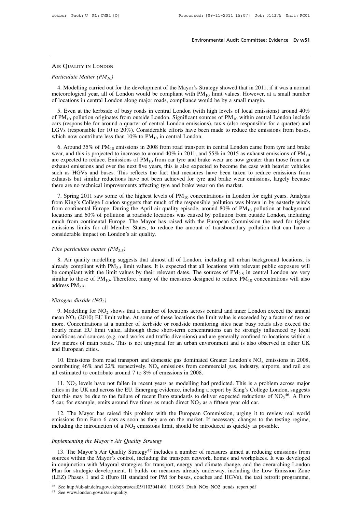### Air Quality in London

*Particulate Matter (PM<sub>10</sub>)*<br>*Particulate Matter (PM<sub>10</sub>)*<br>4. Modelling carried out for the FR QUALITY IN LONDON<br>
uniculate Matter (PM<sub>10</sub>)<br>
4. Modelling carried out for the development of the Mayor's Strategy showed that in 2011, if it was a normal<br>
teorological year, all of London would be compliant with PM<sub>10</sub> AIR QUALITY IN LONDON<br> *Particulate Matter* (*PM<sub>10</sub>*)<br>
4. Modelling carried out for the development of the Mayor's Strategy showed that in 2011, if it was a normal<br>
meteorological year, all of London would be compliant w AIR QUALITY IN LONDON<br>
Particulate Matter (PM<sub>10</sub>)<br>
4. Modelling carried out for the development of the Mayor's Strategy showed that in 2011, if it<br>
meteorological year, all of London would be compliant with PM<sub>10</sub> limit Ficulate Matter (PM<sub>10</sub>)<br>4. Modelling carried out for the development of the Mayor's Strategy showed that in 2011, if it was a normal<br>21. Even at a small of London would be compliant with PM<sub>10</sub> limit values. However, at

Particulate Matter (PM<sub>10</sub>)<br>4. Modelling carried out for the development of the Mayor's Strategy showed that in 2011, if it was a normal<br>meteorological year, all of London would be compliant with PM<sub>10</sub> limit values. Howe 4. Modelling carried out for the development of the Mayor's Strategy showed that in 2011, if it was a normal<br>meteorological year, all of London would be compliant with  $PM_{10}$  limit values. However, at a small number<br>of l 4. Modeling carried out for the development of the Mayor's strategy showed that in 2011, it is was a homial meteorological year, all of London would be compliant with  $PM_{10}$  limit values. However, at a small number of lo meteorological year, an of Eondon would be compliant with  $1 \text{M}_{10}$  in<br>of locations in central London along major roads, compliance would b<br>5. Even at the kerbside of busy roads in central London (with high<br>of PM<sub>10</sub> po 5. Even at the kerbside of busy roads in central London (with high levels of local emissions) around 40% PM<sub>10</sub> pollution originates from outside London. Significant sources of PM<sub>10</sub> within central London include rs (res

9. Even at me kerostate of using the direct to increase to around 100 multiple increase of PM<sub>10</sub> within central London include cars (responsible for around a quarter of central London emissions), taxis (also responsible LGVs (responsible for 10 to 20%). Considerable efforts have been made to reduce the emissions from buses, which now contribute less than 10% to PM<sub>10</sub> in central London.<br>6. Around 35% of PM<sub>10</sub> emissions in 2008 from road Let vs (responsible for 10 to 20%). Considerable enotes have been inade to reduce the emissions from buses, which now contribute less than 10% to  $PM_{10}$  in central London.<br>6. Around 35% of  $PM_{10}$  emissions in 2008 from 6. Around 35% of PM<sub>10</sub> emissions in 2008 from road transport in central London came from tyre and brake wear, and this is projected to increase to around 40% in 2011, and 55% in 2015 as exhaust emissions of PM<sub>10</sub> are ex 6. Around 35% of PM<sub>10</sub> emissions in 2008 from road transport in central London car<br>wear, and this is projected to increase to around 40% in 2011, and 55% in 2015 as exh-<br>are expected to reduce. Emissions of PM<sub>10</sub> from c 2. Spring 2011 saw some of the highest levels of PM<sub>10</sub> concentrations in London for eight years. Analysis of TM<sub>10</sub> concentrations and over the next five years, this is also expected to become the case with heavier vehic are expected to reduce. Emissions of  $TM_{10}$  from ear type and orace wear are now greater than those from ear<br>exhaust emissions and over the next five years, this is also expected to become the case with heavier vehicles<br>

such as HGVs and buses. This reflects the fact that measures have been taken to reduce emissions from exhausts but similar reductions have not been achieved for tyre and brake wear emissions, largely because there are no Such as HOVs and 60% of pollutions have not been achieved for tyre and brake wear emissions, largely because<br>there are no technical improvements affecting tyre and brake wear on the market.<br>7. Spring 2011 saw some of the The much from continental europe. The Mayor has raised with the European Commissions, angle yeledase there are no technical improvements affecting tyre and brake wear on the market.<br>
7. Spring 2011 saw some of the highest 7. Spring 2011 saw some of the highest levels of  $PM_{10}$  concentrations in London for eight years. Analysis from King's College London suggests that much of the responsible pollution was blown in by easterly winds from co 7. Spring 2011 saw some of the highest levels<br>from King's College London suggests that much<br>from continental Europe. During the April air qualications and 60% of pollution at roadside locatio<br>much from continental Europe. From continental Europe. During the April air quality episode, around 80% of  $PM_{10}$  pollution at background<br>locations and 60% of pollution at roadside locations was caused by pollution from outside London, including<br>much Europe. The Mayor has raised with the European Commission the need for tighter<br>issions limits for all Member States, to reduce the amount of transboundary pollution that can have a<br>msiderable impact on London's air qualit

emissions limits for all Member States, to reduce the amount of transboundary pollution that can have a<br>considerable impact on London's air quality.<br>Fine particulate matter  $(PM_{2.5})$ <br>8. Air quality modelling suggests that considerable impact on London's air quality.<br>
Fine particulate matter  $(PM_{2.5})$ <br>
8. Air quality modelling suggests that almost all of London, including all urban background locations, is<br>
already compliant with PM<sub>2.5</sub> li Fine particulate matter  $(PM_{2.5})$ <br>8. Air quality modelling suggests that almost all of London, including all urban background locations, is<br>already compliant with PM<sub>2.5</sub> limit values. It is expected that all locations wi Fine particulate matter ( $PM_{2.5}$ <br>8. Air quality modelling sugalready compliant with  $PM_{2.5}$ <br>be compliant with the limit va<br>similar to those of  $PM_{10}$ . Ther<br>address  $PM_{2.5}$ .<br>*Nitrogen dioxide* ( $NO<sub>2</sub>$ )<br>9. Modelling compliant with the limit values by their relevant dates. The sources of  $PM_{2.5}$  in central London are very<br>nilar to those of  $PM_{10}$ . Therefore, many of the measures designed to reduce  $PM_{10}$  concentrations will also<br>dr

similar to those of  $PM_{10}$ . Therefore, many of the measures designed to reduce  $PM_{10}$  concentrations will also<br>address  $PM_{2.5}$ .<br>*Nitrogen dioxide* (*NO<sub>2</sub>*)<br>9. Modelling for NO<sub>2</sub> shows that a number of locations acros address PM<sub>2.5</sub>.<br>Nitrogen dioxide (NO<sub>2</sub>)<br>9. Modelling for NO<sub>2</sub> shows that a number of locations across central and inner London exceed the annual<br>mean NO<sub>2</sub> (2010) EU limit value. At some of these locations the limit va Nitrogen dioxide ( $NO_2$ )<br>9. Modelling for  $NO_2$  shows that a number of locations across central and inner London exceed the annual<br>mean  $NO_2$  (2010) EU limit value. At some of these locations the limit value is exceeded b Nitrogen dioxide ( $NO_2$ )<br>9. Modelling for  $NO_2$  shows that a number of locations across central and inner London exceed the annual<br>mean  $NO_2$  (2010) EU limit value. At some of these locations the limit value is exceeded b 9. Modelling for NO<sub>2</sub> shows that a number of locations across central and inner London exceed the annual mean NO<sub>2</sub> (2010) EU limit value. At some of these locations the limit value is exceeded by a factor of two or more 9. Modelling for NO<sub>2</sub> shows that a number of locations across central and inner London exceed the annual mean NO<sub>2</sub> (2010) EU limit value. At some of these locations the limit value is exceeded by a factor of two or more 20. Concentrations at a number of kerbside or roadside monitoring sites near busy roads also exceed the urly mean EU limit value, although these short-term concentrations can be strongly influenced by local number of kerb more. Concentrations at a number of Netrosiae of roadside momitoring sites itear outsy roads also exected the<br>hourly mean EU limit value, although these short-term concentrations can be strongly influenced by local<br>condit

few metres of main roads. This is not untypical for an urban environment and is also observed in other UK and European cities.<br>
10. Emissions from road transport and domestic gas dominated Greater London's  $NO_x$  emissions w metres of main roads. This is not untypical for an urban environment and is also observed in other UK<br>d European cities.<br>10. Emissions from road transport and domestic gas dominated Greater London's NO<sub>x</sub> emissions in 2

and European cities.<br>
10. Emissions from road transport and domestic gas dominated Greater London's NO<sub>x</sub> emissions in 2008,<br>
contributing 46% and 22% respectively. NO<sub>x</sub> emissions from commercial gas, industry, airports, 10. Emissions from road transport and domestic gas dominated Greater London's NO<sub>x</sub> emissions in 20<br>contributing 46% and 22% respectively. NO<sub>x</sub> emissions from commercial gas, industry, airports, and rail<br>all estimated to is in 2008,<br>
and rail are<br>
ross major<br>
ross major<br>
46. A Euro<br>
1 10. Linissions from foad transport and domestic gas dominated of eater London's NO<sub>x</sub> em<br>contributing 46% and 22% respectively. NO<sub>x</sub> emissions from commercial gas, industry, airpo<br>all estimated to contribute around 7 to estimated to contribute around 7 to 8% of emissions in 2008.<br>
11. NO<sub>2</sub> levels have not fallen in recent years as modelling had predicted. This is a problem across major<br>
ies in the UK and across the EU. Emerging evidence 11. NO<sub>2</sub> levels have not fallen in recent years as modelling had predicted. This is a problem across major cities in the UK and across the EU. Emerging evidence, including a report by King's College London, suggests that 11. NO<sub>2</sub> tevers have not fanten in recent years as moderning mad predicted. This is a problem acroscities in the UK and across the EU. Emerging evidence, including a report by King's College London, sthat this may be due

5 car, for example, emits around five times as much direated 12. The Mayor has raised this problem with the Eu emissions from Euro 6 cars as soon as they are on the including the introduction of a  $NO_2$  emissions limit, s 12. The Mayor has raised this problem with the European Commission, urging it to review real world<br>issions from Euro 6 cars as soon as they are on the market. If necessary, changes to the testing regime,<br>cluding the intro

emissions from Euro 6 cars as soon as they are on the market. If necessary, changes to the testing regime,<br>including the introduction of a NO<sub>2</sub> emissions limit, should be introduced as quickly as possible.<br>*Implementing t* including the introduction of a NO<sub>2</sub> emissions limit, should be introduced as quickly as possible.<br> *Implementing the Mayor's Air Quality Strategy*<br>
13. The Mayor's Air Quality Strategy<sup>47</sup> includes a number of measures a Implementing the Mayor's Air Quality Strategy<br>
13. The Mayor's Air Quality Strategy<sup>47</sup> includes a number of measures aimed at reducing emissions from<br>
sources within the Mayor's control, including the transport network, h Implementing the Mayor's Air Quality Strategy<br>
13. The Mayor's Air Quality Strategy<sup>47</sup> includes a number of measures aimed at reducing emissions from<br>
sources within the Mayor's control, including the transport network, h sources within the Mayor's control, including the transport network, homes and workplaces. It was developed<br>in conjunction with Mayoral strategies for transport, energy and climate change, and the overarching London<br>Plan f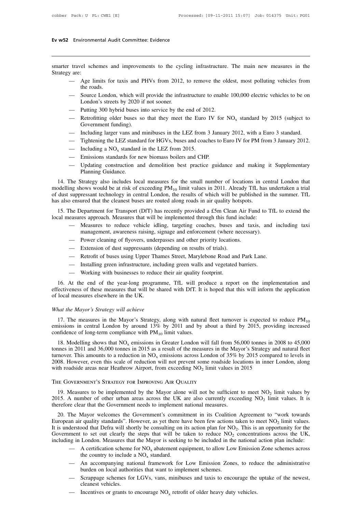# **Ev w52** Environmental Audit Committee: Evidence

**EV W52** Environmental Audit Committee: Evidence<br>
Smarter travel schemes and improvements to the cycling infrastructure. The main new measures in the<br>
Strategy are:<br>
— Age limits for taxis and PHVs from 2012, to remove the Ev w52 Environme<br>
Smarter travel sch<br>
Strategy are:<br>
— Age life ros

- Environmental Audit Committee: Evidence<br>
travel schemes and improvements to the cycling infrastructure. The main new measures in the<br>
y are:<br>
 Age limits for taxis and PHVs from 2012, to remove the oldest, most polluting el schemes an<br>
:<br>
Age limits for<br>
the roads.<br>
Source London<br>
London's street
- travel schemes and improvements to the cycling infrastructure. The main new measures in the<br>
y are:<br>
 Age limits for taxis and PHVs from 2012, to remove the oldest, most polluting vehicles from<br>
the roads.<br>
 Source Londo Exercise and improvements to the cycle.<br>
London: Age limits for taxis and PHVs from 2012,<br>
the roads.<br>
Source London, which will provide the infra<br>
London's streets by 2020 if not sooner.<br>
Putting 300 hybrid buses into ser g and the service business into service business in the end of the roads.<br>
— Source London, which will provide the infrastructure to enable<br>
London's streets by 2020 if not sooner.<br>
— Putting 300 hybrid buses into service — Age limits for taxis and PHVs from 2012, to remove the oldest, most polluting vehicles from<br>the roads.<br>— Source London, which will provide the infrastructure to enable 100,000 electric vehicles to be on<br>London's streets the roads.<br>
— Source London, which will provide the infrastructure to enable 100,000 electric vehicles to be on<br>
London's streets by 2020 if not sooner.<br>
— Putting 300 hybrid buses into service by the end of 2012.<br>
— Retr — Source London, which will provide the infrastructure to enable 100,000 electric vehicles to be on<br>
London's streets by 2020 if not sooner.<br>
— Putting 300 hybrid buses into service by the end of 2012.<br>
— Retrofitting old
- 
- London's streets by 2020 if not sooner.<br>
 Putting 300 hybrid buses into service by the end of 2012.<br>
 Retrofitting older buses so that they meet the Euro IV for NO<sub>x</sub> standard by 2015 (subject to Government funding).<br>
 — Putting 300 hybrid buses into service by the end of 20<br>
— Retrofitting older buses so that they meet the Euro<br>
Government funding).<br>
— Including larger vans and minibuses in the LEZ from 2015.<br>
— Tightening the LEZ stan — Retrofitting older buses so that they meet the Euro IV fo<br>
Government funding).<br>
— Including larger vans and minibuses in the LEZ from 3 Janu<br>
— Tightening the LEZ standard for HGVs, buses and coaches to<br>
— Including a
- 
- 
- 
- 
- Government tunding).<br>
 Including larger vans and minibuses in the LEZ from 3 January 2012, with a Euro 3 standard.<br>
 Tightening the LEZ standard for HGVs, buses and coaches to Euro IV for PM from 3 January 2012.<br>
 Inclu - Including a NO<sub>x</sub> standard in the LEZ from 2015.<br>
- Emissions standards for new biomass boilers and CHP.<br>
- Updating construction and demolition best practice guidance and making it Supplementary<br>
Planning Guidance.<br>
14

11. Trumary 2012.<br>
11. The Strategy also includes local measures for the small number of locations in central London that<br>
14. The Strategy also includes local measures for the small number of locations in central London modelling a NO<sub>x</sub> standard in the LEZ from 2015.<br>
— Emissions standards for new biomass boilers and CHP.<br>
— Updating construction and demolition best practice guidance and making it Supplementary<br>
Planning Guidance.<br>
14. - Emissions standards for new biomass boilers and CHP.<br>
- Updating construction and demolition best practice guidance and making it Supplementary<br>
Planning Guidance.<br>
14. The Strategy also includes local measures for the  $-$  Updating construction and demolition best practice guidance and making Planning Guidance.<br>
14. The Strategy also includes local measures for the small number of locations in comodelling shows would be at risk of excee Planning Guidance.<br>
14. The Strategy also includes local measures for the small number of locations in central London that<br>
dust suppressant technology in central London, the results of which will be published in the summ 14. The Strategy also includes local measures for the small number of locations in cent<br>modelling shows would be at risk of exceeding  $PM_{10}$  limit values in 2011. Already TfL has u<br>of dust suppressant technology in centr In the solution of the set all including PM<sub>10</sub> limit values in 2011. Already TfL has undertaken a trial<br>suppressant technology in central London, the results of which will be published in the summer. TfL<br>b ensured that t management technology in central London, the results of which will be published in th<br>ured that the cleanest buses are routed along roads in air quality hotspots.<br>Department for Transport (DfT) has recently provided a £5m

o ensured that the cleanest buses are routed along roads in air quality hotspots.<br>
The Department for Transport (DfT) has recently provided a £5m Clean Air Fu easures approach. Measures that will be implemented through thi The Department for Transport (DfT) has recently provided a £5m Clean  $\beta$  easures approach. Measures that will be implemented through this fund in <br>
— Measures to reduce vehicle idling, targeting coaches, buses an manageme

- easures approach. Measures that will be implemented through this fund include:<br>
 Measures to reduce vehicle idling, targeting coaches, buses and taxis, and in<br>
management, awareness raising, signage and enforcement (where — Measures to reduce vehicle idling, targeting coaches, buses and taxis, and<br>management, awareness raising, signage and enforcement (where necessary).<br>— Power cleaning of flyovers, underpasses and other priority locations.
- 
- 
- 
- 
- 

management, awareness raising, signage and enforcement (where i<br>
— Power cleaning of flyovers, underpasses and other priority locatior<br>
— Extension of dust suppressants (depending on results of trials).<br>
— Retrofit of buse 16. At the end of the year-long programme, TfL will produce a report on the implementation and<br>
16. At the end of the year-long programme, TfL will produce a report on the implementation and<br>
26. At the end of the year-lon - Extension of dust suppressants (depending on results of trials).<br>
- Retrofit of buses using Upper Thames Street, Marylebone Road and Park Lane.<br>
- Installing green infrastructure, including green walls and vegetated barr - Installing green infrastructure, including green walls and vegetated barriers.<br>
- Working with businesses to reduce their air quality footprint.<br>
16. At the end of the year-long programme, TfL will produce a report on th — Working with businesses to reduce th<br>16. At the end of the year-long programme<br>effectiveness of these measures that will be share<br>of local measures elsewhere in the UK.<br>What the Mayor's Strategy will achieve<br>17. The meas

16. At the end of the year-long programme, TfL will produce a report on the implementation and effectiveness of these measures that will be shared with DfT. It is hoped that this will inform the application of local measu of local measures elsewhere in the UK.<br>What the Mayor's Strategy will achieve<br>17. The measures in the Mayor's Strategy, along with natural<br>emissions in central London by around 13% by 2011 and by a<br>confidence of long-term hat the Mayor's Strategy will achieve<br>17. The measures in the Mayor's Strategy, along with natural fleet turnover is expected to reduce  $PM_{10}$ <br>insisions in central London by around 13% by 2011 and by about a third by 201

What the Mayor's Strategy will achieve<br>17. The measures in the Mayor's Strategy, along with natural fleet turnover is expected to reduce PM<sub>10</sub><br>emissions in central London by around 13% by 2011 and by about a third by 201 17. The measures in the Mayor's Strategy, along with natural fleet turnover is expected to reduce  $PM_{10}$  emissions in central London by around 13% by 2011 and by about a third by 2015, providing increased confidence of l 17. The measures in the Mayor's strategy, along with natural fleet throver is expected to reduce  $FNr_{10}$  emissions in central London by around 13% by 2011 and by about a third by 2015, providing increased confidence of l emissions in central London by around 15% by 2011 and by about a time by 2015, provid<br>confidence of long-term compliance with PM<sub>10</sub> limit values.<br>18. Modelling shows that NO<sub>x</sub> emissions in Greater London will fall from turnover. This amounts to a reduction in NO<sub>x</sub> emissions across London of 35% by 2015 compared to levels in 2008. However, even this scale of reduction will not prevent some roadside locations in inner London, along with Indicated to levels in<br>
London, along<br>
limit values by<br>
it values. It is

2008. However, even this scale of reduction will not prevent some roadside locations in inner Lo<br>with roadside areas near Heathrow Airport, from exceeding NO<sub>2</sub> limit values in 2015<br>THE GOVERNMENT'S STRATEGY FOR IMPROVING limit values by<br>  $D_2$  limit values by<br>
limit values. It is The Government's Strategy for Improving AIR Quality<br>The Government's Strategy for Improving AIR Quality<br>19. Measures to be implemented by the Mayor alone will not be sufficient<br>2015. A number of other urban areas across t 20. The Mayor solution of Mayor alone will not be sufficient to meet  $NO_2$  limit values by<br>19. Measures to be implemented by the Mayor alone will not be sufficient to meet  $NO_2$  limit values by<br>15. A number of other urban

THE GOVERNMENT'S STRATEGY FOR IMPROVING AIR QUALITY<br>
19. Measures to be implemented by the Mayor alone will not be sufficient to meet NO<sub>2</sub> limit value<br>
2015. A number of other urban areas across the UK are also currently it values by<br>values. It is<br>ork towards<br>limit values.<br>unity for the<br>oss the UK, 19. Measures to be implemented by the Mayor alone will not be sufficient to me 2015. A number of other urban areas across the UK are also currently exceeding therefore clear that the Government needs to implement national t to meet  $NO_2$  limit values by<br>eeding  $NO_2$  limit values. It is<br>Agreement to "work towards<br>aken to meet  $NO_2$  limit values.<br>This is an opportunity for the<br>concentrations across the UK,<br>national action plan include: For Measures to be implemented by the whayof alone will not be surficient to meet  $NO_2$  limit values by 2015. A number of other urban areas across the UK are also currently exceeding  $NO_2$  limit values. It is therefore 2015. A number of onler urban areas actoss the OK are also currently exceeding  $NO_2$  mint values. It is<br>therefore clear that the Government needs to implement national measures.<br>20. The Mayor welcomes the Government's co The Mayor welcomes the Government's commitment in its Coalition Agreement to "work towards<br>an air quality standards". However, as yet there have been few actions taken to meet NO<sub>2</sub> limit values.<br>derstood that Defra will Mayor welcomes the Government's commit<br>
r quality standards". However, as yet there h<br>
bod that Defra will shortly be consulting on<br>
to set out clearly the steps that will be<br>
London. Measures that the Mayor is seeking<br>
A an an quanty standards. However, as yet there have been lew actions taken to theet  $NO_2$  mint values.<br>derstood that Defra will shortly be consulting on its action plan for  $NO_2$ . This is an opportunity for the<br>ment to s bod that Deria will shortly be consulting on its action plan for NC<br>to set out clearly the steps that will be taken to reduce  $NO_2$ <br>London. Measures that the Mayor is seeking to be included in the<br>A certification scheme f

- 
- including in London. Measures that the Mayor is seeking to be included in the national action plan include:<br>
 A certification scheme for NO<sub>x</sub> abatement equipment, to allow Low Emission Zone schemes across<br>
the country t An accompanying national framework for Low Emission Zones, to reduce the country to include a NO<sub>x</sub> standard.<br>
— An accompanying national framework for Low Emission Zones, to reduce burden on local authorities that want t
- in 1981 in London. Measures that the Mayor is seeking to be included in the national action plan include:<br>  $\frac{1}{100}$  A certification scheme for NO<sub>x</sub> abatement equipment, to allow Low Emission Zone schemes across<br>
the c
	-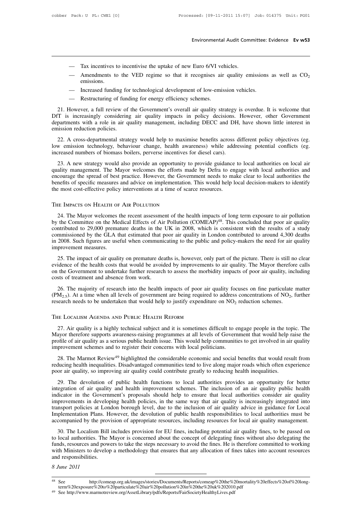- 
- Environmental Audit Com<br>
 Tax incentives to incentivise the uptake of new Euro 6/VI vehicles.<br>
 Amendments to the VED regime so that it recognises air quality en Environmental Audit Committee: Evidence Ev w53<br>
— Tax incentives to incentivise the uptake of new Euro 6/VI vehicles.<br>
— Amendments to the VED regime so that it recognises air quality emissions as well as CO<sub>2</sub> emissions.<br> — Tax incentives to incentivise the uptake of new Euro 6/VI vehicles.<br>
— Amendments to the VED regime so that it recognises air quality emissions<br>
— Increased funding for technological development of low-emission vehicles. — Tax incentives to incentivise the uptake of new Euro 6/VI vehicles.<br>
— Amendments to the VED regime so that it recognises air quality emissions as well as CO<sub>2</sub> emissions.<br>
— Increased funding for technological developme
	-
	-

21. However, a full review of the Government's overall air quality emissions as well as  $CO_2$ <br>
21. However, a full review of the Government's overall air quality strategy is overdue. It is welcome that<br>
21. However, a ful — Amendments to the VED regime so that it recognises air quality emissions as well as CO<sub>2</sub><br>
emissions.<br>
— Increased funding for technological development of low-emission vehicles.<br>
— Restructuring of funding for energy ef departments with a role in air quality management, including DECC and DH, have shown little interest in<br>entision reduction policies.<br>21. However, a full review of the Government's overall air quality strategy is overdue. I – Increased funding for<br>
– Restructuring of fund<br>
21. However, a full review of<br>
DfT is increasingly considering<br>
departments with a role in air q<br>
emission reduction policies.<br>
22. A cross-departmental strate — Kestructuring of funding for energy efficiency schemes.<br>
21. However, a full review of the Government's overall air quality strategy is overdue. It is welcome that<br>
T is increasingly considering air quality impacts in po 21. However, a full review of the Government's overall air quality strategy is overdue. It is welcome that<br>DfT is increasingly considering air quality impacts in policy decisions. However, other Government<br>departments with 21. However, a function of the Sovemment s overall an quality stategy<br>DfT is increasingly considering air quality impacts in policy decisions.<br>departments with a role in air quality management, including DECC and DH<br>emissi

departments with a role in air quality management, including DECC and DH, have shown little interest in emission reduction policies.<br>
22. A cross-departmental strategy would help to maximise benefits across different polic

emission reduction policies.<br>
22. A cross-departmental strategy would help to maximise benefits across different policy objectives (eg.<br>
low emission technology, behaviour change, health awareness) while addressing potenti 22. A cross-departmental strategy would help to maximise benefits across different policy objectives (eg.<br>low emission technology, behaviour change, health awareness) while addressing potential conflicts (eg.<br>increased num benefits of specific measures and advice on implementation. This would help decision technology, behaviour change, health awareness) while addressing potential conflicts (eg. increased numbers of biomass boilers, perverse the most cost-effective policy, because increased numbers of biomass boilers, perverse incentives for diesel cars).<br>
23. A new strategy would also provide an opportunity to provide guidance<br>
quality management. The Mayor w courage the spread of best practice. However, the Government needs to make clear to local authorities the nefits of specific measures and advice on implementation. This would help local decision-makers to identify and the

benefits of specific measures and advice on implementation. This would help local decision-makers to identify<br>the most cost-effective policy interventions at a time of scarce resources.<br>THE IMPACTS ON HEALTH OF AIR POLLUTI the most cost-effective policy interventions at a time of scarce resources.<br>THE IMPACTS ON HEALTH OF AIR POLLUTION<br>24. The Mayor welcomes the recent assessment of the health impacts of long term exposure to air pollution<br>b THE IMPACTS ON HEALTH OF AIR POLLUTION<br>24. The Mayor welcomes the recent assessment of the health impacts of long term exposure to air pollution<br>by the Committee on the Medical Effects of Air Pollution (COMEAP)<sup>48</sup>. This c THE IMPACTS ON HEALTH OF AIR POLLUTION<br>24. The Mayor welcomes the recent assessment of the health impacts of long term exposure to air pollution<br>by the Committee on the Medical Effects of Air Pollution (COMEAP)<sup>48</sup>. This 24. The Mayor welcomes to<br>24. The Mayor welcomes to<br>by the Committee on the Me<br>contributed to 29,000 prema<br>commissioned by the GLA t<br>in 2008. Such figures are use<br>improvement measures.<br>25. The impact of air quali 25. The impact of air quality on premature deaths is, however, only part of the picture. There is still no clear<br>25. The impact of a study mmissioned by the GLA that estimated that poor air quality in London contributed to by an Commissioned to 29,000 premature deaths in the UK in 2008, which is consistent with the results of a study commissioned by the GLA that estimated that poor air quality in London contributed to around 4,300 deaths in

commissioned to 25,000 permature deaths in the GK in 2000, which is consistent what the results of a stady commissioned by the GLA that estimated that poor air quality in London contributed to around 4,300 deaths in 2008. commissioned by the GLA that estimated that poor air quality in London contributed to around 4,300 deaths<br>in 2008. Such figures are useful when communicating to the public and policy-makers the need for air quality<br>improve 26. The impact of air quality on premature deaths is, however, only part of the picture. There is still no clear<br>idence of the health costs that would be avoided by improvements to air quality. The Mayor therefore calls<br>t 25. The impact of air quality on premature deaths is, however, only part of the picture. There is still no clea<br>evidence of the health costs that would be avoided by improvements to air quality. The Mayor therefore call<br>o no clear<br>pre calls<br>ncluding<br>e matter<br>, further Evidence of the health costs that would be avoided by improvements to air quality. The Mayor therefore<br>on the Government to undertake further research to assess the morbidity impacts of poor air quality, incl<br>costs of tre

26. The majority of research into the health impacts of poor air quality focuses on fine particulate matter  $M_{2.5}$ ). At a time when all levels of government are being required to address concentrations of  $NO_2$ , further (PM<sub>2.5</sub>). At a time when all levels of government are being required to address concentrations of NO<sub>2</sub>, further research needs to be undertaken that would help to justify expenditure on NO<sub>2</sub> reduction schemes.<br>THE LOCA research needs to be undertaken that would help to justify expenditure on  $NO_2$  reduction schemes.<br>
THE LOCALISM AGENDA AND PUBLIC HEALTH REFORM<br>
27. Air quality is a highly technical subject and it is sometimes difficult THE LOCALISM AGENDA AND PUBLIC HEALTH REFORM<br>27. Air quality is a highly technical subject and it is sometimes difficult to en<br>Mayor therefore supports awareness-raising programmes at all levels of Govern<br>profile of air qu E LOCALISM AGENDA AND PUBLIC HEALTH KEFORM<br>27. Air quality is a highly technical subject and it is sometimes difficult to engage people in the topic. The<br>ayor therefore supports awareness-raising programmes at all levels o 27. Air quality is a highly technical subject and it is sometimes difficult to engage people in the topic. The Mayor therefore supports awareness-raising programmes at all levels of Government that would help raise the pro 27. An quality is a mgmy deemed sabject and it is sometimes united to engage people in the top Mayor therefore supports awareness-raising programmes at all levels of Government that would help is profile of air quality as

onle of air quality as a serious public health issue. This would help communities to get involved in air quality<br>provement schemes and to register their concerns with local politicians.<br>28. The Marmot Review<sup>49</sup> highlighte

improvement schemes and to register their concerns with local politicians.<br>
28. The Marmot Review<sup>49</sup> highlighted the considerable economic and social benefits that would result from<br>
reducing health inequalities. Disadvan 28. The Marmot Review<sup>49</sup> highlighted the considerable economic and social benefits that would result from<br>reducing health inequalities. Disadvantaged communities tend to live along major roads which often experience<br>poor From the mass of the manufacture of the manufacture of the same of the same of the same of the same incredicing health inequalities. Disadvantaged communities tend to live along major roads which often experience poor air The developing is a different policies at quality could contribute greatly to reducing health inequalities.<br>
29. The devolution of public health functions to local authorities provides an opportunity for better<br>
integratio 29. The devolution of public health functions to local authorities provides an opportunity for better integration of air quality and health improvement schemes. The inclusion of an air quality public health indicator in th 29. The devolution of public health functions to local authorities provides an opportunity for better integration of air quality and health improvement schemes. The inclusion of an air quality public health indicator in th Equation of an quality and included help to ensure that local authorities consider air quality provements in developing headlin policies, in the same way that air quality is increasingly integrated into provements in devel Improvements in developing health policies, in the same way that air ocal autorities consider an quality improvements in developing health policies, in the same way that air quality is increasingly integrated into Implemen

miproventions in actrooping incant poncies, in the same way that an quality is increasingly integrated into transport policies at London borough level, due to the inclusion of air quality advice in guidance for Local Imple European Ministers at Econom colough tever, the devolution of public health responsibilities to local authorities must be accompanied by the provision of appropriate resources, including resources for local air quality ma Implementation Plans. However, the devolution of public health responsibilities to local authorities must be accompanied by the provision of appropriate resources, including resources for local air quality management.<br>30. to local authorities. The Mayor is concerned about the concept of delegating fines without also delegating the<br>
funds, resources and powers to take the steps necessary to avoid the fines. He is therefore committed to worki with Ministers to develop a methodology that ensures that any allocation of fines takes into account resources

term%20exposure%20to%20particulate%20air%20pollution%20in%20the%20uk%202010.pdf

<sup>49</sup> See http://www.marmotreview.org/AssetLibrary/pdfs/Reports/FairSocietyHealthyLives.pdf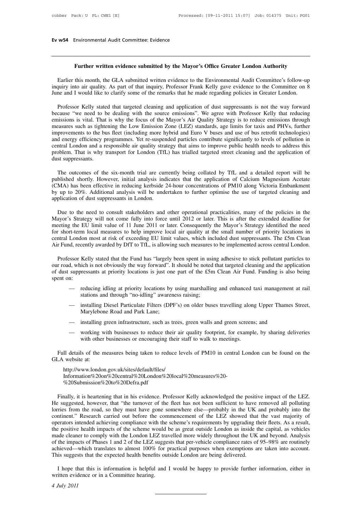# **Ev w54** Environmental Audit Committee: Evidence

# **Further written evidence submitted by the Mayor's Office Greater London Authority**<br>**Further written evidence submitted by the Mayor's Office Greater London Authority**<br>this month, the GLA submitted written evidence to the

W54 Environmental Audit Committee: Evidence<br> **Earlier this month, the GLA submitted by the Mayor's Office Greater London Authority**<br>
Earlier this month, the GLA submitted written evidence to the Environmental Audit Committ Further written evidence submitted by the Mayor's Office Greater London Authority<br>Earlier this month, the GLA submitted written evidence to the Environmental Audit Committee's follow-up<br>inquiry into air quality. As part of Further written evidence submitted by the Mayor's Office Greater London Authority<br>Earlier this month, the GLA submitted written evidence to the Environmental Audit Committee's follow-up<br>inquiry into air quality. As part of Further written evidence submitted by the Mayor's Office Greater London Authority<br>Earlier this month, the GLA submitted written evidence to the Environmental Audit Committee's follow-up<br>quiry into air quality. As part of t

Earlier this month, the GLA submitted written evidence to the Environmental Audit Committee's follow-up<br>inquiry into air quality. As part of that inquiry, Professor Frank Kelly gave evidence to the Committee on 8<br>June and Earlier this month, the GLA submitted written evidence to the Environmental Audit Committee's follow-up<br>inquiry into air quality. As part of that inquiry, Professor Frank Kelly gave evidence to the Committee on 8<br>June and inquiry into air quality. As part of that inquiry, Professor Frank Kelly gave evidence to the Committee on 8<br>June and I would like to clarify some of the remarks that he made regarding policies in Greater London.<br>Professor June and I would like to clarify some of the remarks that he made regarding policies in Greater London.<br>
Professor Kelly stated that targeted cleaning and application of dust suppressants is not the way forward<br>
because "w Professor Kelly stated that targeted cleaning and application of dust suppressants is not the way forward because "we need to be dealing with the source emissions". We agree with Professor Kelly that reducing emissions is Professor Kelly stated that targeted cleaning and application of dust suppressants is not the way forward because "we need to be dealing with the source emissions". We agree with Professor Kelly that reducing emissions is because "we need to be dealing with the source emissions". We agree with Professor Kelly that reducing emissions is vital. That is why the focus of the Mayor's Air Quality Strategy is to reduce emissions through measures s emissions is vital. That is why the focus of the Mayor's Air Quality Strategy is to reduce emissions through measures such as tightening the Low Emission Zone (LEZ) standards, age limits for taxis and PHVs, further improve provements to the bus fleet (including more hybrid and Euro V buses and use of bus retrofit technologies)<br>d energy efficiency programmes. Yet re-suspended particles contribute significantly to levels of pollution in<br>trial and energy efficiency programmes. Yet re-suspended particles contribute significantly to levels of pollution in<br>central London and a responsible air quality strategy that aims to improve public health needs to address this

central London and a responsible air quality strategy that aims to improve public health needs to address this<br>problem. That is why transport for London (TfL) has trialled targeted street cleaning and the application of<br>du problem. That is why transport for London (TfL) has trialled targeted street cleaning and the application of dust suppressants.<br>
The outcomes of the six-month trial are currently being collated by TfL and a detailed report dust suppressants.<br>
The outcomes of the six-month trial are cur<br>
published shortly. However, initial analysis ind<br>
(CMA) has been effective in reducing kerbside 2<br>
by up to 20%. Additional analysis will be unde<br>
applicatio The outcomes of the six-month trial are currently being collated by TfL and a detailed report will be blished shortly. However, initial analysis indicates that the application of Calcium Magnesium Acetate MA) has been effe published shortly. However, initial analysis indicates that the application of Calcium Magnesium Acetate (CMA) has been effective in reducing kerbside 24-hour concentrations of PM10 along Victoria Embankment<br>by up to 20%.

(CMA) has been effective in reducing kerbside 24-hour concentrations of PM10 along Victoria Embankment<br>by up to 20%. Additional analysis will be undertaken to further optimise the use of targeted cleaning and<br>application o by up to 20%. Additional analysis will be undertaken to further optimise the use of targeted cleaning and application of dust suppressants in London.<br>
Due to the need to consult stakeholders and other operational practical application of dust suppressants in London.<br>
Due to the need to consult stakeholders and other operational practicalities, many of the policies in the<br>
Mayor's Strategy will not come fully into force until 2012 or later. T Due to the need to consult stakeholders and other operational practicalities, many of the policies in the Mayor's Strategy will not come fully into force until 2012 or later. This is after the extended deadline for meeting ayor's Strategy will not come fully into force until 2012 or later. This is after the extended deadline for<br>eeting the EU limit value of 11 June 2011 or later. Consequently the Mayor's Strategy identified the need<br>r shortmeeting the EU limit value of 11 June 2011 or later. Consequently the Mayor's Strategy identified the need<br>for short-term local measures to help improve local air quality at the small number of priority locations in<br>centra

for short-term local measures to help improve local air quality at the small number of priority locations in central London most at risk of exceeding EU limit values, which included dust suppressants. The £5m Clean Air Fun Air Fund, recently awarded by DfT to TfL, is allowing such measures to be implemented across central London.<br>
Professor Kelly stated that the Fund has "largely been spent in using adhesive to stick pollutant particles to<br> essor Kelly stated that the Fund has "largely been spent in using adhesive to stick pollutant particles to<br>d, which is not obviously the way forward". It should be noted that targeted cleaning and the application<br>suppressa Kelly stated that the Fund has "largely been spent in usin<br>ich is not obviously the way forward". It should be noted<br>pressants at priority locations is just one part of the £5m<br>reducing idling at priority locations by usin d, which is not obviously the way forward". It should be noted that targeted cleaning and the application<br>suppressants at priority locations is just one part of the £5m Clean Air Fund. Funding is also being<br>n:<br><br>— installin

- ressants at priority locations is just one<br>reducing idling at priority locations by<br>stations and through "no-idling" awaren<br>installing Diesel Particulate Filters (DPI<br>Marylebone Road and Park Lane;<br>installing green infrast
- 
- 
- reducing idling at priority locations by using marshalling and enhanced taxi management at rail<br>stations and through "no-idling" awareness raising;<br>— installing Diesel Particulate Filters (DPF's) on older buses travellin trations and through "no-idling" awareness raising;<br>
- installing Diesel Particulate Filters (DPF's) on older buses travelling along Upper Thames Street,<br>
Marylebone Road and Park Lane;<br>
- installing green infrastructure, installing Diesel Particulate Filters (DPF's) on older buses travelling alon<br>Marylebone Road and Park Lane;<br>installing green infrastructure, such as trees, green walls and green screens<br>working with businesses to reduce th

Marylebone Road and Park Lane;<br>
— installing green infrastructure, such as trees, green walls and green screens; and<br>
— working with businesses to reduce their air quality footprint, for example, by sharing deliveries<br>
wit - installing g<br>
- working with other<br>
Full details of the n<br>
GLA website at:<br>
http://www.london

http://www.london.gov.uk/sites/default/files/ Information%20on%20central%20London%20local%20measures%20- %20Submission%20to%20Defra.pdf

Example 19 Units are not the term of the term of the term of the term of the term of the term of the UK Information%20on%20central%20London%20local%20measures%20-<br>Example 19 Units heartening that in his evidence. Professor http://www.london.gov.uk/sites/default/files/<br>Information%20on%20central%20London%20local%20measures%20-<br>%20Submission%20to%20Defra.pdf<br>Finally, it is heartening that in his evidence. Professor Kelly acknowledged the posit http://www.london.gov.uk/sites/default/files/<br>Information%20on%20central%20London%20local%20measures%20-<br>%20Submission%20to%20Defra.pdf<br>Finally, it is heartening that in his evidence. Professor Kelly acknowledged the posit Information%20on%20central%20London%20local%20measures%20-<br>
%20Submission%20to%20Defra.pdf<br>
Finally, it is heartening that in his evidence. Professor Kelly acknowledged the positive impact of the LEZ.<br>
He suggested, howeve %20Submission%20to%20Defra.pdf<br>Finally, it is heartening that in his evidence. Professor Kelly acknowledged the positive impact of the LEZ.<br>He suggested, however, that "the turnover of the fleet has not been sufficient to Finally, it is heartening that in his evidence. Professor Kelly acknowledged the positive impact of the LEZ.<br>He suggested, however, that "the turnover of the fleet has not been sufficient to have removed all polluting<br>lorr Finally, it is heartening that in his evidence. Professor Kelly acknowledged the positive impact of the LEZ.<br>He suggested, however, that "the turnover of the fleet has not been sufficient to have removed all polluting<br>lorr He suggested, however, that "the turnover of the fleet has not been sufficient to have removed all polluting lorries from the road, so they must have gone somewhere else—probably in the UK and probably into the continent." lorries from the road, so they must have gone somewhere else—probably in the UK and probably into the continent." Research carried out before the commencement of the LEZ showed that the vast majority of operators intended operators intended achieving compliance with the scheme's requirements by upgrading their fleets. As a result, the positive health impacts of the scheme would be as great outside London as inside the capital, as vehicles m made cleaner to comply with the London LEZ traver of the impacts of Phases 1 and 2 of the LEZ sugger achieved—which translates to almost 100% for p This suggests that the expected health benefits our I hope that this is in achieved—<br>
This sugges<br> *I* hope the written evid<br> *4 July 2011* 

I hope that this is information is helpful and I would be happy to provide further information, either in written evidence or in a Committee hearing.<br>4 July 2011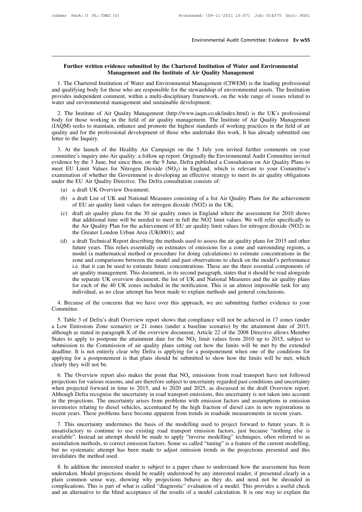# **Further written evidence submitted by the Chartered Institution of Water and Environmental<br>
Management and the Institute of Air Quality Management<br>
The Charter of Air Quality Management**

Environmental Audit Committee: Evidence Ev w55<br> **Management and the Chartered Institution of Water and Environmental<br>
1. The Chartered Institution of Water and Environmental<br>
1. The Chartered Institution of Water and Envir** 1. The Ture of Mater and Environmental Management and the Institution of Water and Environmental Management and the Institute of Air Quality Management<br>1. The Chartered Institution of Water and Environmental Management (CI Further written evidence submitted by the Chartered Institution of Water and Environmental<br>Management and the Institute of Air Quality Management<br>1. The Chartered Institution of Water and Environmental Management (CIWEM) i **Further written evidence submitted by the Chartered Institution of Water and Environmental<br>
Management and the Institute of Air Quality Management<br>
1. The Chartered Institution of Water and Environmental Management (CIWEM** Further written evidence submitted by the Chartered Institution<br>Management and the Institute of Air Quality M<br>1. The Chartered Institution of Water and Environmental Management<br>and qualifying body for those who are respons Management and the Institute of Air Quality Management<br>
1. The Chartered Institution of Water and Environmental Management (CIWEM) is the leading professional<br>
d qualifying body for those who are responsible for the stewar 1. The Chartered Institution of Water and Environmental Management (CIWEM) is the leading professional<br>and qualifying body for those who are responsible for the stewardship of environmental assets. The Institution<br>provides

(IACM) seeks to maintain, enhance and promote the highest standards of working processional and qualifying body for those who are responsible for the stewardship of environmental assets. The Institution provides independen and quality and for those who are responsible for the stewardship of chynomical assets. The institution<br>provides independent comment, within a multi-disciplinary framework, on the wide range of issues related to<br>water and movines independent conventer and environmental<br>2. The Institute of Air<br>body for those working<br>(IAQM) seeks to maintain<br>quality and for the profes<br>letter to the Inquiry.<br>3. At the launch of t 2. The Institute of Air Quality Management (http://www.iaqm.co.uk/index.html) is the UK's professional<br>dy for those working in the field of air quality management. The Institute of Air Quality Management<br>AQM) seeks to main 2. The institute of Air Quality Management (intp.//www.iaqin.co.ux/meex.inm) is the OK's processional<br>body for those working in the field of air quality management. The Institute of Air Quality Management<br>(IAQM) seeks to m

body for those working in the field of an quality management. The institute of An Quality management (IAQM) seeks to maintain, enhance and promote the highest standards of working practices in the field of air quality and The Unitropic scass to manital m, chance and profiled the highest standards of working practices in the field of an quality and for the professional development of those who undertake this work. It has already submitted o dexamination of the Healthy Air Campaign on the 5 July you invited further comments on your committee's inquiry into Air quality: a follow up report. Originally the Environmental Audit Committee invited evidence by the 3 J 3. At the launch of the Healthy Air Campaign on the 5 July you invicommittee's inquiry into Air quality: a follow up report. Originally the Environ evidence by the 3 June, but since then, on the 9 June, Defra published a At the launch of the Healthy Air Camp<br>
imittee's inquiry into Air quality: a follow up<br>
lence by the 3 June, but since then, on the 9<br>
it EU Limit Values for Nitrogen Dioxide<br>
mination of whether the Government is dever<br>
e Final Summate Sumply and Air quality. a follow up report. Originary the Environmental Addit Committee inviced<br>
lence by the 3 June, but since then, on the 9 June, Defra published a Consultation on Air Quality Plans to<br>
t evidence by the 3 June, but since then, on the 9 June, Defra published a Consultation on Air Quality Plans to<br>meet EU Limit Values for Nitrogen Dioxide (NO<sub>2</sub>) in England, which is relevant to your Committee's<br>examination

- 
- 
- mination of whether the Government is developing an effective strategy to meet its air quality obligations<br>er the EU Air Quality Directive. The Defra consultation consists of:<br>(a) a draft UK Overview Document;<br>(b) a draft EV Air Quality Directive. The Defra consultation consists of:<br>
a draft UK Overview Document;<br>
a draft List of UK and National Measures consisting of a list Air Quality Plans for the achievement<br>
of EU air quality limit val a draft UK Overview Document;<br>a draft List of UK and National Measures consisting of a list Air Quality Plans for the achievement<br>of EU air quality limit values for nitrogen dioxide (NO2) in the UK;<br>draft air quality plans the Air Quality Plan for the achievement of EU air quality limit values for nitrogen dioxide (NO2) in<br>the Greater London Urban Area (UK0001); and<br>(d) a draft Technical Report describing the methods used to assess the air q (d) a draft Ext of OK and National Measures consisting of a fist All Quality I hais for the achievement of EU air quality limit values for nitrogen dioxide (NO2) in the UK;<br>
(c) draft air quality plans for the 30 air quali or EO an quanty mint values for intogen dioxide (1022) in the OK,<br>draft air quality plans for the 30 air quality zones in England where the assessment for 2010 shows<br>that additional time will be needed to meet in full the
- draft air quality plans for the 30 air quality zones in England where the assessment for 2010 shows<br>that additional time will be needed to meet in full the NO2 limit values. We will refer specifically to<br>the Air Quality Pl that additional time will be needed to meet in full the NO2 limit values. We will refer specifically to<br>the Air Quality Plan for the achievement of EU air quality limit values for nitrogen dioxide (NO2) in<br>the Greater Lond the Air Quality Plan for the achievement of EU air quality limit values for nitrogen dioxide (NO2) in<br>the Greater London Urban Area (UK0001); and<br>a draft Technical Report describing the methods used to assess the air quali the Greater London Urban Area (UK0001); and<br>a draft Technical Report describing the methods used to assess the air quality plans for 2015 and other<br>future years. This relies essentially on estimates of emissions for a zone a draft Technical Report describing the methods used to assess the air quality plans for 2015 and other future years. This relies essentially on estimates of emissions for a zone and surrounding regions, a model (a mathema future years. This relies essentially on estimates of emissions for a zone and surrounding regions, a model (a mathematical method or procedure for doing calculations) to estimate concentrations in the zone and comparisons model (a mathematical method or procedure for doing calculations) to estimate concentrations i<br>zone and comparisons between the model and past observations to check on the model's perform<br>i.e. that it can be used to estima 2. Because of the concerns that we have over this approach, we are submitting further evidence to your section of the concerns that we have over this approach, we are submitting further evidence to your submitting. This ap

Committee.

the separate UK overview document, the list of UK and National Measures and the air quality plans<br>for each of the 40 UK zones included in the notification. This is an almost impossible task for any<br>individual, as no clear For each of the 40 UK zones included in the notification. This is an almost impossible task for any<br>individual, as no clear attempt has been made to explain methods and general conclusions.<br>4. Because of the concerns that individual, as no clear attempt has been made to explain methods and general conclusions.<br>
4. Because of the concerns that we have over this approach, we are submitting further evidence to your<br>
Committee.<br>
5. Table 3 of D 4. Because of the concerns that we have over this approach, we Committee.<br>5. Table 3 of Defra's draft Overview report shows that compliance<br>a Low Emissions Zone scenario) or 21 zones (under a baseline sc<br>although as state th, we are submitting further evidence to your<br>pliance will not be achieved in 17 zones (under<br>line scenario) by the attainment date of 2015,<br>price 22 of the 2008 Directive allows Member<br>limit values from 2010 up to 2015, For Submission of the Concerns that we have over this approach, we are submiting runner evidence to your<br>Committee.<br>
5. Table 3 of Defra's draft Overview report shows that compliance will not be achieved in 17 zones (unde 5. Table 3 of Defra's draft Overview report shows that compliance will not be achieved in 17 zones (under a Low Emissions Zone scenario) or 21 zones (under a baseline scenario) by the attainment date of 2015, although as 5. Table 3 of Defra's draft Overview report shows that compliance will not be achieved in 17 zones (under a Low Emissions Zone scenario) or 21 zones (under a baseline scenario) by the attainment date of 2015, although as a Low Emissions Zone scen<br>although as stated in paragrap<br>States to apply to postpone 1<br>submission to the Commisside<br>deadline. It is not entirely cl<br>applying for a postponement<br>clearly they will not be.<br>6. The Overview repo flow the Comply to postpone the attainment date for the NO<sub>2</sub> limit values from 2010 up to 2015, subject to bmission to the Commission of air quality plans setting out how the limits will be met by the extended adline. It branch to the Commission of air quality plans setting out how the limits will be met by the extended deadline. It is not entirely clear why Defra is applying for a postponement when one of the conditions for applying for

submission to the Commission of an quanty plans setting out now the mints win of the by the extended deadline. It is not entirely clear why Defra is applying for a postponement when one of the conditions for applying for Although Defra recognise the uncertainty in road transport emissions from road transport have not followed projections for various reasons, and are therefore subject to uncertainty regarded past conditions and uncertainty dependently they will not be.<br>
6. The Overview report also makes the point that  $NO_x$  emissions from road transport have not followed<br>
projections for various reasons, and are therefore subject to uncertainty regarded past 6. The Overview report also makes the point that  $NO_x$  emissions from road transport have not followed projections for various reasons, and are therefore subject to uncertainty regarded past conditions and uncertainty when 6. The Overview report also makes the point that  $NO_x$  emissions from road transport have not followed projections for various reasons, and are therefore subject to uncertainty regarded past conditions and uncertainty when The projections for various reasons, and at difference subject to uncertainty regarded past conditions and ancertainty<br>through Defra recognise the uncertainty in road transport emissions, this uncertainty is not taken into When projected forward in time to 2015, and to 2020 and 2025, as discussed in the draft Overview report.<br>Although Defra recognise the uncertainty in road transport emissions, this uncertainty is not taken into account<br>in t

Admough Derra recognise the uncertainty in road transport emissions, this uncertainty is not taken into account<br>in the projections. The uncertainty arises from problems with emission factors and assumptions in emission<br>inv assimilation methods, to correct emission factors and assumptions in current inventories relating to diesel vehicles, accentuated by the high fraction of diesel cars in new registrations in recent years. These problems hav but no systematic attempt has been made to adjust emission trends in the project forward to future years. These problems have become apparent from trends in roadside measurements in recent years.<br>
7. This uncertainty under Fig. 7. This uncertainty undermines<br>
1. This uncertainty undermines<br>
unsatisfactory to continue to use<br>
available". Instead an attempt she<br>
assimilation methods, to correct ere<br>
but no systematic attempt has be<br>
invalidate Fractural product interested to a paper chase to project forward to future years. It is<br>satisfactory to continue to use existing road transport emission factors, just because "nothing else is<br>similation methods, to correct ansaissaction to commit to disc casting road dialsport emission racions, just occurse moding case is<br>available". Instead an attempt should be made to apply "inverse modelling" techniques, often referred to as<br>assimilation

avantable : instead an attempt should be made to apply inverse inducing teeningtes, once referred to as<br>assimilation methods, to correct emission factors. Some so called "tuning" is a feature of the current modelling,<br>but Example in the method used.<br>
Surface the method used.<br>
Surface the method used.<br>
Surface is subject to a paper chase to understand how the assessment has been<br>
undertaken. Model projections should be readily understood by and an alternative to the blind acceptance of the results of a model calculation. It is one way to explain the<br>and an alternative to the blind acceptance of the results of a model. This provides a useful check<br>and an alter